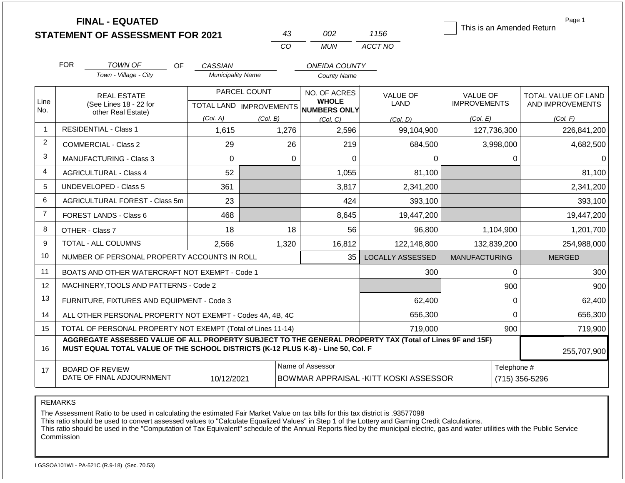|                |                                | <b>FINAL - EQUATED</b>                                                                                                                                                                       |                           |              |                                        |                              |                         |                      |             | Page 1<br>This is an Amended Return |  |
|----------------|--------------------------------|----------------------------------------------------------------------------------------------------------------------------------------------------------------------------------------------|---------------------------|--------------|----------------------------------------|------------------------------|-------------------------|----------------------|-------------|-------------------------------------|--|
|                |                                | <b>STATEMENT OF ASSESSMENT FOR 2021</b>                                                                                                                                                      |                           |              | 43<br>CO                               | 002<br><b>MUN</b>            | 1156<br>ACCT NO         |                      |             |                                     |  |
|                |                                |                                                                                                                                                                                              |                           |              |                                        |                              |                         |                      |             |                                     |  |
|                | <b>FOR</b>                     | TOWN OF<br>OF                                                                                                                                                                                | <b>CASSIAN</b>            |              |                                        | <b>ONEIDA COUNTY</b>         |                         |                      |             |                                     |  |
|                |                                | Town - Village - City                                                                                                                                                                        | <b>Municipality Name</b>  |              |                                        | <b>County Name</b>           |                         |                      |             |                                     |  |
|                |                                | <b>REAL ESTATE</b>                                                                                                                                                                           |                           | PARCEL COUNT |                                        | NO. OF ACRES                 | <b>VALUE OF</b>         | <b>VALUE OF</b>      |             | TOTAL VALUE OF LAND                 |  |
| Line<br>No.    |                                | (See Lines 18 - 22 for<br>other Real Estate)                                                                                                                                                 | TOTAL LAND   IMPROVEMENTS |              |                                        | <b>WHOLE</b><br>NUMBERS ONLY | LAND                    | <b>IMPROVEMENTS</b>  |             | AND IMPROVEMENTS                    |  |
|                |                                |                                                                                                                                                                                              | (Col. A)                  | (Col. B)     |                                        | (Col, C)                     | (Col, D)                | (Col. E)             |             | (Col. F)                            |  |
| $\overline{1}$ |                                | <b>RESIDENTIAL - Class 1</b>                                                                                                                                                                 | 1,615                     |              | 1,276                                  | 2,596                        | 99,104,900              | 127,736,300          |             | 226,841,200                         |  |
| 2              |                                | <b>COMMERCIAL - Class 2</b>                                                                                                                                                                  | 29                        |              | 26                                     | 219                          | 684,500                 |                      | 3,998,000   | 4,682,500                           |  |
| 3              | <b>MANUFACTURING - Class 3</b> |                                                                                                                                                                                              | 0                         |              | $\mathbf 0$                            | 0                            | 0                       |                      | 0           | 0                                   |  |
| $\overline{4}$ | <b>AGRICULTURAL - Class 4</b>  |                                                                                                                                                                                              | 52                        |              |                                        | 1,055                        | 81,100                  |                      |             | 81,100                              |  |
| 5              |                                | <b>UNDEVELOPED - Class 5</b>                                                                                                                                                                 | 361                       |              |                                        | 3,817                        | 2,341,200               |                      |             | 2,341,200                           |  |
| 6              |                                | AGRICULTURAL FOREST - Class 5m                                                                                                                                                               | 23                        |              |                                        | 424                          | 393,100                 |                      |             | 393,100                             |  |
| $\overline{7}$ |                                | <b>FOREST LANDS - Class 6</b>                                                                                                                                                                | 468                       |              |                                        | 8,645                        | 19,447,200              |                      |             | 19,447,200                          |  |
| 8              |                                | OTHER - Class 7                                                                                                                                                                              | 18                        |              | 18                                     | 56                           | 96,800                  |                      | 1,104,900   | 1,201,700                           |  |
| 9              |                                | TOTAL - ALL COLUMNS                                                                                                                                                                          | 2,566                     |              | 1,320                                  | 16,812                       | 122,148,800             | 132,839,200          |             | 254,988,000                         |  |
| 10             |                                | NUMBER OF PERSONAL PROPERTY ACCOUNTS IN ROLL                                                                                                                                                 |                           |              |                                        | 35                           | <b>LOCALLY ASSESSED</b> | <b>MANUFACTURING</b> |             | <b>MERGED</b>                       |  |
| 11             |                                | BOATS AND OTHER WATERCRAFT NOT EXEMPT - Code 1                                                                                                                                               |                           |              |                                        |                              | 300                     |                      | 0           | 300                                 |  |
| 12             |                                | MACHINERY, TOOLS AND PATTERNS - Code 2                                                                                                                                                       |                           |              |                                        |                              |                         |                      | 900         | 900                                 |  |
| 13             |                                | FURNITURE, FIXTURES AND EQUIPMENT - Code 3                                                                                                                                                   |                           |              |                                        |                              | 62,400                  |                      | $\mathbf 0$ | 62,400                              |  |
| 14             |                                | ALL OTHER PERSONAL PROPERTY NOT EXEMPT - Codes 4A, 4B, 4C                                                                                                                                    |                           |              |                                        |                              | 656,300                 |                      | $\Omega$    | 656,300                             |  |
| 15             |                                | TOTAL OF PERSONAL PROPERTY NOT EXEMPT (Total of Lines 11-14)                                                                                                                                 |                           |              | 719,000                                |                              | 900                     | 719,900              |             |                                     |  |
| 16             |                                | AGGREGATE ASSESSED VALUE OF ALL PROPERTY SUBJECT TO THE GENERAL PROPERTY TAX (Total of Lines 9F and 15F)<br>MUST EQUAL TOTAL VALUE OF THE SCHOOL DISTRICTS (K-12 PLUS K-8) - Line 50, Col. F |                           |              |                                        |                              |                         |                      |             | 255,707,900                         |  |
| 17             |                                | <b>BOARD OF REVIEW</b>                                                                                                                                                                       |                           |              |                                        | Name of Assessor             |                         |                      | Telephone # |                                     |  |
|                | DATE OF FINAL ADJOURNMENT      | 10/12/2021                                                                                                                                                                                   |                           |              | BOWMAR APPRAISAL - KITT KOSKI ASSESSOR |                              |                         | (715) 356-5296       |             |                                     |  |

REMARKS

The Assessment Ratio to be used in calculating the estimated Fair Market Value on tax bills for this tax district is .93577098

This ratio should be used to convert assessed values to "Calculate Equalized Values" in Step 1 of the Lottery and Gaming Credit Calculations.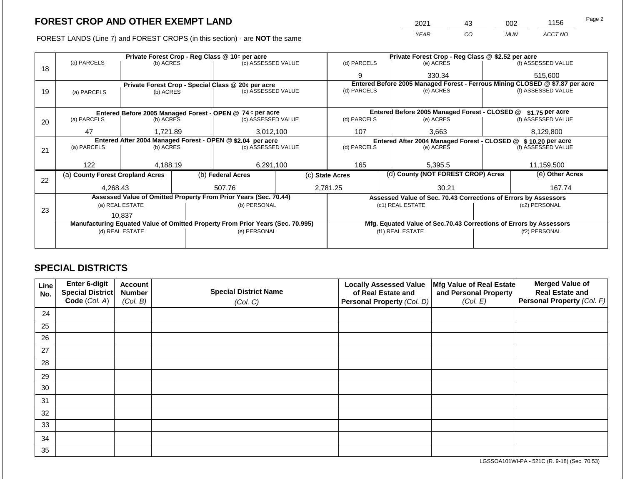FOREST LANDS (Line 7) and FOREST CROPS (in this section) - are NOT the same

|    | Private Forest Crop - Reg Class @ 10¢ per acre                                 |                 |  |                                                                  |  | Private Forest Crop - Reg Class @ \$2.52 per acre |                                                                              |                 |                    |  |
|----|--------------------------------------------------------------------------------|-----------------|--|------------------------------------------------------------------|--|---------------------------------------------------|------------------------------------------------------------------------------|-----------------|--------------------|--|
|    | (a) PARCELS                                                                    | (b) ACRES       |  | (c) ASSESSED VALUE                                               |  | (d) PARCELS                                       | (e) ACRES                                                                    |                 | (f) ASSESSED VALUE |  |
| 18 |                                                                                |                 |  |                                                                  |  | 9                                                 | 330.34                                                                       |                 | 515,600            |  |
|    | Private Forest Crop - Special Class @ 20¢ per acre                             |                 |  |                                                                  |  |                                                   | Entered Before 2005 Managed Forest - Ferrous Mining CLOSED @ \$7.87 per acre |                 |                    |  |
| 19 | (a) PARCELS<br>(b) ACRES                                                       |                 |  | (c) ASSESSED VALUE                                               |  | (d) PARCELS                                       | (e) ACRES                                                                    |                 | (f) ASSESSED VALUE |  |
|    |                                                                                |                 |  |                                                                  |  |                                                   |                                                                              |                 |                    |  |
|    |                                                                                |                 |  | Entered Before 2005 Managed Forest - OPEN @ 74 ¢ per acre        |  |                                                   | Entered Before 2005 Managed Forest - CLOSED @                                |                 | \$1.75 per acre    |  |
| 20 | (a) PARCELS                                                                    | (b) ACRES       |  | (c) ASSESSED VALUE                                               |  | (d) PARCELS                                       | (e) ACRES                                                                    |                 | (f) ASSESSED VALUE |  |
|    |                                                                                |                 |  |                                                                  |  |                                                   |                                                                              |                 |                    |  |
|    | 47                                                                             | 1,721.89        |  | 3,012,100                                                        |  | 107                                               | 3,663                                                                        | 8,129,800       |                    |  |
|    | Entered After 2004 Managed Forest - OPEN @ \$2.04 per acre                     |                 |  |                                                                  |  |                                                   | Entered After 2004 Managed Forest - CLOSED @ \$10.20 per acre                |                 |                    |  |
| 21 | (a) PARCELS                                                                    | (b) ACRES       |  | (c) ASSESSED VALUE                                               |  | (d) PARCELS                                       | (e) ACRES                                                                    |                 | (f) ASSESSED VALUE |  |
|    |                                                                                |                 |  |                                                                  |  |                                                   |                                                                              |                 |                    |  |
|    | 122                                                                            | 4,188.19        |  | 6,291,100                                                        |  | 165                                               | 5,395.5                                                                      |                 | 11,159,500         |  |
| 22 | (a) County Forest Cropland Acres                                               |                 |  | (b) Federal Acres                                                |  | (c) State Acres                                   | (d) County (NOT FOREST CROP) Acres                                           | (e) Other Acres |                    |  |
|    | 4,268.43                                                                       |                 |  | 507.76                                                           |  | 2,781.25<br>30.21                                 |                                                                              |                 | 167.74             |  |
|    |                                                                                |                 |  | Assessed Value of Omitted Property From Prior Years (Sec. 70.44) |  |                                                   | Assessed Value of Sec. 70.43 Corrections of Errors by Assessors              |                 |                    |  |
|    |                                                                                | (a) REAL ESTATE |  | (b) PERSONAL                                                     |  |                                                   | (c1) REAL ESTATE                                                             |                 | (c2) PERSONAL      |  |
| 23 |                                                                                |                 |  |                                                                  |  |                                                   |                                                                              |                 |                    |  |
|    |                                                                                | 10,837          |  |                                                                  |  |                                                   |                                                                              |                 |                    |  |
|    | Manufacturing Equated Value of Omitted Property From Prior Years (Sec. 70.995) |                 |  |                                                                  |  |                                                   | Mfg. Equated Value of Sec.70.43 Corrections of Errors by Assessors           |                 |                    |  |
|    |                                                                                | (d) REAL ESTATE |  | (e) PERSONAL                                                     |  |                                                   | (f1) REAL ESTATE                                                             |                 | (f2) PERSONAL      |  |
|    |                                                                                |                 |  |                                                                  |  |                                                   |                                                                              |                 |                    |  |
|    |                                                                                |                 |  |                                                                  |  |                                                   |                                                                              |                 |                    |  |

# **SPECIAL DISTRICTS**

| <b>Line</b><br>No. | Enter 6-digit<br><b>Special District</b> | <b>Account</b><br><b>Number</b> | <b>Special District Name</b> | <b>Locally Assessed Value</b><br>of Real Estate and | Mfg Value of Real Estate<br>and Personal Property | <b>Merged Value of</b><br><b>Real Estate and</b> |
|--------------------|------------------------------------------|---------------------------------|------------------------------|-----------------------------------------------------|---------------------------------------------------|--------------------------------------------------|
|                    | Code (Col. A)                            | (Col. B)                        | (Col. C)                     | Personal Property (Col. D)                          | (Col. E)                                          | Personal Property (Col. F)                       |
| 24                 |                                          |                                 |                              |                                                     |                                                   |                                                  |
| 25                 |                                          |                                 |                              |                                                     |                                                   |                                                  |
| 26                 |                                          |                                 |                              |                                                     |                                                   |                                                  |
| 27                 |                                          |                                 |                              |                                                     |                                                   |                                                  |
| 28                 |                                          |                                 |                              |                                                     |                                                   |                                                  |
| 29                 |                                          |                                 |                              |                                                     |                                                   |                                                  |
| 30                 |                                          |                                 |                              |                                                     |                                                   |                                                  |
| 31                 |                                          |                                 |                              |                                                     |                                                   |                                                  |
| 32                 |                                          |                                 |                              |                                                     |                                                   |                                                  |
| 33                 |                                          |                                 |                              |                                                     |                                                   |                                                  |
| 34                 |                                          |                                 |                              |                                                     |                                                   |                                                  |
| 35                 |                                          |                                 |                              |                                                     |                                                   |                                                  |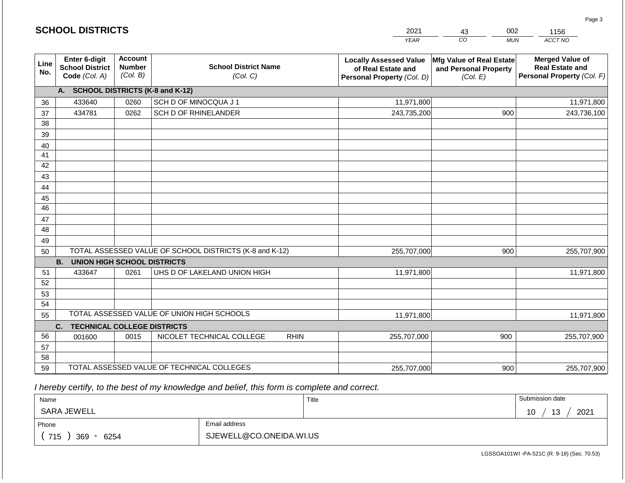|                       | <b>SCHOOL DISTRICTS</b>                                                                                 |      |                                                         | 2021                                                                              | 002<br>43                                                     | 1156                                                                           |  |
|-----------------------|---------------------------------------------------------------------------------------------------------|------|---------------------------------------------------------|-----------------------------------------------------------------------------------|---------------------------------------------------------------|--------------------------------------------------------------------------------|--|
|                       |                                                                                                         |      |                                                         | <b>YEAR</b>                                                                       | CO<br><b>MUN</b>                                              | ACCT NO                                                                        |  |
| Line<br>No.           | Enter 6-digit<br><b>Account</b><br><b>Number</b><br><b>School District</b><br>(Col. B)<br>Code (Col. A) |      | <b>School District Name</b><br>(Col. C)                 | <b>Locally Assessed Value</b><br>of Real Estate and<br>Personal Property (Col. D) | Mfg Value of Real Estate<br>and Personal Property<br>(Col. E) | <b>Merged Value of</b><br><b>Real Estate and</b><br>Personal Property (Col. F) |  |
|                       | A. SCHOOL DISTRICTS (K-8 and K-12)                                                                      |      |                                                         |                                                                                   |                                                               |                                                                                |  |
| 36                    | 433640                                                                                                  | 0260 | SCH D OF MINOCQUA J 1                                   | 11,971,800                                                                        |                                                               | 11,971,800                                                                     |  |
| 37                    | 434781                                                                                                  | 0262 | SCH D OF RHINELANDER                                    | 243,735,200                                                                       | 900                                                           | 243,736,100                                                                    |  |
| 38                    |                                                                                                         |      |                                                         |                                                                                   |                                                               |                                                                                |  |
| 39                    |                                                                                                         |      |                                                         |                                                                                   |                                                               |                                                                                |  |
| 40                    |                                                                                                         |      |                                                         |                                                                                   |                                                               |                                                                                |  |
| 41                    |                                                                                                         |      |                                                         |                                                                                   |                                                               |                                                                                |  |
| 42                    |                                                                                                         |      |                                                         |                                                                                   |                                                               |                                                                                |  |
| 43                    |                                                                                                         |      |                                                         |                                                                                   |                                                               |                                                                                |  |
| 44                    |                                                                                                         |      |                                                         |                                                                                   |                                                               |                                                                                |  |
| 45<br>$\overline{46}$ |                                                                                                         |      |                                                         |                                                                                   |                                                               |                                                                                |  |
|                       |                                                                                                         |      |                                                         |                                                                                   |                                                               |                                                                                |  |
| 47<br>48              |                                                                                                         |      |                                                         |                                                                                   |                                                               |                                                                                |  |
| 49                    |                                                                                                         |      |                                                         |                                                                                   |                                                               |                                                                                |  |
| 50                    |                                                                                                         |      | TOTAL ASSESSED VALUE OF SCHOOL DISTRICTS (K-8 and K-12) | 255,707,000                                                                       | 900                                                           | 255,707,900                                                                    |  |
|                       | <b>B.</b><br><b>UNION HIGH SCHOOL DISTRICTS</b>                                                         |      |                                                         |                                                                                   |                                                               |                                                                                |  |
| 51                    | 433647                                                                                                  | 0261 | UHS D OF LAKELAND UNION HIGH                            | 11,971,800                                                                        |                                                               | 11,971,800                                                                     |  |
| 52                    |                                                                                                         |      |                                                         |                                                                                   |                                                               |                                                                                |  |
| 53                    |                                                                                                         |      |                                                         |                                                                                   |                                                               |                                                                                |  |
| 54                    |                                                                                                         |      |                                                         |                                                                                   |                                                               |                                                                                |  |
| 55                    |                                                                                                         |      | TOTAL ASSESSED VALUE OF UNION HIGH SCHOOLS              | 11,971,800                                                                        |                                                               | 11,971,800                                                                     |  |
|                       | C.<br><b>TECHNICAL COLLEGE DISTRICTS</b>                                                                |      |                                                         |                                                                                   |                                                               |                                                                                |  |
| 56                    | 001600                                                                                                  | 0015 | NICOLET TECHNICAL COLLEGE<br><b>RHIN</b>                | 255,707,000                                                                       | 900                                                           | 255,707,900                                                                    |  |
| 57                    |                                                                                                         |      |                                                         |                                                                                   |                                                               |                                                                                |  |
| 58                    |                                                                                                         |      |                                                         |                                                                                   |                                                               |                                                                                |  |
| 59                    |                                                                                                         |      | TOTAL ASSESSED VALUE OF TECHNICAL COLLEGES              | 255,707,000                                                                       | 900                                                           | 255,707,900                                                                    |  |

 *I hereby certify, to the best of my knowledge and belief, this form is complete and correct.*

**SCHOOL DISTRICTS**

| Name               |                         | Title | Submission date                    |
|--------------------|-------------------------|-------|------------------------------------|
| SARA JEWELL        |                         |       | 2021<br>13<br>1 <sub>0</sub><br>טו |
| Phone              | Email address           |       |                                    |
| 715<br>6254<br>369 | SJEWELL@CO.ONEIDA.WI.US |       |                                    |

Page 3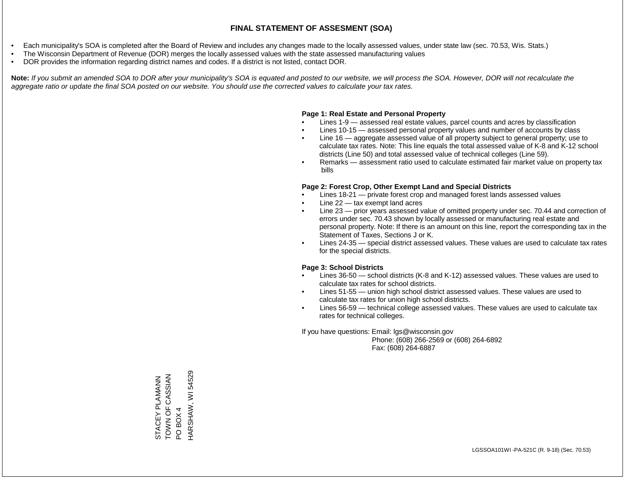- Each municipality's SOA is completed after the Board of Review and includes any changes made to the locally assessed values, under state law (sec. 70.53, Wis. Stats.)
- The Wisconsin Department of Revenue (DOR) merges the locally assessed values with the state assessed manufacturing values
- DOR provides the information regarding district names and codes. If a district is not listed, contact DOR.

Note: If you submit an amended SOA to DOR after your municipality's SOA is equated and posted to our website, we will process the SOA. However, DOR will not recalculate the *aggregate ratio or update the final SOA posted on our website. You should use the corrected values to calculate your tax rates.*

#### **Page 1: Real Estate and Personal Property**

- Lines 1-9 assessed real estate values, parcel counts and acres by classification
- Lines 10-15 assessed personal property values and number of accounts by class
- Line 16 aggregate assessed value of all property subject to general property; use to calculate tax rates. Note: This line equals the total assessed value of K-8 and K-12 school districts (Line 50) and total assessed value of technical colleges (Line 59).
- Remarks assessment ratio used to calculate estimated fair market value on property tax bills

#### **Page 2: Forest Crop, Other Exempt Land and Special Districts**

- Lines 18-21 private forest crop and managed forest lands assessed values
- Line  $22 -$  tax exempt land acres
- Line 23 prior years assessed value of omitted property under sec. 70.44 and correction of errors under sec. 70.43 shown by locally assessed or manufacturing real estate and personal property. Note: If there is an amount on this line, report the corresponding tax in the Statement of Taxes, Sections J or K.
- Lines 24-35 special district assessed values. These values are used to calculate tax rates for the special districts.

#### **Page 3: School Districts**

- Lines 36-50 school districts (K-8 and K-12) assessed values. These values are used to calculate tax rates for school districts.
- Lines 51-55 union high school district assessed values. These values are used to calculate tax rates for union high school districts.
- Lines 56-59 technical college assessed values. These values are used to calculate tax rates for technical colleges.

If you have questions: Email: lgs@wisconsin.gov

 Phone: (608) 266-2569 or (608) 264-6892 Fax: (608) 264-6887

STACEY PLAMANN<br>TOWN OF CASSIAN<br>PO BOX 4 HARSHAW, WI54529 HARSHAW, WI 54529ZVISSVOLO ZNOL STACEY PLAMANN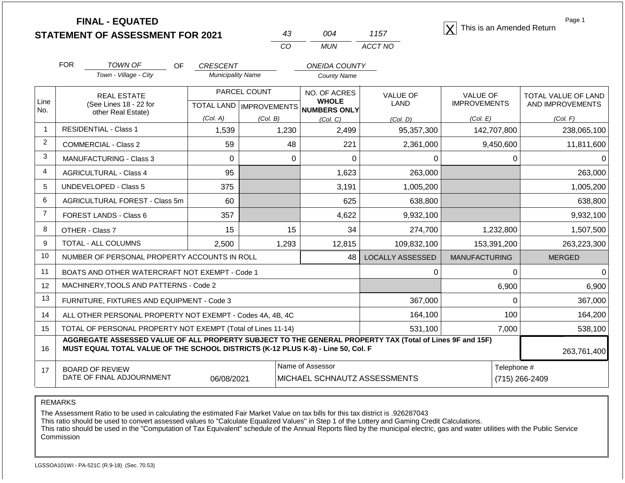**STATEMENT OF ASSESSMENT FOR 2021**

| 43  | በበ4   | 1157    |
|-----|-------|---------|
| CO. | MI IN | ACCT NO |

**FINAL - EQUATED**<br>  $\overline{X}$  This is an Amended Return

Page 1

|                | <b>FOR</b>                                                                                                                                                                                                  | TOWN OF<br>OF                                                | <b>CRESCENT</b>          |                                  | <b>ONEIDA COUNTY</b>         |                  |                      |             |                     |  |
|----------------|-------------------------------------------------------------------------------------------------------------------------------------------------------------------------------------------------------------|--------------------------------------------------------------|--------------------------|----------------------------------|------------------------------|------------------|----------------------|-------------|---------------------|--|
|                |                                                                                                                                                                                                             | Town - Village - City                                        | <b>Municipality Name</b> |                                  | <b>County Name</b>           |                  |                      |             |                     |  |
|                |                                                                                                                                                                                                             | <b>REAL ESTATE</b>                                           |                          | PARCEL COUNT                     | NO. OF ACRES<br><b>WHOLE</b> | <b>VALUE OF</b>  | <b>VALUE OF</b>      |             | TOTAL VALUE OF LAND |  |
| Line<br>No.    |                                                                                                                                                                                                             | (See Lines 18 - 22 for<br>other Real Estate)                 |                          | <b>TOTAL LAND   IMPROVEMENTS</b> | <b>NUMBERS ONLY</b>          | <b>LAND</b>      | <b>IMPROVEMENTS</b>  |             | AND IMPROVEMENTS    |  |
|                |                                                                                                                                                                                                             |                                                              | (Col. A)                 | (Col. B)                         | (Col, C)                     | (Col. D)         | (Col. E)             |             | (Col. F)            |  |
| 1              |                                                                                                                                                                                                             | <b>RESIDENTIAL - Class 1</b>                                 | 1,539                    | 1,230                            | 2,499                        | 95,357,300       |                      | 142,707,800 | 238,065,100         |  |
| $\overline{2}$ |                                                                                                                                                                                                             | <b>COMMERCIAL - Class 2</b>                                  | 59                       | 48                               | 221                          | 2,361,000        |                      | 9,450,600   | 11,811,600          |  |
| 3              |                                                                                                                                                                                                             | <b>MANUFACTURING - Class 3</b>                               | 0                        | $\Omega$                         | $\mathbf{0}$                 | $\Omega$         |                      | 0           |                     |  |
| $\overline{4}$ |                                                                                                                                                                                                             | <b>AGRICULTURAL - Class 4</b>                                | 95                       |                                  | 1,623                        | 263,000          |                      |             | 263,000             |  |
| 5              |                                                                                                                                                                                                             | <b>UNDEVELOPED - Class 5</b>                                 | 375                      |                                  | 3,191                        | 1,005,200        |                      |             | 1,005,200           |  |
| 6              |                                                                                                                                                                                                             | AGRICULTURAL FOREST - Class 5m                               | 60                       |                                  | 625                          | 638,800          |                      |             | 638,800             |  |
| $\overline{7}$ |                                                                                                                                                                                                             | FOREST LANDS - Class 6                                       | 357                      |                                  | 4,622                        | 9,932,100        |                      |             | 9,932,100           |  |
| 8              |                                                                                                                                                                                                             | OTHER - Class 7                                              | 15                       | 15                               | 34                           | 274,700          |                      | 1,232,800   | 1,507,500           |  |
| 9              |                                                                                                                                                                                                             | TOTAL - ALL COLUMNS                                          | 2,500                    | 1,293                            | 12,815                       | 109,832,100      |                      | 153,391,200 | 263,223,300         |  |
| 10             |                                                                                                                                                                                                             | NUMBER OF PERSONAL PROPERTY ACCOUNTS IN ROLL                 |                          |                                  | 48                           | LOCALLY ASSESSED | <b>MANUFACTURING</b> |             | <b>MERGED</b>       |  |
| 11             |                                                                                                                                                                                                             | BOATS AND OTHER WATERCRAFT NOT EXEMPT - Code 1               |                          |                                  |                              | 0                |                      | 0           |                     |  |
| 12             |                                                                                                                                                                                                             | MACHINERY, TOOLS AND PATTERNS - Code 2                       |                          |                                  |                              |                  |                      | 6,900       | 6,900               |  |
| 13             |                                                                                                                                                                                                             | FURNITURE, FIXTURES AND EQUIPMENT - Code 3                   |                          |                                  |                              | 367,000          |                      | 0           | 367,000             |  |
| 14             |                                                                                                                                                                                                             | ALL OTHER PERSONAL PROPERTY NOT EXEMPT - Codes 4A, 4B, 4C    |                          |                                  |                              | 164,100          |                      | 100         | 164,200             |  |
| 15             |                                                                                                                                                                                                             | TOTAL OF PERSONAL PROPERTY NOT EXEMPT (Total of Lines 11-14) |                          |                                  |                              | 531,100          |                      | 7,000       | 538,100             |  |
| 16             | AGGREGATE ASSESSED VALUE OF ALL PROPERTY SUBJECT TO THE GENERAL PROPERTY TAX (Total of Lines 9F and 15F)<br>MUST EQUAL TOTAL VALUE OF THE SCHOOL DISTRICTS (K-12 PLUS K-8) - Line 50, Col. F<br>263,761,400 |                                                              |                          |                                  |                              |                  |                      |             |                     |  |
| 17             |                                                                                                                                                                                                             | <b>BOARD OF REVIEW</b>                                       |                          |                                  | Name of Assessor             |                  |                      | Telephone # |                     |  |
|                | DATE OF FINAL ADJOURNMENT<br>06/08/2021<br>MICHAEL SCHNAUTZ ASSESSMENTS                                                                                                                                     |                                                              |                          |                                  |                              |                  |                      |             | (715) 266-2409      |  |

REMARKS

The Assessment Ratio to be used in calculating the estimated Fair Market Value on tax bills for this tax district is .926287043

This ratio should be used to convert assessed values to "Calculate Equalized Values" in Step 1 of the Lottery and Gaming Credit Calculations.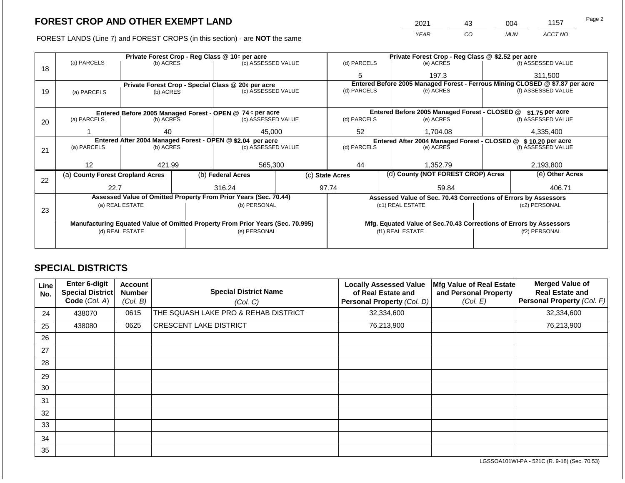FOREST LANDS (Line 7) and FOREST CROPS (in this section) - are **NOT** the same

| 2021 | 43 | 004 | 1157    | Page 2 |
|------|----|-----|---------|--------|
| YFAR | CO | MUN | ACCT NO |        |

|                                                            |                                                    |                 | Private Forest Crop - Reg Class @ \$2.52 per acre |                                                                                |  |                 |          |                                                                    |                                                                              |                    |
|------------------------------------------------------------|----------------------------------------------------|-----------------|---------------------------------------------------|--------------------------------------------------------------------------------|--|-----------------|----------|--------------------------------------------------------------------|------------------------------------------------------------------------------|--------------------|
| 18                                                         | (a) PARCELS                                        | (b) ACRES       |                                                   | (c) ASSESSED VALUE                                                             |  | (d) PARCELS     |          | (e) ACRES                                                          |                                                                              | (f) ASSESSED VALUE |
|                                                            |                                                    |                 |                                                   |                                                                                |  | 5               |          | 197.3                                                              |                                                                              | 311,500            |
|                                                            | Private Forest Crop - Special Class @ 20¢ per acre |                 |                                                   |                                                                                |  |                 |          |                                                                    | Entered Before 2005 Managed Forest - Ferrous Mining CLOSED @ \$7.87 per acre |                    |
| 19                                                         | (a) PARCELS                                        | (b) ACRES       |                                                   | (c) ASSESSED VALUE                                                             |  | (d) PARCELS     |          | (e) ACRES                                                          |                                                                              | (f) ASSESSED VALUE |
|                                                            |                                                    |                 |                                                   |                                                                                |  |                 |          |                                                                    |                                                                              |                    |
|                                                            |                                                    |                 |                                                   | Entered Before 2005 Managed Forest - OPEN @ 74 ¢ per acre                      |  |                 |          | Entered Before 2005 Managed Forest - CLOSED @                      |                                                                              | $$1.75$ per acre   |
| 20                                                         | (a) PARCELS                                        | (b) ACRES       |                                                   | (c) ASSESSED VALUE                                                             |  | (d) PARCELS     |          | (e) ACRES                                                          |                                                                              | (f) ASSESSED VALUE |
|                                                            |                                                    |                 |                                                   |                                                                                |  |                 |          |                                                                    |                                                                              |                    |
|                                                            |                                                    | 40              |                                                   | 45,000                                                                         |  | 52              |          | 1,704.08                                                           |                                                                              | 4,335,400          |
| Entered After 2004 Managed Forest - OPEN @ \$2.04 per acre |                                                    |                 |                                                   |                                                                                |  |                 |          | Entered After 2004 Managed Forest - CLOSED @ \$10.20 per acre      |                                                                              |                    |
| 21                                                         | (a) PARCELS                                        | (b) ACRES       |                                                   | (c) ASSESSED VALUE                                                             |  | (d) PARCELS     |          | (e) ACRES                                                          |                                                                              | (f) ASSESSED VALUE |
|                                                            |                                                    |                 |                                                   |                                                                                |  |                 |          |                                                                    |                                                                              |                    |
|                                                            | 12                                                 | 421.99          |                                                   | 565,300                                                                        |  | 44              | 1,352.79 |                                                                    | 2,193,800                                                                    |                    |
|                                                            | (a) County Forest Cropland Acres                   |                 |                                                   | (b) Federal Acres                                                              |  | (c) State Acres |          | (d) County (NOT FOREST CROP) Acres                                 |                                                                              | (e) Other Acres    |
| 22                                                         |                                                    |                 |                                                   |                                                                                |  |                 |          |                                                                    |                                                                              |                    |
|                                                            | 22.7                                               |                 |                                                   | 316.24                                                                         |  | 97.74           |          | 59.84                                                              |                                                                              | 406.71             |
|                                                            |                                                    |                 |                                                   | Assessed Value of Omitted Property From Prior Years (Sec. 70.44)               |  |                 |          | Assessed Value of Sec. 70.43 Corrections of Errors by Assessors    |                                                                              |                    |
|                                                            |                                                    | (a) REAL ESTATE |                                                   | (b) PERSONAL                                                                   |  |                 |          | (c1) REAL ESTATE                                                   |                                                                              | (c2) PERSONAL      |
| 23                                                         |                                                    |                 |                                                   |                                                                                |  |                 |          |                                                                    |                                                                              |                    |
|                                                            |                                                    |                 |                                                   | Manufacturing Equated Value of Omitted Property From Prior Years (Sec. 70.995) |  |                 |          | Mfg. Equated Value of Sec.70.43 Corrections of Errors by Assessors |                                                                              |                    |
|                                                            |                                                    | (d) REAL ESTATE |                                                   | (e) PERSONAL                                                                   |  |                 |          | (f1) REAL ESTATE                                                   |                                                                              | (f2) PERSONAL      |
|                                                            |                                                    |                 |                                                   |                                                                                |  |                 |          |                                                                    |                                                                              |                    |
|                                                            |                                                    |                 |                                                   |                                                                                |  |                 |          |                                                                    |                                                                              |                    |
|                                                            |                                                    |                 |                                                   |                                                                                |  |                 |          |                                                                    |                                                                              |                    |

# **SPECIAL DISTRICTS**

| Line<br>No. | <b>Enter 6-digit</b><br>Special District<br>Code (Col. A) | <b>Account</b><br><b>Number</b><br>(Col. B) | <b>Special District Name</b><br>(Col. C) | <b>Locally Assessed Value</b><br>of Real Estate and<br>Personal Property (Col. D) | Mfg Value of Real Estate<br>and Personal Property<br>(Col. E) | <b>Merged Value of</b><br><b>Real Estate and</b><br>Personal Property (Col. F) |
|-------------|-----------------------------------------------------------|---------------------------------------------|------------------------------------------|-----------------------------------------------------------------------------------|---------------------------------------------------------------|--------------------------------------------------------------------------------|
| 24          | 438070                                                    | 0615                                        | THE SQUASH LAKE PRO & REHAB DISTRICT     | 32,334,600                                                                        |                                                               | 32,334,600                                                                     |
| 25          | 438080                                                    | 0625                                        | <b>CRESCENT LAKE DISTRICT</b>            | 76,213,900                                                                        |                                                               | 76,213,900                                                                     |
| 26          |                                                           |                                             |                                          |                                                                                   |                                                               |                                                                                |
| 27          |                                                           |                                             |                                          |                                                                                   |                                                               |                                                                                |
| 28          |                                                           |                                             |                                          |                                                                                   |                                                               |                                                                                |
| 29          |                                                           |                                             |                                          |                                                                                   |                                                               |                                                                                |
| 30          |                                                           |                                             |                                          |                                                                                   |                                                               |                                                                                |
| 31          |                                                           |                                             |                                          |                                                                                   |                                                               |                                                                                |
| 32          |                                                           |                                             |                                          |                                                                                   |                                                               |                                                                                |
| 33          |                                                           |                                             |                                          |                                                                                   |                                                               |                                                                                |
| 34          |                                                           |                                             |                                          |                                                                                   |                                                               |                                                                                |
| 35          |                                                           |                                             |                                          |                                                                                   |                                                               |                                                                                |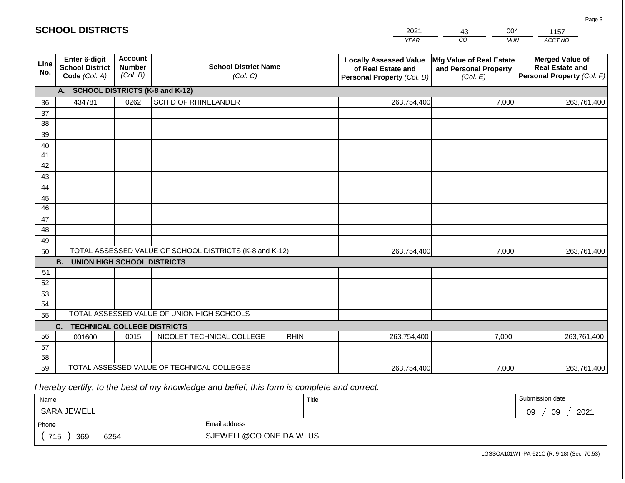|             | <b>SCHOOL DISTRICTS</b>                                         |                                             |                                                         |             | 2021                                                                              | 004<br>43                                                     | 1157                                                                           |
|-------------|-----------------------------------------------------------------|---------------------------------------------|---------------------------------------------------------|-------------|-----------------------------------------------------------------------------------|---------------------------------------------------------------|--------------------------------------------------------------------------------|
|             |                                                                 |                                             |                                                         |             | <b>YEAR</b>                                                                       | CO<br><b>MUN</b>                                              | ACCT NO                                                                        |
| Line<br>No. | <b>Enter 6-digit</b><br><b>School District</b><br>Code (Col. A) | <b>Account</b><br><b>Number</b><br>(Col. B) | <b>School District Name</b><br>(Col. C)                 |             | <b>Locally Assessed Value</b><br>of Real Estate and<br>Personal Property (Col. D) | Mfg Value of Real Estate<br>and Personal Property<br>(Col. E) | <b>Merged Value of</b><br><b>Real Estate and</b><br>Personal Property (Col. F) |
|             | A.                                                              |                                             | <b>SCHOOL DISTRICTS (K-8 and K-12)</b>                  |             |                                                                                   |                                                               |                                                                                |
| 36          | 434781                                                          | 0262                                        | SCH D OF RHINELANDER                                    |             | 263,754,400                                                                       | 7,000                                                         | 263,761,400                                                                    |
| 37          |                                                                 |                                             |                                                         |             |                                                                                   |                                                               |                                                                                |
| 38          |                                                                 |                                             |                                                         |             |                                                                                   |                                                               |                                                                                |
| 39          |                                                                 |                                             |                                                         |             |                                                                                   |                                                               |                                                                                |
| 40          |                                                                 |                                             |                                                         |             |                                                                                   |                                                               |                                                                                |
| 41<br>42    |                                                                 |                                             |                                                         |             |                                                                                   |                                                               |                                                                                |
| 43          |                                                                 |                                             |                                                         |             |                                                                                   |                                                               |                                                                                |
| 44          |                                                                 |                                             |                                                         |             |                                                                                   |                                                               |                                                                                |
| 45          |                                                                 |                                             |                                                         |             |                                                                                   |                                                               |                                                                                |
| 46          |                                                                 |                                             |                                                         |             |                                                                                   |                                                               |                                                                                |
| 47          |                                                                 |                                             |                                                         |             |                                                                                   |                                                               |                                                                                |
| 48          |                                                                 |                                             |                                                         |             |                                                                                   |                                                               |                                                                                |
| 49          |                                                                 |                                             |                                                         |             |                                                                                   |                                                               |                                                                                |
| 50          |                                                                 |                                             | TOTAL ASSESSED VALUE OF SCHOOL DISTRICTS (K-8 and K-12) |             | 263,754,400                                                                       | 7,000                                                         | 263,761,400                                                                    |
|             | <b>B.</b><br><b>UNION HIGH SCHOOL DISTRICTS</b>                 |                                             |                                                         |             |                                                                                   |                                                               |                                                                                |
| 51          |                                                                 |                                             |                                                         |             |                                                                                   |                                                               |                                                                                |
| 52          |                                                                 |                                             |                                                         |             |                                                                                   |                                                               |                                                                                |
| 53          |                                                                 |                                             |                                                         |             |                                                                                   |                                                               |                                                                                |
| 54          |                                                                 |                                             | TOTAL ASSESSED VALUE OF UNION HIGH SCHOOLS              |             |                                                                                   |                                                               |                                                                                |
| 55          |                                                                 |                                             |                                                         |             |                                                                                   |                                                               |                                                                                |
| 56          | <b>TECHNICAL COLLEGE DISTRICTS</b><br>C.<br>001600              | 0015                                        | NICOLET TECHNICAL COLLEGE                               | <b>RHIN</b> | 263,754,400                                                                       | 7,000                                                         | 263,761,400                                                                    |
| 57          |                                                                 |                                             |                                                         |             |                                                                                   |                                                               |                                                                                |
| 58          |                                                                 |                                             |                                                         |             |                                                                                   |                                                               |                                                                                |
| 59          |                                                                 |                                             | TOTAL ASSESSED VALUE OF TECHNICAL COLLEGES              |             | 263,754,400                                                                       | 7,000                                                         | 263,761,400                                                                    |

 *I hereby certify, to the best of my knowledge and belief, this form is complete and correct.*

| Name                         |                         | Title | Submission date  |  |  |
|------------------------------|-------------------------|-------|------------------|--|--|
| SARA JEWELL                  |                         |       | 2021<br>09<br>09 |  |  |
| Phone                        | Email address           |       |                  |  |  |
| 715<br>369<br>6254<br>$\sim$ | SJEWELL@CO.ONEIDA.WI.US |       |                  |  |  |

Page 3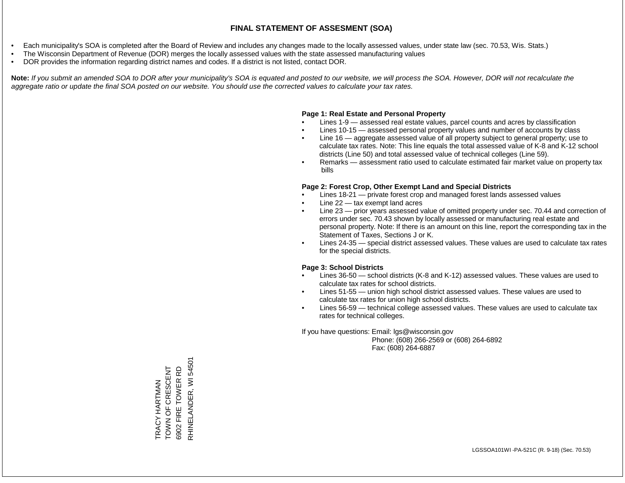- Each municipality's SOA is completed after the Board of Review and includes any changes made to the locally assessed values, under state law (sec. 70.53, Wis. Stats.)
- The Wisconsin Department of Revenue (DOR) merges the locally assessed values with the state assessed manufacturing values
- DOR provides the information regarding district names and codes. If a district is not listed, contact DOR.

Note: If you submit an amended SOA to DOR after your municipality's SOA is equated and posted to our website, we will process the SOA. However, DOR will not recalculate the *aggregate ratio or update the final SOA posted on our website. You should use the corrected values to calculate your tax rates.*

### **Page 1: Real Estate and Personal Property**

- Lines 1-9 assessed real estate values, parcel counts and acres by classification
- Lines 10-15 assessed personal property values and number of accounts by class
- Line 16 aggregate assessed value of all property subject to general property; use to calculate tax rates. Note: This line equals the total assessed value of K-8 and K-12 school districts (Line 50) and total assessed value of technical colleges (Line 59).
- Remarks assessment ratio used to calculate estimated fair market value on property tax bills

### **Page 2: Forest Crop, Other Exempt Land and Special Districts**

- Lines 18-21 private forest crop and managed forest lands assessed values
- Line  $22 -$  tax exempt land acres
- Line 23 prior years assessed value of omitted property under sec. 70.44 and correction of errors under sec. 70.43 shown by locally assessed or manufacturing real estate and personal property. Note: If there is an amount on this line, report the corresponding tax in the Statement of Taxes, Sections J or K.
- Lines 24-35 special district assessed values. These values are used to calculate tax rates for the special districts.

### **Page 3: School Districts**

- Lines 36-50 school districts (K-8 and K-12) assessed values. These values are used to calculate tax rates for school districts.
- Lines 51-55 union high school district assessed values. These values are used to calculate tax rates for union high school districts.
- Lines 56-59 technical college assessed values. These values are used to calculate tax rates for technical colleges.

If you have questions: Email: lgs@wisconsin.gov

 Phone: (608) 266-2569 or (608) 264-6892 Fax: (608) 264-6887

RHINELANDER, WI 54501 RHINELANDER, WI 54501TRACY HARTMAN<br>TOWN OF CRESCENT<br>6902 FIRE TOWER RD TOWN OF CRESCENT 6902 FIRE TOWER RD TRACY HARTMAN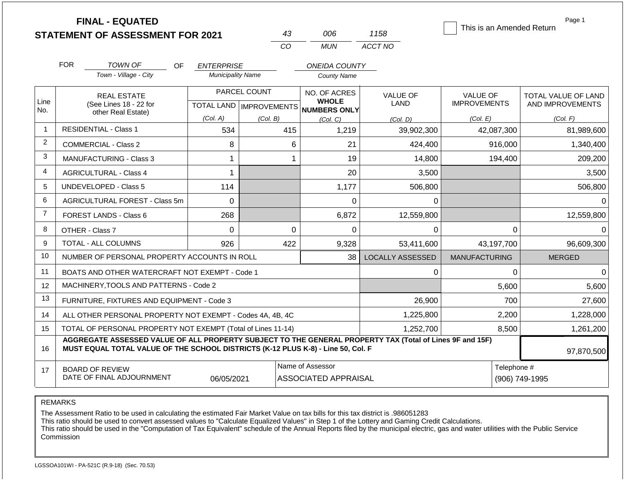|                |                                                                                                                                                                                              | <b>FINAL - EQUATED</b><br><b>STATEMENT OF ASSESSMENT FOR 2021</b> |                          |              | 43       | 006                                                      | 1158                    | This is an Amended Return | Page 1              |
|----------------|----------------------------------------------------------------------------------------------------------------------------------------------------------------------------------------------|-------------------------------------------------------------------|--------------------------|--------------|----------|----------------------------------------------------------|-------------------------|---------------------------|---------------------|
|                |                                                                                                                                                                                              |                                                                   |                          | CO           |          | <b>MUN</b>                                               | ACCT NO                 |                           |                     |
|                | <b>FOR</b>                                                                                                                                                                                   | <b>TOWN OF</b><br>OF.                                             | <b>ENTERPRISE</b>        |              |          | <b>ONEIDA COUNTY</b>                                     |                         |                           |                     |
|                |                                                                                                                                                                                              | Town - Village - City                                             | <b>Municipality Name</b> |              |          | County Name                                              |                         |                           |                     |
|                | <b>REAL ESTATE</b>                                                                                                                                                                           |                                                                   |                          | PARCEL COUNT |          | NO. OF ACRES                                             | <b>VALUE OF</b>         | VALUE OF                  | TOTAL VALUE OF LAND |
| Line<br>No.    |                                                                                                                                                                                              | (See Lines 18 - 22 for<br>other Real Estate)                      |                          |              |          | <b>WHOLE</b><br>TOTAL LAND   IMPROVEMENTS   NUMBERS ONLY | <b>LAND</b>             | <b>IMPROVEMENTS</b>       | AND IMPROVEMENTS    |
|                |                                                                                                                                                                                              |                                                                   | (Col. A)                 | (Col. B)     |          | (Col, C)                                                 | (Col. D)                | (Col. E)                  | (Col. F)            |
| $\mathbf{1}$   |                                                                                                                                                                                              | <b>RESIDENTIAL - Class 1</b>                                      | 534                      |              | 415      | 1,219                                                    | 39,902,300              | 42,087,300                | 81,989,600          |
| $\overline{2}$ |                                                                                                                                                                                              | <b>COMMERCIAL - Class 2</b>                                       | 8                        |              | 6        | 21                                                       | 424,400                 | 916,000                   | 1,340,400           |
| 3              |                                                                                                                                                                                              | MANUFACTURING - Class 3                                           | 1                        |              | 1        | 19                                                       | 14,800                  | 194,400                   | 209,200             |
| 4              |                                                                                                                                                                                              | <b>AGRICULTURAL - Class 4</b>                                     | 1                        |              |          | 20                                                       | 3,500                   |                           | 3,500               |
| 5              |                                                                                                                                                                                              | UNDEVELOPED - Class 5                                             | 114                      |              |          | 1,177                                                    | 506,800                 |                           | 506,800             |
| 6              |                                                                                                                                                                                              | <b>AGRICULTURAL FOREST - Class 5m</b>                             | $\mathbf 0$              |              |          | 0                                                        | 0                       |                           | $\Omega$            |
| $\overline{7}$ |                                                                                                                                                                                              | FOREST LANDS - Class 6                                            | 268                      |              |          | 6,872                                                    | 12,559,800              |                           | 12,559,800          |
| 8              |                                                                                                                                                                                              | OTHER - Class 7                                                   | $\Omega$                 |              | $\Omega$ | 0                                                        | 0                       | $\Omega$                  | $\Omega$            |
| 9              |                                                                                                                                                                                              | <b>TOTAL - ALL COLUMNS</b>                                        | 926                      |              | 422      | 9,328                                                    | 53.411.600              | 43,197,700                | 96,609,300          |
| 10             |                                                                                                                                                                                              | NUMBER OF PERSONAL PROPERTY ACCOUNTS IN ROLL                      |                          |              |          | 38                                                       | <b>LOCALLY ASSESSED</b> | <b>MANUFACTURING</b>      | <b>MERGED</b>       |
| 11             |                                                                                                                                                                                              | BOATS AND OTHER WATERCRAFT NOT EXEMPT - Code 1                    |                          |              |          |                                                          | 0                       | 0                         | $\Omega$            |
| 12             |                                                                                                                                                                                              | MACHINERY, TOOLS AND PATTERNS - Code 2                            |                          |              |          |                                                          |                         | 5,600                     | 5,600               |
| 13             |                                                                                                                                                                                              | FURNITURE, FIXTURES AND EQUIPMENT - Code 3                        |                          |              |          |                                                          | 26,900                  | 700                       | 27,600              |
| 14             |                                                                                                                                                                                              | ALL OTHER PERSONAL PROPERTY NOT EXEMPT - Codes 4A, 4B, 4C         |                          |              |          |                                                          | 1,225,800               | 2,200                     | 1,228,000           |
| 15             | TOTAL OF PERSONAL PROPERTY NOT EXEMPT (Total of Lines 11-14)                                                                                                                                 |                                                                   |                          |              |          |                                                          | 1,252,700               | 8,500                     | 1,261,200           |
| 16             | AGGREGATE ASSESSED VALUE OF ALL PROPERTY SUBJECT TO THE GENERAL PROPERTY TAX (Total of Lines 9F and 15F)<br>MUST EQUAL TOTAL VALUE OF THE SCHOOL DISTRICTS (K-12 PLUS K-8) - Line 50, Col. F |                                                                   |                          |              |          |                                                          |                         | 97,870,500                |                     |
| 17             | Name of Assessor<br>Telephone #<br><b>BOARD OF REVIEW</b><br>DATE OF FINAL ADJOURNMENT<br>06/05/2021<br>ASSOCIATED APPRAISAL                                                                 |                                                                   |                          |              |          |                                                          |                         |                           | (906) 749-1995      |

REMARKS

The Assessment Ratio to be used in calculating the estimated Fair Market Value on tax bills for this tax district is .986051283

This ratio should be used to convert assessed values to "Calculate Equalized Values" in Step 1 of the Lottery and Gaming Credit Calculations.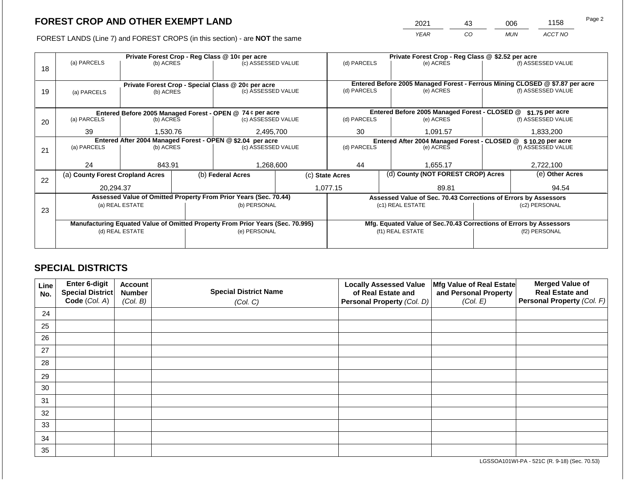2021 43 006 1158

FOREST LANDS (Line 7) and FOREST CROPS (in this section) - are **NOT** the same *YEAR CO MUN ACCT NO*

|    | Private Forest Crop - Reg Class @ 10¢ per acre |                 |                                                            |                                                                                |                    | Private Forest Crop - Reg Class @ \$2.52 per acre |                                                               |                                                                 |                                                                              |                    |  |
|----|------------------------------------------------|-----------------|------------------------------------------------------------|--------------------------------------------------------------------------------|--------------------|---------------------------------------------------|---------------------------------------------------------------|-----------------------------------------------------------------|------------------------------------------------------------------------------|--------------------|--|
|    | (a) PARCELS                                    | (b) ACRES       |                                                            | (c) ASSESSED VALUE                                                             |                    | (d) PARCELS                                       |                                                               | (e) ACRES                                                       |                                                                              | (f) ASSESSED VALUE |  |
| 18 |                                                |                 |                                                            |                                                                                |                    |                                                   |                                                               |                                                                 |                                                                              |                    |  |
|    |                                                |                 |                                                            |                                                                                |                    |                                                   |                                                               |                                                                 |                                                                              |                    |  |
|    |                                                |                 |                                                            | Private Forest Crop - Special Class @ 20¢ per acre                             |                    | (d) PARCELS                                       |                                                               |                                                                 | Entered Before 2005 Managed Forest - Ferrous Mining CLOSED @ \$7.87 per acre |                    |  |
| 19 | (a) PARCELS                                    | (b) ACRES       |                                                            |                                                                                | (c) ASSESSED VALUE |                                                   |                                                               | (e) ACRES                                                       |                                                                              | (f) ASSESSED VALUE |  |
|    |                                                |                 |                                                            |                                                                                |                    |                                                   |                                                               |                                                                 |                                                                              |                    |  |
|    |                                                |                 |                                                            | Entered Before 2005 Managed Forest - OPEN @ 74 ¢ per acre                      |                    |                                                   |                                                               | Entered Before 2005 Managed Forest - CLOSED @                   |                                                                              | $$1.75$ per acre   |  |
| 20 | (a) PARCELS                                    | (b) ACRES       |                                                            | (c) ASSESSED VALUE                                                             |                    | (d) PARCELS                                       |                                                               | (e) ACRES                                                       |                                                                              | (f) ASSESSED VALUE |  |
|    |                                                |                 |                                                            |                                                                                |                    |                                                   |                                                               |                                                                 |                                                                              |                    |  |
|    | 39                                             | 1,530.76        |                                                            | 2,495,700                                                                      | 30<br>1,091.57     |                                                   |                                                               | 1,833,200                                                       |                                                                              |                    |  |
|    |                                                |                 | Entered After 2004 Managed Forest - OPEN @ \$2.04 per acre |                                                                                |                    |                                                   | Entered After 2004 Managed Forest - CLOSED @ \$10.20 per acre |                                                                 |                                                                              |                    |  |
| 21 | (a) PARCELS                                    | (b) ACRES       |                                                            | (c) ASSESSED VALUE                                                             |                    | (d) PARCELS                                       |                                                               | (e) ACRES                                                       |                                                                              | (f) ASSESSED VALUE |  |
|    |                                                |                 |                                                            |                                                                                |                    |                                                   |                                                               |                                                                 |                                                                              |                    |  |
|    | 24                                             | 843.91          |                                                            | 1,268,600                                                                      |                    | 44<br>1,655.17                                    |                                                               | 2,722,100                                                       |                                                                              |                    |  |
|    | (a) County Forest Cropland Acres               |                 |                                                            | (b) Federal Acres                                                              |                    | (c) State Acres                                   |                                                               | (d) County (NOT FOREST CROP) Acres                              |                                                                              | (e) Other Acres    |  |
| 22 |                                                |                 |                                                            |                                                                                |                    |                                                   |                                                               |                                                                 |                                                                              |                    |  |
|    | 20.294.37                                      |                 |                                                            |                                                                                |                    | 1,077.15                                          |                                                               | 89.81                                                           |                                                                              | 94.54              |  |
|    |                                                |                 |                                                            | Assessed Value of Omitted Property From Prior Years (Sec. 70.44)               |                    |                                                   |                                                               | Assessed Value of Sec. 70.43 Corrections of Errors by Assessors |                                                                              |                    |  |
|    |                                                | (a) REAL ESTATE |                                                            | (b) PERSONAL                                                                   |                    |                                                   |                                                               | (c1) REAL ESTATE                                                |                                                                              | (c2) PERSONAL      |  |
| 23 |                                                |                 |                                                            |                                                                                |                    |                                                   |                                                               |                                                                 |                                                                              |                    |  |
|    |                                                |                 |                                                            | Manufacturing Equated Value of Omitted Property From Prior Years (Sec. 70.995) |                    |                                                   |                                                               |                                                                 | Mfg. Equated Value of Sec.70.43 Corrections of Errors by Assessors           |                    |  |
|    |                                                | (d) REAL ESTATE |                                                            | (e) PERSONAL                                                                   |                    |                                                   | (f1) REAL ESTATE                                              |                                                                 |                                                                              | (f2) PERSONAL      |  |
|    |                                                |                 |                                                            |                                                                                |                    |                                                   |                                                               |                                                                 |                                                                              |                    |  |
|    |                                                |                 |                                                            |                                                                                |                    |                                                   |                                                               |                                                                 |                                                                              |                    |  |

# **SPECIAL DISTRICTS**

| Line<br>No. | <b>Enter 6-digit</b><br>Special District | <b>Account</b><br><b>Number</b> | <b>Special District Name</b> | <b>Locally Assessed Value</b><br>of Real Estate and | Mfg Value of Real Estate<br>and Personal Property | <b>Merged Value of</b><br><b>Real Estate and</b> |
|-------------|------------------------------------------|---------------------------------|------------------------------|-----------------------------------------------------|---------------------------------------------------|--------------------------------------------------|
|             | Code (Col. A)                            | (Col. B)                        | (Col. C)                     | Personal Property (Col. D)                          | (Col. E)                                          | Personal Property (Col. F)                       |
| 24          |                                          |                                 |                              |                                                     |                                                   |                                                  |
| 25          |                                          |                                 |                              |                                                     |                                                   |                                                  |
| 26          |                                          |                                 |                              |                                                     |                                                   |                                                  |
| 27          |                                          |                                 |                              |                                                     |                                                   |                                                  |
| 28          |                                          |                                 |                              |                                                     |                                                   |                                                  |
| 29          |                                          |                                 |                              |                                                     |                                                   |                                                  |
| 30          |                                          |                                 |                              |                                                     |                                                   |                                                  |
| 31          |                                          |                                 |                              |                                                     |                                                   |                                                  |
| 32          |                                          |                                 |                              |                                                     |                                                   |                                                  |
| 33          |                                          |                                 |                              |                                                     |                                                   |                                                  |
| 34          |                                          |                                 |                              |                                                     |                                                   |                                                  |
| 35          |                                          |                                 |                              |                                                     |                                                   |                                                  |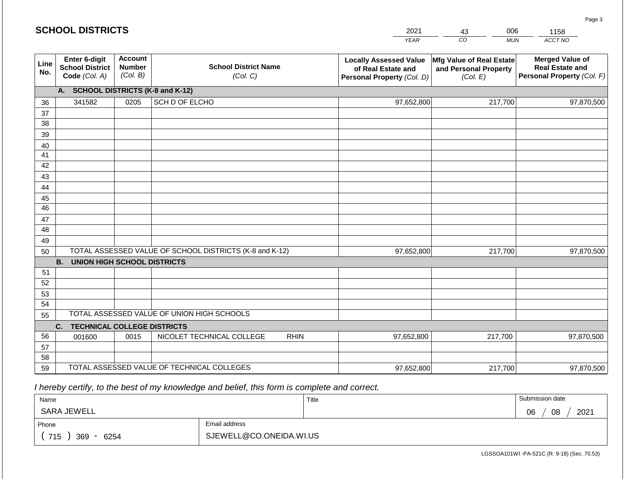|             | <b>SCHOOL DISTRICTS</b>                                  |                                             |                                                         |             | 2021                                                                              | 006<br>43                                                     | 1158                                                                           |
|-------------|----------------------------------------------------------|---------------------------------------------|---------------------------------------------------------|-------------|-----------------------------------------------------------------------------------|---------------------------------------------------------------|--------------------------------------------------------------------------------|
|             |                                                          |                                             |                                                         |             | <b>YEAR</b>                                                                       | CO<br><b>MUN</b>                                              | ACCT NO                                                                        |
| Line<br>No. | Enter 6-digit<br><b>School District</b><br>Code (Col. A) | <b>Account</b><br><b>Number</b><br>(Col. B) | <b>School District Name</b><br>(Col. C)                 |             | <b>Locally Assessed Value</b><br>of Real Estate and<br>Personal Property (Col. D) | Mfg Value of Real Estate<br>and Personal Property<br>(Col. E) | <b>Merged Value of</b><br><b>Real Estate and</b><br>Personal Property (Col. F) |
|             | А.                                                       |                                             | <b>SCHOOL DISTRICTS (K-8 and K-12)</b>                  |             |                                                                                   |                                                               |                                                                                |
| 36          | 341582                                                   | 0205                                        | SCH D OF ELCHO                                          |             | 97,652,800                                                                        | 217,700                                                       | 97,870,500                                                                     |
| 37          |                                                          |                                             |                                                         |             |                                                                                   |                                                               |                                                                                |
| 38          |                                                          |                                             |                                                         |             |                                                                                   |                                                               |                                                                                |
| 39          |                                                          |                                             |                                                         |             |                                                                                   |                                                               |                                                                                |
| 40          |                                                          |                                             |                                                         |             |                                                                                   |                                                               |                                                                                |
| 41<br>42    |                                                          |                                             |                                                         |             |                                                                                   |                                                               |                                                                                |
| 43          |                                                          |                                             |                                                         |             |                                                                                   |                                                               |                                                                                |
| 44          |                                                          |                                             |                                                         |             |                                                                                   |                                                               |                                                                                |
| 45          |                                                          |                                             |                                                         |             |                                                                                   |                                                               |                                                                                |
| 46          |                                                          |                                             |                                                         |             |                                                                                   |                                                               |                                                                                |
| 47          |                                                          |                                             |                                                         |             |                                                                                   |                                                               |                                                                                |
| 48          |                                                          |                                             |                                                         |             |                                                                                   |                                                               |                                                                                |
| 49          |                                                          |                                             |                                                         |             |                                                                                   |                                                               |                                                                                |
| 50          |                                                          |                                             | TOTAL ASSESSED VALUE OF SCHOOL DISTRICTS (K-8 and K-12) |             | 97,652,800                                                                        | 217,700                                                       | 97,870,500                                                                     |
|             | <b>B.</b><br><b>UNION HIGH SCHOOL DISTRICTS</b>          |                                             |                                                         |             |                                                                                   |                                                               |                                                                                |
| 51          |                                                          |                                             |                                                         |             |                                                                                   |                                                               |                                                                                |
| 52          |                                                          |                                             |                                                         |             |                                                                                   |                                                               |                                                                                |
| 53          |                                                          |                                             |                                                         |             |                                                                                   |                                                               |                                                                                |
| 54          |                                                          |                                             | TOTAL ASSESSED VALUE OF UNION HIGH SCHOOLS              |             |                                                                                   |                                                               |                                                                                |
| 55          | <b>TECHNICAL COLLEGE DISTRICTS</b><br>C.                 |                                             |                                                         |             |                                                                                   |                                                               |                                                                                |
| 56          | 001600                                                   | 0015                                        | NICOLET TECHNICAL COLLEGE                               | <b>RHIN</b> | 97,652,800                                                                        | 217,700                                                       | 97,870,500                                                                     |
| 57          |                                                          |                                             |                                                         |             |                                                                                   |                                                               |                                                                                |
| 58          |                                                          |                                             |                                                         |             |                                                                                   |                                                               |                                                                                |
| 59          |                                                          |                                             | TOTAL ASSESSED VALUE OF TECHNICAL COLLEGES              |             | 97,652,800                                                                        | 217,700                                                       | 97,870,500                                                                     |

 *I hereby certify, to the best of my knowledge and belief, this form is complete and correct.*

| Name               |                         | Title | Submission date  |  |  |
|--------------------|-------------------------|-------|------------------|--|--|
| SARA JEWELL        |                         |       | 2021<br>08<br>06 |  |  |
| Phone              | Email address           |       |                  |  |  |
| 715<br>369<br>6254 | SJEWELL@CO.ONEIDA.WI.US |       |                  |  |  |

Page 3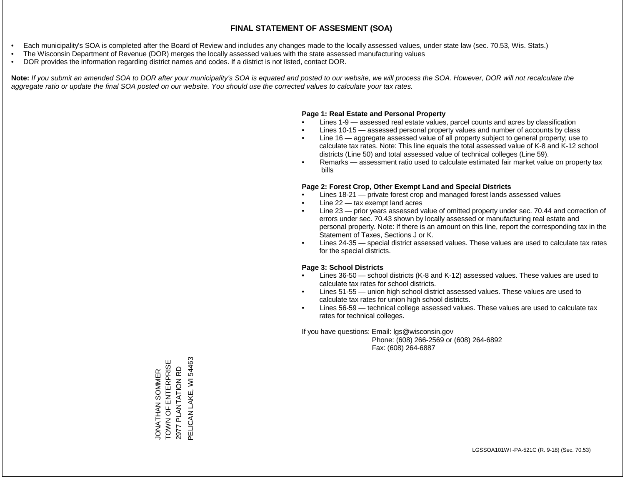- Each municipality's SOA is completed after the Board of Review and includes any changes made to the locally assessed values, under state law (sec. 70.53, Wis. Stats.)
- The Wisconsin Department of Revenue (DOR) merges the locally assessed values with the state assessed manufacturing values
- DOR provides the information regarding district names and codes. If a district is not listed, contact DOR.

Note: If you submit an amended SOA to DOR after your municipality's SOA is equated and posted to our website, we will process the SOA. However, DOR will not recalculate the *aggregate ratio or update the final SOA posted on our website. You should use the corrected values to calculate your tax rates.*

### **Page 1: Real Estate and Personal Property**

- Lines 1-9 assessed real estate values, parcel counts and acres by classification
- Lines 10-15 assessed personal property values and number of accounts by class
- Line 16 aggregate assessed value of all property subject to general property; use to calculate tax rates. Note: This line equals the total assessed value of K-8 and K-12 school districts (Line 50) and total assessed value of technical colleges (Line 59).
- Remarks assessment ratio used to calculate estimated fair market value on property tax bills

### **Page 2: Forest Crop, Other Exempt Land and Special Districts**

- Lines 18-21 private forest crop and managed forest lands assessed values
- Line  $22 -$  tax exempt land acres
- Line 23 prior years assessed value of omitted property under sec. 70.44 and correction of errors under sec. 70.43 shown by locally assessed or manufacturing real estate and personal property. Note: If there is an amount on this line, report the corresponding tax in the Statement of Taxes, Sections J or K.
- Lines 24-35 special district assessed values. These values are used to calculate tax rates for the special districts.

### **Page 3: School Districts**

- Lines 36-50 school districts (K-8 and K-12) assessed values. These values are used to calculate tax rates for school districts.
- Lines 51-55 union high school district assessed values. These values are used to calculate tax rates for union high school districts.
- Lines 56-59 technical college assessed values. These values are used to calculate tax rates for technical colleges.

If you have questions: Email: lgs@wisconsin.gov

 Phone: (608) 266-2569 or (608) 264-6892 Fax: (608) 264-6887

JONATHAN SOMMER<br>TOWN OF ENTERPRISE<br>2977 PLANTATION RD PELICAN LAKE, WI 54463 PELICAN LAKE, WI 54463TOWN OF ENTERPRISE 2977 PLANTATION RD JONATHAN SOMMER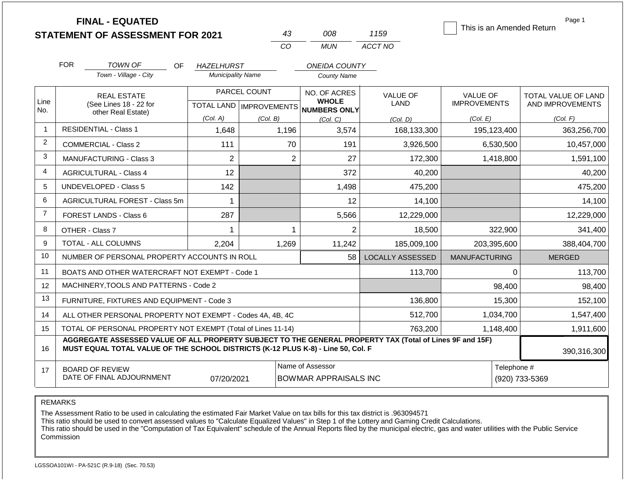|                |                                                              | <b>FINAL - EQUATED</b><br><b>STATEMENT OF ASSESSMENT FOR 2021</b>                                                                                                                            |                          |                                           | 43             | 008                                              | 1159                    | This is an Amended Return              |             | Page 1                                         |
|----------------|--------------------------------------------------------------|----------------------------------------------------------------------------------------------------------------------------------------------------------------------------------------------|--------------------------|-------------------------------------------|----------------|--------------------------------------------------|-------------------------|----------------------------------------|-------------|------------------------------------------------|
|                |                                                              |                                                                                                                                                                                              |                          | CO                                        |                | <b>MUN</b>                                       | ACCT NO                 |                                        |             |                                                |
|                | <b>FOR</b>                                                   | <b>TOWN OF</b><br>OF.                                                                                                                                                                        | <b>HAZELHURST</b>        |                                           |                | <b>ONEIDA COUNTY</b>                             |                         |                                        |             |                                                |
|                |                                                              | Town - Village - City                                                                                                                                                                        | <b>Municipality Name</b> |                                           |                | <b>County Name</b>                               |                         |                                        |             |                                                |
| Line           |                                                              | <b>REAL ESTATE</b><br>(See Lines 18 - 22 for                                                                                                                                                 |                          | PARCEL COUNT<br>TOTAL LAND   IMPROVEMENTS |                | NO. OF ACRES<br><b>WHOLE</b>                     | <b>VALUE OF</b><br>LAND | <b>VALUE OF</b><br><b>IMPROVEMENTS</b> |             | <b>TOTAL VALUE OF LAND</b><br>AND IMPROVEMENTS |
| No.            |                                                              | other Real Estate)                                                                                                                                                                           | (Col. A)                 | (Col. B)                                  |                | <b>NUMBERS ONLY</b><br>(Col, C)                  | (Col. D)                | (Col. E)                               |             | (Col. F)                                       |
| $\mathbf{1}$   |                                                              | <b>RESIDENTIAL - Class 1</b>                                                                                                                                                                 | 1,648                    | 1,196                                     |                | 3,574                                            | 168,133,300             | 195,123,400                            |             | 363,256,700                                    |
| $\overline{2}$ |                                                              | COMMERCIAL - Class 2                                                                                                                                                                         | 111                      |                                           | 70             | 191                                              | 3,926,500               | 6,530,500                              |             | 10,457,000                                     |
| 3              |                                                              | <b>MANUFACTURING - Class 3</b>                                                                                                                                                               | $\overline{2}$           |                                           | $\overline{2}$ | 27                                               | 172,300                 | 1,418,800                              |             | 1,591,100                                      |
| $\overline{4}$ | <b>AGRICULTURAL - Class 4</b>                                |                                                                                                                                                                                              | 12                       |                                           |                | 372                                              | 40,200                  |                                        |             | 40,200                                         |
| 5              |                                                              | <b>UNDEVELOPED - Class 5</b>                                                                                                                                                                 | 142                      |                                           |                | 1,498                                            | 475,200                 |                                        |             | 475,200                                        |
| 6              |                                                              | AGRICULTURAL FOREST - Class 5m                                                                                                                                                               | 1                        |                                           |                | 12                                               | 14,100                  |                                        |             | 14,100                                         |
| $\overline{7}$ |                                                              | FOREST LANDS - Class 6                                                                                                                                                                       | 287                      |                                           |                | 5,566                                            | 12,229,000              |                                        |             | 12,229,000                                     |
| 8              |                                                              | OTHER - Class 7                                                                                                                                                                              | 1                        |                                           | 1              | $\overline{2}$                                   | 18,500                  |                                        | 322,900     | 341,400                                        |
| 9              |                                                              | <b>TOTAL - ALL COLUMNS</b>                                                                                                                                                                   | 2,204                    | 1,269                                     |                | 11,242                                           | 185,009,100             | 203,395,600                            |             | 388,404,700                                    |
| 10             |                                                              | NUMBER OF PERSONAL PROPERTY ACCOUNTS IN ROLL                                                                                                                                                 |                          |                                           |                | 58                                               | <b>LOCALLY ASSESSED</b> | <b>MANUFACTURING</b>                   |             | <b>MERGED</b>                                  |
| 11             |                                                              | BOATS AND OTHER WATERCRAFT NOT EXEMPT - Code 1                                                                                                                                               |                          |                                           |                |                                                  | 113,700                 |                                        | $\mathbf 0$ | 113,700                                        |
| 12             |                                                              | MACHINERY, TOOLS AND PATTERNS - Code 2                                                                                                                                                       |                          |                                           |                |                                                  |                         |                                        | 98,400      | 98,400                                         |
| 13             |                                                              | FURNITURE, FIXTURES AND EQUIPMENT - Code 3                                                                                                                                                   |                          |                                           |                |                                                  | 136,800                 |                                        | 15,300      | 152,100                                        |
| 14             |                                                              | ALL OTHER PERSONAL PROPERTY NOT EXEMPT - Codes 4A, 4B, 4C                                                                                                                                    |                          |                                           |                |                                                  | 512,700                 | 1,034,700                              |             | 1,547,400                                      |
| 15             | TOTAL OF PERSONAL PROPERTY NOT EXEMPT (Total of Lines 11-14) |                                                                                                                                                                                              |                          |                                           |                |                                                  | 763,200                 | 1,148,400                              |             | 1,911,600                                      |
| 16             |                                                              | AGGREGATE ASSESSED VALUE OF ALL PROPERTY SUBJECT TO THE GENERAL PROPERTY TAX (Total of Lines 9F and 15F)<br>MUST EQUAL TOTAL VALUE OF THE SCHOOL DISTRICTS (K-12 PLUS K-8) - Line 50, Col. F |                          |                                           |                |                                                  |                         |                                        |             | 390,316,300                                    |
| 17             |                                                              | <b>BOARD OF REVIEW</b><br>DATE OF FINAL ADJOURNMENT                                                                                                                                          | 07/20/2021               |                                           |                | Name of Assessor<br><b>BOWMAR APPRAISALS INC</b> |                         |                                        | Telephone # | (920) 733-5369                                 |

REMARKS

The Assessment Ratio to be used in calculating the estimated Fair Market Value on tax bills for this tax district is .963094571

This ratio should be used to convert assessed values to "Calculate Equalized Values" in Step 1 of the Lottery and Gaming Credit Calculations.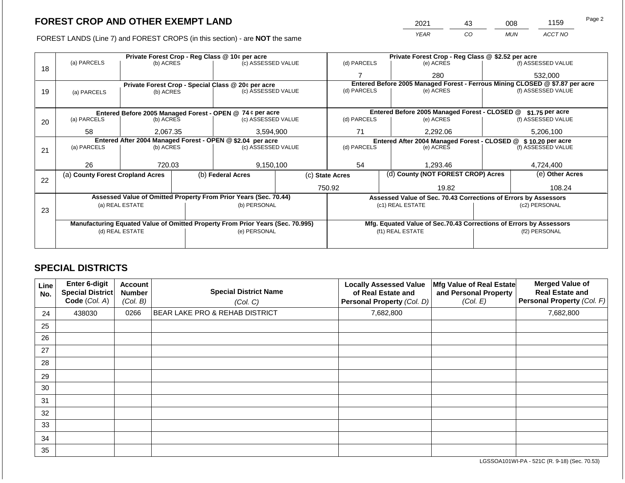FOREST LANDS (Line 7) and FOREST CROPS (in this section) - are NOT the same

| 2021 | 43 | 800        | 1159    | Page 2 |
|------|----|------------|---------|--------|
| YEAR | CО | <b>MUN</b> | ACCT NO |        |

|    |                                                            |                                 | Private Forest Crop - Reg Class @ 10¢ per acre |                                                                                | Private Forest Crop - Reg Class @ \$2.52 per acre |                                                       |                                              |                                                                    |                   |                                                                              |  |
|----|------------------------------------------------------------|---------------------------------|------------------------------------------------|--------------------------------------------------------------------------------|---------------------------------------------------|-------------------------------------------------------|----------------------------------------------|--------------------------------------------------------------------|-------------------|------------------------------------------------------------------------------|--|
| 18 | (a) PARCELS                                                | (b) ACRES                       |                                                | (c) ASSESSED VALUE                                                             |                                                   | (d) PARCELS                                           |                                              | (e) ACRES                                                          |                   | (f) ASSESSED VALUE                                                           |  |
|    |                                                            |                                 |                                                |                                                                                |                                                   |                                                       |                                              | 280                                                                |                   | 532,000                                                                      |  |
|    |                                                            |                                 |                                                | Private Forest Crop - Special Class @ 20¢ per acre                             |                                                   |                                                       |                                              |                                                                    |                   | Entered Before 2005 Managed Forest - Ferrous Mining CLOSED @ \$7.87 per acre |  |
| 19 | (a) PARCELS                                                | (b) ACRES                       |                                                | (c) ASSESSED VALUE                                                             |                                                   | (d) PARCELS                                           |                                              | (e) ACRES                                                          |                   | (f) ASSESSED VALUE                                                           |  |
|    |                                                            |                                 |                                                |                                                                                |                                                   |                                                       |                                              |                                                                    |                   |                                                                              |  |
|    | Entered Before 2005 Managed Forest - OPEN @ 74 ¢ per acre  |                                 |                                                |                                                                                |                                                   |                                                       |                                              | Entered Before 2005 Managed Forest - CLOSED @                      |                   | \$1.75 per acre                                                              |  |
| 20 | (a) PARCELS                                                | (b) ACRES<br>(c) ASSESSED VALUE |                                                | (d) PARCELS                                                                    |                                                   | (e) ACRES                                             |                                              | (f) ASSESSED VALUE                                                 |                   |                                                                              |  |
|    |                                                            |                                 |                                                |                                                                                |                                                   |                                                       |                                              |                                                                    |                   |                                                                              |  |
|    | 58                                                         | 2,067.35                        |                                                | 3,594,900                                                                      |                                                   | 71<br>2,292.06                                        |                                              | 5,206,100                                                          |                   |                                                                              |  |
|    | Entered After 2004 Managed Forest - OPEN @ \$2.04 per acre |                                 |                                                |                                                                                |                                                   |                                                       | Entered After 2004 Managed Forest - CLOSED @ |                                                                    | $$10.20$ per acre |                                                                              |  |
| 21 | (a) PARCELS                                                | (b) ACRES                       |                                                | (c) ASSESSED VALUE                                                             |                                                   | (d) PARCELS                                           | (e) ACRES                                    |                                                                    |                   | (f) ASSESSED VALUE                                                           |  |
|    |                                                            |                                 |                                                |                                                                                |                                                   |                                                       |                                              |                                                                    |                   |                                                                              |  |
|    | 26                                                         | 720.03                          |                                                | 9,150,100                                                                      |                                                   | 54                                                    |                                              | 1.293.46                                                           |                   | 4,724,400                                                                    |  |
| 22 | (a) County Forest Cropland Acres                           |                                 |                                                | (b) Federal Acres                                                              |                                                   | (d) County (NOT FOREST CROP) Acres<br>(c) State Acres |                                              |                                                                    |                   | (e) Other Acres                                                              |  |
|    |                                                            |                                 |                                                |                                                                                |                                                   | 750.92                                                |                                              | 19.82                                                              |                   | 108.24                                                                       |  |
|    |                                                            |                                 |                                                | Assessed Value of Omitted Property From Prior Years (Sec. 70.44)               |                                                   |                                                       |                                              | Assessed Value of Sec. 70.43 Corrections of Errors by Assessors    |                   |                                                                              |  |
|    |                                                            | (a) REAL ESTATE                 |                                                | (b) PERSONAL                                                                   |                                                   |                                                       | (c1) REAL ESTATE                             |                                                                    |                   | (c2) PERSONAL                                                                |  |
| 23 |                                                            |                                 |                                                |                                                                                |                                                   |                                                       |                                              |                                                                    |                   |                                                                              |  |
|    |                                                            |                                 |                                                | Manufacturing Equated Value of Omitted Property From Prior Years (Sec. 70.995) |                                                   |                                                       |                                              | Mfg. Equated Value of Sec.70.43 Corrections of Errors by Assessors |                   |                                                                              |  |
|    |                                                            | (d) REAL ESTATE                 |                                                | (e) PERSONAL                                                                   | (f1) REAL ESTATE                                  |                                                       |                                              | (f2) PERSONAL                                                      |                   |                                                                              |  |
|    |                                                            |                                 |                                                |                                                                                |                                                   |                                                       |                                              |                                                                    |                   |                                                                              |  |
|    |                                                            |                                 |                                                |                                                                                |                                                   |                                                       |                                              |                                                                    |                   |                                                                              |  |

# **SPECIAL DISTRICTS**

| Line<br>No. | <b>Enter 6-digit</b><br>Special District<br>Code (Col. A) | <b>Account</b><br><b>Number</b><br>(Col. B) | <b>Special District Name</b><br>(Col. C)  | <b>Locally Assessed Value</b><br>of Real Estate and<br>Personal Property (Col. D) | Mfg Value of Real Estate<br>and Personal Property<br>(Col. E) | <b>Merged Value of</b><br><b>Real Estate and</b><br>Personal Property (Col. F) |
|-------------|-----------------------------------------------------------|---------------------------------------------|-------------------------------------------|-----------------------------------------------------------------------------------|---------------------------------------------------------------|--------------------------------------------------------------------------------|
| 24          | 438030                                                    | 0266                                        | <b>BEAR LAKE PRO &amp; REHAB DISTRICT</b> | 7,682,800                                                                         |                                                               | 7,682,800                                                                      |
| 25          |                                                           |                                             |                                           |                                                                                   |                                                               |                                                                                |
| 26          |                                                           |                                             |                                           |                                                                                   |                                                               |                                                                                |
| 27          |                                                           |                                             |                                           |                                                                                   |                                                               |                                                                                |
| 28          |                                                           |                                             |                                           |                                                                                   |                                                               |                                                                                |
| 29          |                                                           |                                             |                                           |                                                                                   |                                                               |                                                                                |
| 30          |                                                           |                                             |                                           |                                                                                   |                                                               |                                                                                |
| 31          |                                                           |                                             |                                           |                                                                                   |                                                               |                                                                                |
| 32          |                                                           |                                             |                                           |                                                                                   |                                                               |                                                                                |
| 33          |                                                           |                                             |                                           |                                                                                   |                                                               |                                                                                |
| 34          |                                                           |                                             |                                           |                                                                                   |                                                               |                                                                                |
| 35          |                                                           |                                             |                                           |                                                                                   |                                                               |                                                                                |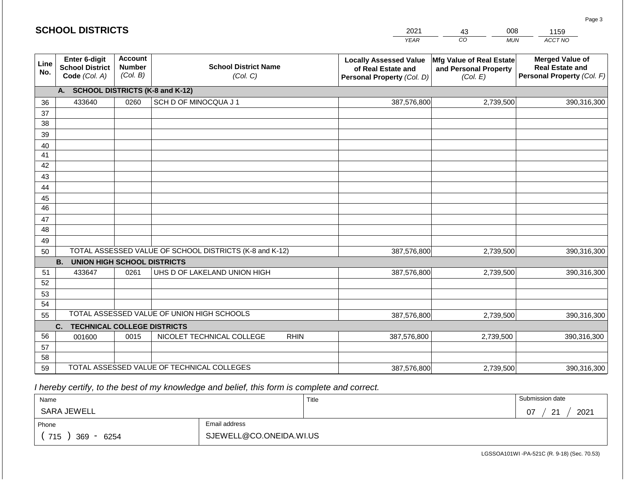#### *YEAR*   $\overline{co}$ *MUN ACCT NO*  1159 **Line No. Enter 6-digit School District Code** *(Col. A)* **Account Number** *(Col. B)* **School District Name** *(Col. C)* **Locally Assessed Value of Real Estate and Personal Property** *(Col. D)* **Mfg Value of Real Estate and Personal Property** *(Col. E)* **Merged Value of Real Estate and Personal Property** *(Col. F)* **A. SCHOOL DISTRICTS (K-8 and K-12)** 36 37 38 39 40 41 42 43 44 45 46 47 48 49 50 TOTAL ASSESSED VALUE OF SCHOOL DISTRICTS (K-8 and K-12) **B. UNION HIGH SCHOOL DISTRICTS** 51 52 53 54 55 **C. TECHNICAL COLLEGE DISTRICTS** 56 57 58 59 TOTAL ASSESSED VALUE OF TECHNICAL COLLEGES TOTAL ASSESSED VALUE OF UNION HIGH SCHOOLS 433640 0260 SCH D OF MINOCQUA J 1 387,576,800 387,576,800 433647 0261 UHS D OF LAKELAND UNION HIGH 387,576,800 001600 | 0015 | NICOLET TECHNICAL COLLEGE RHIN 387,576,800 387,576,800 2,739,500 390,316,300 2,739,500 390,316,300 2,739,500 390,316,300 2,739,500 390,316,300 2,739,500 390,316,300 387,576,800 2,739,500 390,316,300

 *I hereby certify, to the best of my knowledge and belief, this form is complete and correct.*

| Name               |                         | Title | Submission date        |  |  |
|--------------------|-------------------------|-------|------------------------|--|--|
| SARA JEWELL        |                         |       | 2021<br>$\Omega$<br>07 |  |  |
| Phone              | Email address           |       |                        |  |  |
| 715<br>369<br>6254 | SJEWELL@CO.ONEIDA.WI.US |       |                        |  |  |

LGSSOA101WI -PA-521C (R. 9-18) (Sec. 70.53)

Page 3

2021

43 008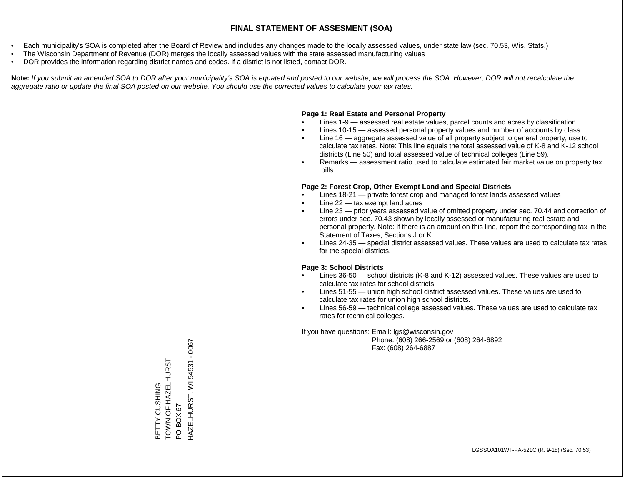- Each municipality's SOA is completed after the Board of Review and includes any changes made to the locally assessed values, under state law (sec. 70.53, Wis. Stats.)
- The Wisconsin Department of Revenue (DOR) merges the locally assessed values with the state assessed manufacturing values
- DOR provides the information regarding district names and codes. If a district is not listed, contact DOR.

Note: If you submit an amended SOA to DOR after your municipality's SOA is equated and posted to our website, we will process the SOA. However, DOR will not recalculate the *aggregate ratio or update the final SOA posted on our website. You should use the corrected values to calculate your tax rates.*

#### **Page 1: Real Estate and Personal Property**

- Lines 1-9 assessed real estate values, parcel counts and acres by classification
- Lines 10-15 assessed personal property values and number of accounts by class
- Line 16 aggregate assessed value of all property subject to general property; use to calculate tax rates. Note: This line equals the total assessed value of K-8 and K-12 school districts (Line 50) and total assessed value of technical colleges (Line 59).
- Remarks assessment ratio used to calculate estimated fair market value on property tax bills

#### **Page 2: Forest Crop, Other Exempt Land and Special Districts**

- Lines 18-21 private forest crop and managed forest lands assessed values
- Line  $22 -$  tax exempt land acres
- Line 23 prior years assessed value of omitted property under sec. 70.44 and correction of errors under sec. 70.43 shown by locally assessed or manufacturing real estate and personal property. Note: If there is an amount on this line, report the corresponding tax in the Statement of Taxes, Sections J or K.
- Lines 24-35 special district assessed values. These values are used to calculate tax rates for the special districts.

#### **Page 3: School Districts**

- Lines 36-50 school districts (K-8 and K-12) assessed values. These values are used to calculate tax rates for school districts.
- Lines 51-55 union high school district assessed values. These values are used to calculate tax rates for union high school districts.
- Lines 56-59 technical college assessed values. These values are used to calculate tax rates for technical colleges.

If you have questions: Email: lgs@wisconsin.gov

 Phone: (608) 266-2569 or (608) 264-6892 Fax: (608) 264-6887

BETTY CUSHING TOWN OF HAZELHURST BETTY CUSHING<br>TOWN OF HAZELHURST<br>PO BOX 67<br>HAZELHURST, WI 54531 - 0067 HAZELHURST, WI 54531 - 0067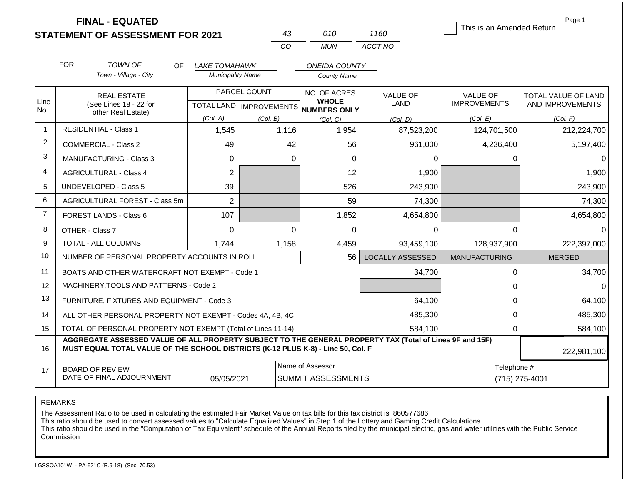|                |                                                                                                                                                                                              | <b>FINAL - EQUATED</b><br><b>STATEMENT OF ASSESSMENT FOR 2021</b> |                                                     |          | 43       | 010                                           | 1160                    |                                 |             | Page 1<br>This is an Amended Return     |  |
|----------------|----------------------------------------------------------------------------------------------------------------------------------------------------------------------------------------------|-------------------------------------------------------------------|-----------------------------------------------------|----------|----------|-----------------------------------------------|-------------------------|---------------------------------|-------------|-----------------------------------------|--|
|                |                                                                                                                                                                                              |                                                                   |                                                     | CO       |          | <b>MUN</b>                                    | ACCT NO                 |                                 |             |                                         |  |
|                | <b>FOR</b>                                                                                                                                                                                   | <b>TOWN OF</b><br>OF.                                             | LAKE TOMAHAWK                                       |          |          | <b>ONEIDA COUNTY</b>                          |                         |                                 |             |                                         |  |
|                |                                                                                                                                                                                              | Town - Village - City                                             | <b>Municipality Name</b>                            |          |          | <b>County Name</b>                            |                         |                                 |             |                                         |  |
| Line           | <b>REAL ESTATE</b><br>(See Lines 18 - 22 for                                                                                                                                                 |                                                                   | PARCEL COUNT<br>TOTAL LAND MPROVEMENTS NUMBERS ONLY |          |          | NO. OF ACRES<br><b>WHOLE</b>                  | <b>VALUE OF</b><br>LAND | VALUE OF<br><b>IMPROVEMENTS</b> |             | TOTAL VALUE OF LAND<br>AND IMPROVEMENTS |  |
| No.            |                                                                                                                                                                                              | other Real Estate)                                                | (Col. A)                                            | (Col. B) |          | (Col, C)                                      | (Col. D)                | (Col. E)                        |             | (Col. F)                                |  |
| -1             |                                                                                                                                                                                              | <b>RESIDENTIAL - Class 1</b>                                      | 1,545                                               |          | 1,116    | 1,954                                         | 87,523,200              |                                 | 124,701,500 | 212,224,700                             |  |
| $\overline{2}$ |                                                                                                                                                                                              | <b>COMMERCIAL - Class 2</b>                                       | 49                                                  |          | 42       | 56                                            | 961,000                 |                                 | 4,236,400   | 5,197,400                               |  |
| 3              |                                                                                                                                                                                              | <b>MANUFACTURING - Class 3</b>                                    | $\Omega$                                            |          | $\Omega$ | 0                                             | 0                       |                                 | 0           | $\Omega$                                |  |
| 4              |                                                                                                                                                                                              | <b>AGRICULTURAL - Class 4</b>                                     | $\overline{2}$                                      |          |          | 12                                            | 1,900                   |                                 |             | 1,900                                   |  |
| 5              |                                                                                                                                                                                              | UNDEVELOPED - Class 5                                             | 39                                                  |          |          | 526                                           | 243,900                 |                                 |             | 243,900                                 |  |
| 6              |                                                                                                                                                                                              | AGRICULTURAL FOREST - Class 5m                                    | $\overline{2}$                                      |          |          | 59                                            | 74,300                  |                                 |             | 74,300                                  |  |
| $\overline{7}$ |                                                                                                                                                                                              | <b>FOREST LANDS - Class 6</b>                                     | 107                                                 |          |          | 1,852                                         | 4,654,800               |                                 |             | 4,654,800                               |  |
| 8              |                                                                                                                                                                                              | OTHER - Class 7                                                   | $\mathbf 0$                                         |          | $\Omega$ | 0                                             | 0                       |                                 | $\mathbf 0$ | $\Omega$                                |  |
| 9              |                                                                                                                                                                                              | <b>TOTAL - ALL COLUMNS</b>                                        | 1.744                                               | 1,158    |          | 4,459                                         | 93,459,100              |                                 | 128,937,900 | 222,397,000                             |  |
| 10             |                                                                                                                                                                                              | NUMBER OF PERSONAL PROPERTY ACCOUNTS IN ROLL                      |                                                     |          |          | 56                                            | <b>LOCALLY ASSESSED</b> | <b>MANUFACTURING</b>            |             | <b>MERGED</b>                           |  |
| 11             |                                                                                                                                                                                              | BOATS AND OTHER WATERCRAFT NOT EXEMPT - Code 1                    |                                                     |          |          |                                               | 34,700                  |                                 | $\mathbf 0$ | 34,700                                  |  |
| 12             |                                                                                                                                                                                              | MACHINERY, TOOLS AND PATTERNS - Code 2                            |                                                     |          |          |                                               |                         |                                 | 0           | $\Omega$                                |  |
| 13             |                                                                                                                                                                                              | FURNITURE, FIXTURES AND EQUIPMENT - Code 3                        |                                                     |          |          |                                               | 64,100                  |                                 | $\mathbf 0$ | 64,100                                  |  |
| 14             |                                                                                                                                                                                              | ALL OTHER PERSONAL PROPERTY NOT EXEMPT - Codes 4A, 4B, 4C         |                                                     |          |          |                                               | 485,300                 |                                 | $\mathbf 0$ | 485,300                                 |  |
| 15             |                                                                                                                                                                                              | TOTAL OF PERSONAL PROPERTY NOT EXEMPT (Total of Lines 11-14)      |                                                     |          |          |                                               | 584,100                 |                                 | $\mathbf 0$ | 584,100                                 |  |
| 16             | AGGREGATE ASSESSED VALUE OF ALL PROPERTY SUBJECT TO THE GENERAL PROPERTY TAX (Total of Lines 9F and 15F)<br>MUST EQUAL TOTAL VALUE OF THE SCHOOL DISTRICTS (K-12 PLUS K-8) - Line 50, Col. F |                                                                   |                                                     |          |          |                                               |                         |                                 | 222,981,100 |                                         |  |
| 17             | <b>BOARD OF REVIEW</b><br>DATE OF FINAL ADJOURNMENT<br>05/05/2021                                                                                                                            |                                                                   |                                                     |          |          | Name of Assessor<br><b>SUMMIT ASSESSMENTS</b> |                         |                                 |             | Telephone #<br>(715) 275-4001           |  |

REMARKS

The Assessment Ratio to be used in calculating the estimated Fair Market Value on tax bills for this tax district is .860577686

This ratio should be used to convert assessed values to "Calculate Equalized Values" in Step 1 of the Lottery and Gaming Credit Calculations.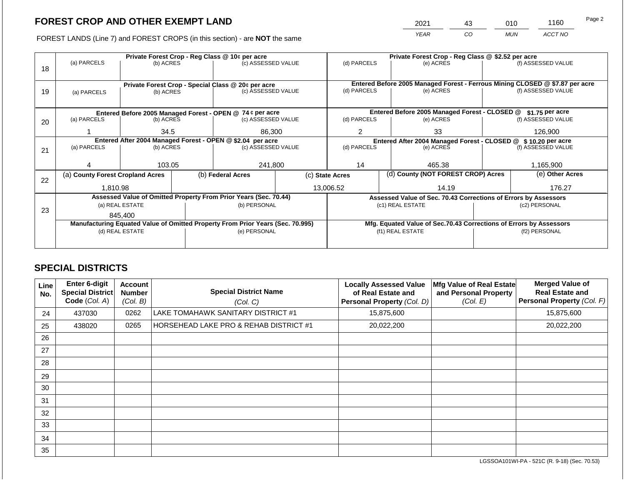2021 43 010 1160

FOREST LANDS (Line 7) and FOREST CROPS (in this section) - are **NOT** the same *YEAR CO MUN ACCT NO*

|                                                            |                                                                                | Private Forest Crop - Reg Class @ 10¢ per acre |                                                                                |                                                                  |                 |                                                                              |                                    | Private Forest Crop - Reg Class @ \$2.52 per acre                  |               |                    |  |  |
|------------------------------------------------------------|--------------------------------------------------------------------------------|------------------------------------------------|--------------------------------------------------------------------------------|------------------------------------------------------------------|-----------------|------------------------------------------------------------------------------|------------------------------------|--------------------------------------------------------------------|---------------|--------------------|--|--|
| 18                                                         | (a) PARCELS                                                                    | (b) ACRES                                      |                                                                                | (c) ASSESSED VALUE                                               |                 | (d) PARCELS                                                                  |                                    | (e) ACRES                                                          |               | (f) ASSESSED VALUE |  |  |
|                                                            |                                                                                |                                                |                                                                                |                                                                  |                 |                                                                              |                                    |                                                                    |               |                    |  |  |
|                                                            |                                                                                |                                                |                                                                                |                                                                  |                 | Entered Before 2005 Managed Forest - Ferrous Mining CLOSED @ \$7.87 per acre |                                    |                                                                    |               |                    |  |  |
| 19                                                         | Private Forest Crop - Special Class @ 20¢ per acre<br>(b) ACRES<br>(a) PARCELS |                                                |                                                                                | (c) ASSESSED VALUE                                               |                 | (d) PARCELS                                                                  |                                    | (e) ACRES                                                          |               | (f) ASSESSED VALUE |  |  |
|                                                            |                                                                                |                                                |                                                                                |                                                                  |                 |                                                                              |                                    |                                                                    |               |                    |  |  |
|                                                            |                                                                                |                                                |                                                                                |                                                                  |                 |                                                                              |                                    |                                                                    |               |                    |  |  |
|                                                            |                                                                                |                                                |                                                                                | Entered Before 2005 Managed Forest - OPEN @ 74 ¢ per acre        |                 |                                                                              |                                    | Entered Before 2005 Managed Forest - CLOSED @                      |               | $$1.75$ per acre   |  |  |
| 20                                                         | (a) PARCELS                                                                    | (b) ACRES                                      |                                                                                | (c) ASSESSED VALUE                                               |                 | (d) PARCELS                                                                  |                                    | (e) ACRES                                                          |               | (f) ASSESSED VALUE |  |  |
|                                                            |                                                                                | 34.5                                           |                                                                                | 86,300                                                           |                 | 2                                                                            |                                    | 33                                                                 |               | 126,900            |  |  |
| Entered After 2004 Managed Forest - OPEN @ \$2.04 per acre |                                                                                |                                                |                                                                                |                                                                  |                 |                                                                              |                                    | Entered After 2004 Managed Forest - CLOSED @ \$ 10.20 per acre     |               |                    |  |  |
| 21                                                         | (a) PARCELS<br>(b) ACRES                                                       |                                                |                                                                                | (c) ASSESSED VALUE                                               |                 | (d) PARCELS                                                                  |                                    | (e) ACRES                                                          |               | (f) ASSESSED VALUE |  |  |
|                                                            |                                                                                |                                                |                                                                                |                                                                  |                 |                                                                              |                                    |                                                                    |               |                    |  |  |
|                                                            |                                                                                | 103.05                                         |                                                                                | 241,800                                                          |                 | 14                                                                           |                                    | 465.38                                                             |               | 1,165,900          |  |  |
|                                                            | (a) County Forest Cropland Acres                                               |                                                |                                                                                | (b) Federal Acres                                                | (c) State Acres |                                                                              | (d) County (NOT FOREST CROP) Acres |                                                                    |               | (e) Other Acres    |  |  |
| 22                                                         |                                                                                |                                                |                                                                                |                                                                  |                 |                                                                              |                                    |                                                                    |               |                    |  |  |
|                                                            | 1,810.98                                                                       |                                                |                                                                                |                                                                  |                 | 14.19<br>13,006.52                                                           |                                    |                                                                    | 176.27        |                    |  |  |
|                                                            |                                                                                |                                                |                                                                                | Assessed Value of Omitted Property From Prior Years (Sec. 70.44) |                 |                                                                              |                                    | Assessed Value of Sec. 70.43 Corrections of Errors by Assessors    |               |                    |  |  |
| 23                                                         |                                                                                | (a) REAL ESTATE                                |                                                                                | (b) PERSONAL                                                     |                 |                                                                              |                                    | (c1) REAL ESTATE                                                   |               | (c2) PERSONAL      |  |  |
|                                                            |                                                                                | 845.400                                        |                                                                                |                                                                  |                 |                                                                              |                                    |                                                                    |               |                    |  |  |
|                                                            |                                                                                |                                                | Manufacturing Equated Value of Omitted Property From Prior Years (Sec. 70.995) |                                                                  |                 |                                                                              |                                    | Mfg. Equated Value of Sec.70.43 Corrections of Errors by Assessors |               |                    |  |  |
|                                                            | (d) REAL ESTATE                                                                |                                                |                                                                                | (e) PERSONAL                                                     |                 | (f1) REAL ESTATE                                                             |                                    |                                                                    | (f2) PERSONAL |                    |  |  |
|                                                            |                                                                                |                                                |                                                                                |                                                                  |                 |                                                                              |                                    |                                                                    |               |                    |  |  |
|                                                            |                                                                                |                                                |                                                                                |                                                                  |                 |                                                                              |                                    |                                                                    |               |                    |  |  |

# **SPECIAL DISTRICTS**

| Line<br>No. | Enter 6-digit<br>Special District<br>Code (Col. A) | <b>Account</b><br><b>Number</b><br>(Col. B) | <b>Special District Name</b><br>(Col. C) | <b>Locally Assessed Value</b><br>of Real Estate and<br>Personal Property (Col. D) | Mfg Value of Real Estate<br>and Personal Property<br>(Col. E) | <b>Merged Value of</b><br><b>Real Estate and</b><br>Personal Property (Col. F) |
|-------------|----------------------------------------------------|---------------------------------------------|------------------------------------------|-----------------------------------------------------------------------------------|---------------------------------------------------------------|--------------------------------------------------------------------------------|
| 24          | 437030                                             | 0262                                        | LAKE TOMAHAWK SANITARY DISTRICT #1       | 15,875,600                                                                        |                                                               | 15,875,600                                                                     |
| 25          | 438020                                             | 0265                                        | HORSEHEAD LAKE PRO & REHAB DISTRICT #1   | 20,022,200                                                                        |                                                               | 20,022,200                                                                     |
| 26          |                                                    |                                             |                                          |                                                                                   |                                                               |                                                                                |
| 27          |                                                    |                                             |                                          |                                                                                   |                                                               |                                                                                |
| 28          |                                                    |                                             |                                          |                                                                                   |                                                               |                                                                                |
| 29          |                                                    |                                             |                                          |                                                                                   |                                                               |                                                                                |
| 30          |                                                    |                                             |                                          |                                                                                   |                                                               |                                                                                |
| 31          |                                                    |                                             |                                          |                                                                                   |                                                               |                                                                                |
| 32          |                                                    |                                             |                                          |                                                                                   |                                                               |                                                                                |
| 33          |                                                    |                                             |                                          |                                                                                   |                                                               |                                                                                |
| 34          |                                                    |                                             |                                          |                                                                                   |                                                               |                                                                                |
| 35          |                                                    |                                             |                                          |                                                                                   |                                                               |                                                                                |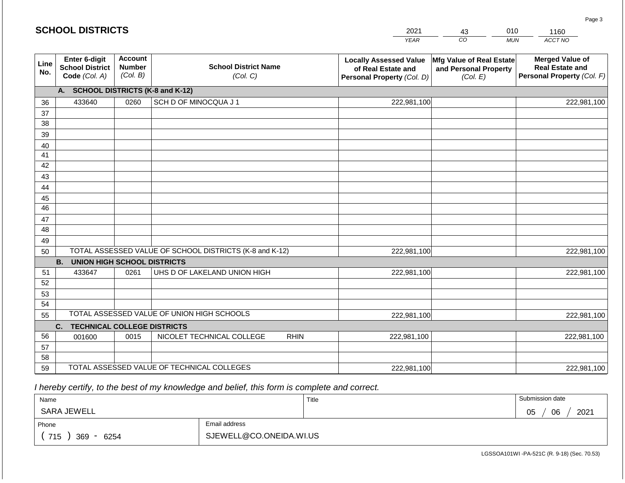#### *YEAR*  2021  $\overline{co}$ 43 *MUN*  010 *ACCT NO*  1160 **SCHOOL DISTRICTS Line No. Enter 6-digit School District Code** *(Col. A)* **Account Number** *(Col. B)* **School District Name** *(Col. C)* **Locally Assessed Value of Real Estate and Personal Property** *(Col. D)* **Mfg Value of Real Estate and Personal Property** *(Col. E)* **Merged Value of Real Estate and Personal Property** *(Col. F)* **A. SCHOOL DISTRICTS (K-8 and K-12)** 36 37 38 39 40 41 42 43 44 45 46 47 48 49 50 TOTAL ASSESSED VALUE OF SCHOOL DISTRICTS (K-8 and K-12) **B. UNION HIGH SCHOOL DISTRICTS** 51 52 53 54 55 **C. TECHNICAL COLLEGE DISTRICTS** 56 57 58 59 TOTAL ASSESSED VALUE OF TECHNICAL COLLEGES TOTAL ASSESSED VALUE OF UNION HIGH SCHOOLS 433640 0260 SCH D OF MINOCQUA J 1 222,981,100 222,981,100 433647 0261 UHS D OF LAKELAND UNION HIGH **1222,981,100** 001600 | 0015 | NICOLET TECHNICAL COLLEGE RHIN 222,981,100 222,981,100 222,981,100 222,981,100 222,981,100 222,981,100 222,981,100 222,981,100 222,981,100

 *I hereby certify, to the best of my knowledge and belief, this form is complete and correct.*

| Name               |                         | Title | Submission date  |
|--------------------|-------------------------|-------|------------------|
| SARA JEWELL        |                         |       | 06<br>2021<br>05 |
| Phone              | Email address           |       |                  |
| 715<br>369<br>6254 | SJEWELL@CO.ONEIDA.WI.US |       |                  |

LGSSOA101WI -PA-521C (R. 9-18) (Sec. 70.53)

Page 3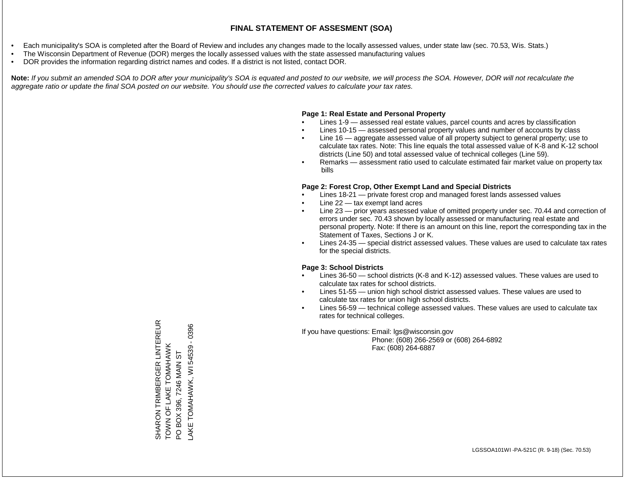- Each municipality's SOA is completed after the Board of Review and includes any changes made to the locally assessed values, under state law (sec. 70.53, Wis. Stats.)
- The Wisconsin Department of Revenue (DOR) merges the locally assessed values with the state assessed manufacturing values
- DOR provides the information regarding district names and codes. If a district is not listed, contact DOR.

Note: If you submit an amended SOA to DOR after your municipality's SOA is equated and posted to our website, we will process the SOA. However, DOR will not recalculate the *aggregate ratio or update the final SOA posted on our website. You should use the corrected values to calculate your tax rates.*

### **Page 1: Real Estate and Personal Property**

- Lines 1-9 assessed real estate values, parcel counts and acres by classification
- Lines 10-15 assessed personal property values and number of accounts by class
- Line 16 aggregate assessed value of all property subject to general property; use to calculate tax rates. Note: This line equals the total assessed value of K-8 and K-12 school districts (Line 50) and total assessed value of technical colleges (Line 59).
- Remarks assessment ratio used to calculate estimated fair market value on property tax bills

### **Page 2: Forest Crop, Other Exempt Land and Special Districts**

- Lines 18-21 private forest crop and managed forest lands assessed values
- Line  $22 -$  tax exempt land acres
- Line 23 prior years assessed value of omitted property under sec. 70.44 and correction of errors under sec. 70.43 shown by locally assessed or manufacturing real estate and personal property. Note: If there is an amount on this line, report the corresponding tax in the Statement of Taxes, Sections J or K.
- Lines 24-35 special district assessed values. These values are used to calculate tax rates for the special districts.

### **Page 3: School Districts**

- Lines 36-50 school districts (K-8 and K-12) assessed values. These values are used to calculate tax rates for school districts.
- Lines 51-55 union high school district assessed values. These values are used to calculate tax rates for union high school districts.
- Lines 56-59 technical college assessed values. These values are used to calculate tax rates for technical colleges.

If you have questions: Email: lgs@wisconsin.gov

 Phone: (608) 266-2569 or (608) 264-6892 Fax: (608) 264-6887

SHARON TRIMBERGER LINTEREUR<br>TOWN OF LAKE TOMAHAWK<br>PO BOX 396, 7246 MAIN ST SHARON TRIMBERGER LINTEREUR LAKE TOMAHAWK, WI 54539 - 0396 LAKE TOMAHAWK, WI 54539 - 0396TOWN OF LAKE TOMAHAWK PO BOX 396, 7246 MAIN ST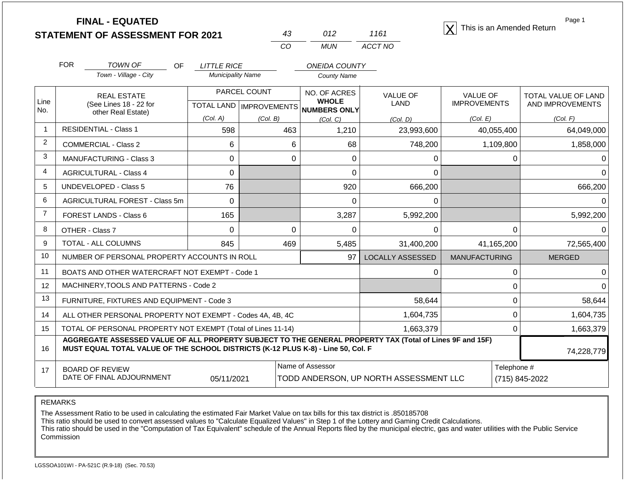| <b>STATEMENT OF ASSESSMENT FOR 2021</b> |  |
|-----------------------------------------|--|
|                                         |  |

| 43. | 012 | 1161    |
|-----|-----|---------|
| CO. | MUN | ACCT NO |

**FINAL - EQUATED**<br>  $\overline{X}$  This is an Amended Return

Page 1

|                | <b>FOR</b><br><b>TOWN OF</b>                                                                                                                                                                               | <b>OF</b><br><b>LITTLE RICE</b> |                                          | <b>ONEIDA COUNTY</b> |                  |                      |                     |  |  |
|----------------|------------------------------------------------------------------------------------------------------------------------------------------------------------------------------------------------------------|---------------------------------|------------------------------------------|----------------------|------------------|----------------------|---------------------|--|--|
|                | Town - Village - City                                                                                                                                                                                      | <b>Municipality Name</b>        |                                          | <b>County Name</b>   |                  |                      |                     |  |  |
|                | <b>REAL ESTATE</b>                                                                                                                                                                                         |                                 | PARCEL COUNT                             | NO. OF ACRES         | <b>VALUE OF</b>  | <b>VALUE OF</b>      | TOTAL VALUE OF LAND |  |  |
| Line<br>No.    | (See Lines 18 - 22 for<br>other Real Estate)                                                                                                                                                               |                                 | TOTAL LAND   IMPROVEMENTS   NUMBERS ONLY | <b>WHOLE</b>         | LAND             | <b>IMPROVEMENTS</b>  | AND IMPROVEMENTS    |  |  |
|                |                                                                                                                                                                                                            | (Col. A)                        | (Col. B)                                 | (Col. C)             | (Col. D)         | (Col. E)             | (Col. F)            |  |  |
| $\mathbf{1}$   | <b>RESIDENTIAL - Class 1</b>                                                                                                                                                                               | 598                             | 463                                      | 1,210                | 23,993,600       | 40,055,400           | 64,049,000          |  |  |
| 2              | <b>COMMERCIAL - Class 2</b>                                                                                                                                                                                | 6                               | 6                                        | 68                   | 748,200          | 1,109,800            | 1,858,000           |  |  |
| 3              | <b>MANUFACTURING - Class 3</b>                                                                                                                                                                             | 0                               | 0                                        | 0                    | 0                | Ω                    |                     |  |  |
| $\overline{4}$ | <b>AGRICULTURAL - Class 4</b>                                                                                                                                                                              | 0                               |                                          | 0                    | 0                |                      |                     |  |  |
| 5              | <b>UNDEVELOPED - Class 5</b>                                                                                                                                                                               | 76                              |                                          | 920                  | 666,200          |                      | 666,200             |  |  |
| 6              | AGRICULTURAL FOREST - Class 5m                                                                                                                                                                             | $\Omega$                        |                                          | 0                    | 0                |                      | $\Omega$            |  |  |
| $\overline{7}$ | FOREST LANDS - Class 6                                                                                                                                                                                     | 165                             |                                          | 3,287<br>5,992,200   |                  |                      | 5,992,200           |  |  |
| 8              | OTHER - Class 7                                                                                                                                                                                            | $\Omega$                        | $\Omega$                                 | 0                    | $\Omega$         | 0                    |                     |  |  |
| 9              | TOTAL - ALL COLUMNS                                                                                                                                                                                        | 845                             | 469                                      | 5,485                | 31,400,200       | 41,165,200           | 72,565,400          |  |  |
| 10             | NUMBER OF PERSONAL PROPERTY ACCOUNTS IN ROLL                                                                                                                                                               |                                 |                                          | 97                   | LOCALLY ASSESSED | <b>MANUFACTURING</b> | <b>MERGED</b>       |  |  |
| 11             | BOATS AND OTHER WATERCRAFT NOT EXEMPT - Code 1                                                                                                                                                             |                                 |                                          |                      | 0                | 0                    |                     |  |  |
| 12             | MACHINERY, TOOLS AND PATTERNS - Code 2                                                                                                                                                                     |                                 |                                          |                      |                  | 0                    |                     |  |  |
| 13             | FURNITURE, FIXTURES AND EQUIPMENT - Code 3                                                                                                                                                                 |                                 |                                          |                      | 58,644           | 0                    | 58,644              |  |  |
| 14             | ALL OTHER PERSONAL PROPERTY NOT EXEMPT - Codes 4A, 4B, 4C                                                                                                                                                  |                                 |                                          |                      | 1,604,735        | 0                    | 1,604,735           |  |  |
| 15             | TOTAL OF PERSONAL PROPERTY NOT EXEMPT (Total of Lines 11-14)                                                                                                                                               |                                 |                                          |                      | 1,663,379        | 0                    | 1,663,379           |  |  |
| 16             | AGGREGATE ASSESSED VALUE OF ALL PROPERTY SUBJECT TO THE GENERAL PROPERTY TAX (Total of Lines 9F and 15F)<br>MUST EQUAL TOTAL VALUE OF THE SCHOOL DISTRICTS (K-12 PLUS K-8) - Line 50, Col. F<br>74,228,779 |                                 |                                          |                      |                  |                      |                     |  |  |
| 17             | <b>BOARD OF REVIEW</b>                                                                                                                                                                                     |                                 |                                          | Name of Assessor     |                  | Telephone #          |                     |  |  |
|                | DATE OF FINAL ADJOURNMENT<br>05/11/2021<br>TODD ANDERSON, UP NORTH ASSESSMENT LLC                                                                                                                          |                                 |                                          |                      |                  |                      | (715) 845-2022      |  |  |

REMARKS

The Assessment Ratio to be used in calculating the estimated Fair Market Value on tax bills for this tax district is .850185708

This ratio should be used to convert assessed values to "Calculate Equalized Values" in Step 1 of the Lottery and Gaming Credit Calculations.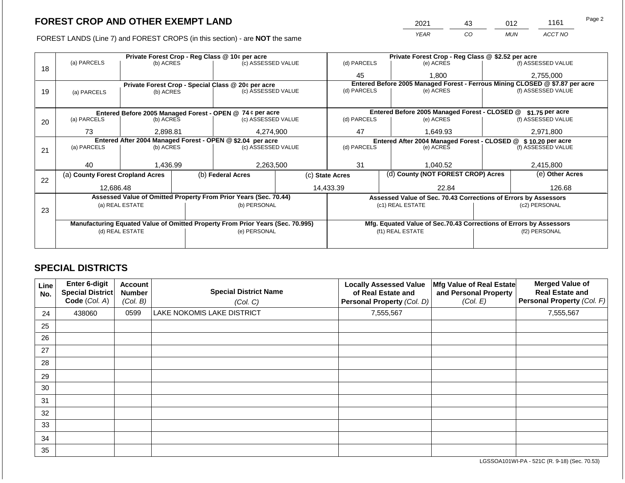|    | FOREST LANDS (Line 7) and FOREST CROPS (in this section) - are NOT the same |                 |  |                                                                                |           |                                   |       | <b>YEAR</b><br>CO.                                                           |           | <b>MUN</b> | ACCT NO            |  |
|----|-----------------------------------------------------------------------------|-----------------|--|--------------------------------------------------------------------------------|-----------|-----------------------------------|-------|------------------------------------------------------------------------------|-----------|------------|--------------------|--|
|    |                                                                             |                 |  | Private Forest Crop - Reg Class @ 10¢ per acre                                 |           |                                   |       | Private Forest Crop - Reg Class @ \$2.52 per acre                            |           |            |                    |  |
|    | (a) PARCELS                                                                 | (b) ACRES       |  | (c) ASSESSED VALUE                                                             |           | (d) PARCELS                       |       | (e) ACRES                                                                    |           |            | (f) ASSESSED VALUE |  |
| 18 |                                                                             |                 |  |                                                                                |           | 45                                | 1.800 |                                                                              | 2,755,000 |            |                    |  |
|    | Private Forest Crop - Special Class @ 20¢ per acre                          |                 |  |                                                                                |           | (d) PARCELS                       |       | Entered Before 2005 Managed Forest - Ferrous Mining CLOSED @ \$7.87 per acre |           |            |                    |  |
| 19 | (a) PARCELS                                                                 | (b) ACRES       |  | (c) ASSESSED VALUE                                                             |           |                                   |       | (e) ACRES                                                                    |           |            | (f) ASSESSED VALUE |  |
|    |                                                                             |                 |  |                                                                                |           |                                   |       |                                                                              |           |            |                    |  |
|    | Entered Before 2005 Managed Forest - OPEN @ 74 ¢ per acre                   |                 |  |                                                                                |           |                                   |       | Entered Before 2005 Managed Forest - CLOSED @                                |           |            | $$1.75$ per acre   |  |
| 20 | (a) PARCELS<br>(b) ACRES                                                    |                 |  | (c) ASSESSED VALUE                                                             |           | (d) PARCELS                       |       | (e) ACRES                                                                    |           |            | (f) ASSESSED VALUE |  |
|    |                                                                             |                 |  |                                                                                |           |                                   |       |                                                                              |           |            |                    |  |
|    | 73                                                                          | 2,898.81        |  | 4,274,900                                                                      |           | 47                                |       | 1,649.93                                                                     |           |            | 2,971,800          |  |
|    | Entered After 2004 Managed Forest - OPEN @ \$2.04 per acre                  |                 |  |                                                                                |           |                                   |       | Entered After 2004 Managed Forest - CLOSED @ \$ 10.20 per acre               |           |            |                    |  |
| 21 | (a) PARCELS                                                                 | (b) ACRES       |  | (c) ASSESSED VALUE                                                             |           | (d) PARCELS                       |       | (e) ACRES                                                                    |           |            | (f) ASSESSED VALUE |  |
|    |                                                                             |                 |  |                                                                                |           |                                   |       |                                                                              |           |            |                    |  |
|    | 40                                                                          | 1,436.99        |  | 2,263,500                                                                      |           | 31                                |       | 1,040.52                                                                     |           |            | 2,415,800          |  |
| 22 | (a) County Forest Cropland Acres                                            |                 |  | (b) Federal Acres                                                              |           | (c) State Acres                   |       | (d) County (NOT FOREST CROP) Acres                                           |           |            | (e) Other Acres    |  |
|    | 12.686.48                                                                   |                 |  |                                                                                | 14,433.39 |                                   |       | 22.84                                                                        |           |            | 126.68             |  |
|    |                                                                             |                 |  | Assessed Value of Omitted Property From Prior Years (Sec. 70.44)               |           |                                   |       | Assessed Value of Sec. 70.43 Corrections of Errors by Assessors              |           |            |                    |  |
|    | (a) REAL ESTATE<br>(b) PERSONAL                                             |                 |  |                                                                                |           |                                   |       | (c1) REAL ESTATE                                                             |           |            | (c2) PERSONAL      |  |
| 23 |                                                                             |                 |  |                                                                                |           |                                   |       |                                                                              |           |            |                    |  |
|    |                                                                             |                 |  | Manufacturing Equated Value of Omitted Property From Prior Years (Sec. 70.995) |           |                                   |       | Mfg. Equated Value of Sec.70.43 Corrections of Errors by Assessors           |           |            |                    |  |
|    |                                                                             | (d) REAL ESTATE |  | (e) PERSONAL                                                                   |           | (f1) REAL ESTATE<br>(f2) PERSONAL |       |                                                                              |           |            |                    |  |
|    |                                                                             |                 |  |                                                                                |           |                                   |       |                                                                              |           |            |                    |  |

# **SPECIAL DISTRICTS**

| <b>Line</b><br>No. | Enter 6-digit<br>Special District<br>Code (Col. A) | <b>Account</b><br><b>Number</b><br>(Col. B) | <b>Special District Name</b><br>(Col. C) | <b>Locally Assessed Value</b><br>of Real Estate and<br>Personal Property (Col. D) | Mfg Value of Real Estate<br>and Personal Property<br>(Col. E) | <b>Merged Value of</b><br><b>Real Estate and</b><br>Personal Property (Col. F) |
|--------------------|----------------------------------------------------|---------------------------------------------|------------------------------------------|-----------------------------------------------------------------------------------|---------------------------------------------------------------|--------------------------------------------------------------------------------|
| 24                 | 438060                                             | 0599                                        | <b>LAKE NOKOMIS LAKE DISTRICT</b>        | 7,555,567                                                                         |                                                               | 7,555,567                                                                      |
| 25                 |                                                    |                                             |                                          |                                                                                   |                                                               |                                                                                |
| 26                 |                                                    |                                             |                                          |                                                                                   |                                                               |                                                                                |
| 27                 |                                                    |                                             |                                          |                                                                                   |                                                               |                                                                                |
| 28                 |                                                    |                                             |                                          |                                                                                   |                                                               |                                                                                |
| 29                 |                                                    |                                             |                                          |                                                                                   |                                                               |                                                                                |
| 30                 |                                                    |                                             |                                          |                                                                                   |                                                               |                                                                                |
| 31                 |                                                    |                                             |                                          |                                                                                   |                                                               |                                                                                |
| 32                 |                                                    |                                             |                                          |                                                                                   |                                                               |                                                                                |
| 33                 |                                                    |                                             |                                          |                                                                                   |                                                               |                                                                                |
| 34                 |                                                    |                                             |                                          |                                                                                   |                                                               |                                                                                |
| 35                 |                                                    |                                             |                                          |                                                                                   |                                                               |                                                                                |

Page 2

2021 43 012 1161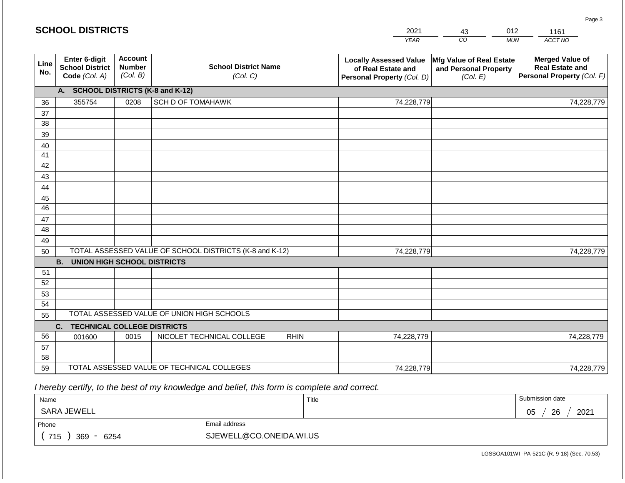|             | <b>SCHOOL DISTRICTS</b>                                         |                                             |                                                         |             | 2021                                                                              | 43                                                            | 012        | 1161                                                                           |
|-------------|-----------------------------------------------------------------|---------------------------------------------|---------------------------------------------------------|-------------|-----------------------------------------------------------------------------------|---------------------------------------------------------------|------------|--------------------------------------------------------------------------------|
|             |                                                                 |                                             |                                                         |             | <b>YEAR</b>                                                                       | CO                                                            | <b>MUN</b> | ACCT NO                                                                        |
| Line<br>No. | <b>Enter 6-digit</b><br><b>School District</b><br>Code (Col. A) | <b>Account</b><br><b>Number</b><br>(Col. B) | <b>School District Name</b><br>(Col. C)                 |             | <b>Locally Assessed Value</b><br>of Real Estate and<br>Personal Property (Col. D) | Mfg Value of Real Estate<br>and Personal Property<br>(Col. E) |            | <b>Merged Value of</b><br><b>Real Estate and</b><br>Personal Property (Col. F) |
|             | A. SCHOOL DISTRICTS (K-8 and K-12)                              |                                             |                                                         |             |                                                                                   |                                                               |            |                                                                                |
| 36          | 355754                                                          | 0208                                        | <b>SCH D OF TOMAHAWK</b>                                |             | 74,228,779                                                                        |                                                               |            | 74,228,779                                                                     |
| 37          |                                                                 |                                             |                                                         |             |                                                                                   |                                                               |            |                                                                                |
| 38          |                                                                 |                                             |                                                         |             |                                                                                   |                                                               |            |                                                                                |
| 39          |                                                                 |                                             |                                                         |             |                                                                                   |                                                               |            |                                                                                |
| 40          |                                                                 |                                             |                                                         |             |                                                                                   |                                                               |            |                                                                                |
| 41<br>42    |                                                                 |                                             |                                                         |             |                                                                                   |                                                               |            |                                                                                |
| 43          |                                                                 |                                             |                                                         |             |                                                                                   |                                                               |            |                                                                                |
| 44          |                                                                 |                                             |                                                         |             |                                                                                   |                                                               |            |                                                                                |
| 45          |                                                                 |                                             |                                                         |             |                                                                                   |                                                               |            |                                                                                |
| 46          |                                                                 |                                             |                                                         |             |                                                                                   |                                                               |            |                                                                                |
| 47          |                                                                 |                                             |                                                         |             |                                                                                   |                                                               |            |                                                                                |
| 48          |                                                                 |                                             |                                                         |             |                                                                                   |                                                               |            |                                                                                |
| 49          |                                                                 |                                             |                                                         |             |                                                                                   |                                                               |            |                                                                                |
| 50          |                                                                 |                                             | TOTAL ASSESSED VALUE OF SCHOOL DISTRICTS (K-8 and K-12) |             | 74,228,779                                                                        |                                                               |            | 74,228,779                                                                     |
| 51          | <b>B. UNION HIGH SCHOOL DISTRICTS</b>                           |                                             |                                                         |             |                                                                                   |                                                               |            |                                                                                |
| 52          |                                                                 |                                             |                                                         |             |                                                                                   |                                                               |            |                                                                                |
| 53          |                                                                 |                                             |                                                         |             |                                                                                   |                                                               |            |                                                                                |
| 54          |                                                                 |                                             |                                                         |             |                                                                                   |                                                               |            |                                                                                |
| 55          |                                                                 |                                             | TOTAL ASSESSED VALUE OF UNION HIGH SCHOOLS              |             |                                                                                   |                                                               |            |                                                                                |
|             | <b>TECHNICAL COLLEGE DISTRICTS</b><br>C.                        |                                             |                                                         |             |                                                                                   |                                                               |            |                                                                                |
| 56          | 001600                                                          | 0015                                        | NICOLET TECHNICAL COLLEGE                               | <b>RHIN</b> | 74,228,779                                                                        |                                                               |            | 74,228,779                                                                     |
| 57          |                                                                 |                                             |                                                         |             |                                                                                   |                                                               |            |                                                                                |
| 58          |                                                                 |                                             |                                                         |             |                                                                                   |                                                               |            |                                                                                |
| 59          |                                                                 |                                             | TOTAL ASSESSED VALUE OF TECHNICAL COLLEGES              |             | 74,228,779                                                                        |                                                               |            | 74,228,779                                                                     |

 *I hereby certify, to the best of my knowledge and belief, this form is complete and correct.*

| Name               |                         | Title | Submission date  |
|--------------------|-------------------------|-------|------------------|
| <b>SARA JEWELL</b> |                         |       | 26<br>2021<br>05 |
| Phone              | Email address           |       |                  |
| 715<br>369<br>6254 | SJEWELL@CO.ONEIDA.WI.US |       |                  |

LGSSOA101WI -PA-521C (R. 9-18) (Sec. 70.53)

Page 3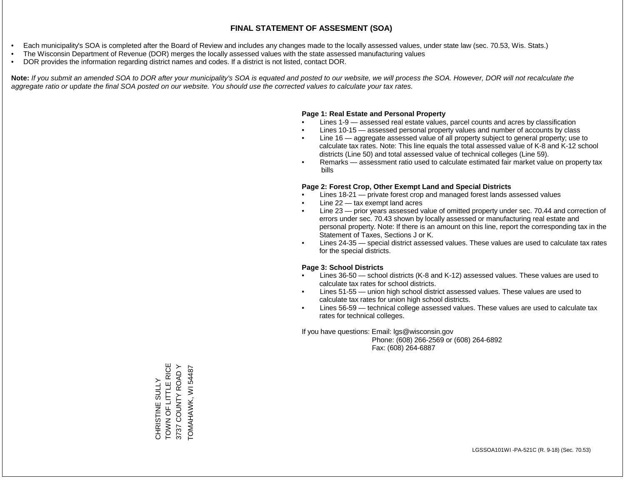- Each municipality's SOA is completed after the Board of Review and includes any changes made to the locally assessed values, under state law (sec. 70.53, Wis. Stats.)
- The Wisconsin Department of Revenue (DOR) merges the locally assessed values with the state assessed manufacturing values
- DOR provides the information regarding district names and codes. If a district is not listed, contact DOR.

Note: If you submit an amended SOA to DOR after your municipality's SOA is equated and posted to our website, we will process the SOA. However, DOR will not recalculate the *aggregate ratio or update the final SOA posted on our website. You should use the corrected values to calculate your tax rates.*

### **Page 1: Real Estate and Personal Property**

- Lines 1-9 assessed real estate values, parcel counts and acres by classification
- Lines 10-15 assessed personal property values and number of accounts by class
- Line 16 aggregate assessed value of all property subject to general property; use to calculate tax rates. Note: This line equals the total assessed value of K-8 and K-12 school districts (Line 50) and total assessed value of technical colleges (Line 59).
- Remarks assessment ratio used to calculate estimated fair market value on property tax bills

### **Page 2: Forest Crop, Other Exempt Land and Special Districts**

- Lines 18-21 private forest crop and managed forest lands assessed values
- Line  $22 -$  tax exempt land acres
- Line 23 prior years assessed value of omitted property under sec. 70.44 and correction of errors under sec. 70.43 shown by locally assessed or manufacturing real estate and personal property. Note: If there is an amount on this line, report the corresponding tax in the Statement of Taxes, Sections J or K.
- Lines 24-35 special district assessed values. These values are used to calculate tax rates for the special districts.

### **Page 3: School Districts**

- Lines 36-50 school districts (K-8 and K-12) assessed values. These values are used to calculate tax rates for school districts.
- Lines 51-55 union high school district assessed values. These values are used to calculate tax rates for union high school districts.
- Lines 56-59 technical college assessed values. These values are used to calculate tax rates for technical colleges.

If you have questions: Email: lgs@wisconsin.gov

 Phone: (608) 266-2569 or (608) 264-6892 Fax: (608) 264-6887

TOWN OF LITTLE RICE TOWN OF LITTLE RICE  $\succ$ 3737 COUNTY ROAD Y TOMAHAWK, WI 54487 TOMAHAWK, WI 54487COUNTY ROAD CHRISTINE SULLY CHRISTINE SULLY 3737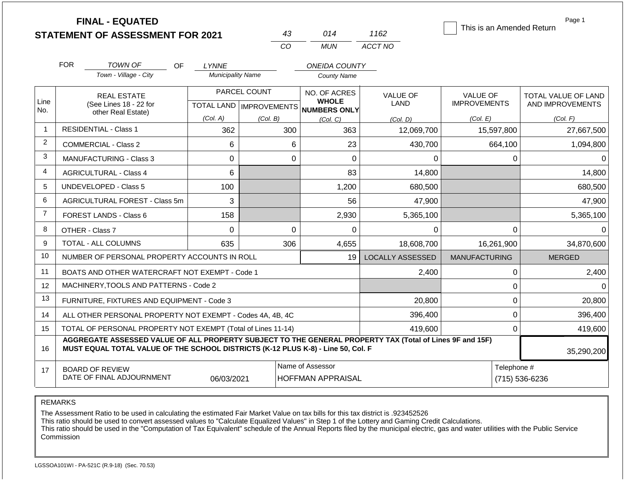|                | <b>FINAL - EQUATED</b>                                                                                   |                          |                           |                                     |                         | This is an Amended Return | Page 1                     |
|----------------|----------------------------------------------------------------------------------------------------------|--------------------------|---------------------------|-------------------------------------|-------------------------|---------------------------|----------------------------|
|                | <b>STATEMENT OF ASSESSMENT FOR 2021</b>                                                                  |                          | 43                        | 014                                 | 1162                    |                           |                            |
|                |                                                                                                          |                          | CO                        | <b>MUN</b>                          | ACCT NO                 |                           |                            |
|                | <b>FOR</b><br><b>TOWN OF</b><br>OF                                                                       | <b>LYNNE</b>             |                           | <b>ONEIDA COUNTY</b>                |                         |                           |                            |
|                | Town - Village - City                                                                                    | <b>Municipality Name</b> |                           | <b>County Name</b>                  |                         |                           |                            |
|                | <b>REAL ESTATE</b>                                                                                       |                          | PARCEL COUNT              | NO. OF ACRES                        | <b>VALUE OF</b>         | VALUE OF                  | <b>TOTAL VALUE OF LAND</b> |
| Line<br>No.    | (See Lines 18 - 22 for                                                                                   |                          | TOTAL LAND   IMPROVEMENTS | <b>WHOLE</b><br><b>NUMBERS ONLY</b> | LAND                    | <b>IMPROVEMENTS</b>       | AND IMPROVEMENTS           |
|                | other Real Estate)                                                                                       | (Col. A)                 | (Col. B)                  | (Col, C)                            | (Col. D)                | (Col. E)                  | (Col. F)                   |
| 1              | <b>RESIDENTIAL - Class 1</b>                                                                             | 362                      | 300                       | 363                                 | 12,069,700              | 15,597,800                | 27,667,500                 |
| 2              | <b>COMMERCIAL - Class 2</b>                                                                              | 6                        | 6                         | 23                                  | 430,700                 | 664,100                   | 1,094,800                  |
| 3              | <b>MANUFACTURING - Class 3</b>                                                                           | 0                        | $\mathbf 0$               | 0                                   | 0                       | 0                         | 0                          |
| $\overline{4}$ | <b>AGRICULTURAL - Class 4</b>                                                                            | 6                        |                           | 83                                  | 14,800                  |                           | 14,800                     |
| 5              | <b>UNDEVELOPED - Class 5</b>                                                                             | 100                      |                           | 1,200                               | 680,500                 |                           | 680,500                    |
| 6              | AGRICULTURAL FOREST - Class 5m                                                                           | 3                        |                           | 56                                  | 47,900                  |                           | 47,900                     |
| $\overline{7}$ | FOREST LANDS - Class 6                                                                                   | 158                      |                           | 2,930                               | 5,365,100               |                           | 5,365,100                  |
| 8              | OTHER - Class 7                                                                                          | $\mathbf 0$              | $\Omega$                  | $\Omega$                            | 0                       | 0                         | $\Omega$                   |
| 9              | TOTAL - ALL COLUMNS                                                                                      | 635                      | 306                       | 4,655                               | 18,608,700              | 16,261,900                | 34,870,600                 |
| 10             | NUMBER OF PERSONAL PROPERTY ACCOUNTS IN ROLL                                                             |                          |                           | 19                                  | <b>LOCALLY ASSESSED</b> | <b>MANUFACTURING</b>      | <b>MERGED</b>              |
| 11             | BOATS AND OTHER WATERCRAFT NOT EXEMPT - Code 1                                                           |                          |                           |                                     | 2,400                   | 0                         | 2,400                      |
| 12             | MACHINERY, TOOLS AND PATTERNS - Code 2                                                                   |                          |                           |                                     |                         | 0                         |                            |
| 13             | FURNITURE, FIXTURES AND EQUIPMENT - Code 3                                                               |                          |                           |                                     | 20,800                  | 0                         | 20,800                     |
| 14             | ALL OTHER PERSONAL PROPERTY NOT EXEMPT - Codes 4A, 4B, 4C                                                |                          |                           |                                     | 396,400                 | 0                         | 396,400                    |
| 15             | TOTAL OF PERSONAL PROPERTY NOT EXEMPT (Total of Lines 11-14)                                             |                          |                           |                                     | 419,600                 | 0                         | 419,600                    |
|                | AGGREGATE ASSESSED VALUE OF ALL PROPERTY SUBJECT TO THE GENERAL PROPERTY TAX (Total of Lines 9F and 15F) |                          |                           |                                     |                         |                           |                            |
| 16             | MUST EQUAL TOTAL VALUE OF THE SCHOOL DISTRICTS (K-12 PLUS K-8) - Line 50, Col. F                         |                          |                           |                                     |                         |                           | 35,290,200                 |
| 17             | <b>BOARD OF REVIEW</b>                                                                                   |                          |                           | Name of Assessor                    |                         | Telephone #               |                            |
|                | DATE OF FINAL ADJOURNMENT                                                                                | 06/03/2021               |                           | <b>HOFFMAN APPRAISAL</b>            |                         | (715) 536-6236            |                            |

REMARKS

The Assessment Ratio to be used in calculating the estimated Fair Market Value on tax bills for this tax district is .923452526

This ratio should be used to convert assessed values to "Calculate Equalized Values" in Step 1 of the Lottery and Gaming Credit Calculations.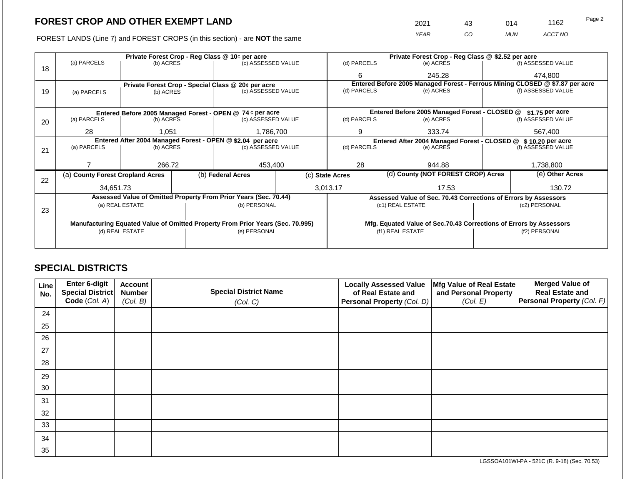FOREST LANDS (Line 7) and FOREST CROPS (in this section) - are **NOT** the same

| 2021 | 43 | 014        | 1162    | Page 2 |
|------|----|------------|---------|--------|
| YEAR | CO | <b>MUN</b> | ACCT NO |        |

|    | Private Forest Crop - Reg Class @ 10¢ per acre             |                                 |  |                                                                                |                                                               | Private Forest Crop - Reg Class @ \$2.52 per acre |                                                                              |                    |                    |  |
|----|------------------------------------------------------------|---------------------------------|--|--------------------------------------------------------------------------------|---------------------------------------------------------------|---------------------------------------------------|------------------------------------------------------------------------------|--------------------|--------------------|--|
|    | (a) PARCELS                                                | (b) ACRES                       |  | (c) ASSESSED VALUE                                                             |                                                               | (d) PARCELS                                       | (e) ACRES                                                                    |                    | (f) ASSESSED VALUE |  |
| 18 |                                                            |                                 |  |                                                                                |                                                               | 6                                                 | 245.28                                                                       |                    | 474,800            |  |
|    |                                                            |                                 |  | Private Forest Crop - Special Class @ 20¢ per acre                             |                                                               |                                                   | Entered Before 2005 Managed Forest - Ferrous Mining CLOSED @ \$7.87 per acre |                    |                    |  |
| 19 | (a) PARCELS                                                | (b) ACRES                       |  | (c) ASSESSED VALUE                                                             |                                                               | (d) PARCELS                                       | (e) ACRES                                                                    |                    | (f) ASSESSED VALUE |  |
|    |                                                            |                                 |  |                                                                                |                                                               |                                                   |                                                                              |                    |                    |  |
|    |                                                            |                                 |  | Entered Before 2005 Managed Forest - OPEN @ 74 ¢ per acre                      |                                                               |                                                   | Entered Before 2005 Managed Forest - CLOSED @                                |                    | \$1.75 per acre    |  |
| 20 | (a) PARCELS                                                | (b) ACRES                       |  | (c) ASSESSED VALUE                                                             |                                                               | (d) PARCELS                                       | (e) ACRES                                                                    |                    | (f) ASSESSED VALUE |  |
|    |                                                            |                                 |  |                                                                                |                                                               |                                                   |                                                                              |                    |                    |  |
|    | 28                                                         | 1,051                           |  | 1,786,700                                                                      |                                                               | 9                                                 | 333.74                                                                       |                    | 567,400            |  |
|    | Entered After 2004 Managed Forest - OPEN @ \$2.04 per acre |                                 |  |                                                                                | Entered After 2004 Managed Forest - CLOSED @ \$10.20 per acre |                                                   |                                                                              |                    |                    |  |
| 21 | (a) PARCELS                                                | (c) ASSESSED VALUE<br>(b) ACRES |  |                                                                                | (d) PARCELS                                                   | (e) ACRES                                         |                                                                              | (f) ASSESSED VALUE |                    |  |
|    |                                                            |                                 |  |                                                                                |                                                               |                                                   |                                                                              |                    |                    |  |
|    |                                                            | 266.72                          |  | 453,400                                                                        |                                                               | 28                                                | 944.88                                                                       |                    | 1,738,800          |  |
| 22 | (a) County Forest Cropland Acres                           |                                 |  | (b) Federal Acres                                                              |                                                               | (c) State Acres                                   | (d) County (NOT FOREST CROP) Acres                                           |                    | (e) Other Acres    |  |
|    | 34,651.73                                                  |                                 |  |                                                                                |                                                               | 3,013.17                                          | 17.53                                                                        |                    | 130.72             |  |
|    |                                                            |                                 |  | Assessed Value of Omitted Property From Prior Years (Sec. 70.44)               |                                                               |                                                   | Assessed Value of Sec. 70.43 Corrections of Errors by Assessors              |                    |                    |  |
|    |                                                            | (a) REAL ESTATE                 |  | (b) PERSONAL                                                                   |                                                               |                                                   | (c1) REAL ESTATE                                                             |                    | (c2) PERSONAL      |  |
| 23 |                                                            |                                 |  |                                                                                |                                                               |                                                   |                                                                              |                    |                    |  |
|    |                                                            |                                 |  | Manufacturing Equated Value of Omitted Property From Prior Years (Sec. 70.995) |                                                               |                                                   | Mfg. Equated Value of Sec.70.43 Corrections of Errors by Assessors           |                    |                    |  |
|    |                                                            | (d) REAL ESTATE                 |  | (e) PERSONAL                                                                   |                                                               |                                                   | (f1) REAL ESTATE                                                             |                    | (f2) PERSONAL      |  |
|    |                                                            |                                 |  |                                                                                |                                                               |                                                   |                                                                              |                    |                    |  |
|    |                                                            |                                 |  |                                                                                |                                                               |                                                   |                                                                              |                    |                    |  |

# **SPECIAL DISTRICTS**

| Line<br>No. | Enter 6-digit<br>Special District<br>Code (Col. A) | <b>Account</b><br><b>Number</b><br>(Col. B) | <b>Special District Name</b><br>(Col. C) | <b>Locally Assessed Value</b><br>of Real Estate and<br>Personal Property (Col. D) | Mfg Value of Real Estate<br>and Personal Property<br>(Col. E) | <b>Merged Value of</b><br><b>Real Estate and</b><br>Personal Property (Col. F) |
|-------------|----------------------------------------------------|---------------------------------------------|------------------------------------------|-----------------------------------------------------------------------------------|---------------------------------------------------------------|--------------------------------------------------------------------------------|
| 24          |                                                    |                                             |                                          |                                                                                   |                                                               |                                                                                |
| 25          |                                                    |                                             |                                          |                                                                                   |                                                               |                                                                                |
| 26          |                                                    |                                             |                                          |                                                                                   |                                                               |                                                                                |
| 27          |                                                    |                                             |                                          |                                                                                   |                                                               |                                                                                |
| 28          |                                                    |                                             |                                          |                                                                                   |                                                               |                                                                                |
| 29          |                                                    |                                             |                                          |                                                                                   |                                                               |                                                                                |
| 30          |                                                    |                                             |                                          |                                                                                   |                                                               |                                                                                |
| 31          |                                                    |                                             |                                          |                                                                                   |                                                               |                                                                                |
| 32          |                                                    |                                             |                                          |                                                                                   |                                                               |                                                                                |
| 33          |                                                    |                                             |                                          |                                                                                   |                                                               |                                                                                |
| 34          |                                                    |                                             |                                          |                                                                                   |                                                               |                                                                                |
| 35          |                                                    |                                             |                                          |                                                                                   |                                                               |                                                                                |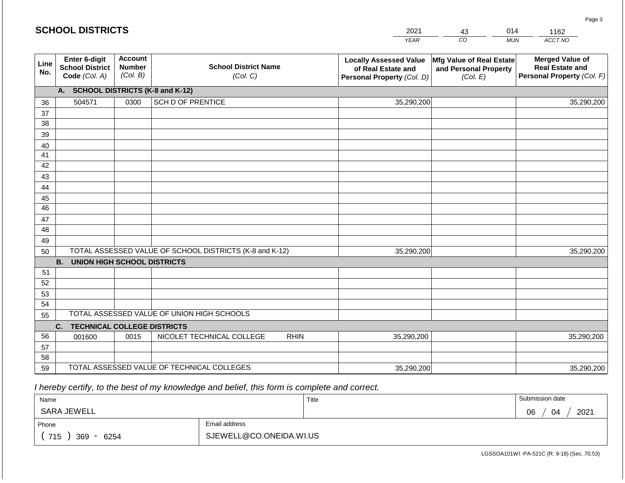|             |                                                          |                                             |                                                         |             | <b>YEAR</b>                                                                       | $\overline{co}$<br><b>MUN</b>                                 | ACCT NO                                                                        |
|-------------|----------------------------------------------------------|---------------------------------------------|---------------------------------------------------------|-------------|-----------------------------------------------------------------------------------|---------------------------------------------------------------|--------------------------------------------------------------------------------|
| Line<br>No. | Enter 6-digit<br><b>School District</b><br>Code (Col. A) | <b>Account</b><br><b>Number</b><br>(Col. B) | <b>School District Name</b><br>(Col. C)                 |             | <b>Locally Assessed Value</b><br>of Real Estate and<br>Personal Property (Col. D) | Mfg Value of Real Estate<br>and Personal Property<br>(Col. E) | <b>Merged Value of</b><br><b>Real Estate and</b><br>Personal Property (Col. F) |
|             | A. SCHOOL DISTRICTS (K-8 and K-12)                       |                                             |                                                         |             |                                                                                   |                                                               |                                                                                |
| 36          | 504571                                                   | 0300                                        | <b>SCH D OF PRENTICE</b>                                |             | 35,290,200                                                                        |                                                               | 35,290,200                                                                     |
| 37          |                                                          |                                             |                                                         |             |                                                                                   |                                                               |                                                                                |
| 38          |                                                          |                                             |                                                         |             |                                                                                   |                                                               |                                                                                |
| 39          |                                                          |                                             |                                                         |             |                                                                                   |                                                               |                                                                                |
| 40          |                                                          |                                             |                                                         |             |                                                                                   |                                                               |                                                                                |
| 41          |                                                          |                                             |                                                         |             |                                                                                   |                                                               |                                                                                |
| 42          |                                                          |                                             |                                                         |             |                                                                                   |                                                               |                                                                                |
| 43          |                                                          |                                             |                                                         |             |                                                                                   |                                                               |                                                                                |
| 44          |                                                          |                                             |                                                         |             |                                                                                   |                                                               |                                                                                |
| 45          |                                                          |                                             |                                                         |             |                                                                                   |                                                               |                                                                                |
| 46          |                                                          |                                             |                                                         |             |                                                                                   |                                                               |                                                                                |
| 47<br>48    |                                                          |                                             |                                                         |             |                                                                                   |                                                               |                                                                                |
|             |                                                          |                                             |                                                         |             |                                                                                   |                                                               |                                                                                |
| 49<br>50    |                                                          |                                             | TOTAL ASSESSED VALUE OF SCHOOL DISTRICTS (K-8 and K-12) |             | 35,290,200                                                                        |                                                               | 35,290,200                                                                     |
|             | <b>B.</b><br><b>UNION HIGH SCHOOL DISTRICTS</b>          |                                             |                                                         |             |                                                                                   |                                                               |                                                                                |
| 51          |                                                          |                                             |                                                         |             |                                                                                   |                                                               |                                                                                |
| 52          |                                                          |                                             |                                                         |             |                                                                                   |                                                               |                                                                                |
| 53          |                                                          |                                             |                                                         |             |                                                                                   |                                                               |                                                                                |
| 54          |                                                          |                                             |                                                         |             |                                                                                   |                                                               |                                                                                |
| 55          |                                                          |                                             | TOTAL ASSESSED VALUE OF UNION HIGH SCHOOLS              |             |                                                                                   |                                                               |                                                                                |
|             | C.<br><b>TECHNICAL COLLEGE DISTRICTS</b>                 |                                             |                                                         |             |                                                                                   |                                                               |                                                                                |
| 56          | 001600                                                   | 0015                                        | NICOLET TECHNICAL COLLEGE                               | <b>RHIN</b> | 35,290,200                                                                        |                                                               | 35,290,200                                                                     |
| 57          |                                                          |                                             |                                                         |             |                                                                                   |                                                               |                                                                                |
| 58          |                                                          |                                             |                                                         |             |                                                                                   |                                                               |                                                                                |
| 59          |                                                          |                                             | TOTAL ASSESSED VALUE OF TECHNICAL COLLEGES              |             | 35,290,200                                                                        |                                                               | 35,290,200                                                                     |

2021

43

014

1162

Page 3

 *I hereby certify, to the best of my knowledge and belief, this form is complete and correct.*

**SCHOOL DISTRICTS**

| Name               |                         | Title | Submission date  |
|--------------------|-------------------------|-------|------------------|
| SARA JEWELL        |                         |       | 2021<br>06<br>04 |
| Phone              | Email address           |       |                  |
| 715<br>6254<br>369 | SJEWELL@CO.ONEIDA.WI.US |       |                  |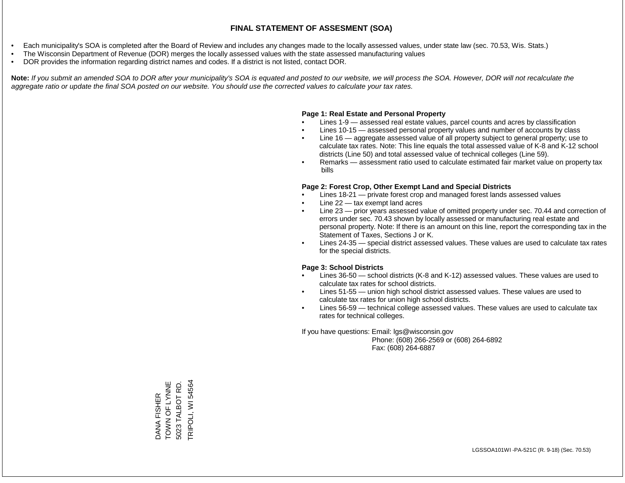- Each municipality's SOA is completed after the Board of Review and includes any changes made to the locally assessed values, under state law (sec. 70.53, Wis. Stats.)
- The Wisconsin Department of Revenue (DOR) merges the locally assessed values with the state assessed manufacturing values
- DOR provides the information regarding district names and codes. If a district is not listed, contact DOR.

Note: If you submit an amended SOA to DOR after your municipality's SOA is equated and posted to our website, we will process the SOA. However, DOR will not recalculate the *aggregate ratio or update the final SOA posted on our website. You should use the corrected values to calculate your tax rates.*

#### **Page 1: Real Estate and Personal Property**

- Lines 1-9 assessed real estate values, parcel counts and acres by classification
- Lines 10-15 assessed personal property values and number of accounts by class
- Line 16 aggregate assessed value of all property subject to general property; use to calculate tax rates. Note: This line equals the total assessed value of K-8 and K-12 school districts (Line 50) and total assessed value of technical colleges (Line 59).
- Remarks assessment ratio used to calculate estimated fair market value on property tax bills

#### **Page 2: Forest Crop, Other Exempt Land and Special Districts**

- Lines 18-21 private forest crop and managed forest lands assessed values
- Line  $22 -$  tax exempt land acres
- Line 23 prior years assessed value of omitted property under sec. 70.44 and correction of errors under sec. 70.43 shown by locally assessed or manufacturing real estate and personal property. Note: If there is an amount on this line, report the corresponding tax in the Statement of Taxes, Sections J or K.
- Lines 24-35 special district assessed values. These values are used to calculate tax rates for the special districts.

#### **Page 3: School Districts**

- Lines 36-50 school districts (K-8 and K-12) assessed values. These values are used to calculate tax rates for school districts.
- Lines 51-55 union high school district assessed values. These values are used to calculate tax rates for union high school districts.
- Lines 56-59 technical college assessed values. These values are used to calculate tax rates for technical colleges.

If you have questions: Email: lgs@wisconsin.gov

 Phone: (608) 266-2569 or (608) 264-6892 Fax: (608) 264-6887

DANA FISHER<br>TOWN OF LYNNE TOWN OF LYNNE 5023 TALBOT RD. TRIPOLI, WI 54564 TRIPOLI, WI 545645023 TALBOT RD.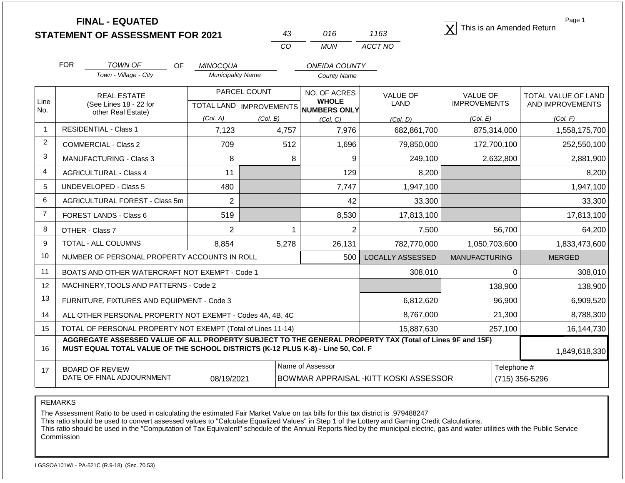| <b>FINAL - EQUATED</b>                  |  |      | This is an Amended Return |
|-----------------------------------------|--|------|---------------------------|
| <b>STATEMENT OF ASSESSMENT FOR 2021</b> |  | 1163 |                           |

| 43  | 016   | 1163    |
|-----|-------|---------|
| CO. | MI IN | ACCT NO |

Page 1

|                | <b>FOR</b>                                                                            | <b>TOWN OF</b><br><b>OF</b>                                                                                                                                                                  | <b>MINOCQUA</b>          |                           | <b>ONEIDA COUNTY</b>         |                                        |                                        |                                         |
|----------------|---------------------------------------------------------------------------------------|----------------------------------------------------------------------------------------------------------------------------------------------------------------------------------------------|--------------------------|---------------------------|------------------------------|----------------------------------------|----------------------------------------|-----------------------------------------|
|                |                                                                                       | Town - Village - City                                                                                                                                                                        | <b>Municipality Name</b> |                           | <b>County Name</b>           |                                        |                                        |                                         |
| Line           |                                                                                       | <b>REAL ESTATE</b>                                                                                                                                                                           |                          | PARCEL COUNT              | NO. OF ACRES<br><b>WHOLE</b> | VALUE OF<br>LAND                       | <b>VALUE OF</b><br><b>IMPROVEMENTS</b> | TOTAL VALUE OF LAND<br>AND IMPROVEMENTS |
| No.            |                                                                                       | (See Lines 18 - 22 for<br>other Real Estate)                                                                                                                                                 |                          | TOTAL LAND   IMPROVEMENTS | <b>NUMBERS ONLY</b>          |                                        |                                        |                                         |
|                |                                                                                       |                                                                                                                                                                                              | (Col. A)                 | (Col. B)                  | (Col, C)                     | (Col, D)                               | (Col. E)                               | (Col. F)                                |
| 1              |                                                                                       | <b>RESIDENTIAL - Class 1</b>                                                                                                                                                                 | 7,123                    | 4,757                     | 7,976                        | 682,861,700                            | 875,314,000                            | 1,558,175,700                           |
| $\overline{2}$ |                                                                                       | <b>COMMERCIAL - Class 2</b>                                                                                                                                                                  | 709                      | 512                       | 1,696                        | 79,850,000                             | 172,700,100                            | 252,550,100                             |
| 3              |                                                                                       | <b>MANUFACTURING - Class 3</b>                                                                                                                                                               | 8                        | 8                         | 9                            | 249,100                                | 2,632,800                              | 2,881,900                               |
| $\overline{4}$ |                                                                                       | <b>AGRICULTURAL - Class 4</b>                                                                                                                                                                | 11                       |                           | 129                          | 8,200                                  |                                        | 8,200                                   |
| 5              |                                                                                       | <b>UNDEVELOPED - Class 5</b>                                                                                                                                                                 | 480                      |                           | 7,747                        | 1,947,100                              |                                        | 1,947,100                               |
| 6              |                                                                                       | AGRICULTURAL FOREST - Class 5m                                                                                                                                                               | $\overline{2}$           |                           | 42                           | 33,300                                 |                                        | 33,300                                  |
| $\overline{7}$ |                                                                                       | FOREST LANDS - Class 6                                                                                                                                                                       | 519                      |                           | 8,530                        | 17,813,100                             |                                        | 17,813,100                              |
| 8              |                                                                                       | OTHER - Class 7                                                                                                                                                                              | $\overline{2}$           |                           | $\overline{2}$               | 7,500                                  | 56,700                                 | 64,200                                  |
| 9              |                                                                                       | TOTAL - ALL COLUMNS                                                                                                                                                                          | 8,854                    | 5,278                     | 26,131                       | 782,770,000                            | 1,050,703,600                          | 1,833,473,600                           |
| 10             |                                                                                       | NUMBER OF PERSONAL PROPERTY ACCOUNTS IN ROLL                                                                                                                                                 |                          |                           | 500                          | <b>LOCALLY ASSESSED</b>                | <b>MANUFACTURING</b>                   | <b>MERGED</b>                           |
| 11             |                                                                                       | BOATS AND OTHER WATERCRAFT NOT EXEMPT - Code 1                                                                                                                                               |                          |                           |                              | 308,010                                | 0                                      | 308,010                                 |
| 12             |                                                                                       | MACHINERY, TOOLS AND PATTERNS - Code 2                                                                                                                                                       |                          |                           |                              |                                        | 138,900                                | 138,900                                 |
| 13             |                                                                                       | FURNITURE, FIXTURES AND EQUIPMENT - Code 3                                                                                                                                                   |                          |                           |                              | 6,812,620                              | 96,900                                 | 6,909,520                               |
| 14             |                                                                                       | ALL OTHER PERSONAL PROPERTY NOT EXEMPT - Codes 4A, 4B, 4C                                                                                                                                    |                          |                           |                              | 8,767,000                              | 21,300                                 | 8,788,300                               |
| 15             | TOTAL OF PERSONAL PROPERTY NOT EXEMPT (Total of Lines 11-14)<br>15,887,630<br>257,100 |                                                                                                                                                                                              |                          |                           |                              |                                        | 16,144,730                             |                                         |
| 16             |                                                                                       | AGGREGATE ASSESSED VALUE OF ALL PROPERTY SUBJECT TO THE GENERAL PROPERTY TAX (Total of Lines 9F and 15F)<br>MUST EQUAL TOTAL VALUE OF THE SCHOOL DISTRICTS (K-12 PLUS K-8) - Line 50, Col. F |                          |                           |                              |                                        |                                        | 1,849,618,330                           |
| 17             |                                                                                       | <b>BOARD OF REVIEW</b>                                                                                                                                                                       |                          |                           | Name of Assessor             |                                        | Telephone #                            |                                         |
|                |                                                                                       | DATE OF FINAL ADJOURNMENT                                                                                                                                                                    | 08/19/2021               |                           |                              | BOWMAR APPRAISAL - KITT KOSKI ASSESSOR |                                        | (715) 356-5296                          |

REMARKS

The Assessment Ratio to be used in calculating the estimated Fair Market Value on tax bills for this tax district is .979488247

This ratio should be used to convert assessed values to "Calculate Equalized Values" in Step 1 of the Lottery and Gaming Credit Calculations.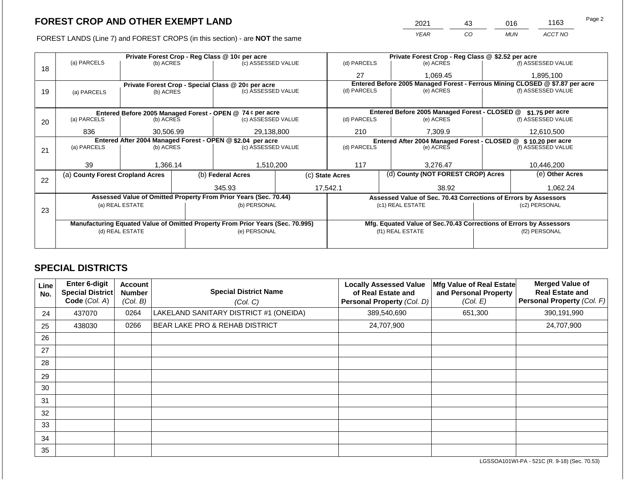FOREST LANDS (Line 7) and FOREST CROPS (in this section) - are **NOT** the same

| 2021 | 43 | 016        | 1163    | Page 2 |
|------|----|------------|---------|--------|
| YEAR | CO | <b>MUN</b> | ACCT NO |        |

|    |                                                            |                                 |  | Private Forest Crop - Reg Class @ 10¢ per acre                                 |             |                                                                              | Private Forest Crop - Reg Class @ \$2.52 per acre                  |                    |                    |  |
|----|------------------------------------------------------------|---------------------------------|--|--------------------------------------------------------------------------------|-------------|------------------------------------------------------------------------------|--------------------------------------------------------------------|--------------------|--------------------|--|
|    | (a) PARCELS                                                | (b) ACRES                       |  | (c) ASSESSED VALUE                                                             |             | (d) PARCELS                                                                  | (e) ACRES                                                          |                    | (f) ASSESSED VALUE |  |
| 18 |                                                            |                                 |  |                                                                                |             | 27                                                                           | 1,069.45                                                           |                    | 1,895,100          |  |
|    |                                                            |                                 |  | Private Forest Crop - Special Class @ 20¢ per acre                             |             | Entered Before 2005 Managed Forest - Ferrous Mining CLOSED @ \$7.87 per acre |                                                                    |                    |                    |  |
| 19 | (a) PARCELS                                                | (b) ACRES                       |  | (c) ASSESSED VALUE                                                             |             | (d) PARCELS                                                                  | (e) ACRES                                                          |                    | (f) ASSESSED VALUE |  |
|    |                                                            |                                 |  |                                                                                |             |                                                                              |                                                                    |                    |                    |  |
|    |                                                            |                                 |  | Entered Before 2005 Managed Forest - OPEN @ 74 ¢ per acre                      |             |                                                                              | Entered Before 2005 Managed Forest - CLOSED @<br>\$1.75 per acre   |                    |                    |  |
| 20 | (a) PARCELS                                                | (b) ACRES                       |  | (c) ASSESSED VALUE                                                             |             | (d) PARCELS                                                                  | (e) ACRES                                                          |                    | (f) ASSESSED VALUE |  |
|    |                                                            |                                 |  |                                                                                |             |                                                                              |                                                                    |                    |                    |  |
|    |                                                            | 29,138,800<br>836<br>30,506.99  |  | 210                                                                            | 7.309.9     |                                                                              | 12,610,500                                                         |                    |                    |  |
|    | Entered After 2004 Managed Forest - OPEN @ \$2.04 per acre |                                 |  |                                                                                |             | Entered After 2004 Managed Forest - CLOSED @ \$10.20 per acre                |                                                                    |                    |                    |  |
| 21 | (a) PARCELS                                                | (c) ASSESSED VALUE<br>(b) ACRES |  |                                                                                | (d) PARCELS | (e) ACRES                                                                    |                                                                    | (f) ASSESSED VALUE |                    |  |
|    |                                                            |                                 |  |                                                                                |             |                                                                              |                                                                    |                    |                    |  |
|    | 39                                                         | 1,366.14                        |  | 1,510,200                                                                      |             | 117                                                                          | 3,276.47                                                           |                    |                    |  |
| 22 | (a) County Forest Cropland Acres                           |                                 |  | (b) Federal Acres                                                              |             | (c) State Acres                                                              | (d) County (NOT FOREST CROP) Acres                                 |                    | (e) Other Acres    |  |
|    |                                                            |                                 |  | 345.93                                                                         |             | 17,542.1                                                                     | 38.92                                                              |                    | 1,062.24           |  |
|    |                                                            |                                 |  |                                                                                |             |                                                                              |                                                                    |                    |                    |  |
|    |                                                            |                                 |  | Assessed Value of Omitted Property From Prior Years (Sec. 70.44)               |             |                                                                              | Assessed Value of Sec. 70.43 Corrections of Errors by Assessors    |                    |                    |  |
| 23 |                                                            | (a) REAL ESTATE                 |  | (b) PERSONAL                                                                   |             |                                                                              | (c1) REAL ESTATE                                                   |                    | (c2) PERSONAL      |  |
|    |                                                            |                                 |  |                                                                                |             |                                                                              |                                                                    |                    |                    |  |
|    |                                                            |                                 |  | Manufacturing Equated Value of Omitted Property From Prior Years (Sec. 70.995) |             |                                                                              | Mfg. Equated Value of Sec.70.43 Corrections of Errors by Assessors |                    |                    |  |
|    |                                                            | (d) REAL ESTATE                 |  | (e) PERSONAL                                                                   |             |                                                                              | (f1) REAL ESTATE                                                   |                    | (f2) PERSONAL      |  |
|    |                                                            |                                 |  |                                                                                |             |                                                                              |                                                                    |                    |                    |  |
|    |                                                            |                                 |  |                                                                                |             |                                                                              |                                                                    |                    |                    |  |

# **SPECIAL DISTRICTS**

| Line<br>No. | <b>Enter 6-digit</b><br>Special District<br>Code (Col. A) | <b>Account</b><br><b>Number</b><br>(Col. B) | <b>Special District Name</b><br>(Col. C)  | <b>Locally Assessed Value</b><br>of Real Estate and<br>Personal Property (Col. D) | Mfg Value of Real Estate<br>and Personal Property<br>(Col. E) | <b>Merged Value of</b><br><b>Real Estate and</b><br>Personal Property (Col. F) |
|-------------|-----------------------------------------------------------|---------------------------------------------|-------------------------------------------|-----------------------------------------------------------------------------------|---------------------------------------------------------------|--------------------------------------------------------------------------------|
| 24          | 437070                                                    | 0264                                        | LAKELAND SANITARY DISTRICT #1 (ONEIDA)    | 389,540,690                                                                       | 651,300                                                       | 390,191,990                                                                    |
| 25          | 438030                                                    | 0266                                        | <b>BEAR LAKE PRO &amp; REHAB DISTRICT</b> | 24,707,900                                                                        |                                                               | 24,707,900                                                                     |
| 26          |                                                           |                                             |                                           |                                                                                   |                                                               |                                                                                |
| 27          |                                                           |                                             |                                           |                                                                                   |                                                               |                                                                                |
| 28          |                                                           |                                             |                                           |                                                                                   |                                                               |                                                                                |
| 29          |                                                           |                                             |                                           |                                                                                   |                                                               |                                                                                |
| 30          |                                                           |                                             |                                           |                                                                                   |                                                               |                                                                                |
| 31          |                                                           |                                             |                                           |                                                                                   |                                                               |                                                                                |
| 32          |                                                           |                                             |                                           |                                                                                   |                                                               |                                                                                |
| 33          |                                                           |                                             |                                           |                                                                                   |                                                               |                                                                                |
| 34          |                                                           |                                             |                                           |                                                                                   |                                                               |                                                                                |
| 35          |                                                           |                                             |                                           |                                                                                   |                                                               |                                                                                |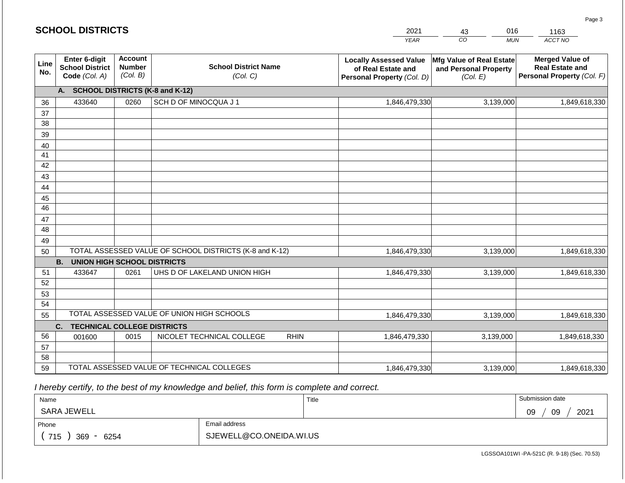#### *YEAR*  2021  $\overline{co}$ 43 *MUN*  016 *ACCT NO*  1163 **SCHOOL DISTRICTS Line No. Enter 6-digit School District Code** *(Col. A)* **Account Number** *(Col. B)* **School District Name** *(Col. C)* **Locally Assessed Value of Real Estate and Personal Property** *(Col. D)* **Mfg Value of Real Estate and Personal Property** *(Col. E)* **Merged Value of Real Estate and Personal Property** *(Col. F)* **A. SCHOOL DISTRICTS (K-8 and K-12)** 36 37 38 39 40 41 42 43 44 45 46 47 48 49 50 TOTAL ASSESSED VALUE OF SCHOOL DISTRICTS (K-8 and K-12) **B. UNION HIGH SCHOOL DISTRICTS** 51 52 53 54 55 **C. TECHNICAL COLLEGE DISTRICTS** 56 57 58 59 TOTAL ASSESSED VALUE OF TECHNICAL COLLEGES TOTAL ASSESSED VALUE OF UNION HIGH SCHOOLS 433640 0260 SCH D OF MINOCQUA J 1 1,846,479,330 1,846,479,330 433647 0261 UHS D OF LAKELAND UNION HIGH 1,846,479,330 001600 | 0015 | NICOLET TECHNICAL COLLEGE RHIN 1,846,479,330 1,846,479,330 3,139,000 1,849,618,330 3,139,000 1,849,618,330 3,139,000 1,849,618,330 3,139,000 1,849,618,330 3,139,000 1,849,618,330 1,846,479,330 3,139,000 1,849,618,330

 *I hereby certify, to the best of my knowledge and belief, this form is complete and correct.*

| Name                         |                         | Title | Submission date  |
|------------------------------|-------------------------|-------|------------------|
| SARA JEWELL                  |                         |       | 2021<br>09<br>09 |
| Phone                        | Email address           |       |                  |
| 715<br>369<br>6254<br>$\sim$ | SJEWELL@CO.ONEIDA.WI.US |       |                  |

Page 3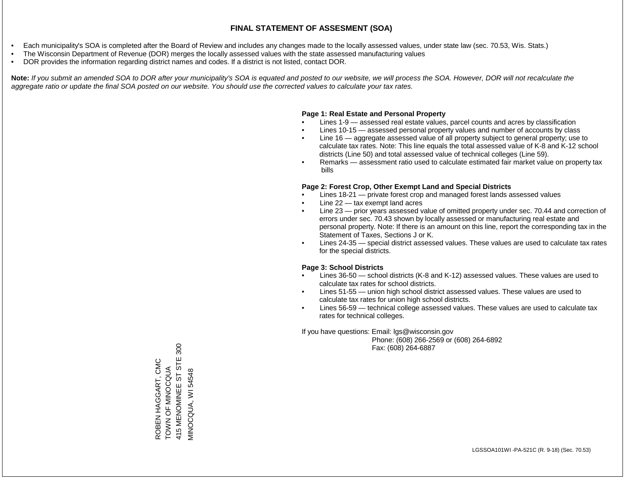- Each municipality's SOA is completed after the Board of Review and includes any changes made to the locally assessed values, under state law (sec. 70.53, Wis. Stats.)
- The Wisconsin Department of Revenue (DOR) merges the locally assessed values with the state assessed manufacturing values
- DOR provides the information regarding district names and codes. If a district is not listed, contact DOR.

Note: If you submit an amended SOA to DOR after your municipality's SOA is equated and posted to our website, we will process the SOA. However, DOR will not recalculate the *aggregate ratio or update the final SOA posted on our website. You should use the corrected values to calculate your tax rates.*

#### **Page 1: Real Estate and Personal Property**

- Lines 1-9 assessed real estate values, parcel counts and acres by classification
- Lines 10-15 assessed personal property values and number of accounts by class
- Line 16 aggregate assessed value of all property subject to general property; use to calculate tax rates. Note: This line equals the total assessed value of K-8 and K-12 school districts (Line 50) and total assessed value of technical colleges (Line 59).
- Remarks assessment ratio used to calculate estimated fair market value on property tax bills

#### **Page 2: Forest Crop, Other Exempt Land and Special Districts**

- Lines 18-21 private forest crop and managed forest lands assessed values
- Line  $22 -$  tax exempt land acres
- Line 23 prior years assessed value of omitted property under sec. 70.44 and correction of errors under sec. 70.43 shown by locally assessed or manufacturing real estate and personal property. Note: If there is an amount on this line, report the corresponding tax in the Statement of Taxes, Sections J or K.
- Lines 24-35 special district assessed values. These values are used to calculate tax rates for the special districts.

#### **Page 3: School Districts**

- Lines 36-50 school districts (K-8 and K-12) assessed values. These values are used to calculate tax rates for school districts.
- Lines 51-55 union high school district assessed values. These values are used to calculate tax rates for union high school districts.
- Lines 56-59 technical college assessed values. These values are used to calculate tax rates for technical colleges.

If you have questions: Email: lgs@wisconsin.gov

 Phone: (608) 266-2569 or (608) 264-6892 Fax: (608) 264-6887

 $300$ 415 MENOMINEE ST STE 300 STE ROBEN HAGGART, CMC ROBEN HAGGART, CMC TOWN OF MINOCQUA TOWN OF MINOR VIINOCQUA, WI 54548 MINOCQUA, WI 54548415 MENOMINEE ST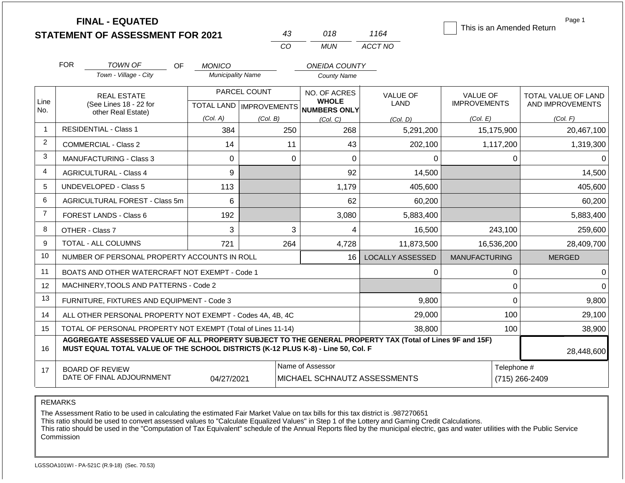|                |                                                                                                                                                                                                            | <b>FINAL - EQUATED</b><br><b>STATEMENT OF ASSESSMENT FOR 2021</b> |     |                                                  |          | 43          | 018                                              | 1164                           |                                        |                  | Page 1<br>This is an Amended Return     |
|----------------|------------------------------------------------------------------------------------------------------------------------------------------------------------------------------------------------------------|-------------------------------------------------------------------|-----|--------------------------------------------------|----------|-------------|--------------------------------------------------|--------------------------------|----------------------------------------|------------------|-----------------------------------------|
|                |                                                                                                                                                                                                            |                                                                   |     |                                                  |          | CO          | <b>MUN</b>                                       | ACCT NO                        |                                        |                  |                                         |
|                | <b>FOR</b>                                                                                                                                                                                                 | <b>TOWN OF</b>                                                    | OF  | <b>MONICO</b>                                    |          |             | <b>ONEIDA COUNTY</b>                             |                                |                                        |                  |                                         |
|                |                                                                                                                                                                                                            | Town - Village - City                                             |     | <b>Municipality Name</b>                         |          |             | <b>County Name</b>                               |                                |                                        |                  |                                         |
| Line<br>No.    |                                                                                                                                                                                                            | <b>REAL ESTATE</b><br>(See Lines 18 - 22 for                      |     | PARCEL COUNT<br><b>TOTAL LAND   IMPROVEMENTS</b> |          |             | NO. OF ACRES<br><b>WHOLE</b><br>NUMBERS ONLY     | <b>VALUE OF</b><br><b>LAND</b> | <b>VALUE OF</b><br><b>IMPROVEMENTS</b> |                  | TOTAL VALUE OF LAND<br>AND IMPROVEMENTS |
|                |                                                                                                                                                                                                            | other Real Estate)                                                |     | (Col. A)                                         | (Col. B) |             | (Col, C)                                         | (Col. D)                       | (Col. E)                               |                  | (Col. F)                                |
| $\mathbf{1}$   | <b>RESIDENTIAL - Class 1</b>                                                                                                                                                                               |                                                                   |     | 384                                              |          | 250         | 268                                              | 5,291,200                      |                                        | 15,175,900       | 20,467,100                              |
| $\overline{2}$ |                                                                                                                                                                                                            | <b>COMMERCIAL - Class 2</b>                                       |     | 14                                               |          | 11          | 43                                               | 202,100                        |                                        | 1,117,200        | 1,319,300                               |
| 3              |                                                                                                                                                                                                            | <b>MANUFACTURING - Class 3</b>                                    |     | 0                                                |          | $\mathbf 0$ | $\mathbf 0$                                      | 0                              |                                        | 0                | 0                                       |
| 4              | <b>AGRICULTURAL - Class 4</b>                                                                                                                                                                              |                                                                   |     | 9                                                |          |             | 92                                               | 14,500                         |                                        |                  | 14,500                                  |
| 5              | <b>UNDEVELOPED - Class 5</b>                                                                                                                                                                               |                                                                   | 113 |                                                  |          | 1,179       | 405,600                                          |                                |                                        | 405,600          |                                         |
| 6              | AGRICULTURAL FOREST - Class 5m                                                                                                                                                                             |                                                                   | 6   |                                                  |          | 62          | 60,200                                           |                                |                                        | 60,200           |                                         |
| $\overline{7}$ |                                                                                                                                                                                                            | <b>FOREST LANDS - Class 6</b>                                     |     | 192                                              |          |             | 3,080                                            | 5,883,400                      |                                        |                  | 5,883,400                               |
| 8              | OTHER - Class 7                                                                                                                                                                                            |                                                                   |     | 3                                                |          | 3           | 4                                                | 16,500                         |                                        | 243,100          | 259,600                                 |
| 9              |                                                                                                                                                                                                            | <b>TOTAL - ALL COLUMNS</b>                                        |     | 721                                              |          | 264         | 4,728                                            | 11,873,500                     |                                        | 16,536,200       | 28,409,700                              |
| 10             |                                                                                                                                                                                                            | NUMBER OF PERSONAL PROPERTY ACCOUNTS IN ROLL                      |     |                                                  |          |             | 16                                               | <b>LOCALLY ASSESSED</b>        | <b>MANUFACTURING</b>                   |                  | <b>MERGED</b>                           |
| 11             |                                                                                                                                                                                                            | BOATS AND OTHER WATERCRAFT NOT EXEMPT - Code 1                    |     |                                                  |          |             |                                                  | 0                              |                                        | $\boldsymbol{0}$ | 0                                       |
| 12             | MACHINERY, TOOLS AND PATTERNS - Code 2                                                                                                                                                                     |                                                                   |     |                                                  |          |             |                                                  |                                |                                        | $\mathbf 0$      | $\Omega$                                |
| 13             | FURNITURE, FIXTURES AND EQUIPMENT - Code 3                                                                                                                                                                 |                                                                   |     |                                                  |          |             |                                                  | 9,800                          |                                        | $\mathbf 0$      | 9,800                                   |
| 14             | ALL OTHER PERSONAL PROPERTY NOT EXEMPT - Codes 4A, 4B, 4C                                                                                                                                                  |                                                                   |     |                                                  |          |             |                                                  | 29,000                         |                                        | 100              | 29,100                                  |
| 15             | TOTAL OF PERSONAL PROPERTY NOT EXEMPT (Total of Lines 11-14)                                                                                                                                               |                                                                   |     |                                                  |          |             | 38,800                                           |                                |                                        | 100              | 38,900                                  |
| 16             | AGGREGATE ASSESSED VALUE OF ALL PROPERTY SUBJECT TO THE GENERAL PROPERTY TAX (Total of Lines 9F and 15F)<br>MUST EQUAL TOTAL VALUE OF THE SCHOOL DISTRICTS (K-12 PLUS K-8) - Line 50, Col. F<br>28,448,600 |                                                                   |     |                                                  |          |             |                                                  |                                |                                        |                  |                                         |
| 17             | <b>BOARD OF REVIEW</b><br>DATE OF FINAL ADJOURNMENT<br>04/27/2021                                                                                                                                          |                                                                   |     |                                                  |          |             | Name of Assessor<br>MICHAEL SCHNAUTZ ASSESSMENTS | Telephone #<br>(715) 266-2409  |                                        |                  |                                         |

REMARKS

The Assessment Ratio to be used in calculating the estimated Fair Market Value on tax bills for this tax district is .987270651

This ratio should be used to convert assessed values to "Calculate Equalized Values" in Step 1 of the Lottery and Gaming Credit Calculations.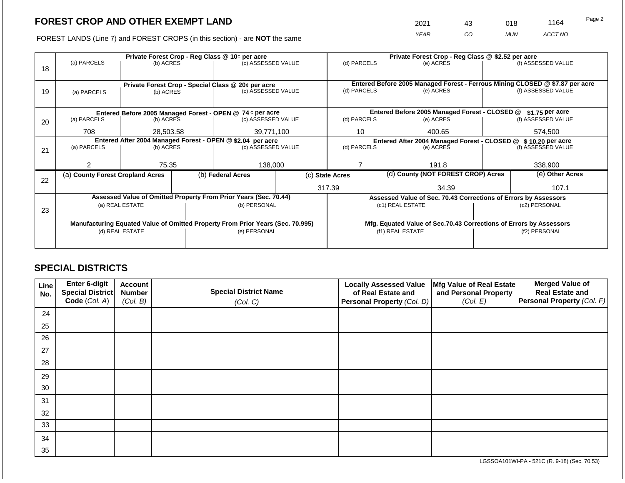2021 43 018 1164

FOREST LANDS (Line 7) and FOREST CROPS (in this section) - are **NOT** the same *YEAR CO MUN ACCT NO*

|    | Private Forest Crop - Reg Class @ 10¢ per acre                                 |                 |                                                            |                                                                                |                                                                                             |                                                                    | Private Forest Crop - Reg Class @ \$2.52 per acre |                                               |               |                    |  |
|----|--------------------------------------------------------------------------------|-----------------|------------------------------------------------------------|--------------------------------------------------------------------------------|---------------------------------------------------------------------------------------------|--------------------------------------------------------------------|---------------------------------------------------|-----------------------------------------------|---------------|--------------------|--|
|    | (a) PARCELS<br>(b) ACRES                                                       |                 |                                                            | (c) ASSESSED VALUE                                                             |                                                                                             | (d) PARCELS                                                        |                                                   | (e) ACRES                                     |               | (f) ASSESSED VALUE |  |
| 18 |                                                                                |                 |                                                            |                                                                                |                                                                                             |                                                                    |                                                   |                                               |               |                    |  |
|    |                                                                                |                 |                                                            |                                                                                |                                                                                             |                                                                    |                                                   |                                               |               |                    |  |
|    | Private Forest Crop - Special Class @ 20¢ per acre<br>(b) ACRES<br>(a) PARCELS |                 |                                                            |                                                                                | Entered Before 2005 Managed Forest - Ferrous Mining CLOSED @ \$7.87 per acre<br>(d) PARCELS |                                                                    |                                                   |                                               |               |                    |  |
| 19 |                                                                                |                 | (c) ASSESSED VALUE                                         |                                                                                |                                                                                             | (e) ACRES                                                          |                                                   | (f) ASSESSED VALUE                            |               |                    |  |
|    |                                                                                |                 |                                                            |                                                                                |                                                                                             |                                                                    |                                                   |                                               |               |                    |  |
|    |                                                                                |                 |                                                            | Entered Before 2005 Managed Forest - OPEN @ 74 ¢ per acre                      |                                                                                             |                                                                    |                                                   | Entered Before 2005 Managed Forest - CLOSED @ |               | \$1.75 per acre    |  |
| 20 | (a) PARCELS                                                                    | (b) ACRES       |                                                            | (c) ASSESSED VALUE                                                             |                                                                                             | (d) PARCELS                                                        |                                                   | (e) ACRES                                     |               | (f) ASSESSED VALUE |  |
|    |                                                                                |                 |                                                            |                                                                                |                                                                                             |                                                                    |                                                   |                                               |               |                    |  |
|    | 708                                                                            | 28,503.58       |                                                            | 39,771,100                                                                     |                                                                                             | 10                                                                 |                                                   | 400.65                                        |               | 574,500            |  |
|    |                                                                                |                 | Entered After 2004 Managed Forest - OPEN @ \$2.04 per acre |                                                                                | Entered After 2004 Managed Forest - CLOSED @ \$10.20 per acre                               |                                                                    |                                                   |                                               |               |                    |  |
| 21 | (a) PARCELS                                                                    | (b) ACRES       |                                                            | (c) ASSESSED VALUE                                                             |                                                                                             | (d) PARCELS<br>(e) ACRES                                           |                                                   |                                               |               | (f) ASSESSED VALUE |  |
|    |                                                                                |                 |                                                            |                                                                                |                                                                                             |                                                                    |                                                   |                                               |               |                    |  |
|    | 2                                                                              | 75.35           |                                                            | 138,000                                                                        |                                                                                             |                                                                    |                                                   | 191.8                                         |               | 338,900            |  |
|    | (a) County Forest Cropland Acres                                               |                 |                                                            | (b) Federal Acres                                                              | (d) County (NOT FOREST CROP) Acres<br>(c) State Acres                                       |                                                                    | (e) Other Acres                                   |                                               |               |                    |  |
| 22 |                                                                                |                 |                                                            |                                                                                |                                                                                             |                                                                    |                                                   |                                               |               |                    |  |
|    |                                                                                |                 |                                                            |                                                                                |                                                                                             | 317.39<br>34.39                                                    |                                                   | 107.1                                         |               |                    |  |
|    |                                                                                |                 |                                                            | Assessed Value of Omitted Property From Prior Years (Sec. 70.44)               | Assessed Value of Sec. 70.43 Corrections of Errors by Assessors                             |                                                                    |                                                   |                                               |               |                    |  |
|    |                                                                                | (a) REAL ESTATE |                                                            | (b) PERSONAL                                                                   |                                                                                             | (c1) REAL ESTATE                                                   |                                                   |                                               | (c2) PERSONAL |                    |  |
| 23 |                                                                                |                 |                                                            |                                                                                |                                                                                             |                                                                    |                                                   |                                               |               |                    |  |
|    |                                                                                |                 |                                                            | Manufacturing Equated Value of Omitted Property From Prior Years (Sec. 70.995) |                                                                                             | Mfg. Equated Value of Sec.70.43 Corrections of Errors by Assessors |                                                   |                                               |               |                    |  |
|    | (d) REAL ESTATE                                                                |                 |                                                            | (e) PERSONAL                                                                   | (f1) REAL ESTATE                                                                            |                                                                    |                                                   | (f2) PERSONAL                                 |               |                    |  |
|    |                                                                                |                 |                                                            |                                                                                |                                                                                             |                                                                    |                                                   |                                               |               |                    |  |
|    |                                                                                |                 |                                                            |                                                                                |                                                                                             |                                                                    |                                                   |                                               |               |                    |  |

# **SPECIAL DISTRICTS**

| Line<br>No. | Enter 6-digit<br>Special District<br>Code (Col. A) | <b>Account</b><br><b>Number</b><br>(Col. B) | <b>Special District Name</b><br>(Col. C) | <b>Locally Assessed Value</b><br>of Real Estate and<br><b>Personal Property (Col. D)</b> | Mfg Value of Real Estate<br>and Personal Property<br>(Col. E) | <b>Merged Value of</b><br><b>Real Estate and</b><br>Personal Property (Col. F) |
|-------------|----------------------------------------------------|---------------------------------------------|------------------------------------------|------------------------------------------------------------------------------------------|---------------------------------------------------------------|--------------------------------------------------------------------------------|
| 24          |                                                    |                                             |                                          |                                                                                          |                                                               |                                                                                |
| 25          |                                                    |                                             |                                          |                                                                                          |                                                               |                                                                                |
| 26          |                                                    |                                             |                                          |                                                                                          |                                                               |                                                                                |
| 27          |                                                    |                                             |                                          |                                                                                          |                                                               |                                                                                |
| 28          |                                                    |                                             |                                          |                                                                                          |                                                               |                                                                                |
| 29          |                                                    |                                             |                                          |                                                                                          |                                                               |                                                                                |
| 30          |                                                    |                                             |                                          |                                                                                          |                                                               |                                                                                |
| 31          |                                                    |                                             |                                          |                                                                                          |                                                               |                                                                                |
| 32          |                                                    |                                             |                                          |                                                                                          |                                                               |                                                                                |
| 33          |                                                    |                                             |                                          |                                                                                          |                                                               |                                                                                |
| 34          |                                                    |                                             |                                          |                                                                                          |                                                               |                                                                                |
| 35          |                                                    |                                             |                                          |                                                                                          |                                                               |                                                                                |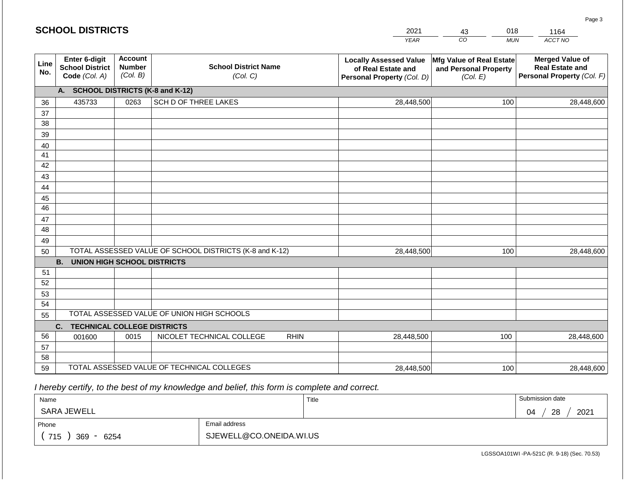|             | <b>SCHOOL DISTRICTS</b>                                         |                                             |                                                         | 2021        | 018<br>43                                                                         | 1164                                                          |                                                                                |
|-------------|-----------------------------------------------------------------|---------------------------------------------|---------------------------------------------------------|-------------|-----------------------------------------------------------------------------------|---------------------------------------------------------------|--------------------------------------------------------------------------------|
|             |                                                                 |                                             |                                                         |             | <b>YEAR</b>                                                                       | CO<br><b>MUN</b>                                              | ACCT NO                                                                        |
| Line<br>No. | <b>Enter 6-digit</b><br><b>School District</b><br>Code (Col. A) | <b>Account</b><br><b>Number</b><br>(Col. B) | <b>School District Name</b><br>(Col. C)                 |             | <b>Locally Assessed Value</b><br>of Real Estate and<br>Personal Property (Col. D) | Mfg Value of Real Estate<br>and Personal Property<br>(Col. E) | <b>Merged Value of</b><br><b>Real Estate and</b><br>Personal Property (Col. F) |
|             | A. SCHOOL DISTRICTS (K-8 and K-12)                              |                                             |                                                         |             |                                                                                   |                                                               |                                                                                |
| 36          | 435733                                                          | 0263                                        | SCH D OF THREE LAKES                                    |             | 28,448,500                                                                        | 100                                                           | 28,448,600                                                                     |
| 37          |                                                                 |                                             |                                                         |             |                                                                                   |                                                               |                                                                                |
| 38          |                                                                 |                                             |                                                         |             |                                                                                   |                                                               |                                                                                |
| 39          |                                                                 |                                             |                                                         |             |                                                                                   |                                                               |                                                                                |
| 40<br>41    |                                                                 |                                             |                                                         |             |                                                                                   |                                                               |                                                                                |
| 42          |                                                                 |                                             |                                                         |             |                                                                                   |                                                               |                                                                                |
| 43          |                                                                 |                                             |                                                         |             |                                                                                   |                                                               |                                                                                |
| 44          |                                                                 |                                             |                                                         |             |                                                                                   |                                                               |                                                                                |
| 45          |                                                                 |                                             |                                                         |             |                                                                                   |                                                               |                                                                                |
| 46          |                                                                 |                                             |                                                         |             |                                                                                   |                                                               |                                                                                |
| 47          |                                                                 |                                             |                                                         |             |                                                                                   |                                                               |                                                                                |
| 48          |                                                                 |                                             |                                                         |             |                                                                                   |                                                               |                                                                                |
| 49          |                                                                 |                                             |                                                         |             |                                                                                   |                                                               |                                                                                |
| 50          |                                                                 |                                             | TOTAL ASSESSED VALUE OF SCHOOL DISTRICTS (K-8 and K-12) | 28,448,500  | 100                                                                               | 28,448,600                                                    |                                                                                |
| 51          | <b>B. UNION HIGH SCHOOL DISTRICTS</b>                           |                                             |                                                         |             |                                                                                   |                                                               |                                                                                |
| 52          |                                                                 |                                             |                                                         |             |                                                                                   |                                                               |                                                                                |
| 53          |                                                                 |                                             |                                                         |             |                                                                                   |                                                               |                                                                                |
| 54          |                                                                 |                                             |                                                         |             |                                                                                   |                                                               |                                                                                |
| 55          |                                                                 |                                             | TOTAL ASSESSED VALUE OF UNION HIGH SCHOOLS              |             |                                                                                   |                                                               |                                                                                |
|             | C.<br><b>TECHNICAL COLLEGE DISTRICTS</b>                        |                                             |                                                         |             |                                                                                   |                                                               |                                                                                |
| 56          | 001600                                                          | 0015                                        | NICOLET TECHNICAL COLLEGE                               | <b>RHIN</b> | 28,448,500                                                                        | 100                                                           | 28,448,600                                                                     |
| 57          |                                                                 |                                             |                                                         |             |                                                                                   |                                                               |                                                                                |
| 58          |                                                                 |                                             |                                                         |             |                                                                                   |                                                               |                                                                                |
| 59          |                                                                 |                                             | TOTAL ASSESSED VALUE OF TECHNICAL COLLEGES              |             | 28,448,500                                                                        | 100                                                           | 28,448,600                                                                     |

 *I hereby certify, to the best of my knowledge and belief, this form is complete and correct.*

| Name               |                         | Title | Submission date  |
|--------------------|-------------------------|-------|------------------|
| SARA JEWELL        |                         |       | 2021<br>28<br>04 |
| Phone              | Email address           |       |                  |
| 715<br>369<br>6254 | SJEWELL@CO.ONEIDA.WI.US |       |                  |

Page 3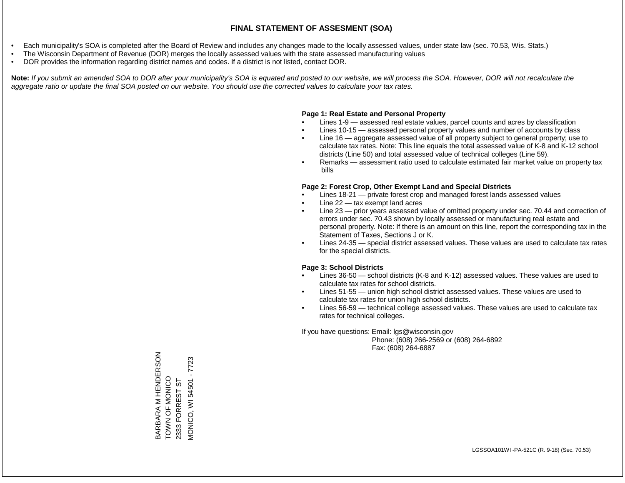- Each municipality's SOA is completed after the Board of Review and includes any changes made to the locally assessed values, under state law (sec. 70.53, Wis. Stats.)
- The Wisconsin Department of Revenue (DOR) merges the locally assessed values with the state assessed manufacturing values
- DOR provides the information regarding district names and codes. If a district is not listed, contact DOR.

Note: If you submit an amended SOA to DOR after your municipality's SOA is equated and posted to our website, we will process the SOA. However, DOR will not recalculate the *aggregate ratio or update the final SOA posted on our website. You should use the corrected values to calculate your tax rates.*

#### **Page 1: Real Estate and Personal Property**

- Lines 1-9 assessed real estate values, parcel counts and acres by classification
- Lines 10-15 assessed personal property values and number of accounts by class
- Line 16 aggregate assessed value of all property subject to general property; use to calculate tax rates. Note: This line equals the total assessed value of K-8 and K-12 school districts (Line 50) and total assessed value of technical colleges (Line 59).
- Remarks assessment ratio used to calculate estimated fair market value on property tax bills

#### **Page 2: Forest Crop, Other Exempt Land and Special Districts**

- Lines 18-21 private forest crop and managed forest lands assessed values
- Line  $22 -$  tax exempt land acres
- Line 23 prior years assessed value of omitted property under sec. 70.44 and correction of errors under sec. 70.43 shown by locally assessed or manufacturing real estate and personal property. Note: If there is an amount on this line, report the corresponding tax in the Statement of Taxes, Sections J or K.
- Lines 24-35 special district assessed values. These values are used to calculate tax rates for the special districts.

#### **Page 3: School Districts**

- Lines 36-50 school districts (K-8 and K-12) assessed values. These values are used to calculate tax rates for school districts.
- Lines 51-55 union high school district assessed values. These values are used to calculate tax rates for union high school districts.
- Lines 56-59 technical college assessed values. These values are used to calculate tax rates for technical colleges.

If you have questions: Email: lgs@wisconsin.gov

 Phone: (608) 266-2569 or (608) 264-6892 Fax: (608) 264-6887

BARBARA M HENDERSON<br>TOWN OF MONICO BARBARA M HENDERSON **MONICO, WI 54501 - 7723** MONICO, WI 54501 - 7723OONNON LONNON 2333 FORREST ST 2333 FORREST ST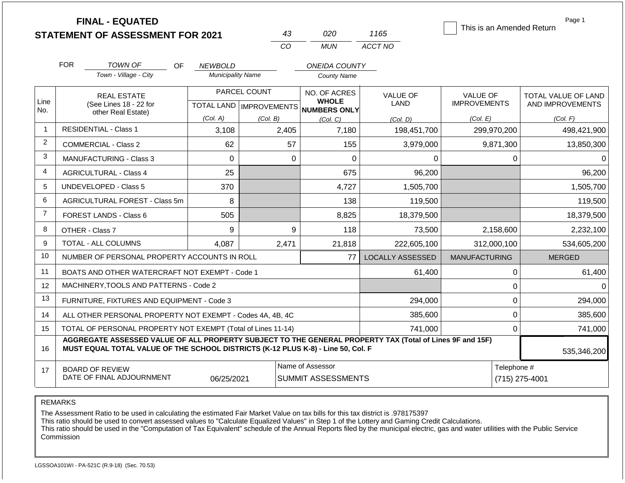|                |                               | <b>FINAL - EQUATED</b><br><b>STATEMENT OF ASSESSMENT FOR 2021</b>                |           |                          |              | 43                                            | 020                          | 1165                                                                                                     |                                        |                | Page 1<br>This is an Amended Return     |                                       |          |  |                                 |  |          |  |          |
|----------------|-------------------------------|----------------------------------------------------------------------------------|-----------|--------------------------|--------------|-----------------------------------------------|------------------------------|----------------------------------------------------------------------------------------------------------|----------------------------------------|----------------|-----------------------------------------|---------------------------------------|----------|--|---------------------------------|--|----------|--|----------|
|                |                               |                                                                                  |           |                          |              | CO                                            | <b>MUN</b>                   | ACCT NO                                                                                                  |                                        |                |                                         |                                       |          |  |                                 |  |          |  |          |
|                | <b>FOR</b>                    | <b>TOWN OF</b>                                                                   | <b>OF</b> | <b>NEWBOLD</b>           |              |                                               | <b>ONEIDA COUNTY</b>         |                                                                                                          |                                        |                |                                         |                                       |          |  |                                 |  |          |  |          |
|                |                               | Town - Village - City                                                            |           | <b>Municipality Name</b> |              |                                               | <b>County Name</b>           |                                                                                                          |                                        |                |                                         |                                       |          |  |                                 |  |          |  |          |
| Line           |                               | <b>REAL ESTATE</b><br>(See Lines 18 - 22 for                                     |           |                          | PARCEL COUNT |                                               | NO. OF ACRES<br><b>WHOLE</b> | <b>VALUE OF</b><br>LAND                                                                                  | <b>VALUE OF</b><br><b>IMPROVEMENTS</b> |                | TOTAL VALUE OF LAND<br>AND IMPROVEMENTS |                                       |          |  |                                 |  |          |  |          |
| No.            |                               | other Real Estate)                                                               |           |                          |              |                                               |                              |                                                                                                          |                                        |                |                                         | TOTAL LAND   IMPROVEMENTS<br>(Col. A) | (Col. B) |  | <b>NUMBERS ONLY</b><br>(Col, C) |  | (Col. E) |  | (Col. F) |
| $\mathbf 1$    | <b>RESIDENTIAL - Class 1</b>  |                                                                                  |           | 3,108                    |              | 2,405                                         | 7,180                        | (Col. D)<br>198,451,700                                                                                  |                                        | 299,970,200    | 498,421,900                             |                                       |          |  |                                 |  |          |  |          |
| $\overline{2}$ |                               | <b>COMMERCIAL - Class 2</b><br>62                                                |           |                          |              |                                               | 155                          | 3,979,000                                                                                                |                                        | 9,871,300      | 13,850,300                              |                                       |          |  |                                 |  |          |  |          |
| 3              |                               | <b>MANUFACTURING - Class 3</b>                                                   |           | $\Omega$                 |              | $\Omega$                                      | 0                            | 0                                                                                                        |                                        | 0              | $\Omega$                                |                                       |          |  |                                 |  |          |  |          |
| 4              | <b>AGRICULTURAL - Class 4</b> |                                                                                  |           | 25                       |              |                                               | 675                          | 96,200                                                                                                   |                                        |                | 96,200                                  |                                       |          |  |                                 |  |          |  |          |
| 5              | <b>UNDEVELOPED - Class 5</b>  |                                                                                  |           | 370                      |              |                                               | 4,727                        | 1,505,700                                                                                                |                                        |                | 1,505,700                               |                                       |          |  |                                 |  |          |  |          |
| 6              |                               | AGRICULTURAL FOREST - Class 5m                                                   |           | 8                        |              |                                               | 138                          | 119,500                                                                                                  |                                        |                | 119,500                                 |                                       |          |  |                                 |  |          |  |          |
| $\overline{7}$ | <b>FOREST LANDS - Class 6</b> |                                                                                  |           | 505                      |              |                                               | 8,825                        | 18,379,500                                                                                               |                                        |                | 18,379,500                              |                                       |          |  |                                 |  |          |  |          |
| 8              | OTHER - Class 7               |                                                                                  |           | 9                        |              | 9                                             | 118                          | 73,500                                                                                                   |                                        | 2,158,600      | 2,232,100                               |                                       |          |  |                                 |  |          |  |          |
| 9              | <b>TOTAL - ALL COLUMNS</b>    |                                                                                  |           | 4,087                    |              | 2,471                                         | 21,818                       | 222,605,100                                                                                              |                                        | 312,000,100    | 534,605,200                             |                                       |          |  |                                 |  |          |  |          |
| 10             |                               | NUMBER OF PERSONAL PROPERTY ACCOUNTS IN ROLL                                     |           |                          |              |                                               | 77                           | <b>LOCALLY ASSESSED</b>                                                                                  | <b>MANUFACTURING</b>                   |                | <b>MERGED</b>                           |                                       |          |  |                                 |  |          |  |          |
| 11             |                               | BOATS AND OTHER WATERCRAFT NOT EXEMPT - Code 1                                   |           |                          |              |                                               |                              | 61,400                                                                                                   |                                        | 0              | 61,400                                  |                                       |          |  |                                 |  |          |  |          |
| 12             |                               | MACHINERY, TOOLS AND PATTERNS - Code 2                                           |           |                          |              |                                               |                              |                                                                                                          |                                        | $\mathbf 0$    | $\Omega$                                |                                       |          |  |                                 |  |          |  |          |
| 13             |                               | FURNITURE, FIXTURES AND EQUIPMENT - Code 3                                       |           |                          |              |                                               |                              | 294,000                                                                                                  |                                        | $\mathbf 0$    | 294,000                                 |                                       |          |  |                                 |  |          |  |          |
| 14             |                               | ALL OTHER PERSONAL PROPERTY NOT EXEMPT - Codes 4A, 4B, 4C                        |           |                          |              |                                               |                              | 385,600                                                                                                  |                                        | $\mathbf 0$    | 385,600                                 |                                       |          |  |                                 |  |          |  |          |
| 15             |                               | TOTAL OF PERSONAL PROPERTY NOT EXEMPT (Total of Lines 11-14)                     |           |                          |              |                                               |                              | 741,000                                                                                                  |                                        | $\mathbf 0$    | 741,000                                 |                                       |          |  |                                 |  |          |  |          |
| 16             |                               | MUST EQUAL TOTAL VALUE OF THE SCHOOL DISTRICTS (K-12 PLUS K-8) - Line 50, Col. F |           |                          |              |                                               |                              | AGGREGATE ASSESSED VALUE OF ALL PROPERTY SUBJECT TO THE GENERAL PROPERTY TAX (Total of Lines 9F and 15F) |                                        |                | 535,346,200                             |                                       |          |  |                                 |  |          |  |          |
| 17             | <b>BOARD OF REVIEW</b>        | DATE OF FINAL ADJOURNMENT                                                        |           | 06/25/2021               |              | Name of Assessor<br><b>SUMMIT ASSESSMENTS</b> |                              |                                                                                                          | Telephone #                            | (715) 275-4001 |                                         |                                       |          |  |                                 |  |          |  |          |

The Assessment Ratio to be used in calculating the estimated Fair Market Value on tax bills for this tax district is .978175397

This ratio should be used to convert assessed values to "Calculate Equalized Values" in Step 1 of the Lottery and Gaming Credit Calculations.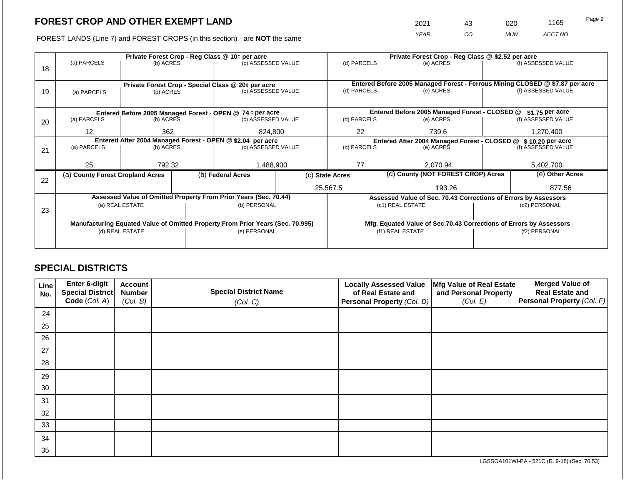2021 43 020 1165

FOREST LANDS (Line 7) and FOREST CROPS (in this section) - are **NOT** the same *YEAR CO MUN ACCT NO*

|    |                                  |                 |  | Private Forest Crop - Reg Class @ 10¢ per acre                                 | Private Forest Crop - Reg Class @ \$2.52 per acre |                                                                    |                                                                              |                                                                 |                    |                    |  |
|----|----------------------------------|-----------------|--|--------------------------------------------------------------------------------|---------------------------------------------------|--------------------------------------------------------------------|------------------------------------------------------------------------------|-----------------------------------------------------------------|--------------------|--------------------|--|
| 18 | (a) PARCELS                      | (b) ACRES       |  | (c) ASSESSED VALUE                                                             |                                                   | (d) PARCELS                                                        |                                                                              | (e) ACRES                                                       |                    | (f) ASSESSED VALUE |  |
|    |                                  |                 |  | Private Forest Crop - Special Class @ 20¢ per acre                             |                                                   |                                                                    | Entered Before 2005 Managed Forest - Ferrous Mining CLOSED @ \$7.87 per acre |                                                                 |                    |                    |  |
| 19 | (a) PARCELS                      | (b) ACRES       |  | (c) ASSESSED VALUE                                                             |                                                   | (d) PARCELS                                                        |                                                                              | (e) ACRES                                                       |                    | (f) ASSESSED VALUE |  |
|    |                                  |                 |  | Entered Before 2005 Managed Forest - OPEN @ 74 ¢ per acre                      |                                                   |                                                                    |                                                                              | Entered Before 2005 Managed Forest - CLOSED @                   |                    | $$1.75$ per acre   |  |
| 20 | (a) PARCELS                      | (b) ACRES       |  | (c) ASSESSED VALUE                                                             |                                                   | (d) PARCELS                                                        |                                                                              | (e) ACRES                                                       |                    | (f) ASSESSED VALUE |  |
|    | $12 \overline{ }$                | 362             |  | 824,800                                                                        | 22                                                |                                                                    | 739.6                                                                        |                                                                 | 1,270,400          |                    |  |
|    |                                  |                 |  | Entered After 2004 Managed Forest - OPEN @ \$2.04 per acre                     |                                                   |                                                                    |                                                                              | Entered After 2004 Managed Forest - CLOSED @ \$ 10.20 per acre  |                    |                    |  |
| 21 | (a) PARCELS                      | (b) ACRES       |  | (c) ASSESSED VALUE                                                             | (d) PARCELS                                       |                                                                    | (e) ACRES                                                                    |                                                                 | (f) ASSESSED VALUE |                    |  |
|    | 25                               | 792.32          |  | 1,488,900                                                                      | 77                                                |                                                                    | 2.070.94                                                                     |                                                                 | 5,402,700          |                    |  |
| 22 | (a) County Forest Cropland Acres |                 |  | (b) Federal Acres                                                              | (c) State Acres                                   |                                                                    | (d) County (NOT FOREST CROP) Acres                                           |                                                                 | (e) Other Acres    |                    |  |
|    |                                  |                 |  |                                                                                |                                                   | 25,567.5<br>193.26                                                 |                                                                              |                                                                 | 877.56             |                    |  |
|    |                                  |                 |  | Assessed Value of Omitted Property From Prior Years (Sec. 70.44)               |                                                   |                                                                    |                                                                              | Assessed Value of Sec. 70.43 Corrections of Errors by Assessors |                    |                    |  |
| 23 |                                  | (a) REAL ESTATE |  | (b) PERSONAL                                                                   |                                                   | (c1) REAL ESTATE                                                   |                                                                              |                                                                 | (c2) PERSONAL      |                    |  |
|    |                                  |                 |  |                                                                                |                                                   |                                                                    |                                                                              |                                                                 |                    |                    |  |
|    |                                  |                 |  | Manufacturing Equated Value of Omitted Property From Prior Years (Sec. 70.995) |                                                   | Mfg. Equated Value of Sec.70.43 Corrections of Errors by Assessors |                                                                              |                                                                 |                    |                    |  |
|    |                                  | (d) REAL ESTATE |  | (e) PERSONAL                                                                   |                                                   |                                                                    |                                                                              | (f1) REAL ESTATE                                                |                    | (f2) PERSONAL      |  |
|    |                                  |                 |  |                                                                                |                                                   |                                                                    |                                                                              |                                                                 |                    |                    |  |

# **SPECIAL DISTRICTS**

| Line<br>No. | Enter 6-digit<br>Special District | <b>Account</b><br><b>Number</b> | <b>Special District Name</b> | <b>Locally Assessed Value</b><br>of Real Estate and | Mfg Value of Real Estate<br>and Personal Property | <b>Merged Value of</b><br><b>Real Estate and</b> |
|-------------|-----------------------------------|---------------------------------|------------------------------|-----------------------------------------------------|---------------------------------------------------|--------------------------------------------------|
|             | Code (Col. A)                     | (Col. B)                        | (Col. C)                     | Personal Property (Col. D)                          | (Col. E)                                          | Personal Property (Col. F)                       |
| 24          |                                   |                                 |                              |                                                     |                                                   |                                                  |
| 25          |                                   |                                 |                              |                                                     |                                                   |                                                  |
| 26          |                                   |                                 |                              |                                                     |                                                   |                                                  |
| 27          |                                   |                                 |                              |                                                     |                                                   |                                                  |
| 28          |                                   |                                 |                              |                                                     |                                                   |                                                  |
| 29          |                                   |                                 |                              |                                                     |                                                   |                                                  |
| 30          |                                   |                                 |                              |                                                     |                                                   |                                                  |
| 31          |                                   |                                 |                              |                                                     |                                                   |                                                  |
| 32          |                                   |                                 |                              |                                                     |                                                   |                                                  |
| 33          |                                   |                                 |                              |                                                     |                                                   |                                                  |
| 34          |                                   |                                 |                              |                                                     |                                                   |                                                  |
| 35          |                                   |                                 |                              |                                                     |                                                   |                                                  |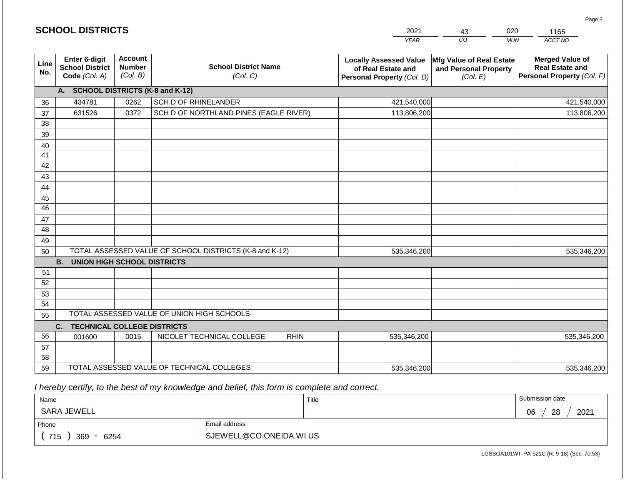|                       | <b>SCHOOL DISTRICTS</b>                                  |                                             |                                                         | 2021                                                                              | 020<br>43                                                     | 1165                                                                           |
|-----------------------|----------------------------------------------------------|---------------------------------------------|---------------------------------------------------------|-----------------------------------------------------------------------------------|---------------------------------------------------------------|--------------------------------------------------------------------------------|
|                       |                                                          |                                             |                                                         | <b>YEAR</b>                                                                       | CO                                                            | ACCT NO<br><b>MUN</b>                                                          |
| Line<br>No.           | Enter 6-digit<br><b>School District</b><br>Code (Col. A) | <b>Account</b><br><b>Number</b><br>(Col. B) | <b>School District Name</b><br>(Col. C)                 | <b>Locally Assessed Value</b><br>of Real Estate and<br>Personal Property (Col. D) | Mfg Value of Real Estate<br>and Personal Property<br>(Col. E) | <b>Merged Value of</b><br><b>Real Estate and</b><br>Personal Property (Col. F) |
|                       | A. SCHOOL DISTRICTS (K-8 and K-12)                       |                                             |                                                         |                                                                                   |                                                               |                                                                                |
| 36                    | 434781                                                   | 0262                                        | <b>SCH D OF RHINELANDER</b>                             | 421,540,000                                                                       |                                                               | 421,540,000                                                                    |
| 37                    | 631526                                                   | 0372                                        | SCH D OF NORTHLAND PINES (EAGLE RIVER)                  | 113,806,200                                                                       |                                                               | 113,806,200                                                                    |
| 38                    |                                                          |                                             |                                                         |                                                                                   |                                                               |                                                                                |
| 39                    |                                                          |                                             |                                                         |                                                                                   |                                                               |                                                                                |
| 40                    |                                                          |                                             |                                                         |                                                                                   |                                                               |                                                                                |
| 41                    |                                                          |                                             |                                                         |                                                                                   |                                                               |                                                                                |
| 42                    |                                                          |                                             |                                                         |                                                                                   |                                                               |                                                                                |
| 43                    |                                                          |                                             |                                                         |                                                                                   |                                                               |                                                                                |
| 44                    |                                                          |                                             |                                                         |                                                                                   |                                                               |                                                                                |
| 45<br>$\overline{46}$ |                                                          |                                             |                                                         |                                                                                   |                                                               |                                                                                |
| 47                    |                                                          |                                             |                                                         |                                                                                   |                                                               |                                                                                |
| 48                    |                                                          |                                             |                                                         |                                                                                   |                                                               |                                                                                |
| 49                    |                                                          |                                             |                                                         |                                                                                   |                                                               |                                                                                |
| 50                    |                                                          |                                             | TOTAL ASSESSED VALUE OF SCHOOL DISTRICTS (K-8 and K-12) | 535,346,200                                                                       |                                                               | 535,346,200                                                                    |
|                       | <b>B.</b><br><b>UNION HIGH SCHOOL DISTRICTS</b>          |                                             |                                                         |                                                                                   |                                                               |                                                                                |
| 51                    |                                                          |                                             |                                                         |                                                                                   |                                                               |                                                                                |
| 52                    |                                                          |                                             |                                                         |                                                                                   |                                                               |                                                                                |
| 53                    |                                                          |                                             |                                                         |                                                                                   |                                                               |                                                                                |
| 54                    |                                                          |                                             |                                                         |                                                                                   |                                                               |                                                                                |
| 55                    |                                                          |                                             | TOTAL ASSESSED VALUE OF UNION HIGH SCHOOLS              |                                                                                   |                                                               |                                                                                |
|                       | C.<br><b>TECHNICAL COLLEGE DISTRICTS</b>                 |                                             |                                                         |                                                                                   |                                                               |                                                                                |
| 56                    | 001600                                                   | 0015                                        | NICOLET TECHNICAL COLLEGE<br><b>RHIN</b>                | 535,346,200                                                                       |                                                               | 535,346,200                                                                    |
| 57                    |                                                          |                                             |                                                         |                                                                                   |                                                               |                                                                                |
| 58                    |                                                          |                                             |                                                         |                                                                                   |                                                               |                                                                                |
| 59                    |                                                          |                                             | TOTAL ASSESSED VALUE OF TECHNICAL COLLEGES              | 535,346,200                                                                       |                                                               | 535,346,200                                                                    |

 *I hereby certify, to the best of my knowledge and belief, this form is complete and correct.*

| Name               |                         | Title | Submission date  |
|--------------------|-------------------------|-------|------------------|
| SARA JEWELL        |                         |       | 2021<br>28<br>06 |
| Phone              | Email address           |       |                  |
| 715<br>369<br>6254 | SJEWELL@CO.ONEIDA.WI.US |       |                  |

Page 3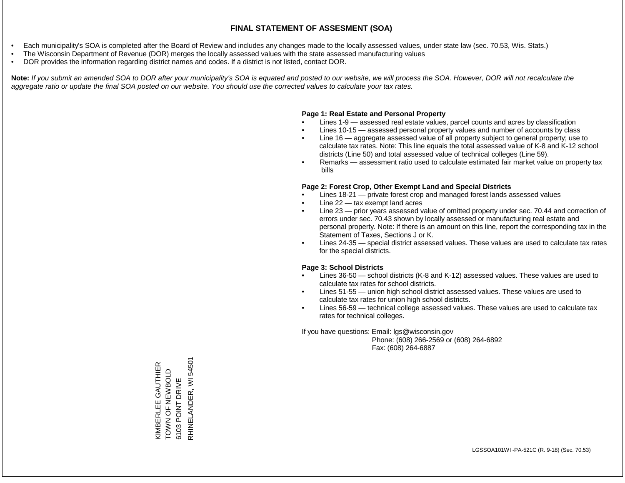- Each municipality's SOA is completed after the Board of Review and includes any changes made to the locally assessed values, under state law (sec. 70.53, Wis. Stats.)
- The Wisconsin Department of Revenue (DOR) merges the locally assessed values with the state assessed manufacturing values
- DOR provides the information regarding district names and codes. If a district is not listed, contact DOR.

Note: If you submit an amended SOA to DOR after your municipality's SOA is equated and posted to our website, we will process the SOA. However, DOR will not recalculate the *aggregate ratio or update the final SOA posted on our website. You should use the corrected values to calculate your tax rates.*

#### **Page 1: Real Estate and Personal Property**

- Lines 1-9 assessed real estate values, parcel counts and acres by classification
- Lines 10-15 assessed personal property values and number of accounts by class
- Line 16 aggregate assessed value of all property subject to general property; use to calculate tax rates. Note: This line equals the total assessed value of K-8 and K-12 school districts (Line 50) and total assessed value of technical colleges (Line 59).
- Remarks assessment ratio used to calculate estimated fair market value on property tax bills

#### **Page 2: Forest Crop, Other Exempt Land and Special Districts**

- Lines 18-21 private forest crop and managed forest lands assessed values
- Line  $22 -$  tax exempt land acres
- Line 23 prior years assessed value of omitted property under sec. 70.44 and correction of errors under sec. 70.43 shown by locally assessed or manufacturing real estate and personal property. Note: If there is an amount on this line, report the corresponding tax in the Statement of Taxes, Sections J or K.
- Lines 24-35 special district assessed values. These values are used to calculate tax rates for the special districts.

#### **Page 3: School Districts**

- Lines 36-50 school districts (K-8 and K-12) assessed values. These values are used to calculate tax rates for school districts.
- Lines 51-55 union high school district assessed values. These values are used to calculate tax rates for union high school districts.
- Lines 56-59 technical college assessed values. These values are used to calculate tax rates for technical colleges.

If you have questions: Email: lgs@wisconsin.gov

 Phone: (608) 266-2569 or (608) 264-6892 Fax: (608) 264-6887

RHINELANDER, WI 54501 RHINELANDER, WI 54501KIMBERLEE GAUTHIER<br>TOWN OF NEWBOLD KIMBERLEE GAUTHIER TOWN NEW LO Z NOLD 6103 POINT DRIVE 6103 POINT DRIVE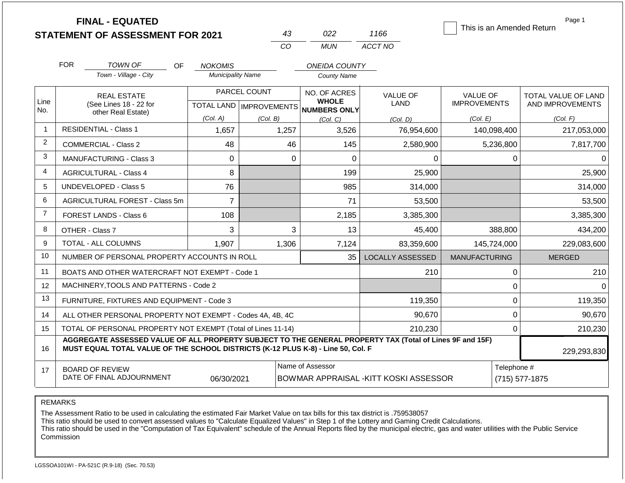|                | <b>FINAL - EQUATED</b><br><b>STATEMENT OF ASSESSMENT FOR 2021</b>                                                                                                                            |                                  | 43                                        | 022                                                                                         | 1166                           | This is an Amended Return       | Page 1                                  |
|----------------|----------------------------------------------------------------------------------------------------------------------------------------------------------------------------------------------|----------------------------------|-------------------------------------------|---------------------------------------------------------------------------------------------|--------------------------------|---------------------------------|-----------------------------------------|
|                |                                                                                                                                                                                              |                                  | CO                                        | <b>MUN</b>                                                                                  | ACCT NO                        |                                 |                                         |
|                | <b>FOR</b><br><b>TOWN OF</b><br>OF.                                                                                                                                                          | <b>NOKOMIS</b>                   |                                           | <b>ONEIDA COUNTY</b>                                                                        |                                |                                 |                                         |
|                | Town - Village - City                                                                                                                                                                        | <b>Municipality Name</b>         |                                           | <b>County Name</b>                                                                          |                                |                                 |                                         |
| Line<br>No.    | <b>REAL ESTATE</b><br>(See Lines 18 - 22 for                                                                                                                                                 |                                  | PARCEL COUNT<br>TOTAL LAND   IMPROVEMENTS | NO. OF ACRES<br><b>WHOLE</b><br><b>NUMBERS ONLY</b>                                         | <b>VALUE OF</b><br><b>LAND</b> | VALUE OF<br><b>IMPROVEMENTS</b> | TOTAL VALUE OF LAND<br>AND IMPROVEMENTS |
|                | other Real Estate)                                                                                                                                                                           | (Col. A)<br>(Col. B)<br>(Col, C) |                                           | (Col. D)                                                                                    | (Col. E)                       | (Col. F)                        |                                         |
| $\overline{1}$ | <b>RESIDENTIAL - Class 1</b>                                                                                                                                                                 | 1,657                            | 1,257                                     | 3,526                                                                                       | 76,954,600                     | 140,098,400                     | 217,053,000                             |
| 2              | COMMERCIAL - Class 2                                                                                                                                                                         | 48                               | 46                                        | 145                                                                                         | 2,580,900                      | 5,236,800                       | 7,817,700                               |
| 3              | <b>MANUFACTURING - Class 3</b>                                                                                                                                                               | $\Omega$                         |                                           | 0<br>$\Omega$                                                                               | 0                              |                                 | 0<br>$\Omega$                           |
| 4              | <b>AGRICULTURAL - Class 4</b>                                                                                                                                                                | 8                                |                                           | 199                                                                                         | 25,900                         |                                 | 25,900                                  |
| 5              | UNDEVELOPED - Class 5                                                                                                                                                                        | 76                               |                                           | 985                                                                                         | 314,000                        |                                 | 314,000                                 |
| 6              | AGRICULTURAL FOREST - Class 5m                                                                                                                                                               | $\overline{7}$                   |                                           | 71                                                                                          | 53,500                         |                                 | 53,500                                  |
| $\overline{7}$ | FOREST LANDS - Class 6                                                                                                                                                                       | 108                              |                                           | 2,185                                                                                       | 3,385,300                      |                                 | 3,385,300                               |
| 8              | OTHER - Class 7                                                                                                                                                                              | 3                                |                                           | 3<br>13                                                                                     | 45,400                         | 388,800                         | 434,200                                 |
| 9              | <b>TOTAL - ALL COLUMNS</b>                                                                                                                                                                   | 1,907                            | 1,306                                     | 7,124                                                                                       | 83.359.600                     | 145,724,000                     | 229,083,600                             |
| 10             | NUMBER OF PERSONAL PROPERTY ACCOUNTS IN ROLL                                                                                                                                                 |                                  |                                           | 35                                                                                          | <b>LOCALLY ASSESSED</b>        | <b>MANUFACTURING</b>            | <b>MERGED</b>                           |
| 11             | BOATS AND OTHER WATERCRAFT NOT EXEMPT - Code 1                                                                                                                                               |                                  |                                           |                                                                                             | 210                            |                                 | 0<br>210                                |
| 12             | MACHINERY, TOOLS AND PATTERNS - Code 2                                                                                                                                                       |                                  |                                           |                                                                                             |                                | 0                               | $\Omega$                                |
| 13             | FURNITURE, FIXTURES AND EQUIPMENT - Code 3                                                                                                                                                   |                                  |                                           |                                                                                             | 119,350                        |                                 | 0<br>119,350                            |
| 14             | ALL OTHER PERSONAL PROPERTY NOT EXEMPT - Codes 4A, 4B, 4C                                                                                                                                    |                                  |                                           |                                                                                             | 90,670                         |                                 | $\boldsymbol{0}$<br>90,670              |
| 15             | TOTAL OF PERSONAL PROPERTY NOT EXEMPT (Total of Lines 11-14)                                                                                                                                 |                                  |                                           |                                                                                             | 210,230                        |                                 | $\mathbf 0$<br>210,230                  |
| 16             | AGGREGATE ASSESSED VALUE OF ALL PROPERTY SUBJECT TO THE GENERAL PROPERTY TAX (Total of Lines 9F and 15F)<br>MUST EQUAL TOTAL VALUE OF THE SCHOOL DISTRICTS (K-12 PLUS K-8) - Line 50, Col. F |                                  |                                           |                                                                                             |                                |                                 | 229,293,830                             |
| 17             | <b>BOARD OF REVIEW</b><br>DATE OF FINAL ADJOURNMENT                                                                                                                                          | 06/30/2021                       |                                           | Name of Assessor<br>Telephone #<br>BOWMAR APPRAISAL - KITT KOSKI ASSESSOR<br>(715) 577-1875 |                                |                                 |                                         |

The Assessment Ratio to be used in calculating the estimated Fair Market Value on tax bills for this tax district is .759538057

This ratio should be used to convert assessed values to "Calculate Equalized Values" in Step 1 of the Lottery and Gaming Credit Calculations.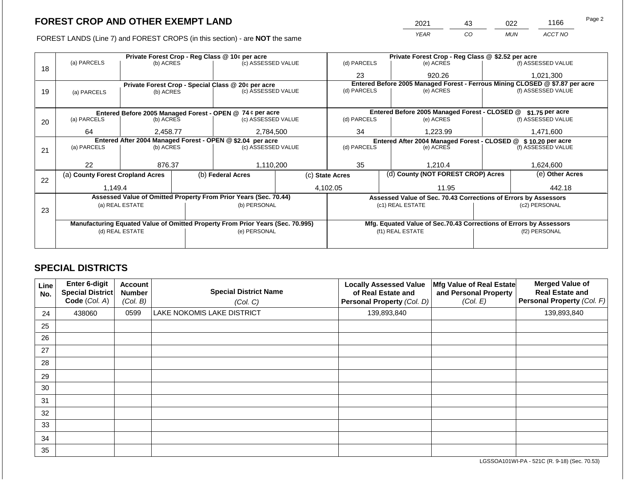FOREST LANDS (Line 7) and FOREST CROPS (in this section) - are NOT the same

| 2021        | 43 | າ22        | 1166    | Page 2 |
|-------------|----|------------|---------|--------|
| <b>YEAR</b> | CO | <b>MUN</b> | ACCT NO |        |

|    |                                  |                 |  | Private Forest Crop - Reg Class @ 10¢ per acre                                 |                                                                              | Private Forest Crop - Reg Class @ \$2.52 per acre |                                                                    |                                                               |                                                                 |                    |  |
|----|----------------------------------|-----------------|--|--------------------------------------------------------------------------------|------------------------------------------------------------------------------|---------------------------------------------------|--------------------------------------------------------------------|---------------------------------------------------------------|-----------------------------------------------------------------|--------------------|--|
| 18 | (a) PARCELS                      | (b) ACRES       |  | (c) ASSESSED VALUE                                                             |                                                                              | (d) PARCELS                                       |                                                                    | (e) ACRES                                                     |                                                                 | (f) ASSESSED VALUE |  |
|    |                                  |                 |  |                                                                                | 23                                                                           |                                                   | 920.26                                                             |                                                               | 1,021,300                                                       |                    |  |
|    |                                  |                 |  | Private Forest Crop - Special Class @ 20¢ per acre                             | Entered Before 2005 Managed Forest - Ferrous Mining CLOSED @ \$7.87 per acre |                                                   |                                                                    |                                                               |                                                                 |                    |  |
| 19 | (a) PARCELS                      | (b) ACRES       |  | (c) ASSESSED VALUE                                                             |                                                                              | (d) PARCELS                                       |                                                                    | (e) ACRES                                                     |                                                                 | (f) ASSESSED VALUE |  |
|    |                                  |                 |  |                                                                                |                                                                              |                                                   |                                                                    |                                                               |                                                                 |                    |  |
|    |                                  |                 |  | Entered Before 2005 Managed Forest - OPEN @ 74 ¢ per acre                      |                                                                              |                                                   |                                                                    | Entered Before 2005 Managed Forest - CLOSED @                 |                                                                 | $$1.75$ per acre   |  |
| 20 | (a) PARCELS                      | (b) ACRES       |  | (c) ASSESSED VALUE                                                             |                                                                              | (d) PARCELS                                       |                                                                    | (e) ACRES                                                     |                                                                 | (f) ASSESSED VALUE |  |
|    | 64<br>2,458.77                   |                 |  | 2,784,500                                                                      | 34                                                                           |                                                   | 1,223.99                                                           |                                                               | 1,471,600                                                       |                    |  |
|    |                                  |                 |  | Entered After 2004 Managed Forest - OPEN @ \$2.04 per acre                     |                                                                              |                                                   |                                                                    | Entered After 2004 Managed Forest - CLOSED @ \$10.20 per acre |                                                                 |                    |  |
| 21 | (a) PARCELS                      | (b) ACRES       |  | (c) ASSESSED VALUE                                                             | (d) PARCELS                                                                  |                                                   | (e) ACRES                                                          |                                                               | (f) ASSESSED VALUE                                              |                    |  |
|    |                                  |                 |  |                                                                                |                                                                              |                                                   |                                                                    |                                                               |                                                                 |                    |  |
|    | 22                               | 876.37          |  | 1,110,200                                                                      | 35                                                                           |                                                   | 1.210.4                                                            |                                                               | 1,624,600                                                       |                    |  |
| 22 | (a) County Forest Cropland Acres |                 |  | (b) Federal Acres                                                              | (c) State Acres                                                              |                                                   | (d) County (NOT FOREST CROP) Acres                                 |                                                               | (e) Other Acres                                                 |                    |  |
|    | 1,149.4                          |                 |  |                                                                                |                                                                              | 4,102.05<br>11.95                                 |                                                                    |                                                               | 442.18                                                          |                    |  |
|    |                                  |                 |  | Assessed Value of Omitted Property From Prior Years (Sec. 70.44)               |                                                                              |                                                   |                                                                    |                                                               | Assessed Value of Sec. 70.43 Corrections of Errors by Assessors |                    |  |
|    |                                  | (a) REAL ESTATE |  | (b) PERSONAL                                                                   |                                                                              |                                                   |                                                                    | (c1) REAL ESTATE                                              |                                                                 | (c2) PERSONAL      |  |
| 23 |                                  |                 |  |                                                                                |                                                                              |                                                   |                                                                    |                                                               |                                                                 |                    |  |
|    |                                  |                 |  | Manufacturing Equated Value of Omitted Property From Prior Years (Sec. 70.995) |                                                                              |                                                   | Mfg. Equated Value of Sec.70.43 Corrections of Errors by Assessors |                                                               |                                                                 |                    |  |
|    |                                  | (d) REAL ESTATE |  | (e) PERSONAL                                                                   | (f1) REAL ESTATE                                                             |                                                   |                                                                    | (f2) PERSONAL                                                 |                                                                 |                    |  |
|    |                                  |                 |  |                                                                                |                                                                              |                                                   |                                                                    |                                                               |                                                                 |                    |  |
|    |                                  |                 |  |                                                                                |                                                                              |                                                   |                                                                    |                                                               |                                                                 |                    |  |

# **SPECIAL DISTRICTS**

| Line<br>No. | Enter 6-digit<br>Special District<br>Code (Col. A) | <b>Account</b><br><b>Number</b><br>(Col. B) | <b>Special District Name</b><br>(Col. C) | <b>Locally Assessed Value</b><br>of Real Estate and<br>Personal Property (Col. D) | Mfg Value of Real Estate<br>and Personal Property<br>(Col. E) | <b>Merged Value of</b><br><b>Real Estate and</b><br>Personal Property (Col. F) |
|-------------|----------------------------------------------------|---------------------------------------------|------------------------------------------|-----------------------------------------------------------------------------------|---------------------------------------------------------------|--------------------------------------------------------------------------------|
| 24          | 438060                                             | 0599                                        | LAKE NOKOMIS LAKE DISTRICT               | 139,893,840                                                                       |                                                               | 139,893,840                                                                    |
| 25          |                                                    |                                             |                                          |                                                                                   |                                                               |                                                                                |
| 26          |                                                    |                                             |                                          |                                                                                   |                                                               |                                                                                |
| 27          |                                                    |                                             |                                          |                                                                                   |                                                               |                                                                                |
| 28          |                                                    |                                             |                                          |                                                                                   |                                                               |                                                                                |
| 29          |                                                    |                                             |                                          |                                                                                   |                                                               |                                                                                |
| 30          |                                                    |                                             |                                          |                                                                                   |                                                               |                                                                                |
| 31          |                                                    |                                             |                                          |                                                                                   |                                                               |                                                                                |
| 32          |                                                    |                                             |                                          |                                                                                   |                                                               |                                                                                |
| 33          |                                                    |                                             |                                          |                                                                                   |                                                               |                                                                                |
| 34          |                                                    |                                             |                                          |                                                                                   |                                                               |                                                                                |
| 35          |                                                    |                                             |                                          |                                                                                   |                                                               |                                                                                |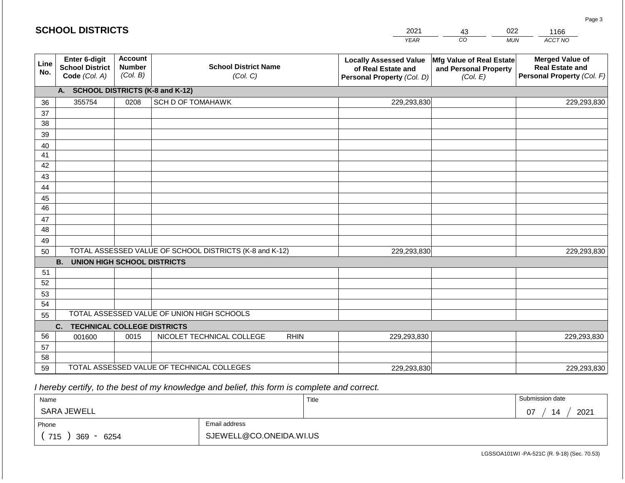|             | <b>SCHOOL DISTRICTS</b>                                  |                                             |                                                         |                                                                                   | 2021        | 43                                                            | 022        | 1166                                                                           |
|-------------|----------------------------------------------------------|---------------------------------------------|---------------------------------------------------------|-----------------------------------------------------------------------------------|-------------|---------------------------------------------------------------|------------|--------------------------------------------------------------------------------|
|             |                                                          |                                             |                                                         |                                                                                   | <b>YEAR</b> | CO                                                            | <b>MUN</b> | ACCT NO                                                                        |
| Line<br>No. | Enter 6-digit<br><b>School District</b><br>Code (Col. A) | <b>Account</b><br><b>Number</b><br>(Col. B) | <b>School District Name</b><br>(Col. C)                 | <b>Locally Assessed Value</b><br>of Real Estate and<br>Personal Property (Col. D) |             | Mfg Value of Real Estate<br>and Personal Property<br>(Col. E) |            | <b>Merged Value of</b><br><b>Real Estate and</b><br>Personal Property (Col. F) |
|             | A. SCHOOL DISTRICTS (K-8 and K-12)                       |                                             |                                                         |                                                                                   |             |                                                               |            |                                                                                |
| 36          | 355754                                                   | 0208                                        | <b>SCH D OF TOMAHAWK</b>                                |                                                                                   | 229,293,830 |                                                               |            | 229,293,830                                                                    |
| 37          |                                                          |                                             |                                                         |                                                                                   |             |                                                               |            |                                                                                |
| 38          |                                                          |                                             |                                                         |                                                                                   |             |                                                               |            |                                                                                |
| 39          |                                                          |                                             |                                                         |                                                                                   |             |                                                               |            |                                                                                |
| 40<br>41    |                                                          |                                             |                                                         |                                                                                   |             |                                                               |            |                                                                                |
| 42          |                                                          |                                             |                                                         |                                                                                   |             |                                                               |            |                                                                                |
| 43          |                                                          |                                             |                                                         |                                                                                   |             |                                                               |            |                                                                                |
| 44          |                                                          |                                             |                                                         |                                                                                   |             |                                                               |            |                                                                                |
| 45          |                                                          |                                             |                                                         |                                                                                   |             |                                                               |            |                                                                                |
| 46          |                                                          |                                             |                                                         |                                                                                   |             |                                                               |            |                                                                                |
| 47          |                                                          |                                             |                                                         |                                                                                   |             |                                                               |            |                                                                                |
| 48          |                                                          |                                             |                                                         |                                                                                   |             |                                                               |            |                                                                                |
| 49          |                                                          |                                             | TOTAL ASSESSED VALUE OF SCHOOL DISTRICTS (K-8 and K-12) |                                                                                   | 229,293,830 |                                                               |            |                                                                                |
| 50          | <b>B. UNION HIGH SCHOOL DISTRICTS</b>                    |                                             |                                                         |                                                                                   |             |                                                               |            | 229,293,830                                                                    |
| 51          |                                                          |                                             |                                                         |                                                                                   |             |                                                               |            |                                                                                |
| 52          |                                                          |                                             |                                                         |                                                                                   |             |                                                               |            |                                                                                |
| 53          |                                                          |                                             |                                                         |                                                                                   |             |                                                               |            |                                                                                |
| 54          |                                                          |                                             |                                                         |                                                                                   |             |                                                               |            |                                                                                |
| 55          |                                                          |                                             | TOTAL ASSESSED VALUE OF UNION HIGH SCHOOLS              |                                                                                   |             |                                                               |            |                                                                                |
|             | <b>TECHNICAL COLLEGE DISTRICTS</b><br>C.                 |                                             |                                                         |                                                                                   |             |                                                               |            |                                                                                |
| 56          | 001600                                                   | 0015                                        | NICOLET TECHNICAL COLLEGE                               | <b>RHIN</b>                                                                       | 229,293,830 |                                                               |            | 229,293,830                                                                    |
| 57          |                                                          |                                             |                                                         |                                                                                   |             |                                                               |            |                                                                                |
| 58<br>59    |                                                          |                                             | TOTAL ASSESSED VALUE OF TECHNICAL COLLEGES              |                                                                                   | 229,293,830 |                                                               |            | 229,293,830                                                                    |
|             |                                                          |                                             |                                                         |                                                                                   |             |                                                               |            |                                                                                |

 *I hereby certify, to the best of my knowledge and belief, this form is complete and correct.*

| Name                                           |                         | Title | Submission date   |
|------------------------------------------------|-------------------------|-------|-------------------|
| SARA JEWELL                                    |                         |       | 2021<br>14<br>-07 |
| Phone                                          | Email address           |       |                   |
| 715<br>369<br>6254<br>$\overline{\phantom{0}}$ | SJEWELL@CO.ONEIDA.WI.US |       |                   |

LGSSOA101WI -PA-521C (R. 9-18) (Sec. 70.53)

Page 3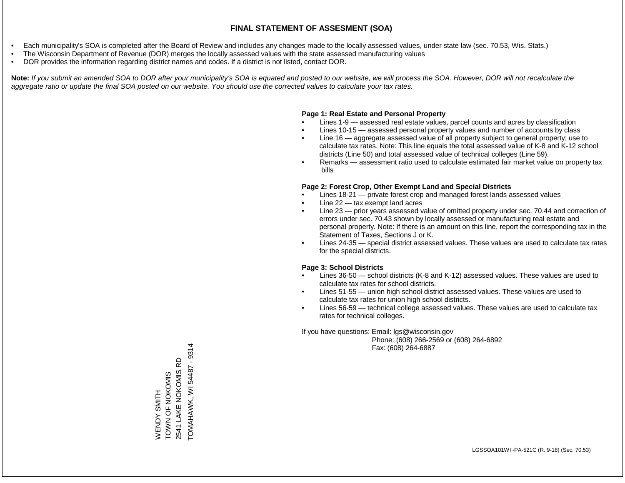- Each municipality's SOA is completed after the Board of Review and includes any changes made to the locally assessed values, under state law (sec. 70.53, Wis. Stats.)
- The Wisconsin Department of Revenue (DOR) merges the locally assessed values with the state assessed manufacturing values
- DOR provides the information regarding district names and codes. If a district is not listed, contact DOR.

Note: If you submit an amended SOA to DOR after your municipality's SOA is equated and posted to our website, we will process the SOA. However, DOR will not recalculate the *aggregate ratio or update the final SOA posted on our website. You should use the corrected values to calculate your tax rates.*

# **Page 1: Real Estate and Personal Property**

- Lines 1-9 assessed real estate values, parcel counts and acres by classification
- Lines 10-15 assessed personal property values and number of accounts by class
- Line 16 aggregate assessed value of all property subject to general property; use to calculate tax rates. Note: This line equals the total assessed value of K-8 and K-12 school districts (Line 50) and total assessed value of technical colleges (Line 59).
- Remarks assessment ratio used to calculate estimated fair market value on property tax bills

# **Page 2: Forest Crop, Other Exempt Land and Special Districts**

- Lines 18-21 private forest crop and managed forest lands assessed values
- Line  $22 -$  tax exempt land acres
- Line 23 prior years assessed value of omitted property under sec. 70.44 and correction of errors under sec. 70.43 shown by locally assessed or manufacturing real estate and personal property. Note: If there is an amount on this line, report the corresponding tax in the Statement of Taxes, Sections J or K.
- Lines 24-35 special district assessed values. These values are used to calculate tax rates for the special districts.

# **Page 3: School Districts**

- Lines 36-50 school districts (K-8 and K-12) assessed values. These values are used to calculate tax rates for school districts.
- Lines 51-55 union high school district assessed values. These values are used to calculate tax rates for union high school districts.
- Lines 56-59 technical college assessed values. These values are used to calculate tax rates for technical colleges.

If you have questions: Email: lgs@wisconsin.gov

 Phone: (608) 266-2569 or (608) 264-6892 Fax: (608) 264-6887

TOMAHAWK, WI 54487 - 9314 TOMAHAWK, WI 54487 - 93142541 LAKE NOKOMIS RD 2541 LAKE NOKOMIS RD TOWN OF NOKOMIS WENDY SMITH<br>TOWN OF NOKOMIS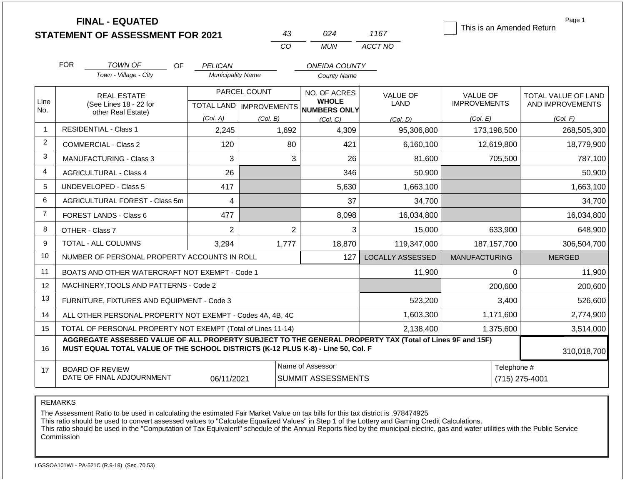|                | <b>FINAL - EQUATED</b><br><b>STATEMENT OF ASSESSMENT FOR 2021</b> |                              |           |                                     |              | 43                                            | 024                                                                              | 1167                                                                                                     |                                        |                               | Page 1<br>This is an Amended Return     |
|----------------|-------------------------------------------------------------------|------------------------------|-----------|-------------------------------------|--------------|-----------------------------------------------|----------------------------------------------------------------------------------|----------------------------------------------------------------------------------------------------------|----------------------------------------|-------------------------------|-----------------------------------------|
|                |                                                                   |                              |           |                                     |              | CO                                            | <b>MUN</b>                                                                       | ACCT NO                                                                                                  |                                        |                               |                                         |
|                | <b>FOR</b>                                                        | <b>TOWN OF</b>               |           |                                     |              |                                               |                                                                                  |                                                                                                          |                                        |                               |                                         |
|                |                                                                   | Town - Village - City        | <b>OF</b> | PELICAN<br><b>Municipality Name</b> |              |                                               | <b>ONEIDA COUNTY</b><br><b>County Name</b>                                       |                                                                                                          |                                        |                               |                                         |
| Line           | (See Lines 18 - 22 for                                            | <b>REAL ESTATE</b>           |           |                                     | PARCEL COUNT |                                               | NO. OF ACRES<br><b>WHOLE</b>                                                     | <b>VALUE OF</b><br>LAND                                                                                  | <b>VALUE OF</b><br><b>IMPROVEMENTS</b> |                               | TOTAL VALUE OF LAND<br>AND IMPROVEMENTS |
| No.            |                                                                   | other Real Estate)           |           | (Col. A)                            | (Col. B)     |                                               | TOTAL LAND MPROVEMENTS NUMBERS ONLY<br>(Col, C)                                  | (Col. D)                                                                                                 | (Col. E)                               |                               | (Col. F)                                |
| $\overline{1}$ |                                                                   | <b>RESIDENTIAL - Class 1</b> |           |                                     |              | 1,692                                         | 4,309                                                                            | 95,306,800                                                                                               |                                        | 173,198,500                   | 268,505,300                             |
| 2              | <b>COMMERCIAL - Class 2</b>                                       |                              |           | 120                                 |              | 80                                            | 421                                                                              | 6,160,100                                                                                                |                                        | 12,619,800                    | 18,779,900                              |
| 3              | <b>MANUFACTURING - Class 3</b>                                    |                              |           | 3                                   |              | 3                                             | 26                                                                               | 81,600                                                                                                   |                                        | 705,500                       | 787,100                                 |
| 4              | <b>AGRICULTURAL - Class 4</b>                                     |                              |           | 26                                  |              |                                               | 346                                                                              | 50,900                                                                                                   |                                        |                               | 50,900                                  |
| 5              | <b>UNDEVELOPED - Class 5</b>                                      |                              |           | 417                                 |              |                                               | 5,630                                                                            | 1,663,100                                                                                                |                                        |                               | 1,663,100                               |
| 6              | AGRICULTURAL FOREST - Class 5m                                    |                              |           | 4                                   |              |                                               | 37                                                                               | 34,700                                                                                                   |                                        |                               | 34,700                                  |
| $\overline{7}$ | FOREST LANDS - Class 6                                            |                              |           | 477                                 |              |                                               | 8,098                                                                            | 16,034,800                                                                                               |                                        |                               | 16,034,800                              |
| 8              | OTHER - Class 7                                                   |                              |           | $\overline{2}$                      |              | $\overline{2}$                                | 3                                                                                | 15,000                                                                                                   |                                        | 633,900                       | 648,900                                 |
| 9              | TOTAL - ALL COLUMNS                                               |                              |           | 3,294                               |              | 1,777                                         | 18,870                                                                           | 119,347,000                                                                                              |                                        | 187, 157, 700                 | 306,504,700                             |
| 10             | NUMBER OF PERSONAL PROPERTY ACCOUNTS IN ROLL                      |                              |           |                                     |              |                                               | 127                                                                              | <b>LOCALLY ASSESSED</b>                                                                                  | <b>MANUFACTURING</b>                   |                               | <b>MERGED</b>                           |
| 11             | BOATS AND OTHER WATERCRAFT NOT EXEMPT - Code 1                    |                              |           |                                     |              |                                               |                                                                                  | 11,900                                                                                                   |                                        | $\Omega$                      | 11,900                                  |
| 12             | MACHINERY, TOOLS AND PATTERNS - Code 2                            |                              |           |                                     |              |                                               |                                                                                  |                                                                                                          |                                        | 200,600                       | 200,600                                 |
| 13             | FURNITURE, FIXTURES AND EQUIPMENT - Code 3                        |                              |           |                                     |              |                                               |                                                                                  | 523,200                                                                                                  |                                        | 3,400                         | 526,600                                 |
| 14             | ALL OTHER PERSONAL PROPERTY NOT EXEMPT - Codes 4A, 4B, 4C         |                              |           |                                     |              |                                               |                                                                                  | 1,603,300                                                                                                | 1,171,600                              |                               | 2,774,900                               |
| 15             | TOTAL OF PERSONAL PROPERTY NOT EXEMPT (Total of Lines 11-14)      |                              |           |                                     |              |                                               |                                                                                  | 2,138,400                                                                                                |                                        | 1,375,600                     | 3,514,000                               |
| 16             |                                                                   |                              |           |                                     |              |                                               | MUST EQUAL TOTAL VALUE OF THE SCHOOL DISTRICTS (K-12 PLUS K-8) - Line 50, Col. F | AGGREGATE ASSESSED VALUE OF ALL PROPERTY SUBJECT TO THE GENERAL PROPERTY TAX (Total of Lines 9F and 15F) |                                        |                               | 310,018,700                             |
| 17             | <b>BOARD OF REVIEW</b><br>DATE OF FINAL ADJOURNMENT               |                              |           | 06/11/2021                          |              | Name of Assessor<br><b>SUMMIT ASSESSMENTS</b> |                                                                                  |                                                                                                          |                                        | Telephone #<br>(715) 275-4001 |                                         |

The Assessment Ratio to be used in calculating the estimated Fair Market Value on tax bills for this tax district is .978474925

This ratio should be used to convert assessed values to "Calculate Equalized Values" in Step 1 of the Lottery and Gaming Credit Calculations.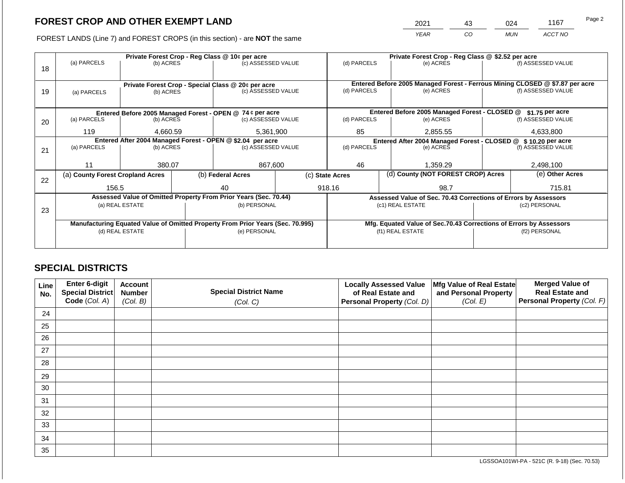2021 43 024 1167

FOREST LANDS (Line 7) and FOREST CROPS (in this section) - are **NOT** the same *YEAR CO MUN ACCT NO*

|    | Private Forest Crop - Reg Class @ 10¢ per acre |                                                    |                   |                                                                                |                                                                              | Private Forest Crop - Reg Class @ \$2.52 per acre                                         |                                    |                                                                    |               |                    |  |
|----|------------------------------------------------|----------------------------------------------------|-------------------|--------------------------------------------------------------------------------|------------------------------------------------------------------------------|-------------------------------------------------------------------------------------------|------------------------------------|--------------------------------------------------------------------|---------------|--------------------|--|
|    | (a) PARCELS                                    | (b) ACRES                                          |                   | (c) ASSESSED VALUE                                                             |                                                                              | (d) PARCELS                                                                               |                                    | (e) ACRES                                                          |               | (f) ASSESSED VALUE |  |
| 18 |                                                |                                                    |                   |                                                                                |                                                                              |                                                                                           |                                    |                                                                    |               |                    |  |
|    |                                                |                                                    |                   |                                                                                |                                                                              |                                                                                           |                                    |                                                                    |               |                    |  |
|    |                                                | Private Forest Crop - Special Class @ 20¢ per acre |                   |                                                                                |                                                                              | Entered Before 2005 Managed Forest - Ferrous Mining CLOSED @ \$7.87 per acre<br>(e) ACRES |                                    |                                                                    |               |                    |  |
| 19 | (a) PARCELS                                    | (b) ACRES                                          |                   | (c) ASSESSED VALUE                                                             |                                                                              | (d) PARCELS                                                                               |                                    |                                                                    |               | (f) ASSESSED VALUE |  |
|    |                                                |                                                    |                   |                                                                                |                                                                              |                                                                                           |                                    |                                                                    |               |                    |  |
|    |                                                |                                                    |                   | Entered Before 2005 Managed Forest - OPEN @ 74 ¢ per acre                      |                                                                              |                                                                                           |                                    | Entered Before 2005 Managed Forest - CLOSED @                      |               | $$1.75$ per acre   |  |
| 20 | (a) PARCELS                                    | (b) ACRES                                          |                   | (c) ASSESSED VALUE                                                             |                                                                              | (d) PARCELS                                                                               |                                    | (e) ACRES                                                          |               | (f) ASSESSED VALUE |  |
|    |                                                |                                                    |                   |                                                                                |                                                                              |                                                                                           |                                    |                                                                    |               |                    |  |
|    | 119                                            | 4.660.59                                           |                   | 5,361,900                                                                      |                                                                              | 85                                                                                        |                                    | 2,855.55                                                           |               | 4,633,800          |  |
|    |                                                |                                                    |                   | Entered After 2004 Managed Forest - OPEN @ \$2.04 per acre                     | Entered After 2004 Managed Forest - CLOSED @ \$10.20 per acre<br>(d) PARCELS |                                                                                           |                                    |                                                                    |               |                    |  |
| 21 | (a) PARCELS                                    | (b) ACRES                                          |                   |                                                                                | (c) ASSESSED VALUE                                                           |                                                                                           |                                    | (e) ACRES                                                          |               | (f) ASSESSED VALUE |  |
|    |                                                |                                                    |                   |                                                                                |                                                                              |                                                                                           |                                    |                                                                    |               |                    |  |
|    | 11                                             | 380.07                                             |                   | 867,600                                                                        |                                                                              | 46                                                                                        |                                    | 1,359.29                                                           |               | 2,498,100          |  |
|    | (a) County Forest Cropland Acres               |                                                    | (b) Federal Acres |                                                                                | (c) State Acres                                                              |                                                                                           | (d) County (NOT FOREST CROP) Acres |                                                                    |               | (e) Other Acres    |  |
| 22 |                                                |                                                    |                   |                                                                                |                                                                              |                                                                                           |                                    |                                                                    |               |                    |  |
|    | 156.5                                          |                                                    |                   | 40                                                                             |                                                                              | 918.16                                                                                    |                                    | 98.7                                                               |               | 715.81             |  |
|    |                                                |                                                    |                   | Assessed Value of Omitted Property From Prior Years (Sec. 70.44)               |                                                                              |                                                                                           |                                    | Assessed Value of Sec. 70.43 Corrections of Errors by Assessors    |               |                    |  |
|    |                                                | (a) REAL ESTATE                                    |                   | (b) PERSONAL                                                                   |                                                                              |                                                                                           |                                    | (c1) REAL ESTATE                                                   |               | (c2) PERSONAL      |  |
| 23 |                                                |                                                    |                   |                                                                                |                                                                              |                                                                                           |                                    |                                                                    |               |                    |  |
|    |                                                |                                                    |                   | Manufacturing Equated Value of Omitted Property From Prior Years (Sec. 70.995) |                                                                              |                                                                                           |                                    | Mfg. Equated Value of Sec.70.43 Corrections of Errors by Assessors |               |                    |  |
|    |                                                | (d) REAL ESTATE                                    |                   | (e) PERSONAL                                                                   |                                                                              | (f1) REAL ESTATE                                                                          |                                    |                                                                    | (f2) PERSONAL |                    |  |
|    |                                                |                                                    |                   |                                                                                |                                                                              |                                                                                           |                                    |                                                                    |               |                    |  |
|    |                                                |                                                    |                   |                                                                                |                                                                              |                                                                                           |                                    |                                                                    |               |                    |  |

# **SPECIAL DISTRICTS**

| Line<br>No. | <b>Enter 6-digit</b><br>Special District | <b>Account</b><br><b>Number</b> | <b>Special District Name</b> | <b>Locally Assessed Value</b><br>of Real Estate and | Mfg Value of Real Estate<br>and Personal Property | <b>Merged Value of</b><br><b>Real Estate and</b> |
|-------------|------------------------------------------|---------------------------------|------------------------------|-----------------------------------------------------|---------------------------------------------------|--------------------------------------------------|
|             | Code (Col. A)                            | (Col. B)                        | (Col. C)                     | Personal Property (Col. D)                          | (Col. E)                                          | Personal Property (Col. F)                       |
| 24          |                                          |                                 |                              |                                                     |                                                   |                                                  |
| 25          |                                          |                                 |                              |                                                     |                                                   |                                                  |
| 26          |                                          |                                 |                              |                                                     |                                                   |                                                  |
| 27          |                                          |                                 |                              |                                                     |                                                   |                                                  |
| 28          |                                          |                                 |                              |                                                     |                                                   |                                                  |
| 29          |                                          |                                 |                              |                                                     |                                                   |                                                  |
| 30          |                                          |                                 |                              |                                                     |                                                   |                                                  |
| 31          |                                          |                                 |                              |                                                     |                                                   |                                                  |
| 32          |                                          |                                 |                              |                                                     |                                                   |                                                  |
| 33          |                                          |                                 |                              |                                                     |                                                   |                                                  |
| 34          |                                          |                                 |                              |                                                     |                                                   |                                                  |
| 35          |                                          |                                 |                              |                                                     |                                                   |                                                  |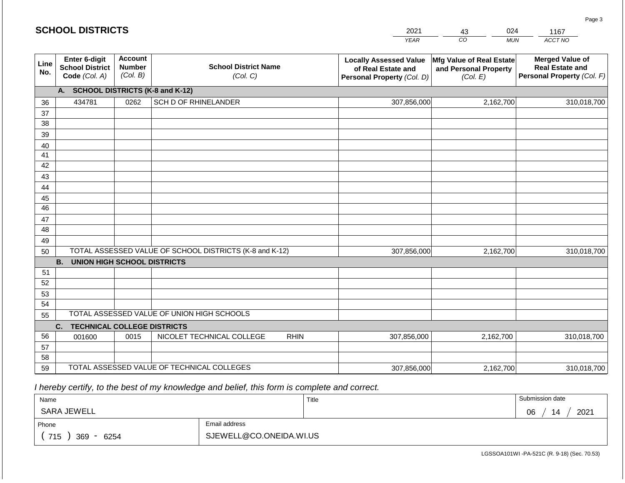#### *YEAR*  2021  $\overline{co}$ *MUN ACCT NO*  1167 **Line No. Enter 6-digit School District Code** *(Col. A)* **Account Number** *(Col. B)* **School District Name** *(Col. C)* **Locally Assessed Value of Real Estate and Personal Property** *(Col. D)* **Mfg Value of Real Estate and Personal Property** *(Col. E)* **Merged Value of Real Estate and Personal Property** *(Col. F)* **A. SCHOOL DISTRICTS (K-8 and K-12)** 36 37 38 39 40 41 42 43 44 45 46 47 48 49 50 TOTAL ASSESSED VALUE OF SCHOOL DISTRICTS (K-8 and K-12) **B. UNION HIGH SCHOOL DISTRICTS** 51 52 53 54 55 **C. TECHNICAL COLLEGE DISTRICTS** 56 57 58 59 TOTAL ASSESSED VALUE OF TECHNICAL COLLEGES TOTAL ASSESSED VALUE OF UNION HIGH SCHOOLS 434781 0262 SCH D OF RHINELANDER 307,856,000 307,856,000 001600 | 0015 | NICOLET TECHNICAL COLLEGE RHIN 307,856,000 2,162,700 310,018,700 2,162,700 310,018,700 2,162,700 310,018,700 307,856,000 2,162,700 310,018,700

 *I hereby certify, to the best of my knowledge and belief, this form is complete and correct.*

| Name               |                         | Title | Submission date  |
|--------------------|-------------------------|-------|------------------|
| SARA JEWELL        |                         |       | 2021<br>06<br>14 |
| Phone              | Email address           |       |                  |
| 715<br>369<br>6254 | SJEWELL@CO.ONEIDA.WI.US |       |                  |

LGSSOA101WI -PA-521C (R. 9-18) (Sec. 70.53)

Page 3

| <b>SCHOOL DISTRICTS</b> |  |
|-------------------------|--|
|-------------------------|--|

43 024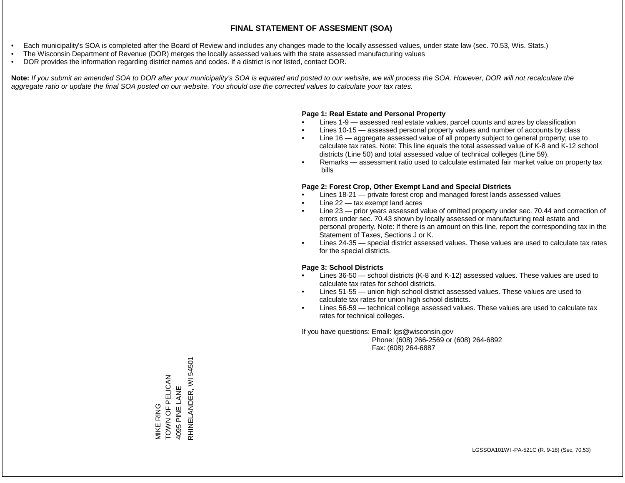- Each municipality's SOA is completed after the Board of Review and includes any changes made to the locally assessed values, under state law (sec. 70.53, Wis. Stats.)
- The Wisconsin Department of Revenue (DOR) merges the locally assessed values with the state assessed manufacturing values
- DOR provides the information regarding district names and codes. If a district is not listed, contact DOR.

Note: If you submit an amended SOA to DOR after your municipality's SOA is equated and posted to our website, we will process the SOA. However, DOR will not recalculate the *aggregate ratio or update the final SOA posted on our website. You should use the corrected values to calculate your tax rates.*

#### **Page 1: Real Estate and Personal Property**

- Lines 1-9 assessed real estate values, parcel counts and acres by classification
- Lines 10-15 assessed personal property values and number of accounts by class
- Line 16 aggregate assessed value of all property subject to general property; use to calculate tax rates. Note: This line equals the total assessed value of K-8 and K-12 school districts (Line 50) and total assessed value of technical colleges (Line 59).
- Remarks assessment ratio used to calculate estimated fair market value on property tax bills

#### **Page 2: Forest Crop, Other Exempt Land and Special Districts**

- Lines 18-21 private forest crop and managed forest lands assessed values
- Line  $22 -$  tax exempt land acres
- Line 23 prior years assessed value of omitted property under sec. 70.44 and correction of errors under sec. 70.43 shown by locally assessed or manufacturing real estate and personal property. Note: If there is an amount on this line, report the corresponding tax in the Statement of Taxes, Sections J or K.
- Lines 24-35 special district assessed values. These values are used to calculate tax rates for the special districts.

#### **Page 3: School Districts**

- Lines 36-50 school districts (K-8 and K-12) assessed values. These values are used to calculate tax rates for school districts.
- Lines 51-55 union high school district assessed values. These values are used to calculate tax rates for union high school districts.
- Lines 56-59 technical college assessed values. These values are used to calculate tax rates for technical colleges.

If you have questions: Email: lgs@wisconsin.gov

 Phone: (608) 266-2569 or (608) 264-6892 Fax: (608) 264-6887

RHINELANDER, WI 54501 RHINELANDER, WI 54501MIKE RING<br>TOWN OF PELICAN<br>4095 PINE LANE TOWN OF PELICAN 4095 PINE LANE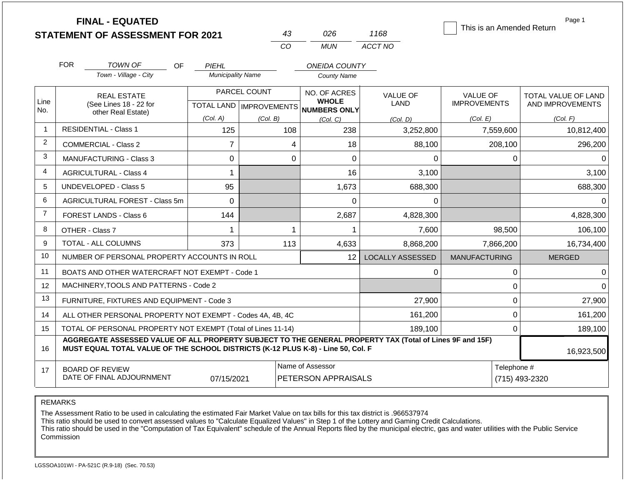|                | <b>FINAL - EQUATED</b>                                                                                                                                                                       |                          |                                       |                                                |                                | This is an Amended Return              | Page 1                                         |
|----------------|----------------------------------------------------------------------------------------------------------------------------------------------------------------------------------------------|--------------------------|---------------------------------------|------------------------------------------------|--------------------------------|----------------------------------------|------------------------------------------------|
|                | <b>STATEMENT OF ASSESSMENT FOR 2021</b>                                                                                                                                                      |                          | 43<br><b>CO</b>                       | 026<br><b>MUN</b>                              | 1168<br>ACCT NO                |                                        |                                                |
|                |                                                                                                                                                                                              |                          |                                       |                                                |                                |                                        |                                                |
|                | <b>FOR</b><br><b>TOWN OF</b><br>OF.                                                                                                                                                          | PIEHL                    |                                       | <b>ONEIDA COUNTY</b>                           |                                |                                        |                                                |
|                | Town - Village - City                                                                                                                                                                        | <b>Municipality Name</b> |                                       | <b>County Name</b>                             |                                |                                        |                                                |
| Line           | <b>REAL ESTATE</b><br>(See Lines 18 - 22 for                                                                                                                                                 |                          | PARCEL COUNT                          | NO. OF ACRES<br><b>WHOLE</b>                   | <b>VALUE OF</b><br><b>LAND</b> | <b>VALUE OF</b><br><b>IMPROVEMENTS</b> | <b>TOTAL VALUE OF LAND</b><br>AND IMPROVEMENTS |
| No.            | other Real Estate)                                                                                                                                                                           | (Col. A)                 | TOTAL LAND   IMPROVEMENTS<br>(Col. B) | <b>NUMBERS ONLY</b><br>(Col, C)                |                                | (Col. E)                               | (Col. F)                                       |
| $\mathbf{1}$   | <b>RESIDENTIAL - Class 1</b>                                                                                                                                                                 | 125                      | 108                                   | 238                                            | (Col. D)<br>3,252,800          | 7,559,600                              | 10,812,400                                     |
| $\overline{2}$ | COMMERCIAL - Class 2                                                                                                                                                                         | $\overline{7}$           | 4                                     | 18                                             | 88,100                         | 208,100                                | 296,200                                        |
| 3              | <b>MANUFACTURING - Class 3</b>                                                                                                                                                               | $\Omega$                 | $\Omega$                              | $\Omega$                                       | $\Omega$                       | $\Omega$                               |                                                |
| $\overline{4}$ | <b>AGRICULTURAL - Class 4</b>                                                                                                                                                                | 1                        |                                       | 16                                             | 3,100                          |                                        | 3,100                                          |
| 5              | <b>UNDEVELOPED - Class 5</b>                                                                                                                                                                 | 95                       |                                       | 1,673                                          | 688,300                        |                                        | 688,300                                        |
| 6              | AGRICULTURAL FOREST - Class 5m                                                                                                                                                               | $\Omega$                 |                                       | 0                                              | 0                              |                                        | 0                                              |
| $\overline{7}$ | FOREST LANDS - Class 6                                                                                                                                                                       | 144                      |                                       | 2,687                                          | 4,828,300                      |                                        | 4,828,300                                      |
| 8              | OTHER - Class 7                                                                                                                                                                              | 1                        | 1                                     | 1                                              | 7,600                          | 98,500                                 | 106,100                                        |
| 9              | <b>TOTAL - ALL COLUMNS</b>                                                                                                                                                                   | 373                      | 113                                   | 4,633                                          | 8,868,200                      | 7,866,200                              | 16,734,400                                     |
| 10             | NUMBER OF PERSONAL PROPERTY ACCOUNTS IN ROLL                                                                                                                                                 |                          |                                       | 12                                             | <b>LOCALLY ASSESSED</b>        | <b>MANUFACTURING</b>                   | <b>MERGED</b>                                  |
| 11             | BOATS AND OTHER WATERCRAFT NOT EXEMPT - Code 1                                                                                                                                               |                          |                                       |                                                | 0                              | $\boldsymbol{0}$                       | 0                                              |
| 12             | MACHINERY.TOOLS AND PATTERNS - Code 2                                                                                                                                                        |                          |                                       |                                                |                                | $\Omega$                               |                                                |
| 13             | FURNITURE, FIXTURES AND EQUIPMENT - Code 3                                                                                                                                                   |                          |                                       |                                                | 27,900                         | 0                                      | 27,900                                         |
| 14             | ALL OTHER PERSONAL PROPERTY NOT EXEMPT - Codes 4A, 4B, 4C                                                                                                                                    |                          |                                       |                                                | 161,200                        | $\mathbf 0$                            | 161,200                                        |
| 15             | TOTAL OF PERSONAL PROPERTY NOT EXEMPT (Total of Lines 11-14)                                                                                                                                 |                          |                                       |                                                | 189,100                        | 0                                      | 189,100                                        |
| 16             | AGGREGATE ASSESSED VALUE OF ALL PROPERTY SUBJECT TO THE GENERAL PROPERTY TAX (Total of Lines 9F and 15F)<br>MUST EQUAL TOTAL VALUE OF THE SCHOOL DISTRICTS (K-12 PLUS K-8) - Line 50, Col. F |                          |                                       |                                                |                                |                                        | 16,923,500                                     |
| 17             | <b>BOARD OF REVIEW</b><br>DATE OF FINAL ADJOURNMENT                                                                                                                                          | 07/15/2021               |                                       | Name of Assessor<br><b>PETERSON APPRAISALS</b> |                                | Telephone #<br>(715) 493-2320          |                                                |

The Assessment Ratio to be used in calculating the estimated Fair Market Value on tax bills for this tax district is .966537974

This ratio should be used to convert assessed values to "Calculate Equalized Values" in Step 1 of the Lottery and Gaming Credit Calculations.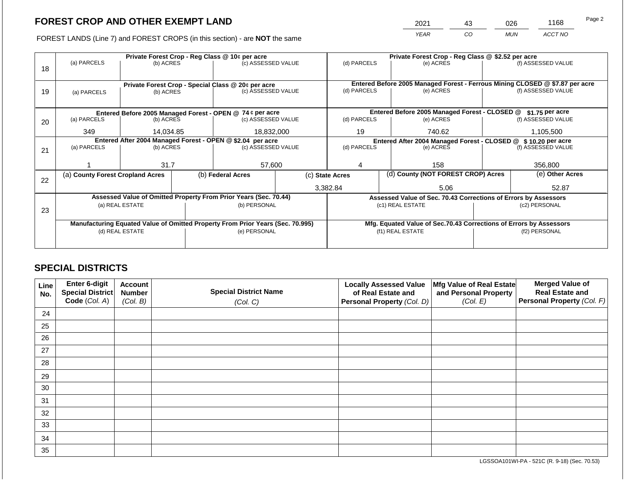2021 43 026 1168

FOREST LANDS (Line 7) and FOREST CROPS (in this section) - are **NOT** the same *YEAR CO MUN ACCT NO*

|    |                                                            | Private Forest Crop - Reg Class @ 10¢ per acre     |  |                                                                                |            |                                                               | Private Forest Crop - Reg Class @ \$2.52 per acre     |                                                                 |                                                                    |                                                                              |  |
|----|------------------------------------------------------------|----------------------------------------------------|--|--------------------------------------------------------------------------------|------------|---------------------------------------------------------------|-------------------------------------------------------|-----------------------------------------------------------------|--------------------------------------------------------------------|------------------------------------------------------------------------------|--|
|    | (a) PARCELS                                                | (b) ACRES                                          |  | (c) ASSESSED VALUE                                                             |            | (d) PARCELS                                                   |                                                       | (e) ACRES                                                       |                                                                    | (f) ASSESSED VALUE                                                           |  |
| 18 |                                                            |                                                    |  |                                                                                |            |                                                               |                                                       |                                                                 |                                                                    |                                                                              |  |
|    |                                                            |                                                    |  |                                                                                |            |                                                               |                                                       |                                                                 |                                                                    |                                                                              |  |
|    |                                                            | Private Forest Crop - Special Class @ 20¢ per acre |  |                                                                                |            |                                                               |                                                       |                                                                 |                                                                    | Entered Before 2005 Managed Forest - Ferrous Mining CLOSED @ \$7.87 per acre |  |
| 19 | (a) PARCELS                                                | (b) ACRES                                          |  | (c) ASSESSED VALUE                                                             |            | (d) PARCELS                                                   |                                                       | (e) ACRES                                                       |                                                                    | (f) ASSESSED VALUE                                                           |  |
|    |                                                            |                                                    |  |                                                                                |            |                                                               |                                                       |                                                                 |                                                                    |                                                                              |  |
|    |                                                            |                                                    |  | Entered Before 2005 Managed Forest - OPEN @ 74 ¢ per acre                      |            |                                                               |                                                       | Entered Before 2005 Managed Forest - CLOSED @                   |                                                                    | \$1.75 per acre                                                              |  |
| 20 | (a) PARCELS                                                | (b) ACRES                                          |  | (c) ASSESSED VALUE                                                             |            | (d) PARCELS                                                   |                                                       | (e) ACRES                                                       |                                                                    | (f) ASSESSED VALUE                                                           |  |
|    |                                                            |                                                    |  |                                                                                |            | 19                                                            |                                                       |                                                                 |                                                                    |                                                                              |  |
|    | 349                                                        | 14.034.85                                          |  |                                                                                | 18,832,000 |                                                               |                                                       | 740.62                                                          |                                                                    | 1,105,500                                                                    |  |
|    | Entered After 2004 Managed Forest - OPEN @ \$2.04 per acre |                                                    |  |                                                                                |            | Entered After 2004 Managed Forest - CLOSED @ \$10.20 per acre |                                                       |                                                                 |                                                                    |                                                                              |  |
| 21 | (a) PARCELS                                                | (b) ACRES                                          |  | (c) ASSESSED VALUE                                                             |            | (d) PARCELS                                                   |                                                       | (e) ACRES                                                       |                                                                    | (f) ASSESSED VALUE                                                           |  |
|    |                                                            |                                                    |  |                                                                                |            |                                                               |                                                       |                                                                 |                                                                    |                                                                              |  |
|    |                                                            | 31.7                                               |  | 57,600                                                                         |            |                                                               |                                                       | 158                                                             |                                                                    | 356,800                                                                      |  |
|    | (a) County Forest Cropland Acres                           |                                                    |  | (b) Federal Acres                                                              |            |                                                               | (d) County (NOT FOREST CROP) Acres<br>(c) State Acres |                                                                 |                                                                    | (e) Other Acres                                                              |  |
| 22 |                                                            |                                                    |  |                                                                                |            |                                                               |                                                       |                                                                 |                                                                    |                                                                              |  |
|    |                                                            |                                                    |  |                                                                                |            | 3,382.84                                                      |                                                       | 5.06                                                            |                                                                    | 52.87                                                                        |  |
|    |                                                            |                                                    |  | Assessed Value of Omitted Property From Prior Years (Sec. 70.44)               |            |                                                               |                                                       | Assessed Value of Sec. 70.43 Corrections of Errors by Assessors |                                                                    |                                                                              |  |
|    |                                                            | (a) REAL ESTATE                                    |  | (b) PERSONAL                                                                   |            |                                                               |                                                       | (c1) REAL ESTATE                                                |                                                                    | (c2) PERSONAL                                                                |  |
| 23 |                                                            |                                                    |  |                                                                                |            |                                                               |                                                       |                                                                 |                                                                    |                                                                              |  |
|    |                                                            |                                                    |  | Manufacturing Equated Value of Omitted Property From Prior Years (Sec. 70.995) |            |                                                               |                                                       |                                                                 | Mfg. Equated Value of Sec.70.43 Corrections of Errors by Assessors |                                                                              |  |
|    |                                                            | (d) REAL ESTATE                                    |  | (e) PERSONAL                                                                   |            |                                                               |                                                       | (f1) REAL ESTATE                                                | (f2) PERSONAL                                                      |                                                                              |  |
|    |                                                            |                                                    |  |                                                                                |            |                                                               |                                                       |                                                                 |                                                                    |                                                                              |  |
|    |                                                            |                                                    |  |                                                                                |            |                                                               |                                                       |                                                                 |                                                                    |                                                                              |  |

# **SPECIAL DISTRICTS**

| Line<br>No. | <b>Enter 6-digit</b><br>Special District | <b>Account</b><br><b>Number</b> | <b>Special District Name</b> | <b>Locally Assessed Value</b><br>of Real Estate and | Mfg Value of Real Estate<br>and Personal Property | <b>Merged Value of</b><br><b>Real Estate and</b> |
|-------------|------------------------------------------|---------------------------------|------------------------------|-----------------------------------------------------|---------------------------------------------------|--------------------------------------------------|
|             | Code (Col. A)                            | (Col. B)                        | (Col. C)                     | Personal Property (Col. D)                          | (Col. E)                                          | Personal Property (Col. F)                       |
| 24          |                                          |                                 |                              |                                                     |                                                   |                                                  |
| 25          |                                          |                                 |                              |                                                     |                                                   |                                                  |
| 26          |                                          |                                 |                              |                                                     |                                                   |                                                  |
| 27          |                                          |                                 |                              |                                                     |                                                   |                                                  |
| 28          |                                          |                                 |                              |                                                     |                                                   |                                                  |
| 29          |                                          |                                 |                              |                                                     |                                                   |                                                  |
| 30          |                                          |                                 |                              |                                                     |                                                   |                                                  |
| 31          |                                          |                                 |                              |                                                     |                                                   |                                                  |
| 32          |                                          |                                 |                              |                                                     |                                                   |                                                  |
| 33          |                                          |                                 |                              |                                                     |                                                   |                                                  |
| 34          |                                          |                                 |                              |                                                     |                                                   |                                                  |
| 35          |                                          |                                 |                              |                                                     |                                                   |                                                  |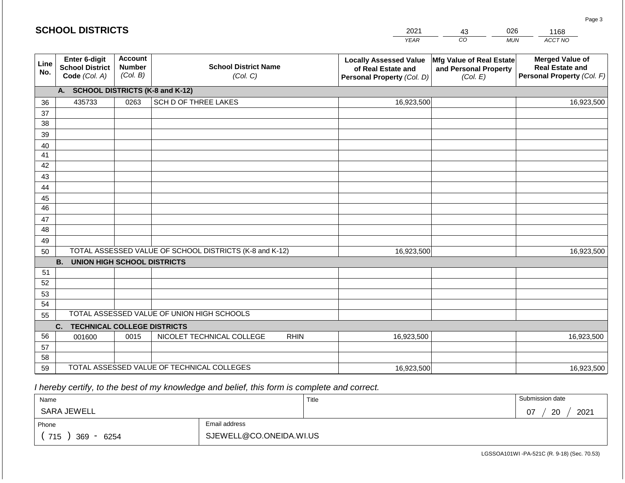|             | <b>SCHOOL DISTRICTS</b>                                  |                                             |                                                         |             | 2021                                                                              | 43                                                            | 026        | 1168                                                                           |
|-------------|----------------------------------------------------------|---------------------------------------------|---------------------------------------------------------|-------------|-----------------------------------------------------------------------------------|---------------------------------------------------------------|------------|--------------------------------------------------------------------------------|
|             |                                                          |                                             |                                                         |             | <b>YEAR</b>                                                                       | CO                                                            | <b>MUN</b> | ACCT NO                                                                        |
| Line<br>No. | Enter 6-digit<br><b>School District</b><br>Code (Col. A) | <b>Account</b><br><b>Number</b><br>(Col. B) | <b>School District Name</b><br>(Col. C)                 |             | <b>Locally Assessed Value</b><br>of Real Estate and<br>Personal Property (Col. D) | Mfg Value of Real Estate<br>and Personal Property<br>(Col. E) |            | <b>Merged Value of</b><br><b>Real Estate and</b><br>Personal Property (Col. F) |
|             | A. SCHOOL DISTRICTS (K-8 and K-12)                       |                                             |                                                         |             |                                                                                   |                                                               |            |                                                                                |
| 36          | 435733                                                   | 0263                                        | SCH D OF THREE LAKES                                    |             | 16,923,500                                                                        |                                                               |            | 16,923,500                                                                     |
| 37          |                                                          |                                             |                                                         |             |                                                                                   |                                                               |            |                                                                                |
| 38          |                                                          |                                             |                                                         |             |                                                                                   |                                                               |            |                                                                                |
| 39          |                                                          |                                             |                                                         |             |                                                                                   |                                                               |            |                                                                                |
| 40<br>41    |                                                          |                                             |                                                         |             |                                                                                   |                                                               |            |                                                                                |
| 42          |                                                          |                                             |                                                         |             |                                                                                   |                                                               |            |                                                                                |
| 43          |                                                          |                                             |                                                         |             |                                                                                   |                                                               |            |                                                                                |
| 44          |                                                          |                                             |                                                         |             |                                                                                   |                                                               |            |                                                                                |
| 45          |                                                          |                                             |                                                         |             |                                                                                   |                                                               |            |                                                                                |
| 46          |                                                          |                                             |                                                         |             |                                                                                   |                                                               |            |                                                                                |
| 47          |                                                          |                                             |                                                         |             |                                                                                   |                                                               |            |                                                                                |
| 48          |                                                          |                                             |                                                         |             |                                                                                   |                                                               |            |                                                                                |
| 49<br>50    |                                                          |                                             | TOTAL ASSESSED VALUE OF SCHOOL DISTRICTS (K-8 and K-12) |             | 16,923,500                                                                        |                                                               |            | 16,923,500                                                                     |
|             | <b>B. UNION HIGH SCHOOL DISTRICTS</b>                    |                                             |                                                         |             |                                                                                   |                                                               |            |                                                                                |
| 51          |                                                          |                                             |                                                         |             |                                                                                   |                                                               |            |                                                                                |
| 52          |                                                          |                                             |                                                         |             |                                                                                   |                                                               |            |                                                                                |
| 53          |                                                          |                                             |                                                         |             |                                                                                   |                                                               |            |                                                                                |
| 54          |                                                          |                                             |                                                         |             |                                                                                   |                                                               |            |                                                                                |
| 55          |                                                          |                                             | TOTAL ASSESSED VALUE OF UNION HIGH SCHOOLS              |             |                                                                                   |                                                               |            |                                                                                |
|             | <b>TECHNICAL COLLEGE DISTRICTS</b><br>C.                 |                                             |                                                         |             |                                                                                   |                                                               |            |                                                                                |
| 56          | 001600                                                   | 0015                                        | NICOLET TECHNICAL COLLEGE                               | <b>RHIN</b> | 16,923,500                                                                        |                                                               |            | 16,923,500                                                                     |
| 57<br>58    |                                                          |                                             |                                                         |             |                                                                                   |                                                               |            |                                                                                |
| 59          |                                                          |                                             | TOTAL ASSESSED VALUE OF TECHNICAL COLLEGES              |             | 16,923,500                                                                        |                                                               |            | 16,923,500                                                                     |

 *I hereby certify, to the best of my knowledge and belief, this form is complete and correct.*

| Name               |                         | Title | Submission date  |
|--------------------|-------------------------|-------|------------------|
| SARA JEWELL        |                         |       | 2021<br>20<br>07 |
| Phone              | Email address           |       |                  |
| 715<br>369<br>6254 | SJEWELL@CO.ONEIDA.WI.US |       |                  |

Page 3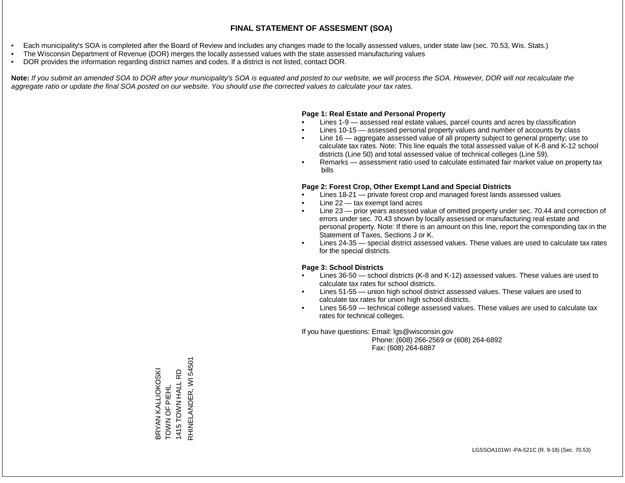- Each municipality's SOA is completed after the Board of Review and includes any changes made to the locally assessed values, under state law (sec. 70.53, Wis. Stats.)
- The Wisconsin Department of Revenue (DOR) merges the locally assessed values with the state assessed manufacturing values
- DOR provides the information regarding district names and codes. If a district is not listed, contact DOR.

Note: If you submit an amended SOA to DOR after your municipality's SOA is equated and posted to our website, we will process the SOA. However, DOR will not recalculate the *aggregate ratio or update the final SOA posted on our website. You should use the corrected values to calculate your tax rates.*

#### **Page 1: Real Estate and Personal Property**

- Lines 1-9 assessed real estate values, parcel counts and acres by classification
- Lines 10-15 assessed personal property values and number of accounts by class
- Line 16 aggregate assessed value of all property subject to general property; use to calculate tax rates. Note: This line equals the total assessed value of K-8 and K-12 school districts (Line 50) and total assessed value of technical colleges (Line 59).
- Remarks assessment ratio used to calculate estimated fair market value on property tax bills

#### **Page 2: Forest Crop, Other Exempt Land and Special Districts**

- Lines 18-21 private forest crop and managed forest lands assessed values
- Line  $22 -$  tax exempt land acres
- Line 23 prior years assessed value of omitted property under sec. 70.44 and correction of errors under sec. 70.43 shown by locally assessed or manufacturing real estate and personal property. Note: If there is an amount on this line, report the corresponding tax in the Statement of Taxes, Sections J or K.
- Lines 24-35 special district assessed values. These values are used to calculate tax rates for the special districts.

#### **Page 3: School Districts**

- Lines 36-50 school districts (K-8 and K-12) assessed values. These values are used to calculate tax rates for school districts.
- Lines 51-55 union high school district assessed values. These values are used to calculate tax rates for union high school districts.
- Lines 56-59 technical college assessed values. These values are used to calculate tax rates for technical colleges.

If you have questions: Email: lgs@wisconsin.gov

 Phone: (608) 266-2569 or (608) 264-6892 Fax: (608) 264-6887

RHINELANDER, WI 54501 RHINELANDER, WI 54501BRYAN KALLIOKOSKI<br>TOWN OF PIEHL 1415 TOWN HALL RD BRYAN KALLIOKOSKI 1415 TOWN HALL RD TOWN OF PIEHL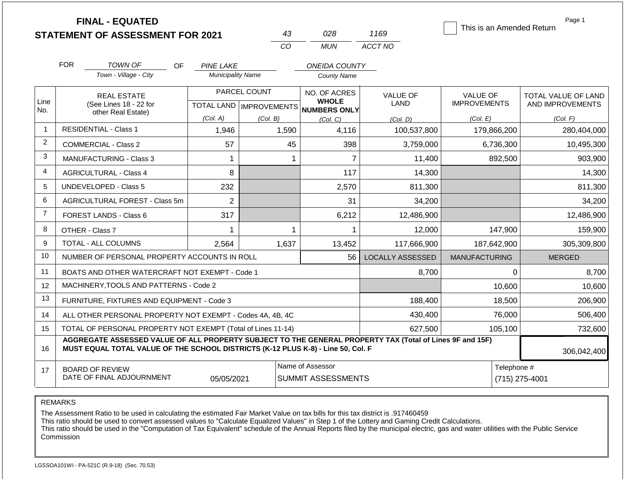|                |            | <b>FINAL - EQUATED</b><br><b>STATEMENT OF ASSESSMENT FOR 2021</b>                                                                                                                            |                          | 43                                        | 028                                          | 1169                    | This is an Amended Return              | Page 1                                  |  |
|----------------|------------|----------------------------------------------------------------------------------------------------------------------------------------------------------------------------------------------|--------------------------|-------------------------------------------|----------------------------------------------|-------------------------|----------------------------------------|-----------------------------------------|--|
|                |            |                                                                                                                                                                                              |                          | CO                                        | <b>MUN</b>                                   | ACCT NO                 |                                        |                                         |  |
|                | <b>FOR</b> | TOWN OF<br>OF.                                                                                                                                                                               | <b>PINE LAKE</b>         |                                           | <b>ONEIDA COUNTY</b>                         |                         |                                        |                                         |  |
|                |            | Town - Village - City                                                                                                                                                                        | <b>Municipality Name</b> |                                           | <b>County Name</b>                           |                         |                                        |                                         |  |
| Line<br>No.    |            | <b>REAL ESTATE</b><br>(See Lines 18 - 22 for                                                                                                                                                 |                          | PARCEL COUNT<br>TOTAL LAND   IMPROVEMENTS | NO. OF ACRES<br><b>WHOLE</b><br>NUMBERS ONLY | <b>VALUE OF</b><br>LAND | <b>VALUE OF</b><br><b>IMPROVEMENTS</b> | TOTAL VALUE OF LAND<br>AND IMPROVEMENTS |  |
|                |            | other Real Estate)                                                                                                                                                                           | (Col. A)                 | (Col. B)                                  | (Col, C)                                     | (Col. D)                | (Col. E)                               | (Col. F)                                |  |
| -1             |            | <b>RESIDENTIAL - Class 1</b>                                                                                                                                                                 | 1,946                    | 1,590                                     | 4,116                                        | 100,537,800             | 179,866,200                            | 280,404,000                             |  |
| 2              |            | <b>COMMERCIAL - Class 2</b>                                                                                                                                                                  | 57                       | 45                                        | 398                                          | 3,759,000               | 6,736,300                              | 10,495,300                              |  |
| 3              |            | <b>MANUFACTURING - Class 3</b>                                                                                                                                                               | $\mathbf{1}$             |                                           | $\overline{7}$<br>$\mathbf 1$                | 11,400                  | 892,500                                | 903,900                                 |  |
| 4              |            | <b>AGRICULTURAL - Class 4</b>                                                                                                                                                                | 8                        |                                           | 117                                          | 14,300                  |                                        | 14,300                                  |  |
| 5              |            | UNDEVELOPED - Class 5                                                                                                                                                                        | 232                      |                                           | 2,570                                        | 811,300                 |                                        | 811,300                                 |  |
| 6              |            | AGRICULTURAL FOREST - Class 5m                                                                                                                                                               | $\overline{2}$           |                                           | 31                                           | 34,200                  |                                        | 34,200                                  |  |
| $\overline{7}$ |            | <b>FOREST LANDS - Class 6</b>                                                                                                                                                                | 317                      |                                           | 6,212                                        | 12,486,900              |                                        | 12,486,900                              |  |
| 8              |            | OTHER - Class 7                                                                                                                                                                              | $\mathbf{1}$             |                                           | $\overline{1}$<br>$\mathbf 1$                | 12,000                  | 147,900                                | 159,900                                 |  |
| 9              |            | <b>TOTAL - ALL COLUMNS</b>                                                                                                                                                                   | 2,564                    | 1,637                                     | 13,452                                       | 117,666,900             | 187,642,900                            | 305,309,800                             |  |
| 10             |            | NUMBER OF PERSONAL PROPERTY ACCOUNTS IN ROLL                                                                                                                                                 |                          |                                           | 56                                           | <b>LOCALLY ASSESSED</b> | <b>MANUFACTURING</b>                   | <b>MERGED</b>                           |  |
| 11             |            | BOATS AND OTHER WATERCRAFT NOT EXEMPT - Code 1                                                                                                                                               |                          |                                           |                                              | 8,700                   | $\Omega$                               | 8,700                                   |  |
| 12             |            | MACHINERY, TOOLS AND PATTERNS - Code 2                                                                                                                                                       |                          |                                           |                                              |                         | 10,600                                 | 10,600                                  |  |
| 13             |            | FURNITURE, FIXTURES AND EQUIPMENT - Code 3                                                                                                                                                   |                          |                                           |                                              | 188,400                 | 18,500                                 | 206,900                                 |  |
| 14             |            | ALL OTHER PERSONAL PROPERTY NOT EXEMPT - Codes 4A, 4B, 4C                                                                                                                                    |                          |                                           |                                              | 430,400                 | 76,000                                 | 506,400                                 |  |
| 15             |            | TOTAL OF PERSONAL PROPERTY NOT EXEMPT (Total of Lines 11-14)                                                                                                                                 |                          |                                           |                                              | 627,500                 | 105,100                                | 732,600                                 |  |
| 16             |            | AGGREGATE ASSESSED VALUE OF ALL PROPERTY SUBJECT TO THE GENERAL PROPERTY TAX (Total of Lines 9F and 15F)<br>MUST EQUAL TOTAL VALUE OF THE SCHOOL DISTRICTS (K-12 PLUS K-8) - Line 50, Col. F |                          |                                           |                                              |                         |                                        |                                         |  |
| 17             |            | <b>BOARD OF REVIEW</b><br>DATE OF FINAL ADJOURNMENT                                                                                                                                          | Telephone #              | (715) 275-4001                            |                                              |                         |                                        |                                         |  |

The Assessment Ratio to be used in calculating the estimated Fair Market Value on tax bills for this tax district is .917460459

This ratio should be used to convert assessed values to "Calculate Equalized Values" in Step 1 of the Lottery and Gaming Credit Calculations.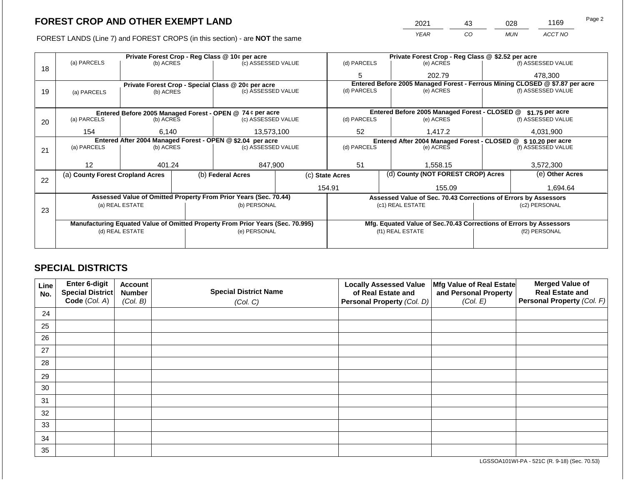FOREST LANDS (Line 7) and FOREST CROPS (in this section) - are **NOT** the same

| 2021 | 43 | 028        | 1169    | Page 2 |
|------|----|------------|---------|--------|
| YEAR | CO | <b>MUN</b> | ACCT NO |        |

|    |                                                                                |                 |  | Private Forest Crop - Reg Class @ 10¢ per acre                   |                    |                                                                                                    | Private Forest Crop - Reg Class @ \$2.52 per acre                  |               |                                                               |  |
|----|--------------------------------------------------------------------------------|-----------------|--|------------------------------------------------------------------|--------------------|----------------------------------------------------------------------------------------------------|--------------------------------------------------------------------|---------------|---------------------------------------------------------------|--|
|    | (a) PARCELS                                                                    | (b) ACRES       |  | (c) ASSESSED VALUE                                               |                    | (d) PARCELS                                                                                        | (e) ACRES                                                          |               | (f) ASSESSED VALUE                                            |  |
| 18 |                                                                                |                 |  |                                                                  |                    | 5                                                                                                  | 202.79                                                             |               | 478.300                                                       |  |
|    |                                                                                |                 |  | Private Forest Crop - Special Class @ 20¢ per acre               |                    | Entered Before 2005 Managed Forest - Ferrous Mining CLOSED @ \$7.87 per acre<br>(f) ASSESSED VALUE |                                                                    |               |                                                               |  |
| 19 | (a) PARCELS                                                                    | (b) ACRES       |  | (c) ASSESSED VALUE                                               |                    | (d) PARCELS                                                                                        | (e) ACRES                                                          |               |                                                               |  |
|    |                                                                                |                 |  |                                                                  |                    |                                                                                                    |                                                                    |               |                                                               |  |
|    | Entered Before 2005 Managed Forest - OPEN @ 74 ¢ per acre                      |                 |  |                                                                  |                    |                                                                                                    | Entered Before 2005 Managed Forest - CLOSED @                      |               | \$1.75 per acre                                               |  |
| 20 | (a) PARCELS                                                                    | (b) ACRES       |  | (c) ASSESSED VALUE                                               |                    | (d) PARCELS                                                                                        | (e) ACRES                                                          |               | (f) ASSESSED VALUE                                            |  |
|    |                                                                                |                 |  |                                                                  |                    |                                                                                                    |                                                                    |               |                                                               |  |
|    | 154                                                                            | 6,140           |  | 13,573,100                                                       |                    | 52                                                                                                 | 1,417.2                                                            |               | 4,031,900                                                     |  |
|    | Entered After 2004 Managed Forest - OPEN @ \$2.04 per acre                     |                 |  |                                                                  | (d) PARCELS        |                                                                                                    |                                                                    |               | Entered After 2004 Managed Forest - CLOSED @ \$10.20 per acre |  |
| 21 | (a) PARCELS                                                                    | (b) ACRES       |  |                                                                  | (c) ASSESSED VALUE |                                                                                                    | (e) ACRES                                                          |               | (f) ASSESSED VALUE                                            |  |
|    |                                                                                |                 |  |                                                                  |                    |                                                                                                    |                                                                    |               |                                                               |  |
|    | 12                                                                             | 401.24          |  | 847,900                                                          |                    | 51                                                                                                 | 1,558.15                                                           |               | 3,572,300                                                     |  |
|    | (a) County Forest Cropland Acres                                               |                 |  | (b) Federal Acres                                                |                    | (d) County (NOT FOREST CROP) Acres<br>(c) State Acres                                              |                                                                    |               | (e) Other Acres                                               |  |
| 22 |                                                                                |                 |  |                                                                  |                    |                                                                                                    |                                                                    |               |                                                               |  |
|    |                                                                                |                 |  |                                                                  |                    | 154.91                                                                                             | 155.09                                                             |               | 1,694.64                                                      |  |
|    |                                                                                |                 |  | Assessed Value of Omitted Property From Prior Years (Sec. 70.44) |                    |                                                                                                    | Assessed Value of Sec. 70.43 Corrections of Errors by Assessors    |               |                                                               |  |
|    |                                                                                | (a) REAL ESTATE |  | (b) PERSONAL                                                     |                    |                                                                                                    | (c1) REAL ESTATE                                                   |               | (c2) PERSONAL                                                 |  |
| 23 |                                                                                |                 |  |                                                                  |                    |                                                                                                    |                                                                    |               |                                                               |  |
|    |                                                                                |                 |  |                                                                  |                    |                                                                                                    |                                                                    |               |                                                               |  |
|    | Manufacturing Equated Value of Omitted Property From Prior Years (Sec. 70.995) |                 |  |                                                                  |                    |                                                                                                    | Mfg. Equated Value of Sec.70.43 Corrections of Errors by Assessors |               |                                                               |  |
|    |                                                                                | (d) REAL ESTATE |  | (e) PERSONAL                                                     |                    |                                                                                                    | (f1) REAL ESTATE                                                   | (f2) PERSONAL |                                                               |  |
|    |                                                                                |                 |  |                                                                  |                    |                                                                                                    |                                                                    |               |                                                               |  |
|    |                                                                                |                 |  |                                                                  |                    |                                                                                                    |                                                                    |               |                                                               |  |

# **SPECIAL DISTRICTS**

| <b>Line</b><br>No. | Enter 6-digit<br><b>Special District</b> | <b>Account</b><br><b>Number</b> | <b>Special District Name</b> | <b>Locally Assessed Value</b><br>Mfg Value of Real Estate<br>of Real Estate and<br>and Personal Property |          | <b>Merged Value of</b><br><b>Real Estate and</b> |
|--------------------|------------------------------------------|---------------------------------|------------------------------|----------------------------------------------------------------------------------------------------------|----------|--------------------------------------------------|
|                    | Code (Col. A)                            | (Col. B)                        | (Col. C)                     | Personal Property (Col. D)                                                                               | (Col. E) | Personal Property (Col. F)                       |
| 24                 |                                          |                                 |                              |                                                                                                          |          |                                                  |
| 25                 |                                          |                                 |                              |                                                                                                          |          |                                                  |
| 26                 |                                          |                                 |                              |                                                                                                          |          |                                                  |
| 27                 |                                          |                                 |                              |                                                                                                          |          |                                                  |
| 28                 |                                          |                                 |                              |                                                                                                          |          |                                                  |
| 29                 |                                          |                                 |                              |                                                                                                          |          |                                                  |
| 30                 |                                          |                                 |                              |                                                                                                          |          |                                                  |
| 31                 |                                          |                                 |                              |                                                                                                          |          |                                                  |
| 32                 |                                          |                                 |                              |                                                                                                          |          |                                                  |
| 33                 |                                          |                                 |                              |                                                                                                          |          |                                                  |
| 34                 |                                          |                                 |                              |                                                                                                          |          |                                                  |
| 35                 |                                          |                                 |                              |                                                                                                          |          |                                                  |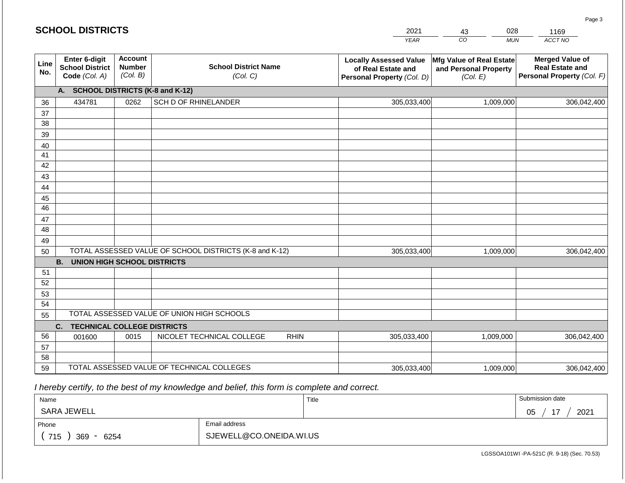|             | <b>SCHOOL DISTRICTS</b>                                         |                                             |                                                         | 2021                                                                              | 028<br>43                                                            | 1169                                                                           |
|-------------|-----------------------------------------------------------------|---------------------------------------------|---------------------------------------------------------|-----------------------------------------------------------------------------------|----------------------------------------------------------------------|--------------------------------------------------------------------------------|
|             |                                                                 |                                             |                                                         | <b>YEAR</b>                                                                       | CO<br><b>MUN</b>                                                     | ACCT NO                                                                        |
| Line<br>No. | <b>Enter 6-digit</b><br><b>School District</b><br>Code (Col. A) | <b>Account</b><br><b>Number</b><br>(Col. B) | <b>School District Name</b><br>(Col. C)                 | <b>Locally Assessed Value</b><br>of Real Estate and<br>Personal Property (Col. D) | <b>Mfg Value of Real Estate</b><br>and Personal Property<br>(Col. E) | <b>Merged Value of</b><br><b>Real Estate and</b><br>Personal Property (Col. F) |
|             | A.                                                              |                                             | <b>SCHOOL DISTRICTS (K-8 and K-12)</b>                  |                                                                                   |                                                                      |                                                                                |
| 36          | 434781                                                          | 0262                                        | SCH D OF RHINELANDER                                    | 305,033,400                                                                       | 1,009,000                                                            | 306,042,400                                                                    |
| 37          |                                                                 |                                             |                                                         |                                                                                   |                                                                      |                                                                                |
| 38          |                                                                 |                                             |                                                         |                                                                                   |                                                                      |                                                                                |
| 39          |                                                                 |                                             |                                                         |                                                                                   |                                                                      |                                                                                |
| 40          |                                                                 |                                             |                                                         |                                                                                   |                                                                      |                                                                                |
| 41          |                                                                 |                                             |                                                         |                                                                                   |                                                                      |                                                                                |
| 42          |                                                                 |                                             |                                                         |                                                                                   |                                                                      |                                                                                |
| 43          |                                                                 |                                             |                                                         |                                                                                   |                                                                      |                                                                                |
| 44<br>45    |                                                                 |                                             |                                                         |                                                                                   |                                                                      |                                                                                |
| 46          |                                                                 |                                             |                                                         |                                                                                   |                                                                      |                                                                                |
| 47          |                                                                 |                                             |                                                         |                                                                                   |                                                                      |                                                                                |
| 48          |                                                                 |                                             |                                                         |                                                                                   |                                                                      |                                                                                |
| 49          |                                                                 |                                             |                                                         |                                                                                   |                                                                      |                                                                                |
| 50          |                                                                 |                                             | TOTAL ASSESSED VALUE OF SCHOOL DISTRICTS (K-8 and K-12) | 305,033,400                                                                       | 1,009,000                                                            | 306,042,400                                                                    |
|             | <b>B.</b><br><b>UNION HIGH SCHOOL DISTRICTS</b>                 |                                             |                                                         |                                                                                   |                                                                      |                                                                                |
| 51          |                                                                 |                                             |                                                         |                                                                                   |                                                                      |                                                                                |
| 52          |                                                                 |                                             |                                                         |                                                                                   |                                                                      |                                                                                |
| 53          |                                                                 |                                             |                                                         |                                                                                   |                                                                      |                                                                                |
| 54          |                                                                 |                                             |                                                         |                                                                                   |                                                                      |                                                                                |
| 55          |                                                                 |                                             | TOTAL ASSESSED VALUE OF UNION HIGH SCHOOLS              |                                                                                   |                                                                      |                                                                                |
|             | C.<br><b>TECHNICAL COLLEGE DISTRICTS</b>                        |                                             |                                                         |                                                                                   |                                                                      |                                                                                |
| 56          | 001600                                                          | 0015                                        | NICOLET TECHNICAL COLLEGE                               | <b>RHIN</b><br>305,033,400                                                        | 1,009,000                                                            | 306,042,400                                                                    |
| 57          |                                                                 |                                             |                                                         |                                                                                   |                                                                      |                                                                                |
| 58          |                                                                 |                                             | TOTAL ASSESSED VALUE OF TECHNICAL COLLEGES              |                                                                                   |                                                                      |                                                                                |
| 59          |                                                                 |                                             |                                                         | 305,033,400                                                                       | 1,009,000                                                            | 306,042,400                                                                    |

 *I hereby certify, to the best of my knowledge and belief, this form is complete and correct.*

| Name               |                         | Title | Submission date       |
|--------------------|-------------------------|-------|-----------------------|
| SARA JEWELL        |                         |       | 2021<br>17<br>∩ҕ<br>◡ |
| Phone              | Email address           |       |                       |
| 715<br>369<br>6254 | SJEWELL@CO.ONEIDA.WI.US |       |                       |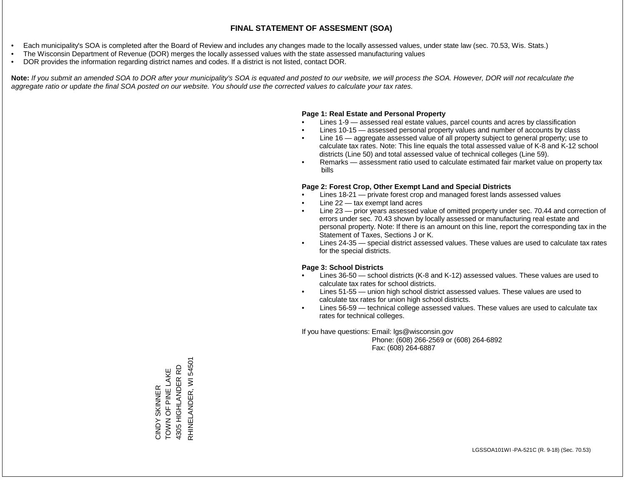- Each municipality's SOA is completed after the Board of Review and includes any changes made to the locally assessed values, under state law (sec. 70.53, Wis. Stats.)
- The Wisconsin Department of Revenue (DOR) merges the locally assessed values with the state assessed manufacturing values
- DOR provides the information regarding district names and codes. If a district is not listed, contact DOR.

Note: If you submit an amended SOA to DOR after your municipality's SOA is equated and posted to our website, we will process the SOA. However, DOR will not recalculate the *aggregate ratio or update the final SOA posted on our website. You should use the corrected values to calculate your tax rates.*

# **Page 1: Real Estate and Personal Property**

- Lines 1-9 assessed real estate values, parcel counts and acres by classification
- Lines 10-15 assessed personal property values and number of accounts by class
- Line 16 aggregate assessed value of all property subject to general property; use to calculate tax rates. Note: This line equals the total assessed value of K-8 and K-12 school districts (Line 50) and total assessed value of technical colleges (Line 59).
- Remarks assessment ratio used to calculate estimated fair market value on property tax bills

# **Page 2: Forest Crop, Other Exempt Land and Special Districts**

- Lines 18-21 private forest crop and managed forest lands assessed values
- Line  $22 -$  tax exempt land acres
- Line 23 prior years assessed value of omitted property under sec. 70.44 and correction of errors under sec. 70.43 shown by locally assessed or manufacturing real estate and personal property. Note: If there is an amount on this line, report the corresponding tax in the Statement of Taxes, Sections J or K.
- Lines 24-35 special district assessed values. These values are used to calculate tax rates for the special districts.

# **Page 3: School Districts**

- Lines 36-50 school districts (K-8 and K-12) assessed values. These values are used to calculate tax rates for school districts.
- Lines 51-55 union high school district assessed values. These values are used to calculate tax rates for union high school districts.
- Lines 56-59 technical college assessed values. These values are used to calculate tax rates for technical colleges.

If you have questions: Email: lgs@wisconsin.gov

 Phone: (608) 266-2569 or (608) 264-6892 Fax: (608) 264-6887

RHINELANDER, WI 54501 RHINELANDER, WI 54501CINDY SKINNER<br>TOWN OF PINE LAKE<br>4305 HIGHLANDER RD 4305 HIGHLANDER RD TOWN OF PINE LAKE CINDY SKINNER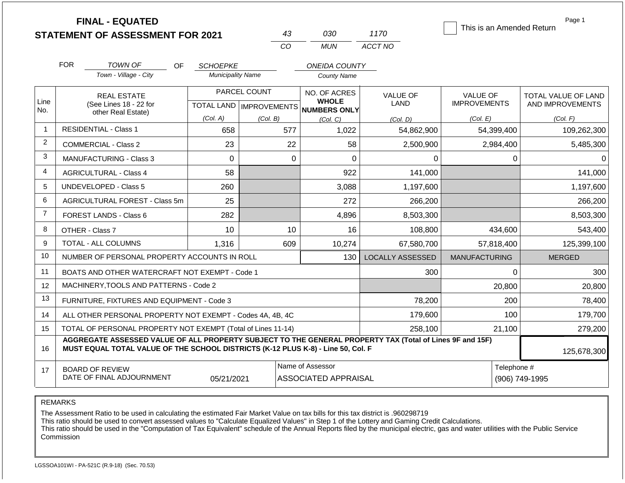|                | <b>FINAL - EQUATED</b><br><b>STATEMENT OF ASSESSMENT FOR 2021</b> |                        |     |                          |          | 43       | 030                                                                              | 1170                                                                                                     | This is an Amended Return | Page 1              |
|----------------|-------------------------------------------------------------------|------------------------|-----|--------------------------|----------|----------|----------------------------------------------------------------------------------|----------------------------------------------------------------------------------------------------------|---------------------------|---------------------|
|                |                                                                   |                        |     |                          |          | CO       | <b>MUN</b>                                                                       | ACCT NO                                                                                                  |                           |                     |
|                | <b>FOR</b>                                                        | <b>TOWN OF</b>         | OF. | <b>SCHOEPKE</b>          |          |          | <b>ONEIDA COUNTY</b>                                                             |                                                                                                          |                           |                     |
|                |                                                                   | Town - Village - City  |     | <b>Municipality Name</b> |          |          | <b>County Name</b>                                                               |                                                                                                          |                           |                     |
|                |                                                                   | <b>REAL ESTATE</b>     |     | PARCEL COUNT             |          |          | NO. OF ACRES                                                                     | VALUE OF                                                                                                 | <b>VALUE OF</b>           | TOTAL VALUE OF LAND |
| Line<br>No.    |                                                                   | (See Lines 18 - 22 for |     |                          |          |          | <b>WHOLE</b><br>TOTAL LAND MPROVEMENTS NUMBERS ONLY                              | LAND                                                                                                     | <b>IMPROVEMENTS</b>       | AND IMPROVEMENTS    |
|                |                                                                   | other Real Estate)     |     | (Col. A)                 | (Col. B) |          | (Col, C)                                                                         | (Col. D)                                                                                                 | (Col. E)                  | (Col. F)            |
| $\mathbf 1$    | <b>RESIDENTIAL - Class 1</b>                                      |                        |     | 658                      |          | 577      | 1,022                                                                            | 54,862,900                                                                                               | 54,399,400                | 109,262,300         |
| 2              | <b>COMMERCIAL - Class 2</b>                                       |                        |     | 23                       |          | 22       | 58                                                                               | 2,500,900                                                                                                | 2,984,400                 | 5,485,300           |
| 3              | <b>MANUFACTURING - Class 3</b><br>0                               |                        |     |                          | 0        | $\Omega$ | 0                                                                                |                                                                                                          | 0<br>0                    |                     |
| $\overline{4}$ | <b>AGRICULTURAL - Class 4</b>                                     |                        |     | 58                       |          |          | 922                                                                              | 141,000                                                                                                  |                           | 141,000             |
| 5              | <b>UNDEVELOPED - Class 5</b>                                      |                        |     | 260                      |          |          | 3,088                                                                            | 1,197,600                                                                                                |                           | 1,197,600           |
| 6              | AGRICULTURAL FOREST - Class 5m                                    |                        |     | 25                       |          |          | 272                                                                              | 266,200                                                                                                  |                           | 266,200             |
| $\overline{7}$ | <b>FOREST LANDS - Class 6</b>                                     |                        |     | 282                      |          |          | 4,896                                                                            | 8,503,300                                                                                                |                           | 8,503,300           |
| 8              | OTHER - Class 7                                                   |                        |     | 10                       |          | 10       | 16                                                                               | 108,800                                                                                                  | 434,600                   | 543,400             |
| 9              | TOTAL - ALL COLUMNS                                               |                        |     | 1,316                    |          | 609      | 10,274                                                                           | 67,580,700                                                                                               | 57,818,400                | 125,399,100         |
| 10             | NUMBER OF PERSONAL PROPERTY ACCOUNTS IN ROLL                      |                        |     |                          |          |          | 130                                                                              | <b>LOCALLY ASSESSED</b>                                                                                  | <b>MANUFACTURING</b>      | <b>MERGED</b>       |
| 11             | BOATS AND OTHER WATERCRAFT NOT EXEMPT - Code 1                    |                        |     |                          |          |          |                                                                                  | 300                                                                                                      |                           | $\Omega$<br>300     |
| 12             | MACHINERY, TOOLS AND PATTERNS - Code 2                            |                        |     |                          |          |          |                                                                                  |                                                                                                          | 20,800                    | 20,800              |
| 13             | FURNITURE, FIXTURES AND EQUIPMENT - Code 3                        |                        |     |                          |          |          |                                                                                  | 78,200                                                                                                   | 200                       | 78,400              |
| 14             | ALL OTHER PERSONAL PROPERTY NOT EXEMPT - Codes 4A, 4B, 4C         |                        |     |                          |          |          |                                                                                  | 179,600                                                                                                  | 100                       | 179,700             |
| 15             | TOTAL OF PERSONAL PROPERTY NOT EXEMPT (Total of Lines 11-14)      |                        |     |                          |          |          |                                                                                  | 258,100                                                                                                  | 21,100                    | 279,200             |
| 16             |                                                                   |                        |     |                          |          |          | MUST EQUAL TOTAL VALUE OF THE SCHOOL DISTRICTS (K-12 PLUS K-8) - Line 50, Col. F | AGGREGATE ASSESSED VALUE OF ALL PROPERTY SUBJECT TO THE GENERAL PROPERTY TAX (Total of Lines 9F and 15F) |                           | 125,678,300         |
| 17             | <b>BOARD OF REVIEW</b>                                            |                        |     |                          |          |          | Name of Assessor                                                                 |                                                                                                          | Telephone #               |                     |
|                | DATE OF FINAL ADJOURNMENT                                         |                        |     | 05/21/2021               |          |          | <b>ASSOCIATED APPRAISAL</b>                                                      |                                                                                                          |                           | (906) 749-1995      |

The Assessment Ratio to be used in calculating the estimated Fair Market Value on tax bills for this tax district is .960298719

This ratio should be used to convert assessed values to "Calculate Equalized Values" in Step 1 of the Lottery and Gaming Credit Calculations.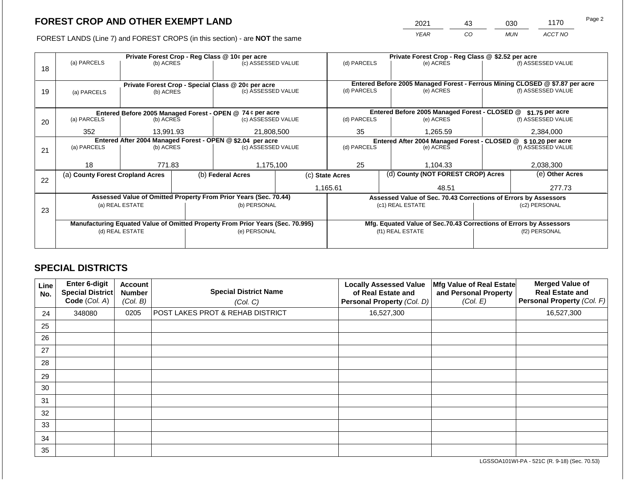2021 43 030 1170

FOREST LANDS (Line 7) and FOREST CROPS (in this section) - are **NOT** the same *YEAR CO MUN ACCT NO*

|    |                                                            |                                                    |  | Private Forest Crop - Reg Class @ 10¢ per acre                                 |  | Private Forest Crop - Reg Class @ \$2.52 per acre             |  |                                                                    |                                                                              |                    |
|----|------------------------------------------------------------|----------------------------------------------------|--|--------------------------------------------------------------------------------|--|---------------------------------------------------------------|--|--------------------------------------------------------------------|------------------------------------------------------------------------------|--------------------|
|    | (a) PARCELS                                                | (b) ACRES                                          |  | (c) ASSESSED VALUE                                                             |  | (d) PARCELS                                                   |  | (e) ACRES                                                          |                                                                              | (f) ASSESSED VALUE |
| 18 |                                                            |                                                    |  |                                                                                |  |                                                               |  |                                                                    |                                                                              |                    |
|    |                                                            |                                                    |  |                                                                                |  |                                                               |  |                                                                    | Entered Before 2005 Managed Forest - Ferrous Mining CLOSED @ \$7.87 per acre |                    |
|    |                                                            | Private Forest Crop - Special Class @ 20¢ per acre |  |                                                                                |  | (d) PARCELS                                                   |  | (e) ACRES                                                          |                                                                              | (f) ASSESSED VALUE |
| 19 |                                                            | (b) ACRES<br>(a) PARCELS                           |  | (c) ASSESSED VALUE                                                             |  |                                                               |  |                                                                    |                                                                              |                    |
|    |                                                            |                                                    |  |                                                                                |  |                                                               |  |                                                                    |                                                                              |                    |
|    |                                                            |                                                    |  | Entered Before 2005 Managed Forest - OPEN @ 74 ¢ per acre                      |  |                                                               |  | Entered Before 2005 Managed Forest - CLOSED @                      |                                                                              | \$1.75 per acre    |
| 20 | (a) PARCELS                                                | (b) ACRES                                          |  | (c) ASSESSED VALUE                                                             |  | (d) PARCELS                                                   |  | (e) ACRES                                                          |                                                                              | (f) ASSESSED VALUE |
|    |                                                            |                                                    |  |                                                                                |  |                                                               |  |                                                                    |                                                                              |                    |
|    | 352                                                        | 13,991.93                                          |  | 21,808,500                                                                     |  | 35<br>1,265.59                                                |  |                                                                    |                                                                              | 2,384,000          |
|    | Entered After 2004 Managed Forest - OPEN @ \$2.04 per acre |                                                    |  |                                                                                |  | Entered After 2004 Managed Forest - CLOSED @ \$10.20 per acre |  |                                                                    |                                                                              |                    |
| 21 | (a) PARCELS                                                | (b) ACRES                                          |  | (c) ASSESSED VALUE                                                             |  | (d) PARCELS                                                   |  | (e) ACRES                                                          |                                                                              | (f) ASSESSED VALUE |
|    |                                                            |                                                    |  |                                                                                |  |                                                               |  |                                                                    |                                                                              |                    |
|    | 18                                                         | 771.83                                             |  | 1,175,100                                                                      |  | 25                                                            |  | 1,104.33                                                           |                                                                              | 2,038,300          |
|    | (a) County Forest Cropland Acres                           |                                                    |  | (b) Federal Acres                                                              |  | (d) County (NOT FOREST CROP) Acres<br>(c) State Acres         |  |                                                                    | (e) Other Acres                                                              |                    |
| 22 |                                                            |                                                    |  |                                                                                |  |                                                               |  |                                                                    |                                                                              |                    |
|    |                                                            |                                                    |  |                                                                                |  | 1,165.61                                                      |  | 48.51                                                              |                                                                              | 277.73             |
|    |                                                            |                                                    |  | Assessed Value of Omitted Property From Prior Years (Sec. 70.44)               |  |                                                               |  | Assessed Value of Sec. 70.43 Corrections of Errors by Assessors    |                                                                              |                    |
|    |                                                            | (a) REAL ESTATE                                    |  | (b) PERSONAL                                                                   |  |                                                               |  | (c1) REAL ESTATE                                                   |                                                                              | (c2) PERSONAL      |
| 23 |                                                            |                                                    |  |                                                                                |  |                                                               |  |                                                                    |                                                                              |                    |
|    |                                                            |                                                    |  | Manufacturing Equated Value of Omitted Property From Prior Years (Sec. 70.995) |  |                                                               |  | Mfg. Equated Value of Sec.70.43 Corrections of Errors by Assessors |                                                                              |                    |
|    |                                                            | (d) REAL ESTATE                                    |  | (e) PERSONAL                                                                   |  |                                                               |  | (f1) REAL ESTATE                                                   | (f2) PERSONAL                                                                |                    |
|    |                                                            |                                                    |  |                                                                                |  |                                                               |  |                                                                    |                                                                              |                    |
|    |                                                            |                                                    |  |                                                                                |  |                                                               |  |                                                                    |                                                                              |                    |

# **SPECIAL DISTRICTS**

| Line<br>No. | <b>Enter 6-digit</b><br>Special District<br>Code (Col. A) | <b>Account</b><br><b>Number</b><br>(Col. B) | <b>Special District Name</b><br>(Col. C)    | <b>Locally Assessed Value</b><br>of Real Estate and<br>Personal Property (Col. D) | Mfg Value of Real Estate<br>and Personal Property<br>(Col. E) | <b>Merged Value of</b><br><b>Real Estate and</b><br>Personal Property (Col. F) |
|-------------|-----------------------------------------------------------|---------------------------------------------|---------------------------------------------|-----------------------------------------------------------------------------------|---------------------------------------------------------------|--------------------------------------------------------------------------------|
| 24          | 348080                                                    | 0205                                        | <b>POST LAKES PROT &amp; REHAB DISTRICT</b> | 16,527,300                                                                        |                                                               | 16,527,300                                                                     |
| 25          |                                                           |                                             |                                             |                                                                                   |                                                               |                                                                                |
| 26          |                                                           |                                             |                                             |                                                                                   |                                                               |                                                                                |
| 27          |                                                           |                                             |                                             |                                                                                   |                                                               |                                                                                |
| 28          |                                                           |                                             |                                             |                                                                                   |                                                               |                                                                                |
| 29          |                                                           |                                             |                                             |                                                                                   |                                                               |                                                                                |
| 30          |                                                           |                                             |                                             |                                                                                   |                                                               |                                                                                |
| 31          |                                                           |                                             |                                             |                                                                                   |                                                               |                                                                                |
| 32          |                                                           |                                             |                                             |                                                                                   |                                                               |                                                                                |
| 33          |                                                           |                                             |                                             |                                                                                   |                                                               |                                                                                |
| 34          |                                                           |                                             |                                             |                                                                                   |                                                               |                                                                                |
| 35          |                                                           |                                             |                                             |                                                                                   |                                                               |                                                                                |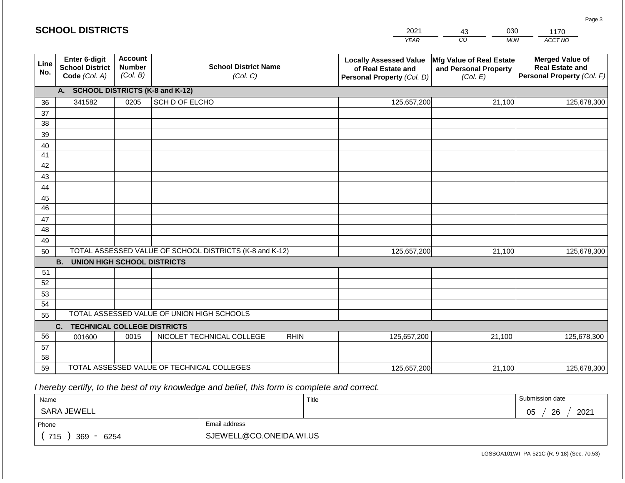|             | <b>SCHOOL DISTRICTS</b>                                  |                                             |                                                         |             | 2021                                                                              | 030<br>43                                                     | 1170                                                                           |
|-------------|----------------------------------------------------------|---------------------------------------------|---------------------------------------------------------|-------------|-----------------------------------------------------------------------------------|---------------------------------------------------------------|--------------------------------------------------------------------------------|
|             |                                                          |                                             |                                                         |             | <b>YEAR</b>                                                                       | CO<br><b>MUN</b>                                              | ACCT NO                                                                        |
| Line<br>No. | Enter 6-digit<br><b>School District</b><br>Code (Col. A) | <b>Account</b><br><b>Number</b><br>(Col. B) | <b>School District Name</b><br>(Col. C)                 |             | <b>Locally Assessed Value</b><br>of Real Estate and<br>Personal Property (Col. D) | Mfg Value of Real Estate<br>and Personal Property<br>(Col. E) | <b>Merged Value of</b><br><b>Real Estate and</b><br>Personal Property (Col. F) |
|             | A.                                                       |                                             | <b>SCHOOL DISTRICTS (K-8 and K-12)</b>                  |             |                                                                                   |                                                               |                                                                                |
| 36          | 341582                                                   | 0205                                        | SCH D OF ELCHO                                          |             | 125,657,200                                                                       | 21,100                                                        | 125,678,300                                                                    |
| 37          |                                                          |                                             |                                                         |             |                                                                                   |                                                               |                                                                                |
| 38          |                                                          |                                             |                                                         |             |                                                                                   |                                                               |                                                                                |
| 39          |                                                          |                                             |                                                         |             |                                                                                   |                                                               |                                                                                |
| 40          |                                                          |                                             |                                                         |             |                                                                                   |                                                               |                                                                                |
| 41          |                                                          |                                             |                                                         |             |                                                                                   |                                                               |                                                                                |
| 42<br>43    |                                                          |                                             |                                                         |             |                                                                                   |                                                               |                                                                                |
| 44          |                                                          |                                             |                                                         |             |                                                                                   |                                                               |                                                                                |
| 45          |                                                          |                                             |                                                         |             |                                                                                   |                                                               |                                                                                |
| 46          |                                                          |                                             |                                                         |             |                                                                                   |                                                               |                                                                                |
| 47          |                                                          |                                             |                                                         |             |                                                                                   |                                                               |                                                                                |
| 48          |                                                          |                                             |                                                         |             |                                                                                   |                                                               |                                                                                |
| 49          |                                                          |                                             |                                                         |             |                                                                                   |                                                               |                                                                                |
| 50          |                                                          |                                             | TOTAL ASSESSED VALUE OF SCHOOL DISTRICTS (K-8 and K-12) |             | 125,657,200                                                                       | 21,100                                                        | 125,678,300                                                                    |
|             | <b>B.</b><br><b>UNION HIGH SCHOOL DISTRICTS</b>          |                                             |                                                         |             |                                                                                   |                                                               |                                                                                |
| 51          |                                                          |                                             |                                                         |             |                                                                                   |                                                               |                                                                                |
| 52          |                                                          |                                             |                                                         |             |                                                                                   |                                                               |                                                                                |
| 53          |                                                          |                                             |                                                         |             |                                                                                   |                                                               |                                                                                |
| 54          |                                                          |                                             | TOTAL ASSESSED VALUE OF UNION HIGH SCHOOLS              |             |                                                                                   |                                                               |                                                                                |
| 55          |                                                          |                                             |                                                         |             |                                                                                   |                                                               |                                                                                |
|             | <b>TECHNICAL COLLEGE DISTRICTS</b><br>C.                 |                                             |                                                         |             |                                                                                   |                                                               |                                                                                |
| 56<br>57    | 001600                                                   | 0015                                        | NICOLET TECHNICAL COLLEGE                               | <b>RHIN</b> | 125,657,200                                                                       | 21,100                                                        | 125,678,300                                                                    |
| 58          |                                                          |                                             |                                                         |             |                                                                                   |                                                               |                                                                                |
| 59          |                                                          |                                             | TOTAL ASSESSED VALUE OF TECHNICAL COLLEGES              |             | 125,657,200                                                                       | 21,100                                                        | 125,678,300                                                                    |

 *I hereby certify, to the best of my knowledge and belief, this form is complete and correct.*

| Name               |                         | Title | Submission date       |
|--------------------|-------------------------|-------|-----------------------|
| SARA JEWELL        |                         |       | 2021<br>26<br>∩ҕ<br>◡ |
| Phone              | Email address           |       |                       |
| 715<br>369<br>6254 | SJEWELL@CO.ONEIDA.WI.US |       |                       |

Page 3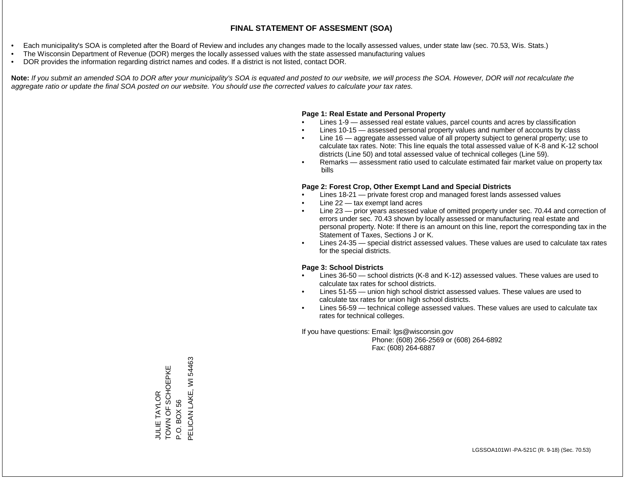- Each municipality's SOA is completed after the Board of Review and includes any changes made to the locally assessed values, under state law (sec. 70.53, Wis. Stats.)
- The Wisconsin Department of Revenue (DOR) merges the locally assessed values with the state assessed manufacturing values
- DOR provides the information regarding district names and codes. If a district is not listed, contact DOR.

Note: If you submit an amended SOA to DOR after your municipality's SOA is equated and posted to our website, we will process the SOA. However, DOR will not recalculate the *aggregate ratio or update the final SOA posted on our website. You should use the corrected values to calculate your tax rates.*

# **Page 1: Real Estate and Personal Property**

- Lines 1-9 assessed real estate values, parcel counts and acres by classification
- Lines 10-15 assessed personal property values and number of accounts by class
- Line 16 aggregate assessed value of all property subject to general property; use to calculate tax rates. Note: This line equals the total assessed value of K-8 and K-12 school districts (Line 50) and total assessed value of technical colleges (Line 59).
- Remarks assessment ratio used to calculate estimated fair market value on property tax bills

# **Page 2: Forest Crop, Other Exempt Land and Special Districts**

- Lines 18-21 private forest crop and managed forest lands assessed values
- Line  $22 -$  tax exempt land acres
- Line 23 prior years assessed value of omitted property under sec. 70.44 and correction of errors under sec. 70.43 shown by locally assessed or manufacturing real estate and personal property. Note: If there is an amount on this line, report the corresponding tax in the Statement of Taxes, Sections J or K.
- Lines 24-35 special district assessed values. These values are used to calculate tax rates for the special districts.

# **Page 3: School Districts**

- Lines 36-50 school districts (K-8 and K-12) assessed values. These values are used to calculate tax rates for school districts.
- Lines 51-55 union high school district assessed values. These values are used to calculate tax rates for union high school districts.
- Lines 56-59 technical college assessed values. These values are used to calculate tax rates for technical colleges.

If you have questions: Email: lgs@wisconsin.gov

 Phone: (608) 266-2569 or (608) 264-6892 Fax: (608) 264-6887

JULIE TAYLOR<br>TOWN OF SCHOEPKE TOWN OF SCHOEPKE P.O. BOX 56<br>PELICAN LAKE, WI 54463 PELICAN LAKE, WI 54463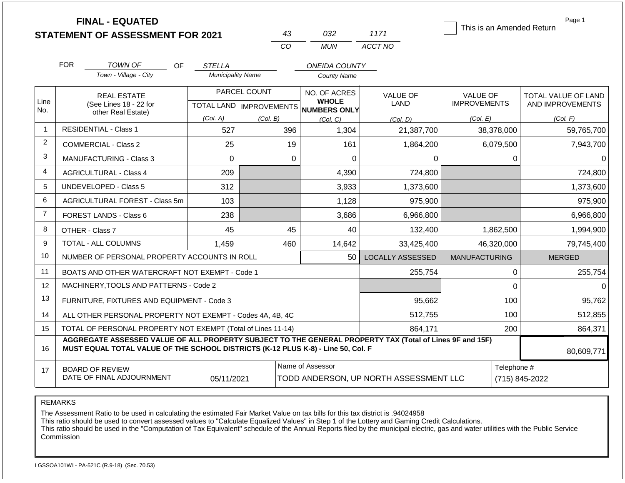|                   | <b>FINAL - EQUATED</b><br><b>STATEMENT OF ASSESSMENT FOR 2021</b>                                                                                                                            |                          | 43                                        | 032                                                 | 1171                           | This is an Amended Return              | Page 1                                  |
|-------------------|----------------------------------------------------------------------------------------------------------------------------------------------------------------------------------------------|--------------------------|-------------------------------------------|-----------------------------------------------------|--------------------------------|----------------------------------------|-----------------------------------------|
|                   |                                                                                                                                                                                              |                          | CO                                        | <b>MUN</b>                                          | ACCT NO                        |                                        |                                         |
|                   | <b>FOR</b><br>TOWN OF<br><b>OF</b>                                                                                                                                                           | <b>STELLA</b>            |                                           | <b>ONEIDA COUNTY</b>                                |                                |                                        |                                         |
|                   | Town - Village - City                                                                                                                                                                        | <b>Municipality Name</b> |                                           | <b>County Name</b>                                  |                                |                                        |                                         |
| Line              | <b>REAL ESTATE</b><br>(See Lines 18 - 22 for                                                                                                                                                 |                          | PARCEL COUNT<br>TOTAL LAND   IMPROVEMENTS | NO. OF ACRES<br><b>WHOLE</b><br><b>NUMBERS ONLY</b> | <b>VALUE OF</b><br><b>LAND</b> | <b>VALUE OF</b><br><b>IMPROVEMENTS</b> | TOTAL VALUE OF LAND<br>AND IMPROVEMENTS |
| No.               | other Real Estate)                                                                                                                                                                           | (Col. A)                 | (Col. B)                                  | (Col, C)                                            | (Col. D)                       | (Col. E)                               | (Col. F)                                |
| -1                | <b>RESIDENTIAL - Class 1</b>                                                                                                                                                                 | 527                      | 396                                       | 1,304                                               | 21,387,700                     | 38,378,000                             | 59,765,700                              |
| 2                 | <b>COMMERCIAL - Class 2</b>                                                                                                                                                                  | 25                       | 19                                        | 161                                                 | 1,864,200                      | 6,079,500                              | 7,943,700                               |
| 3                 | MANUFACTURING - Class 3                                                                                                                                                                      | $\mathbf 0$              | 0                                         | $\mathbf 0$                                         | 0                              | $\mathbf 0$                            |                                         |
| $\overline{4}$    | <b>AGRICULTURAL - Class 4</b>                                                                                                                                                                | 209                      |                                           | 4,390                                               | 724,800                        |                                        | 724,800                                 |
| 5                 | <b>UNDEVELOPED - Class 5</b>                                                                                                                                                                 | 312                      |                                           | 3,933                                               | 1,373,600                      |                                        | 1,373,600                               |
| 6                 | AGRICULTURAL FOREST - Class 5m                                                                                                                                                               | 103                      |                                           | 1,128                                               | 975,900                        |                                        | 975,900                                 |
| $\overline{7}$    | FOREST LANDS - Class 6                                                                                                                                                                       | 238                      |                                           | 3,686                                               | 6,966,800                      |                                        | 6,966,800                               |
| 8                 | OTHER - Class 7                                                                                                                                                                              | 45                       | 45                                        | 40                                                  | 132,400                        | 1,862,500                              | 1,994,900                               |
| 9                 | TOTAL - ALL COLUMNS                                                                                                                                                                          | 1,459                    | 460                                       | 14,642                                              | 33,425,400                     | 46,320,000                             | 79,745,400                              |
| 10                | NUMBER OF PERSONAL PROPERTY ACCOUNTS IN ROLL                                                                                                                                                 |                          |                                           | 50                                                  | <b>LOCALLY ASSESSED</b>        | <b>MANUFACTURING</b>                   | <b>MERGED</b>                           |
| 11                | BOATS AND OTHER WATERCRAFT NOT EXEMPT - Code 1                                                                                                                                               |                          |                                           |                                                     | 255,754                        | 0                                      | 255,754                                 |
| $12 \overline{ }$ | MACHINERY, TOOLS AND PATTERNS - Code 2                                                                                                                                                       |                          |                                           |                                                     |                                | $\Omega$                               |                                         |
| 13                | FURNITURE, FIXTURES AND EQUIPMENT - Code 3                                                                                                                                                   |                          |                                           |                                                     | 95,662                         | 100                                    | 95,762                                  |
| 14                | ALL OTHER PERSONAL PROPERTY NOT EXEMPT - Codes 4A, 4B, 4C                                                                                                                                    |                          |                                           |                                                     | 512,755                        | 100                                    | 512,855                                 |
| 15                | TOTAL OF PERSONAL PROPERTY NOT EXEMPT (Total of Lines 11-14)                                                                                                                                 |                          |                                           |                                                     | 864,171                        | 200                                    | 864,371                                 |
| 16                | AGGREGATE ASSESSED VALUE OF ALL PROPERTY SUBJECT TO THE GENERAL PROPERTY TAX (Total of Lines 9F and 15F)<br>MUST EQUAL TOTAL VALUE OF THE SCHOOL DISTRICTS (K-12 PLUS K-8) - Line 50, Col. F |                          |                                           |                                                     |                                |                                        | 80,609,771                              |
| 17                | <b>BOARD OF REVIEW</b><br>DATE OF FINAL ADJOURNMENT                                                                                                                                          | 05/11/2021               | TODD ANDERSON, UP NORTH ASSESSMENT LLC    | Telephone #                                         | (715) 845-2022                 |                                        |                                         |

The Assessment Ratio to be used in calculating the estimated Fair Market Value on tax bills for this tax district is .94024958

This ratio should be used to convert assessed values to "Calculate Equalized Values" in Step 1 of the Lottery and Gaming Credit Calculations.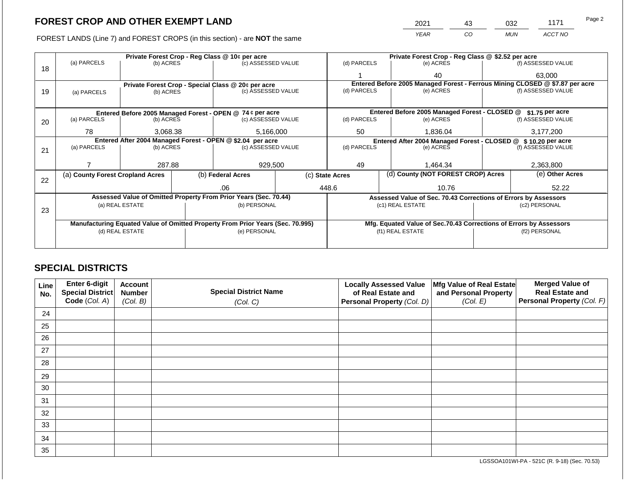FOREST LANDS (Line 7) and FOREST CROPS (in this section) - are **NOT** the same

| 2021        | 43 | 032        | 1171    | Page 2 |
|-------------|----|------------|---------|--------|
| <b>YFAR</b> | 20 | <b>MUN</b> | ACCT NO |        |

|    |                                                                                |                 | Private Forest Crop - Reg Class @ 10¢ per acre            |                                                                  |  | Private Forest Crop - Reg Class @ \$2.52 per acre                            |                                               |                                                                    |                 |                    |  |
|----|--------------------------------------------------------------------------------|-----------------|-----------------------------------------------------------|------------------------------------------------------------------|--|------------------------------------------------------------------------------|-----------------------------------------------|--------------------------------------------------------------------|-----------------|--------------------|--|
|    | (a) PARCELS                                                                    | (b) ACRES       |                                                           | (c) ASSESSED VALUE                                               |  | (d) PARCELS                                                                  |                                               | (e) ACRES                                                          |                 | (f) ASSESSED VALUE |  |
| 18 |                                                                                |                 |                                                           |                                                                  |  |                                                                              |                                               | 40                                                                 |                 | 63,000             |  |
|    |                                                                                |                 |                                                           | Private Forest Crop - Special Class @ 20¢ per acre               |  | Entered Before 2005 Managed Forest - Ferrous Mining CLOSED @ \$7.87 per acre |                                               |                                                                    |                 |                    |  |
| 19 | (a) PARCELS                                                                    | (b) ACRES       |                                                           | (c) ASSESSED VALUE                                               |  | (d) PARCELS                                                                  |                                               | (e) ACRES                                                          |                 | (f) ASSESSED VALUE |  |
|    |                                                                                |                 |                                                           |                                                                  |  |                                                                              |                                               |                                                                    |                 |                    |  |
|    |                                                                                |                 | Entered Before 2005 Managed Forest - OPEN @ 74 ¢ per acre |                                                                  |  |                                                                              | Entered Before 2005 Managed Forest - CLOSED @ |                                                                    | \$1.75 per acre |                    |  |
| 20 | (a) PARCELS                                                                    | (b) ACRES       |                                                           | (c) ASSESSED VALUE                                               |  | (d) PARCELS                                                                  |                                               | (e) ACRES                                                          |                 | (f) ASSESSED VALUE |  |
|    |                                                                                |                 |                                                           |                                                                  |  |                                                                              |                                               |                                                                    |                 |                    |  |
|    | 78                                                                             | 3,068.38        |                                                           | 5,166,000                                                        |  | 1,836.04<br>50                                                               |                                               | 3,177,200                                                          |                 |                    |  |
|    | Entered After 2004 Managed Forest - OPEN @ \$2.04 per acre                     |                 |                                                           |                                                                  |  |                                                                              |                                               | Entered After 2004 Managed Forest - CLOSED @ \$10.20 per acre      |                 |                    |  |
| 21 | (a) PARCELS                                                                    | (b) ACRES       |                                                           | (c) ASSESSED VALUE                                               |  | (d) PARCELS                                                                  |                                               | (e) ACRES                                                          |                 | (f) ASSESSED VALUE |  |
|    |                                                                                |                 |                                                           |                                                                  |  |                                                                              |                                               |                                                                    |                 |                    |  |
|    |                                                                                | 287.88          |                                                           | 929,500                                                          |  | 49                                                                           |                                               | 1,464.34                                                           |                 | 2,363,800          |  |
| 22 | (a) County Forest Cropland Acres                                               |                 |                                                           | (b) Federal Acres                                                |  | (c) State Acres                                                              |                                               | (d) County (NOT FOREST CROP) Acres                                 |                 | (e) Other Acres    |  |
|    |                                                                                |                 |                                                           | .06                                                              |  | 448.6                                                                        |                                               | 10.76                                                              |                 | 52.22              |  |
|    |                                                                                |                 |                                                           | Assessed Value of Omitted Property From Prior Years (Sec. 70.44) |  |                                                                              |                                               | Assessed Value of Sec. 70.43 Corrections of Errors by Assessors    |                 |                    |  |
|    |                                                                                | (a) REAL ESTATE |                                                           | (b) PERSONAL                                                     |  |                                                                              |                                               | (c1) REAL ESTATE                                                   |                 | (c2) PERSONAL      |  |
| 23 |                                                                                |                 |                                                           |                                                                  |  |                                                                              |                                               |                                                                    |                 |                    |  |
|    |                                                                                |                 |                                                           |                                                                  |  |                                                                              |                                               |                                                                    |                 |                    |  |
|    | Manufacturing Equated Value of Omitted Property From Prior Years (Sec. 70.995) |                 |                                                           |                                                                  |  |                                                                              |                                               | Mfg. Equated Value of Sec.70.43 Corrections of Errors by Assessors |                 |                    |  |
|    |                                                                                | (d) REAL ESTATE |                                                           | (e) PERSONAL                                                     |  |                                                                              |                                               | (f1) REAL ESTATE                                                   | (f2) PERSONAL   |                    |  |
|    |                                                                                |                 |                                                           |                                                                  |  |                                                                              |                                               |                                                                    |                 |                    |  |
|    |                                                                                |                 |                                                           |                                                                  |  |                                                                              |                                               |                                                                    |                 |                    |  |

# **SPECIAL DISTRICTS**

| <b>Line</b><br>No. | Enter 6-digit<br><b>Special District</b> | <b>Account</b><br><b>Number</b> | <b>Special District Name</b> | <b>Locally Assessed Value</b><br>Mfg Value of Real Estate<br>of Real Estate and<br>and Personal Property |          | <b>Merged Value of</b><br><b>Real Estate and</b> |
|--------------------|------------------------------------------|---------------------------------|------------------------------|----------------------------------------------------------------------------------------------------------|----------|--------------------------------------------------|
|                    | Code (Col. A)                            | (Col. B)                        | (Col. C)                     | Personal Property (Col. D)                                                                               | (Col. E) | Personal Property (Col. F)                       |
| 24                 |                                          |                                 |                              |                                                                                                          |          |                                                  |
| 25                 |                                          |                                 |                              |                                                                                                          |          |                                                  |
| 26                 |                                          |                                 |                              |                                                                                                          |          |                                                  |
| 27                 |                                          |                                 |                              |                                                                                                          |          |                                                  |
| 28                 |                                          |                                 |                              |                                                                                                          |          |                                                  |
| 29                 |                                          |                                 |                              |                                                                                                          |          |                                                  |
| 30                 |                                          |                                 |                              |                                                                                                          |          |                                                  |
| 31                 |                                          |                                 |                              |                                                                                                          |          |                                                  |
| 32                 |                                          |                                 |                              |                                                                                                          |          |                                                  |
| 33                 |                                          |                                 |                              |                                                                                                          |          |                                                  |
| 34                 |                                          |                                 |                              |                                                                                                          |          |                                                  |
| 35                 |                                          |                                 |                              |                                                                                                          |          |                                                  |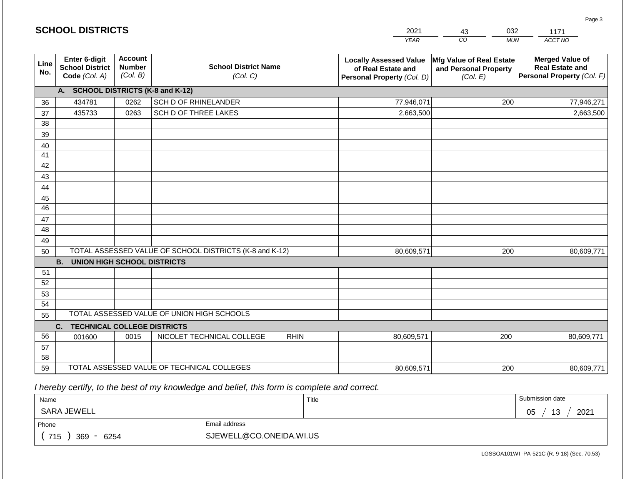|             | <b>SCHOOL DISTRICTS</b>                                         |                                             |                                                         |             | 2021                                                                              | 032<br>43                                                     | 1171                                                                           |
|-------------|-----------------------------------------------------------------|---------------------------------------------|---------------------------------------------------------|-------------|-----------------------------------------------------------------------------------|---------------------------------------------------------------|--------------------------------------------------------------------------------|
|             |                                                                 |                                             |                                                         |             | <b>YEAR</b>                                                                       | CO<br><b>MUN</b>                                              | ACCT NO                                                                        |
| Line<br>No. | <b>Enter 6-digit</b><br><b>School District</b><br>Code (Col. A) | <b>Account</b><br><b>Number</b><br>(Col. B) | <b>School District Name</b><br>(Col. C)                 |             | <b>Locally Assessed Value</b><br>of Real Estate and<br>Personal Property (Col. D) | Mfg Value of Real Estate<br>and Personal Property<br>(Col. E) | <b>Merged Value of</b><br><b>Real Estate and</b><br>Personal Property (Col. F) |
|             | A. SCHOOL DISTRICTS (K-8 and K-12)                              |                                             |                                                         |             |                                                                                   |                                                               |                                                                                |
| 36          | 434781                                                          | 0262                                        | SCH D OF RHINELANDER                                    |             | 77,946,071                                                                        | 200                                                           | 77,946,271                                                                     |
| 37          | 435733                                                          | 0263                                        | SCH D OF THREE LAKES                                    |             | 2,663,500                                                                         |                                                               | 2,663,500                                                                      |
| 38          |                                                                 |                                             |                                                         |             |                                                                                   |                                                               |                                                                                |
| 39          |                                                                 |                                             |                                                         |             |                                                                                   |                                                               |                                                                                |
| 40          |                                                                 |                                             |                                                         |             |                                                                                   |                                                               |                                                                                |
| 41          |                                                                 |                                             |                                                         |             |                                                                                   |                                                               |                                                                                |
| 42          |                                                                 |                                             |                                                         |             |                                                                                   |                                                               |                                                                                |
| 43          |                                                                 |                                             |                                                         |             |                                                                                   |                                                               |                                                                                |
| 44          |                                                                 |                                             |                                                         |             |                                                                                   |                                                               |                                                                                |
| 45<br>46    |                                                                 |                                             |                                                         |             |                                                                                   |                                                               |                                                                                |
| 47          |                                                                 |                                             |                                                         |             |                                                                                   |                                                               |                                                                                |
| 48          |                                                                 |                                             |                                                         |             |                                                                                   |                                                               |                                                                                |
| 49          |                                                                 |                                             |                                                         |             |                                                                                   |                                                               |                                                                                |
| 50          |                                                                 |                                             | TOTAL ASSESSED VALUE OF SCHOOL DISTRICTS (K-8 and K-12) |             | 80,609,571                                                                        | 200                                                           | 80,609,771                                                                     |
|             | <b>B. UNION HIGH SCHOOL DISTRICTS</b>                           |                                             |                                                         |             |                                                                                   |                                                               |                                                                                |
| 51          |                                                                 |                                             |                                                         |             |                                                                                   |                                                               |                                                                                |
| 52          |                                                                 |                                             |                                                         |             |                                                                                   |                                                               |                                                                                |
| 53          |                                                                 |                                             |                                                         |             |                                                                                   |                                                               |                                                                                |
| 54          |                                                                 |                                             |                                                         |             |                                                                                   |                                                               |                                                                                |
| 55          |                                                                 |                                             | TOTAL ASSESSED VALUE OF UNION HIGH SCHOOLS              |             |                                                                                   |                                                               |                                                                                |
|             | C.<br><b>TECHNICAL COLLEGE DISTRICTS</b>                        |                                             |                                                         |             |                                                                                   |                                                               |                                                                                |
| 56          | 001600                                                          | 0015                                        | NICOLET TECHNICAL COLLEGE                               | <b>RHIN</b> | 80,609,571                                                                        | 200                                                           | 80,609,771                                                                     |
| 57          |                                                                 |                                             |                                                         |             |                                                                                   |                                                               |                                                                                |
| 58          |                                                                 |                                             |                                                         |             |                                                                                   |                                                               |                                                                                |
| 59          |                                                                 |                                             | TOTAL ASSESSED VALUE OF TECHNICAL COLLEGES              |             | 80,609,571                                                                        | 200                                                           | 80,609,771                                                                     |

 *I hereby certify, to the best of my knowledge and belief, this form is complete and correct.*

**SCHOOL DISTRICTS**

| Name               |                         | Title | Submission date        |
|--------------------|-------------------------|-------|------------------------|
| SARA JEWELL        |                         |       | 2021<br>13<br>∩ҕ<br>◡◡ |
| Phone              | Email address           |       |                        |
| 715<br>369<br>6254 | SJEWELL@CO.ONEIDA.WI.US |       |                        |

Page 3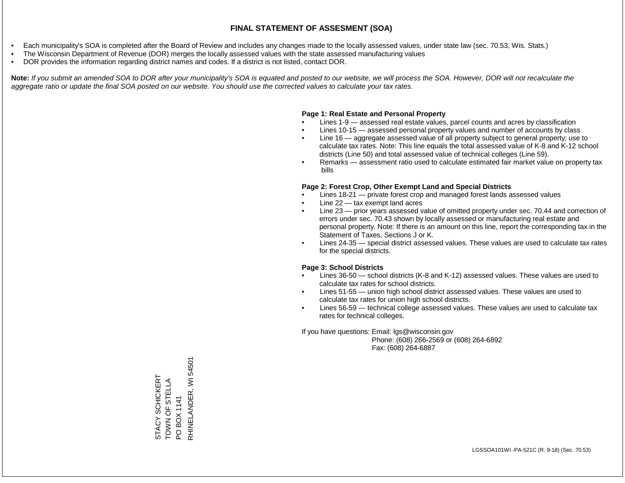- Each municipality's SOA is completed after the Board of Review and includes any changes made to the locally assessed values, under state law (sec. 70.53, Wis. Stats.)
- The Wisconsin Department of Revenue (DOR) merges the locally assessed values with the state assessed manufacturing values
- DOR provides the information regarding district names and codes. If a district is not listed, contact DOR.

Note: If you submit an amended SOA to DOR after your municipality's SOA is equated and posted to our website, we will process the SOA. However, DOR will not recalculate the *aggregate ratio or update the final SOA posted on our website. You should use the corrected values to calculate your tax rates.*

#### **Page 1: Real Estate and Personal Property**

- Lines 1-9 assessed real estate values, parcel counts and acres by classification
- Lines 10-15 assessed personal property values and number of accounts by class
- Line 16 aggregate assessed value of all property subject to general property; use to calculate tax rates. Note: This line equals the total assessed value of K-8 and K-12 school districts (Line 50) and total assessed value of technical colleges (Line 59).
- Remarks assessment ratio used to calculate estimated fair market value on property tax bills

#### **Page 2: Forest Crop, Other Exempt Land and Special Districts**

- Lines 18-21 private forest crop and managed forest lands assessed values
- Line  $22 -$  tax exempt land acres
- Line 23 prior years assessed value of omitted property under sec. 70.44 and correction of errors under sec. 70.43 shown by locally assessed or manufacturing real estate and personal property. Note: If there is an amount on this line, report the corresponding tax in the Statement of Taxes, Sections J or K.
- Lines 24-35 special district assessed values. These values are used to calculate tax rates for the special districts.

#### **Page 3: School Districts**

- Lines 36-50 school districts (K-8 and K-12) assessed values. These values are used to calculate tax rates for school districts.
- Lines 51-55 union high school district assessed values. These values are used to calculate tax rates for union high school districts.
- Lines 56-59 technical college assessed values. These values are used to calculate tax rates for technical colleges.

If you have questions: Email: lgs@wisconsin.gov

 Phone: (608) 266-2569 or (608) 264-6892 Fax: (608) 264-6887

PO BOX 1141<br>RHINELANDER, WI 54501 RHINELANDER, WI 54501STACY SCHICKERT<br>TOWN OF STELLA STACY SCHICKERT TOWN OF STELLA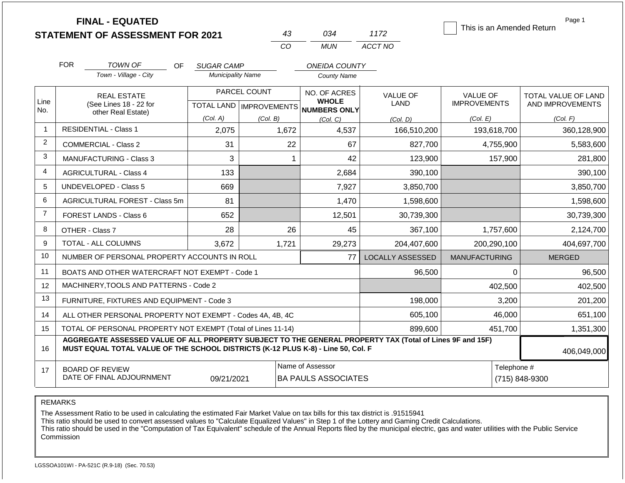|                |                                                                                                                                                                                              | <b>FINAL - EQUATED</b><br><b>STATEMENT OF ASSESSMENT FOR 2021</b>  |                                        | 43                                               | 034                                                 | 1172                    | This is an Amended Return       | Page 1                                  |  |
|----------------|----------------------------------------------------------------------------------------------------------------------------------------------------------------------------------------------|--------------------------------------------------------------------|----------------------------------------|--------------------------------------------------|-----------------------------------------------------|-------------------------|---------------------------------|-----------------------------------------|--|
|                |                                                                                                                                                                                              |                                                                    |                                        | CO                                               | <b>MUN</b>                                          | ACCT NO                 |                                 |                                         |  |
|                | <b>FOR</b>                                                                                                                                                                                   | TOWN OF<br>OF                                                      | <b>SUGAR CAMP</b>                      |                                                  | <b>ONEIDA COUNTY</b>                                |                         |                                 |                                         |  |
|                |                                                                                                                                                                                              | Town - Village - City                                              | <b>Municipality Name</b>               |                                                  | <b>County Name</b>                                  |                         |                                 |                                         |  |
| Line<br>No.    |                                                                                                                                                                                              | <b>REAL ESTATE</b><br>(See Lines 18 - 22 for<br>other Real Estate) |                                        | PARCEL COUNT<br><b>TOTAL LAND   IMPROVEMENTS</b> | NO. OF ACRES<br><b>WHOLE</b><br><b>NUMBERS ONLY</b> | <b>VALUE OF</b><br>LAND | VALUE OF<br><b>IMPROVEMENTS</b> | TOTAL VALUE OF LAND<br>AND IMPROVEMENTS |  |
|                |                                                                                                                                                                                              |                                                                    | (Col. A)                               | (Col. B)                                         | (Col. C)                                            | (Col. D)                | (Col. E)                        | (Col. F)                                |  |
| $\overline{1}$ |                                                                                                                                                                                              | <b>RESIDENTIAL - Class 1</b>                                       | 2,075<br>4,537<br>1,672<br>166,510,200 |                                                  | 193,618,700                                         | 360,128,900             |                                 |                                         |  |
| 2              |                                                                                                                                                                                              | <b>COMMERCIAL - Class 2</b>                                        | 31                                     | 22                                               | 67                                                  | 827,700                 | 4,755,900                       | 5,583,600                               |  |
| 3              |                                                                                                                                                                                              | MANUFACTURING - Class 3                                            | 3                                      | 1                                                | 42                                                  | 123,900                 | 157,900                         | 281,800                                 |  |
| $\overline{4}$ |                                                                                                                                                                                              | <b>AGRICULTURAL - Class 4</b>                                      | 133                                    |                                                  | 2,684                                               | 390,100                 |                                 | 390,100                                 |  |
| 5              |                                                                                                                                                                                              | <b>UNDEVELOPED - Class 5</b>                                       | 669                                    |                                                  | 7,927                                               | 3,850,700               |                                 | 3,850,700                               |  |
| 6              |                                                                                                                                                                                              | AGRICULTURAL FOREST - Class 5m                                     | 81                                     |                                                  | 1,470                                               | 1,598,600               |                                 | 1,598,600                               |  |
| $\overline{7}$ |                                                                                                                                                                                              | FOREST LANDS - Class 6                                             | 652                                    |                                                  | 12,501                                              | 30,739,300              |                                 | 30,739,300                              |  |
| 8              |                                                                                                                                                                                              | OTHER - Class 7                                                    | 28                                     | 26                                               | 45                                                  | 367,100                 | 1,757,600                       | 2,124,700                               |  |
| 9              |                                                                                                                                                                                              | TOTAL - ALL COLUMNS                                                | 3,672                                  | 1,721                                            | 29,273                                              | 204,407,600             | 200,290,100                     | 404,697,700                             |  |
| 10             |                                                                                                                                                                                              | NUMBER OF PERSONAL PROPERTY ACCOUNTS IN ROLL                       |                                        |                                                  | 77                                                  | <b>LOCALLY ASSESSED</b> | <b>MANUFACTURING</b>            | <b>MERGED</b>                           |  |
| 11             |                                                                                                                                                                                              | BOATS AND OTHER WATERCRAFT NOT EXEMPT - Code 1                     |                                        |                                                  |                                                     | 96,500                  | 0                               | 96,500                                  |  |
| 12             |                                                                                                                                                                                              | MACHINERY, TOOLS AND PATTERNS - Code 2                             |                                        |                                                  |                                                     |                         | 402,500                         | 402,500                                 |  |
| 13             |                                                                                                                                                                                              | FURNITURE, FIXTURES AND EQUIPMENT - Code 3                         |                                        |                                                  |                                                     | 198,000                 | 3,200                           | 201,200                                 |  |
| 14             |                                                                                                                                                                                              | ALL OTHER PERSONAL PROPERTY NOT EXEMPT - Codes 4A, 4B, 4C          |                                        |                                                  |                                                     | 605,100                 | 46,000                          | 651,100                                 |  |
| 15             |                                                                                                                                                                                              | TOTAL OF PERSONAL PROPERTY NOT EXEMPT (Total of Lines 11-14)       |                                        |                                                  |                                                     | 899,600                 | 451,700                         | 1,351,300                               |  |
| 16             | AGGREGATE ASSESSED VALUE OF ALL PROPERTY SUBJECT TO THE GENERAL PROPERTY TAX (Total of Lines 9F and 15F)<br>MUST EQUAL TOTAL VALUE OF THE SCHOOL DISTRICTS (K-12 PLUS K-8) - Line 50, Col. F |                                                                    |                                        |                                                  |                                                     |                         |                                 | 406,049,000                             |  |
| 17             |                                                                                                                                                                                              | <b>BOARD OF REVIEW</b><br>DATE OF FINAL ADJOURNMENT                | 09/21/2021                             |                                                  | Name of Assessor<br><b>BA PAULS ASSOCIATES</b>      |                         |                                 | Telephone #<br>(715) 848-9300           |  |

The Assessment Ratio to be used in calculating the estimated Fair Market Value on tax bills for this tax district is .91515941

This ratio should be used to convert assessed values to "Calculate Equalized Values" in Step 1 of the Lottery and Gaming Credit Calculations.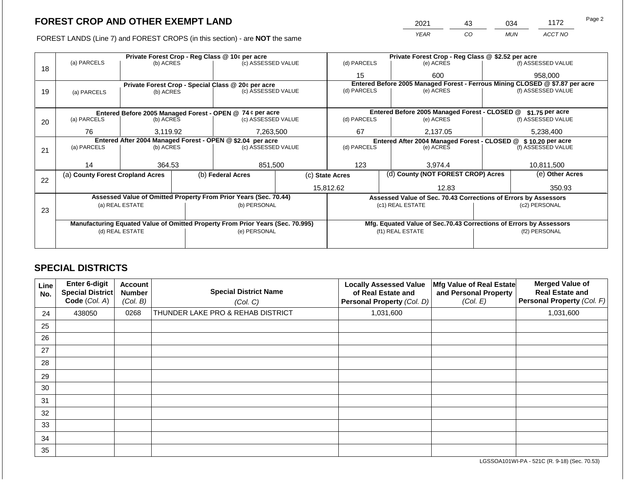FOREST LANDS (Line 7) and FOREST CROPS (in this section) - are NOT the same

| 2021 | 43 | 034        | 1172    | Page 2 |
|------|----|------------|---------|--------|
| YFAR | CO | <b>MUN</b> | ACCT NO |        |

|    |                                                            |                 |  | Private Forest Crop - Reg Class @ 10¢ per acre                                 |  |                 |                                                                              | Private Forest Crop - Reg Class @ \$2.52 per acre                  |               |                    |
|----|------------------------------------------------------------|-----------------|--|--------------------------------------------------------------------------------|--|-----------------|------------------------------------------------------------------------------|--------------------------------------------------------------------|---------------|--------------------|
| 18 | (a) PARCELS                                                | (b) ACRES       |  | (c) ASSESSED VALUE                                                             |  | (d) PARCELS     |                                                                              | (e) ACRES                                                          |               | (f) ASSESSED VALUE |
|    |                                                            |                 |  |                                                                                |  | 15              |                                                                              | 600                                                                |               | 958,000            |
|    |                                                            |                 |  | Private Forest Crop - Special Class @ 20¢ per acre                             |  |                 | Entered Before 2005 Managed Forest - Ferrous Mining CLOSED @ \$7.87 per acre |                                                                    |               |                    |
| 19 | (a) PARCELS                                                | (b) ACRES       |  | (c) ASSESSED VALUE                                                             |  | (d) PARCELS     |                                                                              | (e) ACRES                                                          |               | (f) ASSESSED VALUE |
|    |                                                            |                 |  |                                                                                |  |                 |                                                                              |                                                                    |               |                    |
|    |                                                            |                 |  | Entered Before 2005 Managed Forest - OPEN @ 74 ¢ per acre                      |  |                 |                                                                              | Entered Before 2005 Managed Forest - CLOSED @                      |               | \$1.75 per acre    |
| 20 | (a) PARCELS                                                | (b) ACRES       |  | (c) ASSESSED VALUE                                                             |  | (d) PARCELS     |                                                                              | (e) ACRES                                                          |               | (f) ASSESSED VALUE |
|    |                                                            |                 |  |                                                                                |  |                 |                                                                              |                                                                    |               |                    |
|    | 76                                                         | 3,119.92        |  | 7,263,500                                                                      |  | 67<br>2,137.05  |                                                                              | 5,238,400                                                          |               |                    |
|    | Entered After 2004 Managed Forest - OPEN @ \$2.04 per acre |                 |  |                                                                                |  |                 |                                                                              | Entered After 2004 Managed Forest - CLOSED @ \$10.20 per acre      |               |                    |
| 21 | (a) PARCELS                                                | (b) ACRES       |  | (c) ASSESSED VALUE                                                             |  | (d) PARCELS     |                                                                              | (e) ACRES                                                          |               | (f) ASSESSED VALUE |
|    |                                                            |                 |  |                                                                                |  |                 |                                                                              |                                                                    |               |                    |
|    | 14                                                         | 364.53          |  | 851,500                                                                        |  | 123             |                                                                              | 3.974.4                                                            |               | 10,811,500         |
| 22 | (a) County Forest Cropland Acres                           |                 |  | (b) Federal Acres                                                              |  | (c) State Acres |                                                                              | (d) County (NOT FOREST CROP) Acres                                 |               | (e) Other Acres    |
|    |                                                            |                 |  |                                                                                |  | 15,812.62       |                                                                              | 12.83                                                              |               | 350.93             |
|    |                                                            |                 |  | Assessed Value of Omitted Property From Prior Years (Sec. 70.44)               |  |                 |                                                                              | Assessed Value of Sec. 70.43 Corrections of Errors by Assessors    |               |                    |
|    |                                                            | (a) REAL ESTATE |  | (b) PERSONAL                                                                   |  |                 |                                                                              | (c1) REAL ESTATE                                                   |               | (c2) PERSONAL      |
| 23 |                                                            |                 |  |                                                                                |  |                 |                                                                              |                                                                    |               |                    |
|    |                                                            |                 |  | Manufacturing Equated Value of Omitted Property From Prior Years (Sec. 70.995) |  |                 |                                                                              | Mfg. Equated Value of Sec.70.43 Corrections of Errors by Assessors |               |                    |
|    |                                                            | (d) REAL ESTATE |  | (e) PERSONAL                                                                   |  |                 |                                                                              | (f1) REAL ESTATE                                                   | (f2) PERSONAL |                    |
|    |                                                            |                 |  |                                                                                |  |                 |                                                                              |                                                                    |               |                    |
|    |                                                            |                 |  |                                                                                |  |                 |                                                                              |                                                                    |               |                    |

# **SPECIAL DISTRICTS**

| Line<br>No. | <b>Enter 6-digit</b><br>Special District<br>Code (Col. A) | <b>Account</b><br><b>Number</b><br>(Col. B) | <b>Special District Name</b><br>(Col. C) | <b>Locally Assessed Value</b><br>of Real Estate and<br>Personal Property (Col. D) | Mfg Value of Real Estate<br>and Personal Property<br>(Col. E) | <b>Merged Value of</b><br><b>Real Estate and</b><br>Personal Property (Col. F) |
|-------------|-----------------------------------------------------------|---------------------------------------------|------------------------------------------|-----------------------------------------------------------------------------------|---------------------------------------------------------------|--------------------------------------------------------------------------------|
| 24          | 438050                                                    | 0268                                        | THUNDER LAKE PRO & REHAB DISTRICT        | 1,031,600                                                                         |                                                               | 1,031,600                                                                      |
| 25          |                                                           |                                             |                                          |                                                                                   |                                                               |                                                                                |
| 26          |                                                           |                                             |                                          |                                                                                   |                                                               |                                                                                |
| 27          |                                                           |                                             |                                          |                                                                                   |                                                               |                                                                                |
| 28          |                                                           |                                             |                                          |                                                                                   |                                                               |                                                                                |
| 29          |                                                           |                                             |                                          |                                                                                   |                                                               |                                                                                |
| 30          |                                                           |                                             |                                          |                                                                                   |                                                               |                                                                                |
| 31          |                                                           |                                             |                                          |                                                                                   |                                                               |                                                                                |
| 32          |                                                           |                                             |                                          |                                                                                   |                                                               |                                                                                |
| 33          |                                                           |                                             |                                          |                                                                                   |                                                               |                                                                                |
| 34          |                                                           |                                             |                                          |                                                                                   |                                                               |                                                                                |
| 35          |                                                           |                                             |                                          |                                                                                   |                                                               |                                                                                |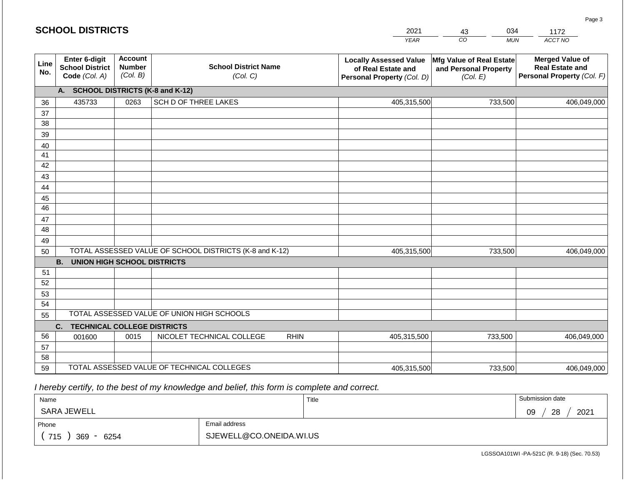#### *YEAR*  2021  $\overline{co}$ *MUN ACCT NO*  1172 **Line No. Enter 6-digit School District Code** *(Col. A)* **Account Number** *(Col. B)* **School District Name** *(Col. C)* **Locally Assessed Value of Real Estate and Personal Property** *(Col. D)* **Mfg Value of Real Estate and Personal Property** *(Col. E)* **Merged Value of Real Estate and Personal Property** *(Col. F)* **A. SCHOOL DISTRICTS (K-8 and K-12)** 36 37 38 39 40 41 42 43 44 45 46 47 48 49 50 TOTAL ASSESSED VALUE OF SCHOOL DISTRICTS (K-8 and K-12) **B. UNION HIGH SCHOOL DISTRICTS** 51 52 53 54 55 **C. TECHNICAL COLLEGE DISTRICTS** 56 57 58 59 TOTAL ASSESSED VALUE OF TECHNICAL COLLEGES TOTAL ASSESSED VALUE OF UNION HIGH SCHOOLS 435733 0263 SCH D OF THREE LAKES 405,315,500 405,315,500 001600 | 0015 | NICOLET TECHNICAL COLLEGE RHIN 405,315,500 733,500 406,049,000 733,500 406,049,000 733,500 406,049,000 405,315,500 733,500 406,049,000

 *I hereby certify, to the best of my knowledge and belief, this form is complete and correct.*

| Name                                           |                         | Title | Submission date  |
|------------------------------------------------|-------------------------|-------|------------------|
| SARA JEWELL                                    |                         |       | 28<br>2021<br>09 |
| Phone                                          | Email address           |       |                  |
| 715<br>369<br>6254<br>$\overline{\phantom{0}}$ | SJEWELL@CO.ONEIDA.WI.US |       |                  |

LGSSOA101WI -PA-521C (R. 9-18) (Sec. 70.53)

Page 3

| <b>SCHOOL DISTRICTS</b> |  |
|-------------------------|--|
|-------------------------|--|

43

034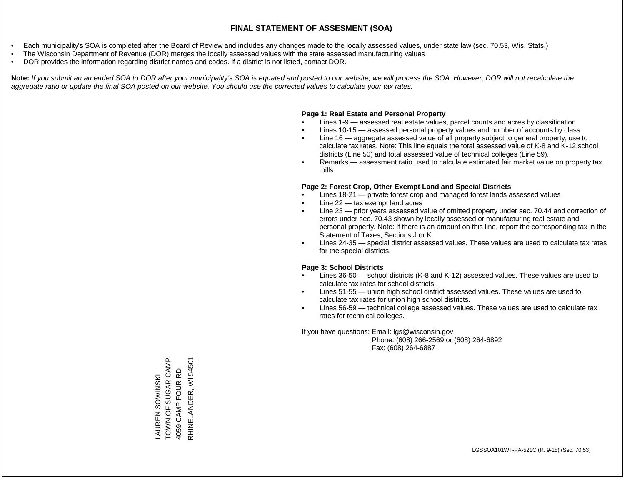- Each municipality's SOA is completed after the Board of Review and includes any changes made to the locally assessed values, under state law (sec. 70.53, Wis. Stats.)
- The Wisconsin Department of Revenue (DOR) merges the locally assessed values with the state assessed manufacturing values
- DOR provides the information regarding district names and codes. If a district is not listed, contact DOR.

Note: If you submit an amended SOA to DOR after your municipality's SOA is equated and posted to our website, we will process the SOA. However, DOR will not recalculate the *aggregate ratio or update the final SOA posted on our website. You should use the corrected values to calculate your tax rates.*

# **Page 1: Real Estate and Personal Property**

- Lines 1-9 assessed real estate values, parcel counts and acres by classification
- Lines 10-15 assessed personal property values and number of accounts by class
- Line 16 aggregate assessed value of all property subject to general property; use to calculate tax rates. Note: This line equals the total assessed value of K-8 and K-12 school districts (Line 50) and total assessed value of technical colleges (Line 59).
- Remarks assessment ratio used to calculate estimated fair market value on property tax bills

# **Page 2: Forest Crop, Other Exempt Land and Special Districts**

- Lines 18-21 private forest crop and managed forest lands assessed values
- Line  $22 -$  tax exempt land acres
- Line 23 prior years assessed value of omitted property under sec. 70.44 and correction of errors under sec. 70.43 shown by locally assessed or manufacturing real estate and personal property. Note: If there is an amount on this line, report the corresponding tax in the Statement of Taxes, Sections J or K.
- Lines 24-35 special district assessed values. These values are used to calculate tax rates for the special districts.

# **Page 3: School Districts**

- Lines 36-50 school districts (K-8 and K-12) assessed values. These values are used to calculate tax rates for school districts.
- Lines 51-55 union high school district assessed values. These values are used to calculate tax rates for union high school districts.
- Lines 56-59 technical college assessed values. These values are used to calculate tax rates for technical colleges.

If you have questions: Email: lgs@wisconsin.gov

 Phone: (608) 266-2569 or (608) 264-6892 Fax: (608) 264-6887

TOWN OF SUGAR CAMP LAUREN SOWINSKI<br>TOWN OF SUGAR CAMP RHINELANDER, WI 54501 RHINELANDER, WI 545014059 CAMP FOUR RD 4059 CAMP FOUR RD LAUREN SOWINSKI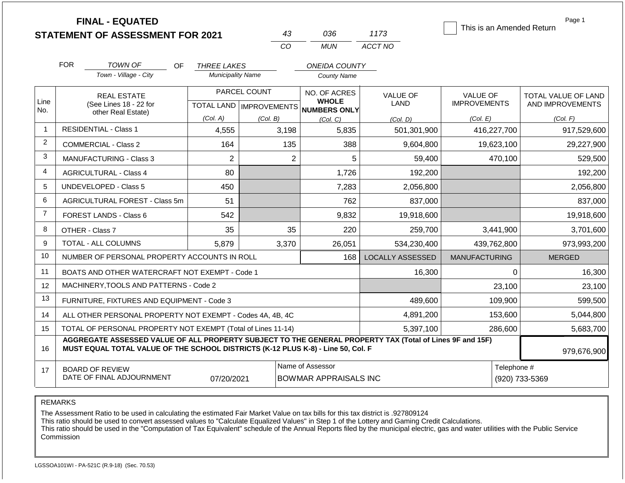|                |                                                                   | <b>FINAL - EQUATED</b><br><b>STATEMENT OF ASSESSMENT FOR 2021</b>                                                                                                                            |                          | 43                                   | 036                                              |           | 1173                    | This is an Amended Return |                               | Page 1              |
|----------------|-------------------------------------------------------------------|----------------------------------------------------------------------------------------------------------------------------------------------------------------------------------------------|--------------------------|--------------------------------------|--------------------------------------------------|-----------|-------------------------|---------------------------|-------------------------------|---------------------|
|                |                                                                   |                                                                                                                                                                                              |                          | CO                                   | <b>MUN</b>                                       |           | ACCT NO                 |                           |                               |                     |
|                | <b>FOR</b>                                                        | <b>TOWN OF</b><br>OF.                                                                                                                                                                        | <b>THREE LAKES</b>       |                                      | <b>ONEIDA COUNTY</b>                             |           |                         |                           |                               |                     |
|                |                                                                   | Town - Village - City                                                                                                                                                                        | <b>Municipality Name</b> |                                      | <b>County Name</b>                               |           |                         |                           |                               |                     |
|                |                                                                   | <b>REAL ESTATE</b>                                                                                                                                                                           |                          | PARCEL COUNT                         | NO. OF ACRES                                     |           | <b>VALUE OF</b>         | <b>VALUE OF</b>           |                               | TOTAL VALUE OF LAND |
| Line<br>No.    |                                                                   | (See Lines 18 - 22 for<br>other Real Estate)                                                                                                                                                 |                          | TOTAL LAND IMPROVEMENTS NUMBERS ONLY | <b>WHOLE</b>                                     |           | <b>LAND</b>             | <b>IMPROVEMENTS</b>       |                               | AND IMPROVEMENTS    |
|                |                                                                   |                                                                                                                                                                                              | (Col. A)                 | (Col. B)                             | (Col, C)                                         |           | (Col, D)                | (Col. E)                  |                               | (Col. F)            |
| $\mathbf{1}$   |                                                                   | <b>RESIDENTIAL - Class 1</b>                                                                                                                                                                 | 4,555                    | 3,198                                |                                                  | 5,835     | 501,301,900             | 416,227,700               |                               | 917,529,600         |
| $\overline{2}$ |                                                                   | <b>COMMERCIAL - Class 2</b>                                                                                                                                                                  | 164                      |                                      | 135                                              | 388       | 9,604,800               | 19,623,100                |                               | 29,227,900          |
| 3              |                                                                   | <b>MANUFACTURING - Class 3</b>                                                                                                                                                               | $\overline{2}$           |                                      | $\overline{2}$                                   | 5         | 59,400                  | 470,100                   |                               | 529,500             |
| 4              | <b>AGRICULTURAL - Class 4</b>                                     |                                                                                                                                                                                              | 80                       |                                      |                                                  | 1,726     | 192,200                 |                           |                               | 192,200             |
| 5              |                                                                   | <b>UNDEVELOPED - Class 5</b>                                                                                                                                                                 | 450                      |                                      |                                                  | 7,283     | 2,056,800               |                           |                               | 2,056,800           |
| 6              |                                                                   | AGRICULTURAL FOREST - Class 5m                                                                                                                                                               | 51                       |                                      |                                                  | 762       | 837,000                 |                           |                               | 837,000             |
| $\overline{7}$ |                                                                   | FOREST LANDS - Class 6                                                                                                                                                                       | 542                      |                                      |                                                  | 9,832     | 19,918,600              |                           |                               | 19,918,600          |
| 8              |                                                                   | OTHER - Class 7                                                                                                                                                                              | 35                       |                                      | 35                                               | 220       | 259,700                 | 3,441,900                 |                               | 3,701,600           |
| 9              |                                                                   | TOTAL - ALL COLUMNS                                                                                                                                                                          | 5,879                    | 3,370                                |                                                  | 26,051    | 534,230,400             | 439,762,800               |                               | 973,993,200         |
| 10             |                                                                   | NUMBER OF PERSONAL PROPERTY ACCOUNTS IN ROLL                                                                                                                                                 |                          |                                      |                                                  | 168       | <b>LOCALLY ASSESSED</b> | <b>MANUFACTURING</b>      |                               | <b>MERGED</b>       |
| 11             |                                                                   | BOATS AND OTHER WATERCRAFT NOT EXEMPT - Code 1                                                                                                                                               |                          |                                      |                                                  |           | 16,300                  |                           | $\Omega$                      | 16,300              |
| 12             |                                                                   | MACHINERY, TOOLS AND PATTERNS - Code 2                                                                                                                                                       |                          |                                      |                                                  |           |                         |                           | 23,100                        | 23,100              |
| 13             |                                                                   | FURNITURE, FIXTURES AND EQUIPMENT - Code 3                                                                                                                                                   |                          |                                      |                                                  |           | 489,600                 | 109,900                   |                               | 599,500             |
| 14             |                                                                   | ALL OTHER PERSONAL PROPERTY NOT EXEMPT - Codes 4A, 4B, 4C                                                                                                                                    |                          |                                      |                                                  |           | 4,891,200               | 153,600                   |                               | 5,044,800           |
| 15             |                                                                   | TOTAL OF PERSONAL PROPERTY NOT EXEMPT (Total of Lines 11-14)                                                                                                                                 |                          |                                      |                                                  | 5,397,100 | 286,600                 |                           | 5,683,700                     |                     |
| 16             |                                                                   | AGGREGATE ASSESSED VALUE OF ALL PROPERTY SUBJECT TO THE GENERAL PROPERTY TAX (Total of Lines 9F and 15F)<br>MUST EQUAL TOTAL VALUE OF THE SCHOOL DISTRICTS (K-12 PLUS K-8) - Line 50, Col. F |                          |                                      |                                                  |           |                         |                           | 979,676,900                   |                     |
| 17             | <b>BOARD OF REVIEW</b><br>DATE OF FINAL ADJOURNMENT<br>07/20/2021 |                                                                                                                                                                                              |                          |                                      | Name of Assessor<br><b>BOWMAR APPRAISALS INC</b> |           |                         |                           | Telephone #<br>(920) 733-5369 |                     |

The Assessment Ratio to be used in calculating the estimated Fair Market Value on tax bills for this tax district is .927809124

This ratio should be used to convert assessed values to "Calculate Equalized Values" in Step 1 of the Lottery and Gaming Credit Calculations.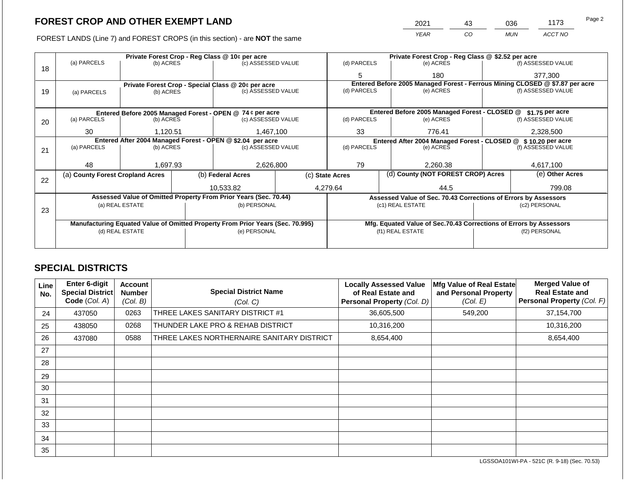FOREST LANDS (Line 7) and FOREST CROPS (in this section) - are NOT the same

|             | 2021<br><b>YEAR</b>                                            | 43<br>CO | 036<br><b>MUN</b> | 1173<br>ACCT NO    | Page 2 |
|-------------|----------------------------------------------------------------|----------|-------------------|--------------------|--------|
| (d) PARCELS | Private Forest Crop - Reg Class @ \$2.52 per acre<br>(e) ACRES |          |                   | (f) ASSESSED VALUE |        |

|    |                                                                                |                 |  | Private Forest Crop - Reg Class @ 10¢ per acre                   |                 | Private Forest Crop - Reg Class @ \$2.52 per acre                            |  |                                                                 |           |                    |
|----|--------------------------------------------------------------------------------|-----------------|--|------------------------------------------------------------------|-----------------|------------------------------------------------------------------------------|--|-----------------------------------------------------------------|-----------|--------------------|
| 18 | (a) PARCELS                                                                    | (b) ACRES       |  | (c) ASSESSED VALUE                                               |                 | (d) PARCELS                                                                  |  | (e) ACRES                                                       |           | (f) ASSESSED VALUE |
|    |                                                                                |                 |  |                                                                  |                 | 5                                                                            |  | 180                                                             |           | 377,300            |
|    |                                                                                |                 |  | Private Forest Crop - Special Class @ 20¢ per acre               |                 | Entered Before 2005 Managed Forest - Ferrous Mining CLOSED @ \$7.87 per acre |  |                                                                 |           |                    |
| 19 | (a) PARCELS                                                                    | (b) ACRES       |  | (c) ASSESSED VALUE                                               |                 | (d) PARCELS                                                                  |  | (e) ACRES                                                       |           | (f) ASSESSED VALUE |
|    |                                                                                |                 |  |                                                                  |                 |                                                                              |  |                                                                 |           |                    |
|    |                                                                                |                 |  | Entered Before 2005 Managed Forest - OPEN @ 74 ¢ per acre        |                 |                                                                              |  | Entered Before 2005 Managed Forest - CLOSED @                   |           | \$1.75 per acre    |
| 20 | (a) PARCELS                                                                    | (b) ACRES       |  | (c) ASSESSED VALUE                                               |                 | (d) PARCELS                                                                  |  | (e) ACRES                                                       |           | (f) ASSESSED VALUE |
|    | 30                                                                             | 1.120.51        |  | 1,467,100                                                        | 33              |                                                                              |  | 776.41                                                          |           | 2,328,500          |
|    | Entered After 2004 Managed Forest - OPEN @ \$2.04 per acre                     |                 |  |                                                                  |                 |                                                                              |  | Entered After 2004 Managed Forest - CLOSED @                    |           | \$10.20 per acre   |
| 21 | (a) PARCELS                                                                    | (b) ACRES       |  | (c) ASSESSED VALUE                                               | (d) PARCELS     |                                                                              |  | (e) ACRES                                                       |           | (f) ASSESSED VALUE |
|    |                                                                                |                 |  |                                                                  |                 |                                                                              |  |                                                                 |           |                    |
|    | 48                                                                             | 1,697.93        |  | 2,626,800                                                        |                 | 79<br>2,260.38                                                               |  |                                                                 | 4,617,100 |                    |
| 22 | (a) County Forest Cropland Acres                                               |                 |  | (b) Federal Acres                                                | (c) State Acres |                                                                              |  | (d) County (NOT FOREST CROP) Acres                              |           | (e) Other Acres    |
|    |                                                                                |                 |  | 10,533.82                                                        |                 | 4,279.64                                                                     |  | 44.5                                                            |           | 799.08             |
|    |                                                                                |                 |  | Assessed Value of Omitted Property From Prior Years (Sec. 70.44) |                 |                                                                              |  | Assessed Value of Sec. 70.43 Corrections of Errors by Assessors |           |                    |
|    |                                                                                | (a) REAL ESTATE |  | (b) PERSONAL                                                     |                 |                                                                              |  | (c1) REAL ESTATE                                                |           | (c2) PERSONAL      |
| 23 |                                                                                |                 |  |                                                                  |                 |                                                                              |  |                                                                 |           |                    |
|    | Manufacturing Equated Value of Omitted Property From Prior Years (Sec. 70.995) |                 |  |                                                                  |                 | Mfg. Equated Value of Sec.70.43 Corrections of Errors by Assessors           |  |                                                                 |           |                    |
|    |                                                                                | (d) REAL ESTATE |  | (e) PERSONAL                                                     |                 |                                                                              |  | (f1) REAL ESTATE                                                |           | (f2) PERSONAL      |
|    |                                                                                |                 |  |                                                                  |                 |                                                                              |  |                                                                 |           |                    |
|    |                                                                                |                 |  |                                                                  |                 |                                                                              |  |                                                                 |           |                    |

# **SPECIAL DISTRICTS**

Г

 $\top$ 

| Line<br>No. | Enter 6-digit<br>Special District<br>Code (Col. A) | <b>Account</b><br><b>Number</b><br>(Col. B) | <b>Special District Name</b><br>(Col. C)   | <b>Locally Assessed Value</b><br>of Real Estate and<br>Personal Property (Col. D) | Mfg Value of Real Estate<br>and Personal Property<br>(Col. E) | <b>Merged Value of</b><br><b>Real Estate and</b><br>Personal Property (Col. F) |
|-------------|----------------------------------------------------|---------------------------------------------|--------------------------------------------|-----------------------------------------------------------------------------------|---------------------------------------------------------------|--------------------------------------------------------------------------------|
| 24          | 437050                                             | 0263                                        | THREE LAKES SANITARY DISTRICT #1           | 36,605,500                                                                        | 549,200                                                       | 37,154,700                                                                     |
| 25          | 438050                                             | 0268                                        | THUNDER LAKE PRO & REHAB DISTRICT          | 10,316,200                                                                        |                                                               | 10,316,200                                                                     |
| 26          | 437080                                             | 0588                                        | THREE LAKES NORTHERNAIRE SANITARY DISTRICT | 8,654,400                                                                         |                                                               | 8,654,400                                                                      |
| 27          |                                                    |                                             |                                            |                                                                                   |                                                               |                                                                                |
| 28          |                                                    |                                             |                                            |                                                                                   |                                                               |                                                                                |
| 29          |                                                    |                                             |                                            |                                                                                   |                                                               |                                                                                |
| 30          |                                                    |                                             |                                            |                                                                                   |                                                               |                                                                                |
| 31          |                                                    |                                             |                                            |                                                                                   |                                                               |                                                                                |
| 32          |                                                    |                                             |                                            |                                                                                   |                                                               |                                                                                |
| 33          |                                                    |                                             |                                            |                                                                                   |                                                               |                                                                                |
| 34          |                                                    |                                             |                                            |                                                                                   |                                                               |                                                                                |
| 35          |                                                    |                                             |                                            |                                                                                   |                                                               |                                                                                |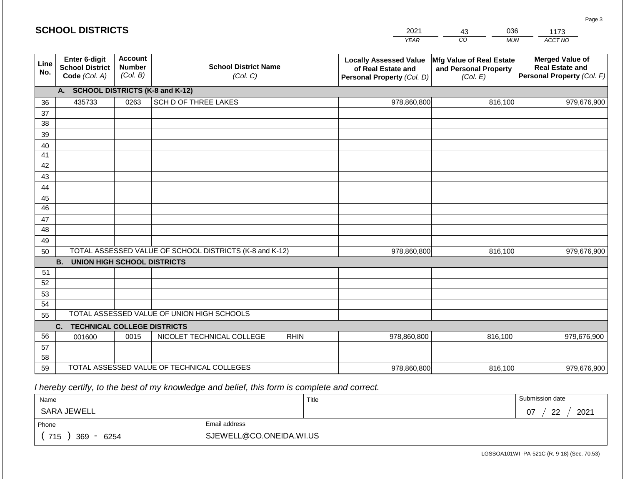#### *YEAR*  2021 *CO*  43 *MUN*  036 *ACCT NO*  1173 **Line No. Enter 6-digit School District Code** *(Col. A)* **Account Number** *(Col. B)* **School District Name** *(Col. C)* **Locally Assessed Value of Real Estate and Personal Property** *(Col. D)* **Mfg Value of Real Estate and Personal Property** *(Col. E)* **Merged Value of Real Estate and Personal Property** *(Col. F)* **A. SCHOOL DISTRICTS (K-8 and K-12)** 36 37 38 39 40 41 42 43 44 45 46 47 48 49 50 TOTAL ASSESSED VALUE OF SCHOOL DISTRICTS (K-8 and K-12) **B. UNION HIGH SCHOOL DISTRICTS** 51 52 53 54 55 **C. TECHNICAL COLLEGE DISTRICTS** 56 57 58 59 TOTAL ASSESSED VALUE OF TECHNICAL COLLEGES TOTAL ASSESSED VALUE OF UNION HIGH SCHOOLS 435733 0263 SCH D OF THREE LAKES 978,860,800 978,860,800 001600 | 0015 | NICOLET TECHNICAL COLLEGE RHIN 978,860,800 816,100 979,676,900 816,100 979,676,900 816,100 979,676,900 978,860,800 816,100 816,100 979,676,900

 *I hereby certify, to the best of my knowledge and belief, this form is complete and correct.*

| Name                         |                         | Title | Submission date                |
|------------------------------|-------------------------|-------|--------------------------------|
| SARA JEWELL                  |                         |       | 2021<br>-22<br>07<br><u>__</u> |
| Phone                        | Email address           |       |                                |
| 715<br>369<br>6254<br>$\sim$ | SJEWELL@CO.ONEIDA.WI.US |       |                                |

LGSSOA101WI -PA-521C (R. 9-18) (Sec. 70.53)

Page 3

| <b>SCHOOL DISTRICTS</b> |  |
|-------------------------|--|
|-------------------------|--|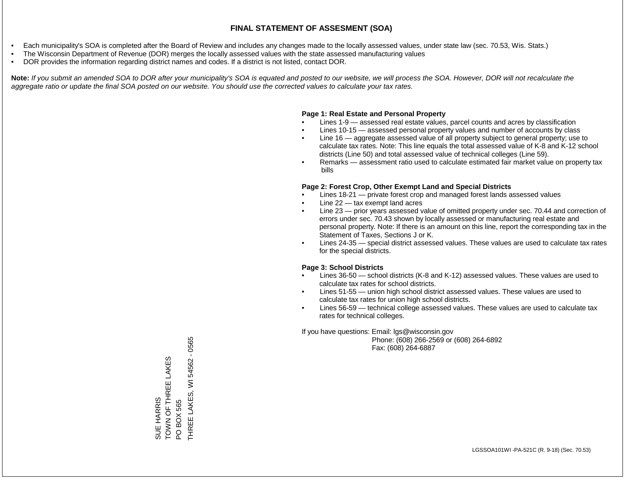- Each municipality's SOA is completed after the Board of Review and includes any changes made to the locally assessed values, under state law (sec. 70.53, Wis. Stats.)
- The Wisconsin Department of Revenue (DOR) merges the locally assessed values with the state assessed manufacturing values
- DOR provides the information regarding district names and codes. If a district is not listed, contact DOR.

Note: If you submit an amended SOA to DOR after your municipality's SOA is equated and posted to our website, we will process the SOA. However, DOR will not recalculate the *aggregate ratio or update the final SOA posted on our website. You should use the corrected values to calculate your tax rates.*

#### **Page 1: Real Estate and Personal Property**

- Lines 1-9 assessed real estate values, parcel counts and acres by classification
- Lines 10-15 assessed personal property values and number of accounts by class
- Line 16 aggregate assessed value of all property subject to general property; use to calculate tax rates. Note: This line equals the total assessed value of K-8 and K-12 school districts (Line 50) and total assessed value of technical colleges (Line 59).
- Remarks assessment ratio used to calculate estimated fair market value on property tax bills

#### **Page 2: Forest Crop, Other Exempt Land and Special Districts**

- Lines 18-21 private forest crop and managed forest lands assessed values
- Line  $22 -$  tax exempt land acres
- Line 23 prior years assessed value of omitted property under sec. 70.44 and correction of errors under sec. 70.43 shown by locally assessed or manufacturing real estate and personal property. Note: If there is an amount on this line, report the corresponding tax in the Statement of Taxes, Sections J or K.
- Lines 24-35 special district assessed values. These values are used to calculate tax rates for the special districts.

#### **Page 3: School Districts**

- Lines 36-50 school districts (K-8 and K-12) assessed values. These values are used to calculate tax rates for school districts.
- Lines 51-55 union high school district assessed values. These values are used to calculate tax rates for union high school districts.
- Lines 56-59 technical college assessed values. These values are used to calculate tax rates for technical colleges.

If you have questions: Email: lgs@wisconsin.gov

 Phone: (608) 266-2569 or (608) 264-6892 Fax: (608) 264-6887

THREE LAKES, WI 54562 - 0565 THREE LAKES, WI 54562 - 0565SUE HARRIS<br>TOWN OF THREE LAKES TOWN OF THREE LAKES PO BOX 565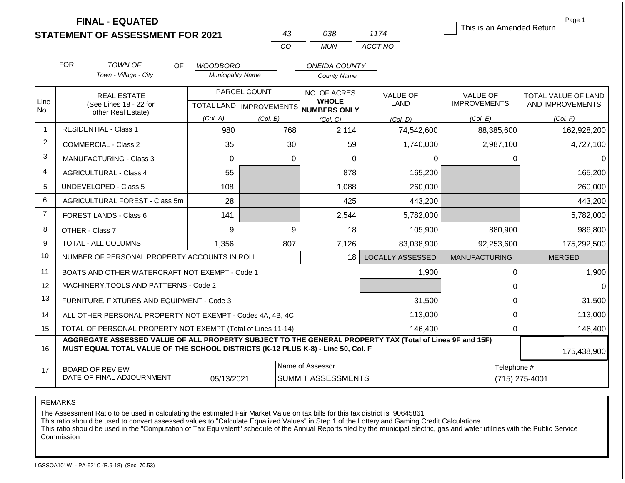|                |            | <b>FINAL - EQUATED</b><br><b>STATEMENT OF ASSESSMENT FOR 2021</b>                                                                                                                            |                          | 43           | 038                                                 | 1174                          | This is an Amended Return | Page 1              |
|----------------|------------|----------------------------------------------------------------------------------------------------------------------------------------------------------------------------------------------|--------------------------|--------------|-----------------------------------------------------|-------------------------------|---------------------------|---------------------|
|                |            |                                                                                                                                                                                              |                          | CO           | <b>MUN</b>                                          | ACCT NO                       |                           |                     |
|                | <b>FOR</b> | <b>TOWN OF</b><br><b>OF</b>                                                                                                                                                                  | <b>WOODBORO</b>          |              | <b>ONEIDA COUNTY</b>                                |                               |                           |                     |
|                |            | Town - Village - City                                                                                                                                                                        | <b>Municipality Name</b> |              | <b>County Name</b>                                  |                               |                           |                     |
|                |            | <b>REAL ESTATE</b>                                                                                                                                                                           |                          | PARCEL COUNT | NO. OF ACRES                                        | <b>VALUE OF</b>               | <b>VALUE OF</b>           | TOTAL VALUE OF LAND |
| Line<br>No.    |            | (See Lines 18 - 22 for<br>other Real Estate)                                                                                                                                                 |                          |              | <b>WHOLE</b><br>TOTAL LAND MPROVEMENTS NUMBERS ONLY | LAND                          | <b>IMPROVEMENTS</b>       | AND IMPROVEMENTS    |
|                |            |                                                                                                                                                                                              | (Col. A)                 | (Col. B)     | (Col, C)                                            | (Col. D)                      | (Col. E)                  | (Col. F)            |
| $\mathbf{1}$   |            | <b>RESIDENTIAL - Class 1</b>                                                                                                                                                                 | 980                      | 768          | 2,114                                               | 74,542,600                    | 88,385,600                | 162,928,200         |
| $\overline{2}$ |            | <b>COMMERCIAL - Class 2</b>                                                                                                                                                                  | 35                       | 30           | 59                                                  | 1,740,000                     | 2,987,100                 | 4,727,100           |
| $\mathbf{3}$   |            | <b>MANUFACTURING - Class 3</b>                                                                                                                                                               | $\Omega$                 |              | $\Omega$<br>$\Omega$                                | 0                             | 0                         | 0                   |
| $\overline{4}$ |            | <b>AGRICULTURAL - Class 4</b>                                                                                                                                                                | 55                       |              | 878                                                 | 165,200                       |                           | 165,200             |
| 5              |            | <b>UNDEVELOPED - Class 5</b>                                                                                                                                                                 | 108                      |              | 1,088                                               | 260,000                       |                           | 260,000             |
| 6              |            | AGRICULTURAL FOREST - Class 5m                                                                                                                                                               | 28                       |              | 425                                                 | 443,200                       |                           | 443,200             |
| $\overline{7}$ |            | <b>FOREST LANDS - Class 6</b>                                                                                                                                                                | 141                      |              | 2,544                                               | 5,782,000                     |                           | 5,782,000           |
| 8              |            | OTHER - Class 7                                                                                                                                                                              | 9                        | 9            | 18                                                  | 105,900                       | 880,900                   | 986,800             |
| 9              |            | TOTAL - ALL COLUMNS                                                                                                                                                                          | 1,356                    | 807          | 7,126                                               | 83,038,900                    | 92,253,600                | 175,292,500         |
| 10             |            | NUMBER OF PERSONAL PROPERTY ACCOUNTS IN ROLL                                                                                                                                                 |                          |              | 18                                                  | <b>LOCALLY ASSESSED</b>       | <b>MANUFACTURING</b>      | <b>MERGED</b>       |
| 11             |            | BOATS AND OTHER WATERCRAFT NOT EXEMPT - Code 1                                                                                                                                               |                          |              |                                                     | 1,900                         | 0                         | 1,900               |
| 12             |            | MACHINERY, TOOLS AND PATTERNS - Code 2                                                                                                                                                       |                          |              |                                                     |                               | $\pmb{0}$                 | $\Omega$            |
| 13             |            | FURNITURE, FIXTURES AND EQUIPMENT - Code 3                                                                                                                                                   |                          |              |                                                     | 31,500                        | $\mathbf 0$               | 31,500              |
| 14             |            | ALL OTHER PERSONAL PROPERTY NOT EXEMPT - Codes 4A, 4B, 4C                                                                                                                                    |                          |              |                                                     | 113,000                       | $\mathbf 0$               | 113,000             |
| 15             |            | TOTAL OF PERSONAL PROPERTY NOT EXEMPT (Total of Lines 11-14)                                                                                                                                 |                          |              |                                                     | 146,400                       | $\mathbf 0$               | 146,400             |
| 16             |            | AGGREGATE ASSESSED VALUE OF ALL PROPERTY SUBJECT TO THE GENERAL PROPERTY TAX (Total of Lines 9F and 15F)<br>MUST EQUAL TOTAL VALUE OF THE SCHOOL DISTRICTS (K-12 PLUS K-8) - Line 50, Col. F |                          |              |                                                     |                               |                           | 175,438,900         |
| 17             |            | <b>BOARD OF REVIEW</b><br>DATE OF FINAL ADJOURNMENT                                                                                                                                          | 05/13/2021               |              | Name of Assessor<br><b>SUMMIT ASSESSMENTS</b>       | Telephone #<br>(715) 275-4001 |                           |                     |

REMARKS

The Assessment Ratio to be used in calculating the estimated Fair Market Value on tax bills for this tax district is .90645861

This ratio should be used to convert assessed values to "Calculate Equalized Values" in Step 1 of the Lottery and Gaming Credit Calculations.

 This ratio should be used in the "Computation of Tax Equivalent" schedule of the Annual Reports filed by the municipal electric, gas and water utilities with the Public Service Commission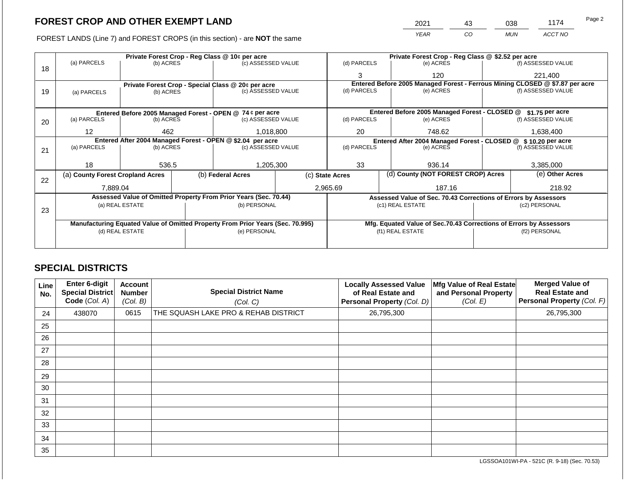# **FOREST CROP AND OTHER EXEMPT LAND**

FOREST LANDS (Line 7) and FOREST CROPS (in this section) - are **NOT** the same

| 2021 | 43 | 038        | 1174    | Page 2 |
|------|----|------------|---------|--------|
| YFAR | CO | <b>MUN</b> | ACCT NO |        |

|    |                                  |                 |  | Private Forest Crop - Reg Class @ 10¢ per acre                                 |                                                                              |                    |        | Private Forest Crop - Reg Class @ \$2.52 per acre                  |                 |                    |  |  |
|----|----------------------------------|-----------------|--|--------------------------------------------------------------------------------|------------------------------------------------------------------------------|--------------------|--------|--------------------------------------------------------------------|-----------------|--------------------|--|--|
| 18 | (a) PARCELS                      | (b) ACRES       |  | (c) ASSESSED VALUE                                                             |                                                                              | (d) PARCELS        |        | (e) ACRES                                                          |                 | (f) ASSESSED VALUE |  |  |
|    |                                  |                 |  |                                                                                |                                                                              | 3                  |        | 120                                                                |                 | 221,400            |  |  |
|    |                                  |                 |  | Private Forest Crop - Special Class @ 20¢ per acre                             | Entered Before 2005 Managed Forest - Ferrous Mining CLOSED @ \$7.87 per acre |                    |        |                                                                    |                 |                    |  |  |
| 19 | (a) PARCELS                      | (b) ACRES       |  | (c) ASSESSED VALUE                                                             |                                                                              | (d) PARCELS        |        | (e) ACRES                                                          |                 | (f) ASSESSED VALUE |  |  |
|    |                                  |                 |  |                                                                                |                                                                              |                    |        |                                                                    |                 |                    |  |  |
|    |                                  |                 |  | Entered Before 2005 Managed Forest - OPEN @ 74 ¢ per acre                      |                                                                              |                    |        | Entered Before 2005 Managed Forest - CLOSED @                      |                 | \$1.75 per acre    |  |  |
| 20 | (a) PARCELS                      | (b) ACRES       |  | (c) ASSESSED VALUE                                                             |                                                                              | (d) PARCELS        |        | (e) ACRES                                                          |                 | (f) ASSESSED VALUE |  |  |
|    |                                  |                 |  |                                                                                |                                                                              |                    |        |                                                                    |                 |                    |  |  |
|    | $12 \overline{ }$<br>462         |                 |  | 1,018,800                                                                      | 20                                                                           |                    | 748.62 |                                                                    | 1,638,400       |                    |  |  |
|    |                                  |                 |  | Entered After 2004 Managed Forest - OPEN @ \$2.04 per acre                     | Entered After 2004 Managed Forest - CLOSED @ \$ 10.20 per acre               |                    |        |                                                                    |                 |                    |  |  |
| 21 | (a) PARCELS                      | (b) ACRES       |  | (c) ASSESSED VALUE                                                             |                                                                              | (d) PARCELS        |        | (e) ACRES                                                          |                 | (f) ASSESSED VALUE |  |  |
|    |                                  |                 |  |                                                                                |                                                                              |                    |        |                                                                    |                 |                    |  |  |
|    | 18                               | 536.5           |  | 1,205,300                                                                      | 33                                                                           |                    | 936.14 |                                                                    | 3,385,000       |                    |  |  |
| 22 | (a) County Forest Cropland Acres |                 |  | (b) Federal Acres                                                              | (d) County (NOT FOREST CROP) Acres<br>(c) State Acres                        |                    |        |                                                                    | (e) Other Acres |                    |  |  |
|    | 7,889.04                         |                 |  |                                                                                |                                                                              | 2,965.69<br>187.16 |        |                                                                    | 218.92          |                    |  |  |
|    |                                  |                 |  | Assessed Value of Omitted Property From Prior Years (Sec. 70.44)               |                                                                              |                    |        | Assessed Value of Sec. 70.43 Corrections of Errors by Assessors    |                 |                    |  |  |
|    |                                  | (a) REAL ESTATE |  | (b) PERSONAL                                                                   |                                                                              |                    |        | (c1) REAL ESTATE                                                   |                 | (c2) PERSONAL      |  |  |
| 23 |                                  |                 |  |                                                                                |                                                                              |                    |        |                                                                    |                 |                    |  |  |
|    |                                  |                 |  | Manufacturing Equated Value of Omitted Property From Prior Years (Sec. 70.995) |                                                                              |                    |        | Mfg. Equated Value of Sec.70.43 Corrections of Errors by Assessors |                 |                    |  |  |
|    | (d) REAL ESTATE                  |                 |  | (e) PERSONAL                                                                   | (f1) REAL ESTATE                                                             |                    |        |                                                                    | (f2) PERSONAL   |                    |  |  |
|    |                                  |                 |  |                                                                                |                                                                              |                    |        |                                                                    |                 |                    |  |  |
|    |                                  |                 |  |                                                                                |                                                                              |                    |        |                                                                    |                 |                    |  |  |

## **SPECIAL DISTRICTS**

| Line<br>No. | Enter 6-digit<br>Special District<br>Code (Col. A) | <b>Account</b><br><b>Number</b><br>(Col. B) | <b>Special District Name</b><br>(Col. C) | <b>Locally Assessed Value</b><br>of Real Estate and<br>Personal Property (Col. D) | Mfg Value of Real Estate<br>and Personal Property<br>(Col. E) | <b>Merged Value of</b><br><b>Real Estate and</b><br>Personal Property (Col. F) |
|-------------|----------------------------------------------------|---------------------------------------------|------------------------------------------|-----------------------------------------------------------------------------------|---------------------------------------------------------------|--------------------------------------------------------------------------------|
| 24          | 438070                                             | 0615                                        | THE SQUASH LAKE PRO & REHAB DISTRICT     | 26,795,300                                                                        |                                                               | 26,795,300                                                                     |
| 25          |                                                    |                                             |                                          |                                                                                   |                                                               |                                                                                |
| 26          |                                                    |                                             |                                          |                                                                                   |                                                               |                                                                                |
| 27          |                                                    |                                             |                                          |                                                                                   |                                                               |                                                                                |
| 28          |                                                    |                                             |                                          |                                                                                   |                                                               |                                                                                |
| 29          |                                                    |                                             |                                          |                                                                                   |                                                               |                                                                                |
| 30          |                                                    |                                             |                                          |                                                                                   |                                                               |                                                                                |
| 31          |                                                    |                                             |                                          |                                                                                   |                                                               |                                                                                |
| 32          |                                                    |                                             |                                          |                                                                                   |                                                               |                                                                                |
| 33          |                                                    |                                             |                                          |                                                                                   |                                                               |                                                                                |
| 34          |                                                    |                                             |                                          |                                                                                   |                                                               |                                                                                |
| 35          |                                                    |                                             |                                          |                                                                                   |                                                               |                                                                                |

LGSSOA101WI-PA - 521C (R. 9-18) (Sec. 70.53)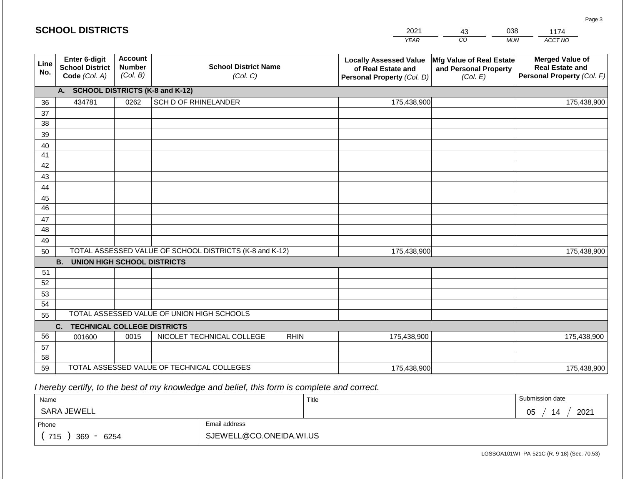|             | <b>SCHOOL DISTRICTS</b>                                  |                                             |                                                         | 2021                                                                              | 43                                                            | 038        | 1174                                                                           |
|-------------|----------------------------------------------------------|---------------------------------------------|---------------------------------------------------------|-----------------------------------------------------------------------------------|---------------------------------------------------------------|------------|--------------------------------------------------------------------------------|
|             |                                                          |                                             |                                                         | <b>YEAR</b>                                                                       | CO                                                            | <b>MUN</b> | ACCT NO                                                                        |
| Line<br>No. | Enter 6-digit<br><b>School District</b><br>Code (Col. A) | <b>Account</b><br><b>Number</b><br>(Col. B) | <b>School District Name</b><br>(Col. C)                 | <b>Locally Assessed Value</b><br>of Real Estate and<br>Personal Property (Col. D) | Mfg Value of Real Estate<br>and Personal Property<br>(Col. E) |            | <b>Merged Value of</b><br><b>Real Estate and</b><br>Personal Property (Col. F) |
|             | A.                                                       |                                             | <b>SCHOOL DISTRICTS (K-8 and K-12)</b>                  |                                                                                   |                                                               |            |                                                                                |
| 36          | 434781                                                   | 0262                                        | SCH D OF RHINELANDER                                    | 175,438,900                                                                       |                                                               |            | 175,438,900                                                                    |
| 37          |                                                          |                                             |                                                         |                                                                                   |                                                               |            |                                                                                |
| 38          |                                                          |                                             |                                                         |                                                                                   |                                                               |            |                                                                                |
| 39          |                                                          |                                             |                                                         |                                                                                   |                                                               |            |                                                                                |
| 40          |                                                          |                                             |                                                         |                                                                                   |                                                               |            |                                                                                |
| 41<br>42    |                                                          |                                             |                                                         |                                                                                   |                                                               |            |                                                                                |
| 43          |                                                          |                                             |                                                         |                                                                                   |                                                               |            |                                                                                |
| 44          |                                                          |                                             |                                                         |                                                                                   |                                                               |            |                                                                                |
| 45          |                                                          |                                             |                                                         |                                                                                   |                                                               |            |                                                                                |
| 46          |                                                          |                                             |                                                         |                                                                                   |                                                               |            |                                                                                |
| 47          |                                                          |                                             |                                                         |                                                                                   |                                                               |            |                                                                                |
| 48          |                                                          |                                             |                                                         |                                                                                   |                                                               |            |                                                                                |
| 49          |                                                          |                                             |                                                         |                                                                                   |                                                               |            |                                                                                |
| 50          |                                                          |                                             | TOTAL ASSESSED VALUE OF SCHOOL DISTRICTS (K-8 and K-12) | 175,438,900                                                                       |                                                               |            | 175,438,900                                                                    |
|             | <b>B. UNION HIGH SCHOOL DISTRICTS</b>                    |                                             |                                                         |                                                                                   |                                                               |            |                                                                                |
| 51          |                                                          |                                             |                                                         |                                                                                   |                                                               |            |                                                                                |
| 52          |                                                          |                                             |                                                         |                                                                                   |                                                               |            |                                                                                |
| 53          |                                                          |                                             |                                                         |                                                                                   |                                                               |            |                                                                                |
| 54          |                                                          |                                             | TOTAL ASSESSED VALUE OF UNION HIGH SCHOOLS              |                                                                                   |                                                               |            |                                                                                |
| 55          |                                                          |                                             |                                                         |                                                                                   |                                                               |            |                                                                                |
|             | C.<br><b>TECHNICAL COLLEGE DISTRICTS</b>                 |                                             |                                                         |                                                                                   |                                                               |            |                                                                                |
| 56<br>57    | 001600                                                   | 0015                                        | NICOLET TECHNICAL COLLEGE<br><b>RHIN</b>                | 175,438,900                                                                       |                                                               |            | 175,438,900                                                                    |
| 58          |                                                          |                                             |                                                         |                                                                                   |                                                               |            |                                                                                |
| 59          |                                                          |                                             | TOTAL ASSESSED VALUE OF TECHNICAL COLLEGES              | 175,438,900                                                                       |                                                               |            | 175,438,900                                                                    |

 *I hereby certify, to the best of my knowledge and belief, this form is complete and correct.*

| Name               |                         | Title | Submission date        |
|--------------------|-------------------------|-------|------------------------|
| <b>SARA JEWELL</b> |                         |       | 2021<br>∩ҕ<br>14<br>◡◡ |
| Phone              | Email address           |       |                        |
| 715<br>369<br>6254 | SJEWELL@CO.ONEIDA.WI.US |       |                        |

Page 3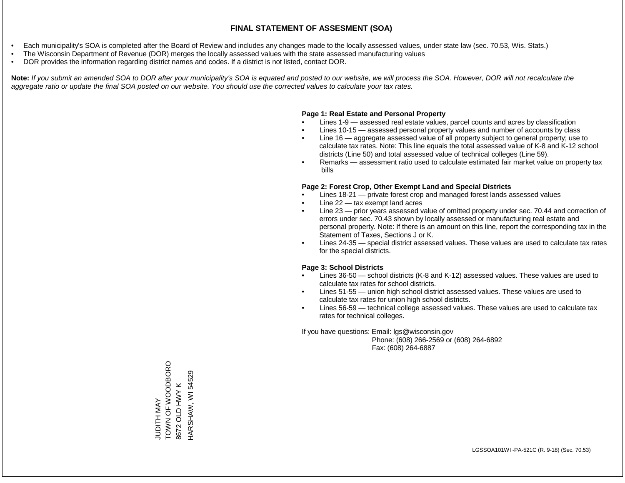#### **FINAL STATEMENT OF ASSESMENT (SOA)**

- Each municipality's SOA is completed after the Board of Review and includes any changes made to the locally assessed values, under state law (sec. 70.53, Wis. Stats.)
- The Wisconsin Department of Revenue (DOR) merges the locally assessed values with the state assessed manufacturing values
- DOR provides the information regarding district names and codes. If a district is not listed, contact DOR.

Note: If you submit an amended SOA to DOR after your municipality's SOA is equated and posted to our website, we will process the SOA. However, DOR will not recalculate the *aggregate ratio or update the final SOA posted on our website. You should use the corrected values to calculate your tax rates.*

## **Page 1: Real Estate and Personal Property**

- Lines 1-9 assessed real estate values, parcel counts and acres by classification
- Lines 10-15 assessed personal property values and number of accounts by class
- Line 16 aggregate assessed value of all property subject to general property; use to calculate tax rates. Note: This line equals the total assessed value of K-8 and K-12 school districts (Line 50) and total assessed value of technical colleges (Line 59).
- Remarks assessment ratio used to calculate estimated fair market value on property tax bills

## **Page 2: Forest Crop, Other Exempt Land and Special Districts**

- Lines 18-21 private forest crop and managed forest lands assessed values
- Line  $22 -$  tax exempt land acres
- Line 23 prior years assessed value of omitted property under sec. 70.44 and correction of errors under sec. 70.43 shown by locally assessed or manufacturing real estate and personal property. Note: If there is an amount on this line, report the corresponding tax in the Statement of Taxes, Sections J or K.
- Lines 24-35 special district assessed values. These values are used to calculate tax rates for the special districts.

## **Page 3: School Districts**

- Lines 36-50 school districts (K-8 and K-12) assessed values. These values are used to calculate tax rates for school districts.
- Lines 51-55 union high school district assessed values. These values are used to calculate tax rates for union high school districts.
- Lines 56-59 technical college assessed values. These values are used to calculate tax rates for technical colleges.

If you have questions: Email: lgs@wisconsin.gov

 Phone: (608) 266-2569 or (608) 264-6892 Fax: (608) 264-6887

JUDITH MAY<br>TOWN OF WOODBORO TOMN OF WORD TO A SAND HARSHAW, WI 54529 HARSHAW, WI 545298672 OLD HWY K 8672 OLD HWY K

LGSSOA101WI -PA-521C (R. 9-18) (Sec. 70.53)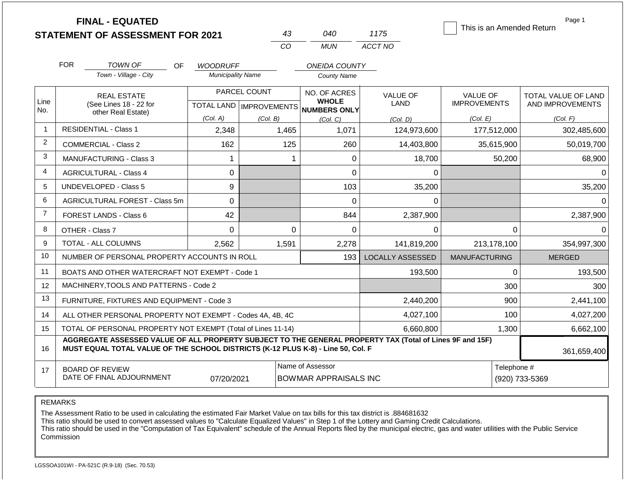|                |            | <b>FINAL - EQUATED</b><br><b>STATEMENT OF ASSESSMENT FOR 2021</b>                                                                                                                            |                                             | 43           | 040                                                 | 1175                           | Page 1<br>This is an Amended Return    |                                         |  |
|----------------|------------|----------------------------------------------------------------------------------------------------------------------------------------------------------------------------------------------|---------------------------------------------|--------------|-----------------------------------------------------|--------------------------------|----------------------------------------|-----------------------------------------|--|
|                |            |                                                                                                                                                                                              |                                             | CO           | <b>MUN</b>                                          | ACCT NO                        |                                        |                                         |  |
|                | <b>FOR</b> |                                                                                                                                                                                              |                                             |              |                                                     |                                |                                        |                                         |  |
|                |            | <b>TOWN OF</b><br>OF.<br>Town - Village - City                                                                                                                                               | <b>WOODRUFF</b><br><b>Municipality Name</b> |              | <b>ONEIDA COUNTY</b><br><b>County Name</b>          |                                |                                        |                                         |  |
|                |            |                                                                                                                                                                                              |                                             | PARCEL COUNT | NO. OF ACRES                                        |                                |                                        |                                         |  |
| Line           |            | <b>REAL ESTATE</b><br>(See Lines 18 - 22 for                                                                                                                                                 |                                             |              | <b>WHOLE</b><br>TOTAL LAND MPROVEMENTS NUMBERS ONLY | <b>VALUE OF</b><br><b>LAND</b> | <b>VALUE OF</b><br><b>IMPROVEMENTS</b> | TOTAL VALUE OF LAND<br>AND IMPROVEMENTS |  |
| No.            |            | other Real Estate)                                                                                                                                                                           | (Col. A)                                    | (Col. B)     | (Col. C)                                            | (Col, D)                       | (Col. E)                               | (Col. F)                                |  |
| 1              |            | <b>RESIDENTIAL - Class 1</b>                                                                                                                                                                 | 2,348                                       | 1,465        | 1,071                                               | 124,973,600                    | 177,512,000                            | 302,485,600                             |  |
| 2              |            | <b>COMMERCIAL - Class 2</b>                                                                                                                                                                  | 162                                         | 125          | 260                                                 | 14,403,800                     | 35,615,900                             | 50,019,700                              |  |
| 3              |            | <b>MANUFACTURING - Class 3</b>                                                                                                                                                               |                                             |              | 0<br>1                                              | 18,700                         | 50,200                                 | 68,900                                  |  |
| 4              |            | <b>AGRICULTURAL - Class 4</b>                                                                                                                                                                | 0                                           |              | 0                                                   | 0                              |                                        | $\Omega$                                |  |
| 5              |            | <b>UNDEVELOPED - Class 5</b>                                                                                                                                                                 | 9                                           |              | 103                                                 | 35,200                         |                                        | 35,200                                  |  |
| 6              |            | AGRICULTURAL FOREST - Class 5m                                                                                                                                                               | 0                                           |              | $\overline{0}$                                      | 0                              |                                        | $\Omega$                                |  |
| $\overline{7}$ |            | FOREST LANDS - Class 6                                                                                                                                                                       | 42                                          |              | 844                                                 | 2,387,900                      |                                        | 2,387,900                               |  |
| 8              |            | OTHER - Class 7                                                                                                                                                                              | $\mathbf 0$                                 |              | $\Omega$<br>0                                       | 0                              | $\mathbf{0}$                           | 0                                       |  |
| 9              |            | <b>TOTAL - ALL COLUMNS</b>                                                                                                                                                                   | 2,562                                       | 1,591        | 2,278                                               | 141,819,200                    | 213,178,100                            | 354,997,300                             |  |
| 10             |            | NUMBER OF PERSONAL PROPERTY ACCOUNTS IN ROLL                                                                                                                                                 |                                             |              | 193                                                 | <b>LOCALLY ASSESSED</b>        | <b>MANUFACTURING</b>                   | <b>MERGED</b>                           |  |
| 11             |            | BOATS AND OTHER WATERCRAFT NOT EXEMPT - Code 1                                                                                                                                               |                                             |              |                                                     | 193,500                        | $\mathbf{0}$                           | 193,500                                 |  |
| 12             |            | MACHINERY, TOOLS AND PATTERNS - Code 2                                                                                                                                                       |                                             |              |                                                     |                                | 300                                    | 300                                     |  |
| 13             |            | FURNITURE, FIXTURES AND EQUIPMENT - Code 3                                                                                                                                                   |                                             |              |                                                     | 2,440,200                      | 900                                    | 2,441,100                               |  |
| 14             |            | ALL OTHER PERSONAL PROPERTY NOT EXEMPT - Codes 4A, 4B, 4C                                                                                                                                    |                                             |              |                                                     | 4,027,100                      | 100                                    | 4,027,200                               |  |
| 15             |            | TOTAL OF PERSONAL PROPERTY NOT EXEMPT (Total of Lines 11-14)                                                                                                                                 |                                             |              |                                                     | 6,660,800                      | 1,300                                  | 6,662,100                               |  |
| 16             |            | AGGREGATE ASSESSED VALUE OF ALL PROPERTY SUBJECT TO THE GENERAL PROPERTY TAX (Total of Lines 9F and 15F)<br>MUST EQUAL TOTAL VALUE OF THE SCHOOL DISTRICTS (K-12 PLUS K-8) - Line 50, Col. F |                                             |              |                                                     |                                |                                        | 361,659,400                             |  |
| 17             |            | <b>BOARD OF REVIEW</b><br>DATE OF FINAL ADJOURNMENT                                                                                                                                          | 07/20/2021                                  |              | Name of Assessor<br><b>BOWMAR APPRAISALS INC</b>    | Telephone #<br>(920) 733-5369  |                                        |                                         |  |

REMARKS

The Assessment Ratio to be used in calculating the estimated Fair Market Value on tax bills for this tax district is .884681632

This ratio should be used to convert assessed values to "Calculate Equalized Values" in Step 1 of the Lottery and Gaming Credit Calculations.

 This ratio should be used in the "Computation of Tax Equivalent" schedule of the Annual Reports filed by the municipal electric, gas and water utilities with the Public Service Commission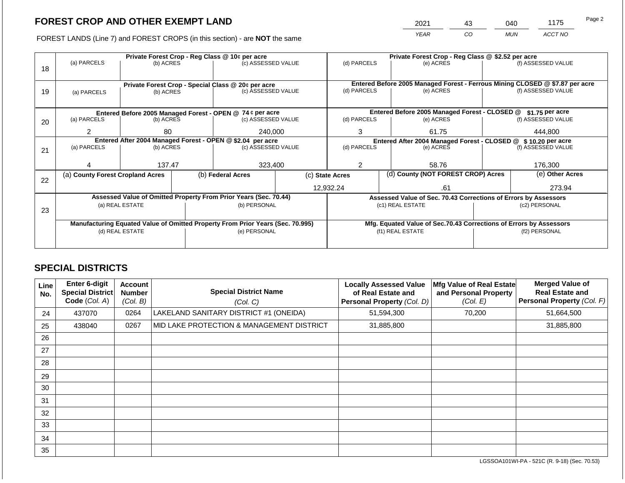# **FOREST CROP AND OTHER EXEMPT LAND**

2021 43 040 1175

FOREST LANDS (Line 7) and FOREST CROPS (in this section) - are **NOT** the same *YEAR CO MUN ACCT NO*

|    |                                                                                                   |           |  | Private Forest Crop - Reg Class @ 10¢ per acre                   |  | Private Forest Crop - Reg Class @ \$2.52 per acre             |                  |                                               |                                                                              |                                                                    |  |
|----|---------------------------------------------------------------------------------------------------|-----------|--|------------------------------------------------------------------|--|---------------------------------------------------------------|------------------|-----------------------------------------------|------------------------------------------------------------------------------|--------------------------------------------------------------------|--|
|    | (a) PARCELS                                                                                       | (b) ACRES |  | (c) ASSESSED VALUE                                               |  | (d) PARCELS                                                   |                  | (e) ACRES                                     |                                                                              | (f) ASSESSED VALUE                                                 |  |
| 18 |                                                                                                   |           |  |                                                                  |  |                                                               |                  |                                               |                                                                              |                                                                    |  |
|    |                                                                                                   |           |  |                                                                  |  |                                                               |                  |                                               |                                                                              |                                                                    |  |
|    |                                                                                                   |           |  | Private Forest Crop - Special Class @ 20¢ per acre               |  |                                                               |                  |                                               | Entered Before 2005 Managed Forest - Ferrous Mining CLOSED @ \$7.87 per acre |                                                                    |  |
| 19 | (a) PARCELS                                                                                       | (b) ACRES |  | (c) ASSESSED VALUE                                               |  | (d) PARCELS                                                   |                  | (e) ACRES                                     |                                                                              | (f) ASSESSED VALUE                                                 |  |
|    |                                                                                                   |           |  |                                                                  |  |                                                               |                  |                                               |                                                                              |                                                                    |  |
|    |                                                                                                   |           |  | Entered Before 2005 Managed Forest - OPEN @ 74 ¢ per acre        |  |                                                               |                  | Entered Before 2005 Managed Forest - CLOSED @ |                                                                              | $$1.75$ per acre                                                   |  |
| 20 | (a) PARCELS                                                                                       | (b) ACRES |  | (c) ASSESSED VALUE                                               |  | (d) PARCELS                                                   |                  | (e) ACRES                                     |                                                                              | (f) ASSESSED VALUE                                                 |  |
|    |                                                                                                   |           |  |                                                                  |  |                                                               |                  |                                               |                                                                              |                                                                    |  |
|    | 2<br>80                                                                                           |           |  | 240,000                                                          |  | 3                                                             |                  | 61.75                                         |                                                                              | 444.800                                                            |  |
|    | Entered After 2004 Managed Forest - OPEN @ \$2.04 per acre                                        |           |  |                                                                  |  | Entered After 2004 Managed Forest - CLOSED @ \$10.20 per acre |                  |                                               |                                                                              |                                                                    |  |
| 21 | (a) PARCELS                                                                                       | (b) ACRES |  | (c) ASSESSED VALUE                                               |  | (d) PARCELS                                                   |                  | (e) ACRES                                     |                                                                              | (f) ASSESSED VALUE                                                 |  |
|    |                                                                                                   |           |  |                                                                  |  |                                                               |                  |                                               |                                                                              |                                                                    |  |
|    |                                                                                                   | 137.47    |  | 323,400                                                          |  | 2                                                             |                  | 58.76                                         |                                                                              | 176,300                                                            |  |
|    | (a) County Forest Cropland Acres                                                                  |           |  | (b) Federal Acres                                                |  | (d) County (NOT FOREST CROP) Acres<br>(c) State Acres         |                  |                                               |                                                                              | (e) Other Acres                                                    |  |
| 22 |                                                                                                   |           |  |                                                                  |  |                                                               |                  |                                               |                                                                              |                                                                    |  |
|    |                                                                                                   |           |  |                                                                  |  | 12,932.24                                                     |                  | .61                                           |                                                                              | 273.94                                                             |  |
|    |                                                                                                   |           |  | Assessed Value of Omitted Property From Prior Years (Sec. 70.44) |  |                                                               |                  |                                               |                                                                              | Assessed Value of Sec. 70.43 Corrections of Errors by Assessors    |  |
|    | (a) REAL ESTATE                                                                                   |           |  | (b) PERSONAL                                                     |  |                                                               | (c1) REAL ESTATE |                                               | (c2) PERSONAL                                                                |                                                                    |  |
| 23 |                                                                                                   |           |  |                                                                  |  |                                                               |                  |                                               |                                                                              |                                                                    |  |
|    |                                                                                                   |           |  |                                                                  |  |                                                               |                  |                                               |                                                                              | Mfg. Equated Value of Sec.70.43 Corrections of Errors by Assessors |  |
|    | Manufacturing Equated Value of Omitted Property From Prior Years (Sec. 70.995)<br>(d) REAL ESTATE |           |  | (e) PERSONAL                                                     |  | (f1) REAL ESTATE                                              |                  |                                               | (f2) PERSONAL                                                                |                                                                    |  |
|    |                                                                                                   |           |  |                                                                  |  |                                                               |                  |                                               |                                                                              |                                                                    |  |
|    |                                                                                                   |           |  |                                                                  |  |                                                               |                  |                                               |                                                                              |                                                                    |  |

## **SPECIAL DISTRICTS**

| Line<br>No. | Enter 6-digit<br>Special District<br>Code (Col. A) | <b>Account</b><br><b>Number</b><br>(Col. B) | <b>Special District Name</b><br>(Col. C)  | <b>Locally Assessed Value</b><br>of Real Estate and<br>Personal Property (Col. D) | Mfg Value of Real Estate<br>and Personal Property<br>(Col. E) | <b>Merged Value of</b><br><b>Real Estate and</b><br>Personal Property (Col. F) |
|-------------|----------------------------------------------------|---------------------------------------------|-------------------------------------------|-----------------------------------------------------------------------------------|---------------------------------------------------------------|--------------------------------------------------------------------------------|
| 24          | 437070                                             | 0264                                        | LAKELAND SANITARY DISTRICT #1 (ONEIDA)    | 51,594,300                                                                        | 70,200                                                        | 51,664,500                                                                     |
| 25          | 438040                                             | 0267                                        | MID LAKE PROTECTION & MANAGEMENT DISTRICT | 31,885,800                                                                        |                                                               | 31,885,800                                                                     |
| 26          |                                                    |                                             |                                           |                                                                                   |                                                               |                                                                                |
| 27          |                                                    |                                             |                                           |                                                                                   |                                                               |                                                                                |
| 28          |                                                    |                                             |                                           |                                                                                   |                                                               |                                                                                |
| 29          |                                                    |                                             |                                           |                                                                                   |                                                               |                                                                                |
| 30          |                                                    |                                             |                                           |                                                                                   |                                                               |                                                                                |
| 31          |                                                    |                                             |                                           |                                                                                   |                                                               |                                                                                |
| 32          |                                                    |                                             |                                           |                                                                                   |                                                               |                                                                                |
| 33          |                                                    |                                             |                                           |                                                                                   |                                                               |                                                                                |
| 34          |                                                    |                                             |                                           |                                                                                   |                                                               |                                                                                |
| 35          |                                                    |                                             |                                           |                                                                                   |                                                               |                                                                                |

LGSSOA101WI-PA - 521C (R. 9-18) (Sec. 70.53)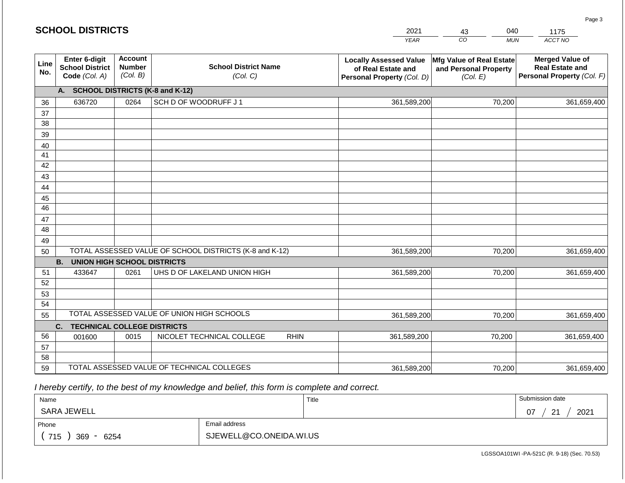#### *YEAR*  2021  $\overline{co}$ 43 *MUN*  040 *ACCT NO*  1175 **SCHOOL DISTRICTS Line No. Enter 6-digit School District Code** *(Col. A)* **Account Number** *(Col. B)* **School District Name** *(Col. C)* **Locally Assessed Value of Real Estate and Personal Property** *(Col. D)* **Mfg Value of Real Estate and Personal Property** *(Col. E)* **Merged Value of Real Estate and Personal Property** *(Col. F)* **A. SCHOOL DISTRICTS (K-8 and K-12)** 36 37 38 39 40 41 42 43 44 45 46 47 48 49 50 TOTAL ASSESSED VALUE OF SCHOOL DISTRICTS (K-8 and K-12) **B. UNION HIGH SCHOOL DISTRICTS** 51 52 53 54 55 **C. TECHNICAL COLLEGE DISTRICTS** 56 57 58 59 TOTAL ASSESSED VALUE OF TECHNICAL COLLEGES TOTAL ASSESSED VALUE OF UNION HIGH SCHOOLS 636720 0264 SCH D OF WOODRUFF J 1 361,589,200 361,589,200 433647 0261 UHS D OF LAKELAND UNION HIGH 361,589,200 001600 | 0015 | NICOLET TECHNICAL COLLEGE RHIN 361,589,200 361,589,200 70,200 361,659,400 70,200 361,659,400 70,200 361,659,400 70,200 361,659,400 70,200 361,659,400 361,589,200 70,200 361,659,400

 *I hereby certify, to the best of my knowledge and belief, this form is complete and correct.*

| Name               |                         | Title | Submission date                    |
|--------------------|-------------------------|-------|------------------------------------|
| SARA JEWELL        |                         |       | 2021<br>07<br>$\Omega$<br><u>_</u> |
| Phone              | Email address           |       |                                    |
| 715<br>369<br>6254 | SJEWELL@CO.ONEIDA.WI.US |       |                                    |

LGSSOA101WI -PA-521C (R. 9-18) (Sec. 70.53)

Page 3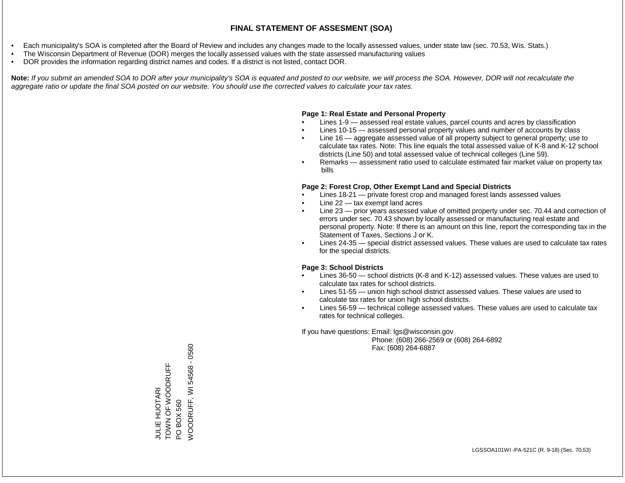#### **FINAL STATEMENT OF ASSESMENT (SOA)**

- Each municipality's SOA is completed after the Board of Review and includes any changes made to the locally assessed values, under state law (sec. 70.53, Wis. Stats.)
- The Wisconsin Department of Revenue (DOR) merges the locally assessed values with the state assessed manufacturing values
- DOR provides the information regarding district names and codes. If a district is not listed, contact DOR.

Note: If you submit an amended SOA to DOR after your municipality's SOA is equated and posted to our website, we will process the SOA. However, DOR will not recalculate the *aggregate ratio or update the final SOA posted on our website. You should use the corrected values to calculate your tax rates.*

## **Page 1: Real Estate and Personal Property**

- Lines 1-9 assessed real estate values, parcel counts and acres by classification
- Lines 10-15 assessed personal property values and number of accounts by class
- Line 16 aggregate assessed value of all property subject to general property; use to calculate tax rates. Note: This line equals the total assessed value of K-8 and K-12 school districts (Line 50) and total assessed value of technical colleges (Line 59).
- Remarks assessment ratio used to calculate estimated fair market value on property tax bills

## **Page 2: Forest Crop, Other Exempt Land and Special Districts**

- Lines 18-21 private forest crop and managed forest lands assessed values
- Line  $22 -$  tax exempt land acres
- Line 23 prior years assessed value of omitted property under sec. 70.44 and correction of errors under sec. 70.43 shown by locally assessed or manufacturing real estate and personal property. Note: If there is an amount on this line, report the corresponding tax in the Statement of Taxes, Sections J or K.
- Lines 24-35 special district assessed values. These values are used to calculate tax rates for the special districts.

## **Page 3: School Districts**

- Lines 36-50 school districts (K-8 and K-12) assessed values. These values are used to calculate tax rates for school districts.
- Lines 51-55 union high school district assessed values. These values are used to calculate tax rates for union high school districts.
- Lines 56-59 technical college assessed values. These values are used to calculate tax rates for technical colleges.

If you have questions: Email: lgs@wisconsin.gov

 Phone: (608) 266-2569 or (608) 264-6892 Fax: (608) 264-6887

**/VOODRUFF, WI 54568 - 0560** WOODRUFF, WI 54568 - 0560TOWN OF WOODRUFF TOWN OF WOODRUFF **JULIE HUOTARI** JULIE HUOTARI PO BOX 560

LGSSOA101WI -PA-521C (R. 9-18) (Sec. 70.53)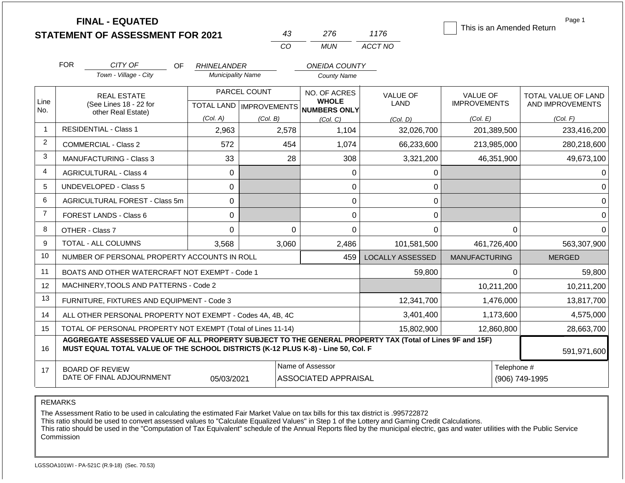|                |                                                                                                                                                                                              | <b>FINAL - EQUATED</b><br><b>STATEMENT OF ASSESSMENT FOR 2021</b> |                           |                                                | 43                           | 276                                             | 1176                    |                      |             | Page 1<br>This is an Amended Return |  |
|----------------|----------------------------------------------------------------------------------------------------------------------------------------------------------------------------------------------|-------------------------------------------------------------------|---------------------------|------------------------------------------------|------------------------------|-------------------------------------------------|-------------------------|----------------------|-------------|-------------------------------------|--|
|                |                                                                                                                                                                                              |                                                                   |                           |                                                | CO                           | <b>MUN</b>                                      | ACCT NO                 |                      |             |                                     |  |
|                |                                                                                                                                                                                              |                                                                   |                           |                                                |                              | <b>ONEIDA COUNTY</b>                            |                         |                      |             |                                     |  |
|                | <b>FOR</b>                                                                                                                                                                                   | CITY OF<br>OF<br>Town - Village - City                            |                           | <b>RHINELANDER</b><br><b>Municipality Name</b> |                              |                                                 |                         |                      |             |                                     |  |
|                |                                                                                                                                                                                              |                                                                   |                           |                                                |                              | <b>County Name</b>                              |                         |                      |             |                                     |  |
| Line           |                                                                                                                                                                                              | <b>REAL ESTATE</b>                                                |                           | PARCEL COUNT                                   | NO. OF ACRES<br><b>WHOLE</b> |                                                 | <b>VALUE OF</b>         | <b>VALUE OF</b>      |             | TOTAL VALUE OF LAND                 |  |
| No.            |                                                                                                                                                                                              | (See Lines 18 - 22 for<br>other Real Estate)                      | TOTAL LAND   IMPROVEMENTS |                                                |                              | <b>NUMBERS ONLY</b>                             | LAND                    | <b>IMPROVEMENTS</b>  |             | AND IMPROVEMENTS                    |  |
|                |                                                                                                                                                                                              |                                                                   | (Col. A)                  | (Col. B)                                       |                              | (Col. C)                                        | (Col. D)                | (Col. E)             |             | (Col. F)                            |  |
| $\mathbf 1$    |                                                                                                                                                                                              | <b>RESIDENTIAL - Class 1</b>                                      | 2,963                     |                                                | 2,578                        | 1,104                                           | 32,026,700              |                      | 201,389,500 | 233,416,200                         |  |
| $\overline{2}$ |                                                                                                                                                                                              | <b>COMMERCIAL - Class 2</b>                                       | 572                       |                                                | 454                          | 1,074                                           | 66,233,600              |                      | 213,985,000 | 280,218,600                         |  |
| 3              |                                                                                                                                                                                              | <b>MANUFACTURING - Class 3</b>                                    | 33                        |                                                | 28                           | 308                                             | 3,321,200               |                      | 46,351,900  | 49,673,100                          |  |
| 4              |                                                                                                                                                                                              | <b>AGRICULTURAL - Class 4</b>                                     | $\mathbf 0$               |                                                |                              | 0                                               | 0                       |                      |             | 0                                   |  |
| 5              |                                                                                                                                                                                              | <b>UNDEVELOPED - Class 5</b>                                      | $\Omega$                  |                                                |                              | $\Omega$                                        | 0                       |                      |             | $\Omega$                            |  |
| 6              |                                                                                                                                                                                              | AGRICULTURAL FOREST - Class 5m                                    | $\mathbf 0$               |                                                |                              | $\mathbf 0$                                     | 0                       |                      |             | $\overline{0}$                      |  |
| $\overline{7}$ |                                                                                                                                                                                              | FOREST LANDS - Class 6                                            | $\mathbf 0$               |                                                |                              | 0                                               | 0                       |                      |             | $\mathbf 0$                         |  |
| 8              |                                                                                                                                                                                              | OTHER - Class 7                                                   | $\mathbf 0$               |                                                | 0                            | $\overline{0}$                                  | $\mathbf 0$             |                      | $\Omega$    | $\Omega$                            |  |
| 9              |                                                                                                                                                                                              | TOTAL - ALL COLUMNS                                               | 3,568                     |                                                | 3,060                        | 2,486                                           | 101,581,500             |                      | 461,726,400 | 563,307,900                         |  |
| 10             |                                                                                                                                                                                              | NUMBER OF PERSONAL PROPERTY ACCOUNTS IN ROLL                      |                           |                                                |                              | 459                                             | <b>LOCALLY ASSESSED</b> | <b>MANUFACTURING</b> |             | <b>MERGED</b>                       |  |
| 11             |                                                                                                                                                                                              | BOATS AND OTHER WATERCRAFT NOT EXEMPT - Code 1                    |                           |                                                |                              |                                                 | 59,800                  |                      | 0           | 59,800                              |  |
| 12             |                                                                                                                                                                                              | MACHINERY, TOOLS AND PATTERNS - Code 2                            |                           |                                                |                              |                                                 |                         |                      | 10,211,200  | 10,211,200                          |  |
| 13             |                                                                                                                                                                                              | FURNITURE, FIXTURES AND EQUIPMENT - Code 3                        |                           |                                                |                              |                                                 | 12,341,700              |                      | 1,476,000   | 13,817,700                          |  |
| 14             |                                                                                                                                                                                              | ALL OTHER PERSONAL PROPERTY NOT EXEMPT - Codes 4A, 4B, 4C         |                           |                                                |                              |                                                 | 3,401,400               |                      | 1,173,600   | 4,575,000                           |  |
| 15             |                                                                                                                                                                                              | TOTAL OF PERSONAL PROPERTY NOT EXEMPT (Total of Lines 11-14)      |                           |                                                |                              |                                                 | 15,802,900              |                      | 12,860,800  | 28,663,700                          |  |
| 16             | AGGREGATE ASSESSED VALUE OF ALL PROPERTY SUBJECT TO THE GENERAL PROPERTY TAX (Total of Lines 9F and 15F)<br>MUST EQUAL TOTAL VALUE OF THE SCHOOL DISTRICTS (K-12 PLUS K-8) - Line 50, Col. F |                                                                   |                           |                                                |                              |                                                 |                         |                      |             | 591,971,600                         |  |
| 17             | <b>BOARD OF REVIEW</b><br>DATE OF FINAL ADJOURNMENT<br>05/03/2021                                                                                                                            |                                                                   |                           |                                                |                              | Name of Assessor<br><b>ASSOCIATED APPRAISAL</b> |                         |                      |             | Telephone #<br>(906) 749-1995       |  |

REMARKS

The Assessment Ratio to be used in calculating the estimated Fair Market Value on tax bills for this tax district is .995722872

This ratio should be used to convert assessed values to "Calculate Equalized Values" in Step 1 of the Lottery and Gaming Credit Calculations.

 This ratio should be used in the "Computation of Tax Equivalent" schedule of the Annual Reports filed by the municipal electric, gas and water utilities with the Public Service Commission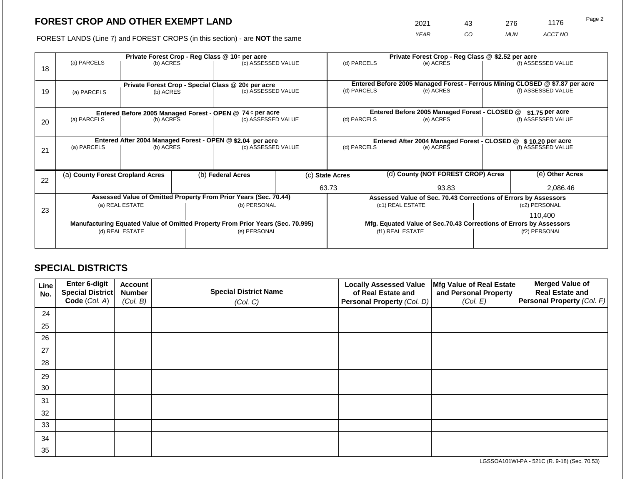# **FOREST CROP AND OTHER EXEMPT LAND**

2021 43 276 1176

FOREST LANDS (Line 7) and FOREST CROPS (in this section) - are **NOT** the same *YEAR CO MUN ACCT NO*

|    |                                                                                |           |              | Private Forest Crop - Reg Class @ 10¢ per acre                   |                                                                    | Private Forest Crop - Reg Class @ \$2.52 per acre |                                                                              |                                               |                                                                 |                    |  |
|----|--------------------------------------------------------------------------------|-----------|--------------|------------------------------------------------------------------|--------------------------------------------------------------------|---------------------------------------------------|------------------------------------------------------------------------------|-----------------------------------------------|-----------------------------------------------------------------|--------------------|--|
| 18 | (a) PARCELS                                                                    | (b) ACRES |              | (c) ASSESSED VALUE                                               |                                                                    | (d) PARCELS                                       |                                                                              | (e) ACRES                                     |                                                                 | (f) ASSESSED VALUE |  |
|    |                                                                                |           |              |                                                                  |                                                                    |                                                   |                                                                              |                                               |                                                                 |                    |  |
|    |                                                                                |           |              | Private Forest Crop - Special Class @ 20¢ per acre               |                                                                    |                                                   | Entered Before 2005 Managed Forest - Ferrous Mining CLOSED @ \$7.87 per acre |                                               |                                                                 |                    |  |
| 19 | (a) PARCELS                                                                    | (b) ACRES |              | (c) ASSESSED VALUE                                               |                                                                    | (d) PARCELS                                       |                                                                              | (e) ACRES                                     |                                                                 | (f) ASSESSED VALUE |  |
|    |                                                                                |           |              |                                                                  |                                                                    |                                                   |                                                                              |                                               |                                                                 |                    |  |
|    |                                                                                |           |              | Entered Before 2005 Managed Forest - OPEN @ 74 ¢ per acre        |                                                                    |                                                   |                                                                              | Entered Before 2005 Managed Forest - CLOSED @ |                                                                 | $$1.75$ per acre   |  |
| 20 | (a) PARCELS                                                                    | (b) ACRES |              | (c) ASSESSED VALUE                                               |                                                                    | (d) PARCELS                                       |                                                                              | (e) ACRES                                     |                                                                 | (f) ASSESSED VALUE |  |
|    |                                                                                |           |              |                                                                  |                                                                    |                                                   |                                                                              |                                               |                                                                 |                    |  |
|    |                                                                                |           |              | Entered After 2004 Managed Forest - OPEN @ \$2.04 per acre       | Entered After 2004 Managed Forest - CLOSED @ \$ 10.20 per acre     |                                                   |                                                                              |                                               |                                                                 |                    |  |
| 21 | (a) PARCELS                                                                    | (b) ACRES |              | (c) ASSESSED VALUE                                               |                                                                    | (d) PARCELS                                       |                                                                              | (e) ACRES                                     |                                                                 | (f) ASSESSED VALUE |  |
|    |                                                                                |           |              |                                                                  |                                                                    |                                                   |                                                                              |                                               |                                                                 |                    |  |
|    | (a) County Forest Cropland Acres                                               |           |              | (b) Federal Acres                                                |                                                                    | (c) State Acres                                   |                                                                              | (d) County (NOT FOREST CROP) Acres            |                                                                 | (e) Other Acres    |  |
| 22 |                                                                                |           |              |                                                                  |                                                                    |                                                   |                                                                              |                                               |                                                                 |                    |  |
|    |                                                                                |           |              |                                                                  |                                                                    | 63.73<br>93.83                                    |                                                                              |                                               | 2,086.46                                                        |                    |  |
|    |                                                                                |           |              | Assessed Value of Omitted Property From Prior Years (Sec. 70.44) |                                                                    |                                                   |                                                                              |                                               | Assessed Value of Sec. 70.43 Corrections of Errors by Assessors |                    |  |
| 23 | (a) REAL ESTATE                                                                |           | (b) PERSONAL | (c1) REAL ESTATE                                                 |                                                                    |                                                   | (c2) PERSONAL                                                                |                                               |                                                                 |                    |  |
|    |                                                                                |           |              |                                                                  |                                                                    |                                                   |                                                                              |                                               | 110.400                                                         |                    |  |
|    | Manufacturing Equated Value of Omitted Property From Prior Years (Sec. 70.995) |           |              |                                                                  | Mfg. Equated Value of Sec.70.43 Corrections of Errors by Assessors |                                                   |                                                                              |                                               |                                                                 |                    |  |
|    | (d) REAL ESTATE                                                                |           |              | (e) PERSONAL                                                     |                                                                    |                                                   |                                                                              | (f1) REAL ESTATE                              |                                                                 | (f2) PERSONAL      |  |
|    |                                                                                |           |              |                                                                  |                                                                    |                                                   |                                                                              |                                               |                                                                 |                    |  |

## **SPECIAL DISTRICTS**

| Line<br>No. | <b>Enter 6-digit</b><br>Special District | <b>Account</b><br><b>Number</b> | <b>Special District Name</b> | <b>Locally Assessed Value</b><br>of Real Estate and | Mfg Value of Real Estate<br>and Personal Property | <b>Merged Value of</b><br><b>Real Estate and</b> |
|-------------|------------------------------------------|---------------------------------|------------------------------|-----------------------------------------------------|---------------------------------------------------|--------------------------------------------------|
|             | Code (Col. A)                            | (Col. B)                        | (Col. C)                     | Personal Property (Col. D)                          | (Col. E)                                          | Personal Property (Col. F)                       |
| 24          |                                          |                                 |                              |                                                     |                                                   |                                                  |
| 25          |                                          |                                 |                              |                                                     |                                                   |                                                  |
| 26          |                                          |                                 |                              |                                                     |                                                   |                                                  |
| 27          |                                          |                                 |                              |                                                     |                                                   |                                                  |
| 28          |                                          |                                 |                              |                                                     |                                                   |                                                  |
| 29          |                                          |                                 |                              |                                                     |                                                   |                                                  |
| 30          |                                          |                                 |                              |                                                     |                                                   |                                                  |
| 31          |                                          |                                 |                              |                                                     |                                                   |                                                  |
| 32          |                                          |                                 |                              |                                                     |                                                   |                                                  |
| 33          |                                          |                                 |                              |                                                     |                                                   |                                                  |
| 34          |                                          |                                 |                              |                                                     |                                                   |                                                  |
| 35          |                                          |                                 |                              |                                                     |                                                   |                                                  |

LGSSOA101WI-PA - 521C (R. 9-18) (Sec. 70.53)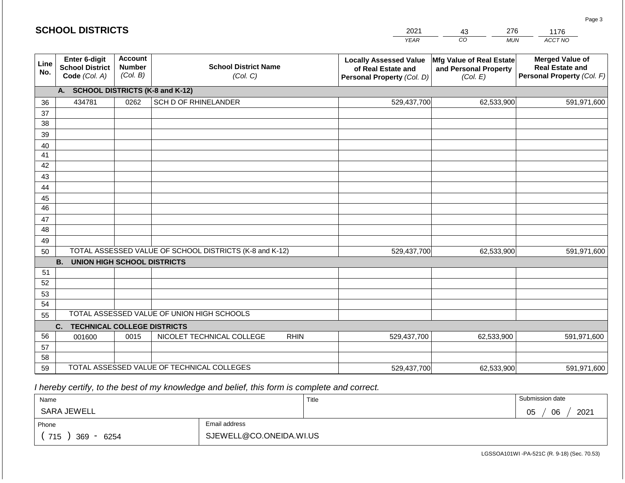|             | <b>SCHOOL DISTRICTS</b>                                  |                                                         |                                            | 2021        | 276<br>43                                                                         | 1176                                                          |                                                                                |
|-------------|----------------------------------------------------------|---------------------------------------------------------|--------------------------------------------|-------------|-----------------------------------------------------------------------------------|---------------------------------------------------------------|--------------------------------------------------------------------------------|
|             |                                                          |                                                         |                                            |             | <b>YEAR</b>                                                                       | CO.<br><b>MUN</b>                                             | ACCT NO                                                                        |
| Line<br>No. | Enter 6-digit<br><b>School District</b><br>Code (Col. A) | <b>Account</b><br><b>Number</b><br>(Col. B)             | <b>School District Name</b><br>(Col. C)    |             | <b>Locally Assessed Value</b><br>of Real Estate and<br>Personal Property (Col. D) | Mfg Value of Real Estate<br>and Personal Property<br>(Col. E) | <b>Merged Value of</b><br><b>Real Estate and</b><br>Personal Property (Col. F) |
|             | <b>A.</b>                                                |                                                         | <b>SCHOOL DISTRICTS (K-8 and K-12)</b>     |             |                                                                                   |                                                               |                                                                                |
| 36          | 434781                                                   | 0262                                                    | SCH D OF RHINELANDER                       |             | 529,437,700                                                                       | 62,533,900                                                    | 591,971,600                                                                    |
| 37          |                                                          |                                                         |                                            |             |                                                                                   |                                                               |                                                                                |
| 38          |                                                          |                                                         |                                            |             |                                                                                   |                                                               |                                                                                |
| 39          |                                                          |                                                         |                                            |             |                                                                                   |                                                               |                                                                                |
| 40          |                                                          |                                                         |                                            |             |                                                                                   |                                                               |                                                                                |
| 41          |                                                          |                                                         |                                            |             |                                                                                   |                                                               |                                                                                |
| 42          |                                                          |                                                         |                                            |             |                                                                                   |                                                               |                                                                                |
| 43          |                                                          |                                                         |                                            |             |                                                                                   |                                                               |                                                                                |
| 44<br>45    |                                                          |                                                         |                                            |             |                                                                                   |                                                               |                                                                                |
| 46          |                                                          |                                                         |                                            |             |                                                                                   |                                                               |                                                                                |
| 47          |                                                          |                                                         |                                            |             |                                                                                   |                                                               |                                                                                |
| 48          |                                                          |                                                         |                                            |             |                                                                                   |                                                               |                                                                                |
| 49          |                                                          |                                                         |                                            |             |                                                                                   |                                                               |                                                                                |
| 50          |                                                          | TOTAL ASSESSED VALUE OF SCHOOL DISTRICTS (K-8 and K-12) |                                            |             | 529,437,700                                                                       | 62,533,900                                                    | 591,971,600                                                                    |
|             | <b>B.</b><br><b>UNION HIGH SCHOOL DISTRICTS</b>          |                                                         |                                            |             |                                                                                   |                                                               |                                                                                |
| 51          |                                                          |                                                         |                                            |             |                                                                                   |                                                               |                                                                                |
| 52          |                                                          |                                                         |                                            |             |                                                                                   |                                                               |                                                                                |
| 53          |                                                          |                                                         |                                            |             |                                                                                   |                                                               |                                                                                |
| 54          |                                                          |                                                         |                                            |             |                                                                                   |                                                               |                                                                                |
| 55          |                                                          |                                                         | TOTAL ASSESSED VALUE OF UNION HIGH SCHOOLS |             |                                                                                   |                                                               |                                                                                |
|             | C.<br><b>TECHNICAL COLLEGE DISTRICTS</b>                 |                                                         |                                            |             |                                                                                   |                                                               |                                                                                |
| 56          | 001600                                                   | 0015                                                    | NICOLET TECHNICAL COLLEGE                  | <b>RHIN</b> | 529,437,700                                                                       | 62,533,900                                                    | 591,971,600                                                                    |
| 57          |                                                          |                                                         |                                            |             |                                                                                   |                                                               |                                                                                |
| 58          |                                                          |                                                         |                                            |             |                                                                                   |                                                               |                                                                                |
| 59          | TOTAL ASSESSED VALUE OF TECHNICAL COLLEGES               |                                                         |                                            |             | 529,437,700                                                                       | 62,533,900                                                    | 591,971,600                                                                    |

 *I hereby certify, to the best of my knowledge and belief, this form is complete and correct.*

| Name                   |  | Title | Submission date       |
|------------------------|--|-------|-----------------------|
| SARA JEWELL            |  |       | 2021<br>06<br>∩ҕ<br>◡ |
| Email address<br>Phone |  |       |                       |
| 715<br>369<br>6254     |  |       |                       |

Page 3